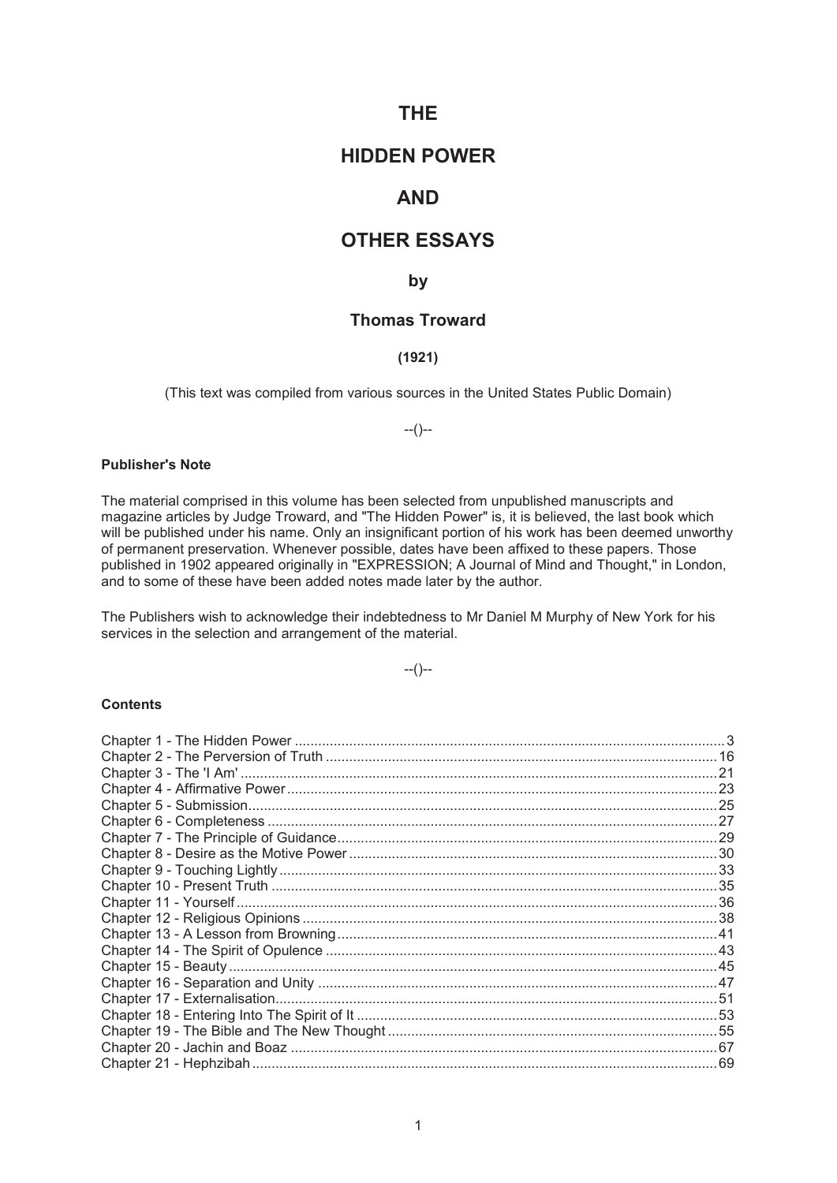# **THE**

# **HIDDEN POWER**

# **AND**

# **OTHER ESSAYS**

# **by**

# **Thomas Troward**

# **(1921)**

(This text was compiled from various sources in the United States Public Domain)

--()--

# **Publisher's Note**

The material comprised in this volume has been selected from unpublished manuscripts and magazine articles by Judge Troward, and "The Hidden Power" is, it is believed, the last book which will be published under his name. Only an insignificant portion of his work has been deemed unworthy of permanent preservation. Whenever possible, dates have been affixed to these papers. Those published in 1902 appeared originally in "EXPRESSION; A Journal of Mind and Thought," in London, and to some of these have been added notes made later by the author.

The Publishers wish to acknowledge their indebtedness to Mr Daniel M Murphy of New York for his services in the selection and arrangement of the material.

 $-(-)$ 

## **Contents**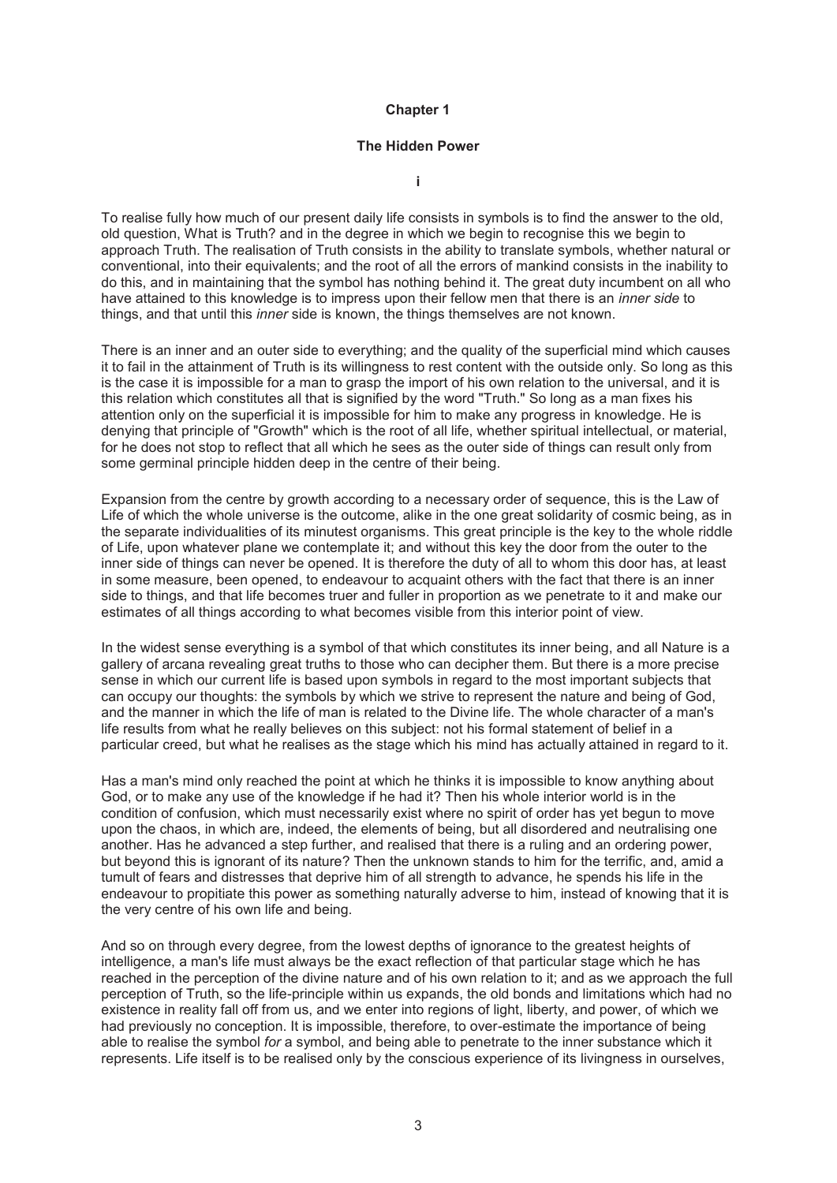### **The Hidden Power**

**i** 

To realise fully how much of our present daily life consists in symbols is to find the answer to the old, old question, What is Truth? and in the degree in which we begin to recognise this we begin to approach Truth. The realisation of Truth consists in the ability to translate symbols, whether natural or conventional, into their equivalents; and the root of all the errors of mankind consists in the inability to do this, and in maintaining that the symbol has nothing behind it. The great duty incumbent on all who have attained to this knowledge is to impress upon their fellow men that there is an *inner side* to things, and that until this *inner* side is known, the things themselves are not known.

There is an inner and an outer side to everything; and the quality of the superficial mind which causes it to fail in the attainment of Truth is its willingness to rest content with the outside only. So long as this is the case it is impossible for a man to grasp the import of his own relation to the universal, and it is this relation which constitutes all that is signified by the word "Truth." So long as a man fixes his attention only on the superficial it is impossible for him to make any progress in knowledge. He is denying that principle of "Growth" which is the root of all life, whether spiritual intellectual, or material, for he does not stop to reflect that all which he sees as the outer side of things can result only from some germinal principle hidden deep in the centre of their being.

Expansion from the centre by growth according to a necessary order of sequence, this is the Law of Life of which the whole universe is the outcome, alike in the one great solidarity of cosmic being, as in the separate individualities of its minutest organisms. This great principle is the key to the whole riddle of Life, upon whatever plane we contemplate it; and without this key the door from the outer to the inner side of things can never be opened. It is therefore the duty of all to whom this door has, at least in some measure, been opened, to endeavour to acquaint others with the fact that there is an inner side to things, and that life becomes truer and fuller in proportion as we penetrate to it and make our estimates of all things according to what becomes visible from this interior point of view.

In the widest sense everything is a symbol of that which constitutes its inner being, and all Nature is a gallery of arcana revealing great truths to those who can decipher them. But there is a more precise sense in which our current life is based upon symbols in regard to the most important subjects that can occupy our thoughts: the symbols by which we strive to represent the nature and being of God, and the manner in which the life of man is related to the Divine life. The whole character of a man's life results from what he really believes on this subject: not his formal statement of belief in a particular creed, but what he realises as the stage which his mind has actually attained in regard to it.

Has a man's mind only reached the point at which he thinks it is impossible to know anything about God, or to make any use of the knowledge if he had it? Then his whole interior world is in the condition of confusion, which must necessarily exist where no spirit of order has yet begun to move upon the chaos, in which are, indeed, the elements of being, but all disordered and neutralising one another. Has he advanced a step further, and realised that there is a ruling and an ordering power, but beyond this is ignorant of its nature? Then the unknown stands to him for the terrific, and, amid a tumult of fears and distresses that deprive him of all strength to advance, he spends his life in the endeavour to propitiate this power as something naturally adverse to him, instead of knowing that it is the very centre of his own life and being.

And so on through every degree, from the lowest depths of ignorance to the greatest heights of intelligence, a man's life must always be the exact reflection of that particular stage which he has reached in the perception of the divine nature and of his own relation to it; and as we approach the full perception of Truth, so the life-principle within us expands, the old bonds and limitations which had no existence in reality fall off from us, and we enter into regions of light, liberty, and power, of which we had previously no conception. It is impossible, therefore, to over-estimate the importance of being able to realise the symbol *for* a symbol, and being able to penetrate to the inner substance which it represents. Life itself is to be realised only by the conscious experience of its livingness in ourselves,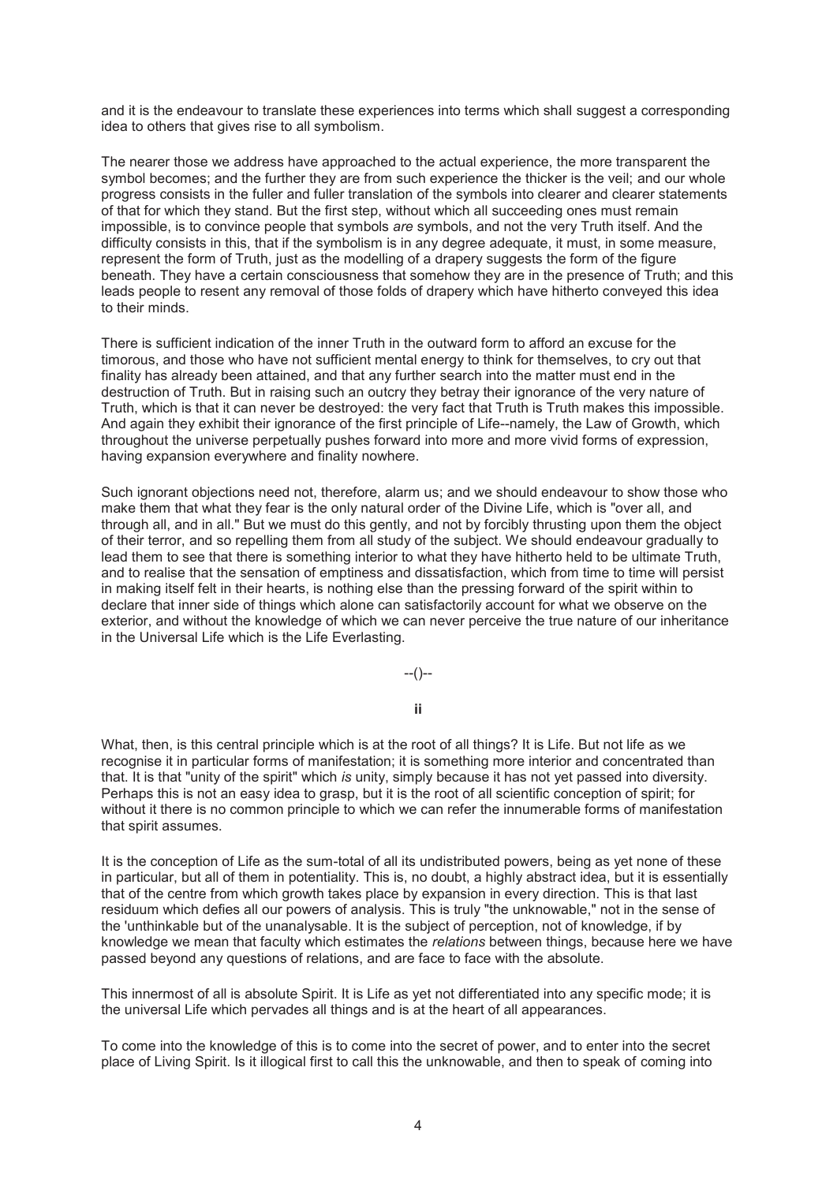and it is the endeavour to translate these experiences into terms which shall suggest a corresponding idea to others that gives rise to all symbolism.

The nearer those we address have approached to the actual experience, the more transparent the symbol becomes; and the further they are from such experience the thicker is the veil; and our whole progress consists in the fuller and fuller translation of the symbols into clearer and clearer statements of that for which they stand. But the first step, without which all succeeding ones must remain impossible, is to convince people that symbols *are* symbols, and not the very Truth itself. And the difficulty consists in this, that if the symbolism is in any degree adequate, it must, in some measure, represent the form of Truth, just as the modelling of a drapery suggests the form of the figure beneath. They have a certain consciousness that somehow they are in the presence of Truth; and this leads people to resent any removal of those folds of drapery which have hitherto conveyed this idea to their minds.

There is sufficient indication of the inner Truth in the outward form to afford an excuse for the timorous, and those who have not sufficient mental energy to think for themselves, to cry out that finality has already been attained, and that any further search into the matter must end in the destruction of Truth. But in raising such an outcry they betray their ignorance of the very nature of Truth, which is that it can never be destroyed: the very fact that Truth is Truth makes this impossible. And again they exhibit their ignorance of the first principle of Life--namely, the Law of Growth, which throughout the universe perpetually pushes forward into more and more vivid forms of expression, having expansion everywhere and finality nowhere.

Such ignorant objections need not, therefore, alarm us; and we should endeavour to show those who make them that what they fear is the only natural order of the Divine Life, which is "over all, and through all, and in all." But we must do this gently, and not by forcibly thrusting upon them the object of their terror, and so repelling them from all study of the subject. We should endeavour gradually to lead them to see that there is something interior to what they have hitherto held to be ultimate Truth, and to realise that the sensation of emptiness and dissatisfaction, which from time to time will persist in making itself felt in their hearts, is nothing else than the pressing forward of the spirit within to declare that inner side of things which alone can satisfactorily account for what we observe on the exterior, and without the knowledge of which we can never perceive the true nature of our inheritance in the Universal Life which is the Life Everlasting.

--()--

**ii** 

What, then, is this central principle which is at the root of all things? It is Life. But not life as we recognise it in particular forms of manifestation; it is something more interior and concentrated than that. It is that "unity of the spirit" which *is* unity, simply because it has not yet passed into diversity. Perhaps this is not an easy idea to grasp, but it is the root of all scientific conception of spirit; for without it there is no common principle to which we can refer the innumerable forms of manifestation that spirit assumes.

It is the conception of Life as the sum-total of all its undistributed powers, being as yet none of these in particular, but all of them in potentiality. This is, no doubt, a highly abstract idea, but it is essentially that of the centre from which growth takes place by expansion in every direction. This is that last residuum which defies all our powers of analysis. This is truly "the unknowable," not in the sense of the 'unthinkable but of the unanalysable. It is the subject of perception, not of knowledge, if by knowledge we mean that faculty which estimates the *relations* between things, because here we have passed beyond any questions of relations, and are face to face with the absolute.

This innermost of all is absolute Spirit. It is Life as yet not differentiated into any specific mode; it is the universal Life which pervades all things and is at the heart of all appearances.

To come into the knowledge of this is to come into the secret of power, and to enter into the secret place of Living Spirit. Is it illogical first to call this the unknowable, and then to speak of coming into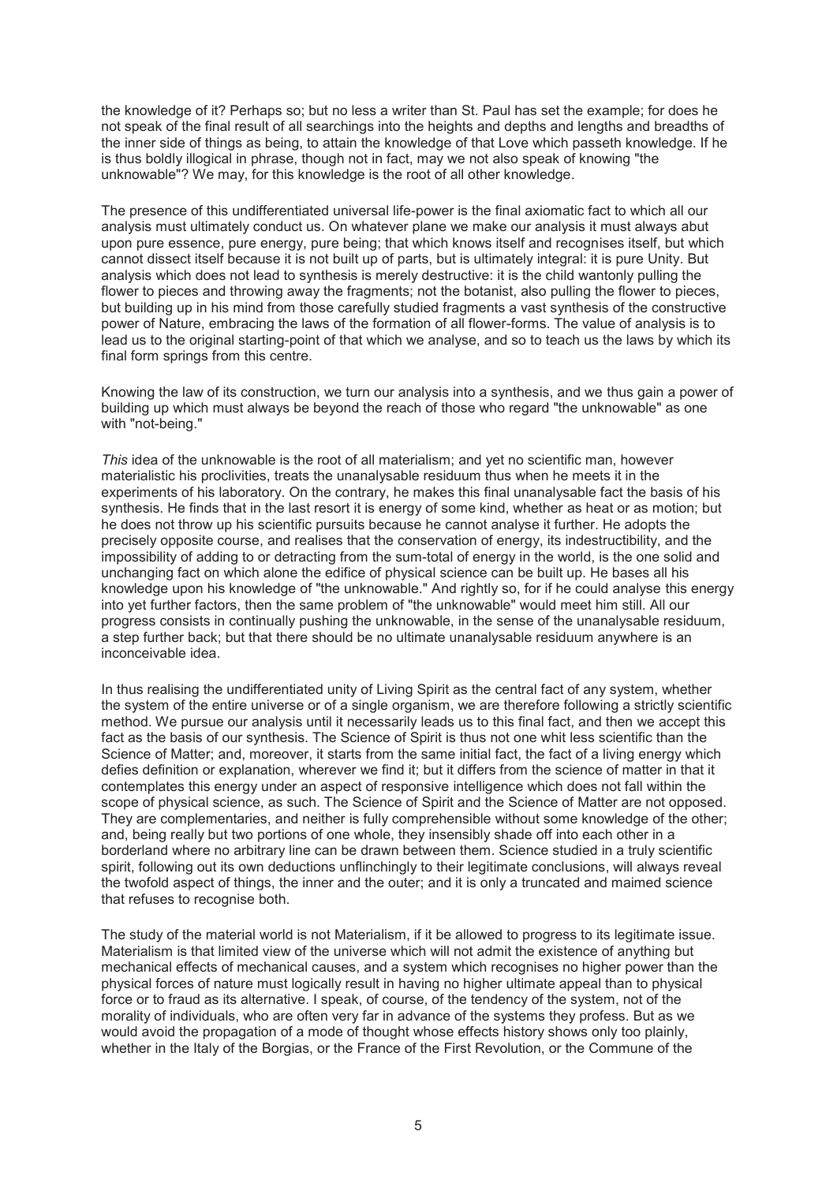the knowledge of it? Perhaps so; but no less a writer than St. Paul has set the example; for does he not speak of the final result of all searchings into the heights and depths and lengths and breadths of the inner side of things as being, to attain the knowledge of that Love which passeth knowledge. If he is thus boldly illogical in phrase, though not in fact, may we not also speak of knowing "the unknowable"? We may, for this knowledge is the root of all other knowledge.

The presence of this undifferentiated universal life-power is the final axiomatic fact to which all our analysis must ultimately conduct us. On whatever plane we make our analysis it must always abut upon pure essence, pure energy, pure being; that which knows itself and recognises itself, but which cannot dissect itself because it is not built up of parts, but is ultimately integral: it is pure Unity. But analysis which does not lead to synthesis is merely destructive: it is the child wantonly pulling the flower to pieces and throwing away the fragments; not the botanist, also pulling the flower to pieces, but building up in his mind from those carefully studied fragments a vast synthesis of the constructive power of Nature, embracing the laws of the formation of all flower-forms. The value of analysis is to lead us to the original starting-point of that which we analyse, and so to teach us the laws by which its final form springs from this centre.

Knowing the law of its construction, we turn our analysis into a synthesis, and we thus gain a power of building up which must always be beyond the reach of those who regard "the unknowable" as one with "not-being."

*This* idea of the unknowable is the root of all materialism; and yet no scientific man, however materialistic his proclivities, treats the unanalysable residuum thus when he meets it in the experiments of his laboratory. On the contrary, he makes this final unanalysable fact the basis of his synthesis. He finds that in the last resort it is energy of some kind, whether as heat or as motion; but he does not throw up his scientific pursuits because he cannot analyse it further. He adopts the precisely opposite course, and realises that the conservation of energy, its indestructibility, and the impossibility of adding to or detracting from the sum-total of energy in the world, is the one solid and unchanging fact on which alone the edifice of physical science can be built up. He bases all his knowledge upon his knowledge of "the unknowable." And rightly so, for if he could analyse this energy into yet further factors, then the same problem of "the unknowable" would meet him still. All our progress consists in continually pushing the unknowable, in the sense of the unanalysable residuum, a step further back; but that there should be no ultimate unanalysable residuum anywhere is an inconceivable idea.

In thus realising the undifferentiated unity of Living Spirit as the central fact of any system, whether the system of the entire universe or of a single organism, we are therefore following a strictly scientific method. We pursue our analysis until it necessarily leads us to this final fact, and then we accept this fact as the basis of our synthesis. The Science of Spirit is thus not one whit less scientific than the Science of Matter; and, moreover, it starts from the same initial fact, the fact of a living energy which defies definition or explanation, wherever we find it; but it differs from the science of matter in that it contemplates this energy under an aspect of responsive intelligence which does not fall within the scope of physical science, as such. The Science of Spirit and the Science of Matter are not opposed. They are complementaries, and neither is fully comprehensible without some knowledge of the other; and, being really but two portions of one whole, they insensibly shade off into each other in a borderland where no arbitrary line can be drawn between them. Science studied in a truly scientific spirit, following out its own deductions unflinchingly to their legitimate conclusions, will always reveal the twofold aspect of things, the inner and the outer; and it is only a truncated and maimed science that refuses to recognise both.

The study of the material world is not Materialism, if it be allowed to progress to its legitimate issue. Materialism is that limited view of the universe which will not admit the existence of anything but mechanical effects of mechanical causes, and a system which recognises no higher power than the physical forces of nature must logically result in having no higher ultimate appeal than to physical force or to fraud as its alternative. I speak, of course, of the tendency of the system, not of the morality of individuals, who are often very far in advance of the systems they profess. But as we would avoid the propagation of a mode of thought whose effects history shows only too plainly, whether in the Italy of the Borgias, or the France of the First Revolution, or the Commune of the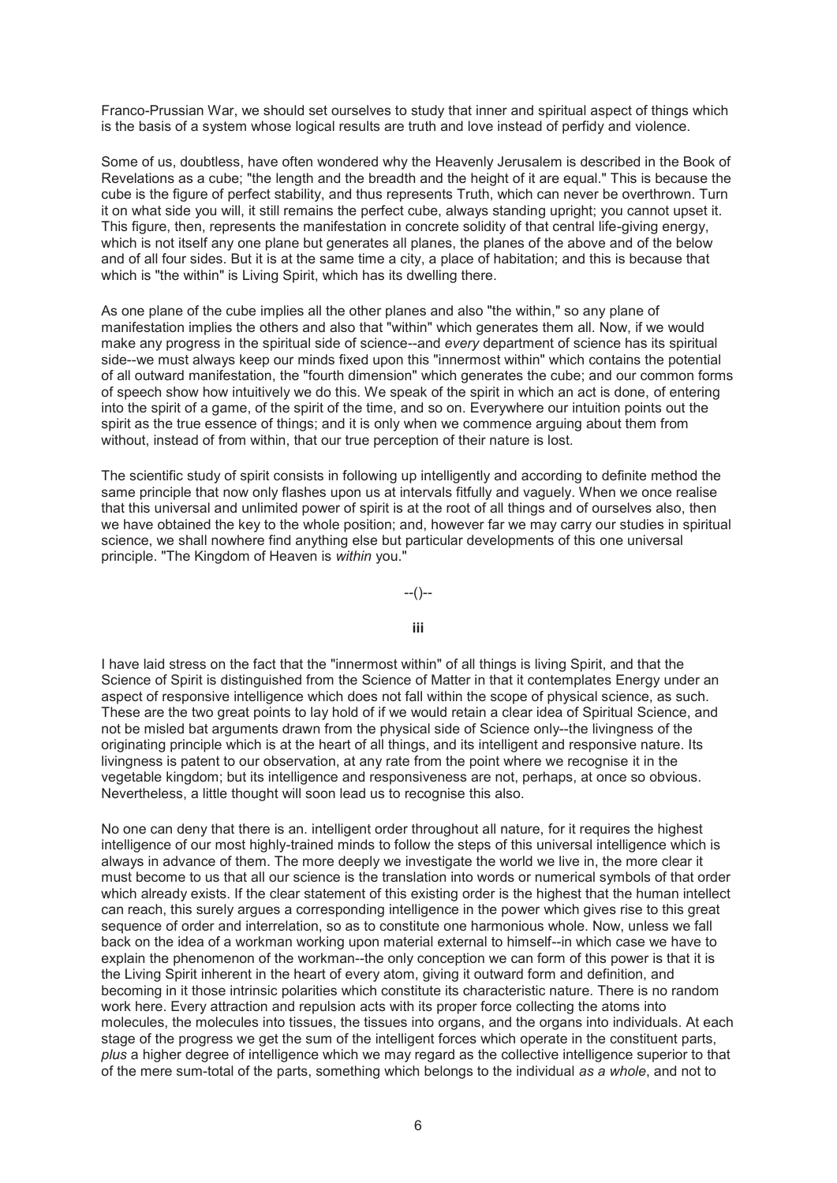Franco-Prussian War, we should set ourselves to study that inner and spiritual aspect of things which is the basis of a system whose logical results are truth and love instead of perfidy and violence.

Some of us, doubtless, have often wondered why the Heavenly Jerusalem is described in the Book of Revelations as a cube; "the length and the breadth and the height of it are equal." This is because the cube is the figure of perfect stability, and thus represents Truth, which can never be overthrown. Turn it on what side you will, it still remains the perfect cube, always standing upright; you cannot upset it. This figure, then, represents the manifestation in concrete solidity of that central life-giving energy, which is not itself any one plane but generates all planes, the planes of the above and of the below and of all four sides. But it is at the same time a city, a place of habitation; and this is because that which is "the within" is Living Spirit, which has its dwelling there.

As one plane of the cube implies all the other planes and also "the within," so any plane of manifestation implies the others and also that "within" which generates them all. Now, if we would make any progress in the spiritual side of science--and *every* department of science has its spiritual side--we must always keep our minds fixed upon this "innermost within" which contains the potential of all outward manifestation, the "fourth dimension" which generates the cube; and our common forms of speech show how intuitively we do this. We speak of the spirit in which an act is done, of entering into the spirit of a game, of the spirit of the time, and so on. Everywhere our intuition points out the spirit as the true essence of things; and it is only when we commence arguing about them from without, instead of from within, that our true perception of their nature is lost.

The scientific study of spirit consists in following up intelligently and according to definite method the same principle that now only flashes upon us at intervals fitfully and vaguely. When we once realise that this universal and unlimited power of spirit is at the root of all things and of ourselves also, then we have obtained the key to the whole position; and, however far we may carry our studies in spiritual science, we shall nowhere find anything else but particular developments of this one universal principle. "The Kingdom of Heaven is *within* you."

### --()--

# **iii**

I have laid stress on the fact that the "innermost within" of all things is living Spirit, and that the Science of Spirit is distinguished from the Science of Matter in that it contemplates Energy under an aspect of responsive intelligence which does not fall within the scope of physical science, as such. These are the two great points to lay hold of if we would retain a clear idea of Spiritual Science, and not be misled bat arguments drawn from the physical side of Science only--the livingness of the originating principle which is at the heart of all things, and its intelligent and responsive nature. Its livingness is patent to our observation, at any rate from the point where we recognise it in the vegetable kingdom; but its intelligence and responsiveness are not, perhaps, at once so obvious. Nevertheless, a little thought will soon lead us to recognise this also.

No one can deny that there is an. intelligent order throughout all nature, for it requires the highest intelligence of our most highly-trained minds to follow the steps of this universal intelligence which is always in advance of them. The more deeply we investigate the world we live in, the more clear it must become to us that all our science is the translation into words or numerical symbols of that order which already exists. If the clear statement of this existing order is the highest that the human intellect can reach, this surely argues a corresponding intelligence in the power which gives rise to this great sequence of order and interrelation, so as to constitute one harmonious whole. Now, unless we fall back on the idea of a workman working upon material external to himself--in which case we have to explain the phenomenon of the workman--the only conception we can form of this power is that it is the Living Spirit inherent in the heart of every atom, giving it outward form and definition, and becoming in it those intrinsic polarities which constitute its characteristic nature. There is no random work here. Every attraction and repulsion acts with its proper force collecting the atoms into molecules, the molecules into tissues, the tissues into organs, and the organs into individuals. At each stage of the progress we get the sum of the intelligent forces which operate in the constituent parts, *plus* a higher degree of intelligence which we may regard as the collective intelligence superior to that of the mere sum-total of the parts, something which belongs to the individual *as a whole*, and not to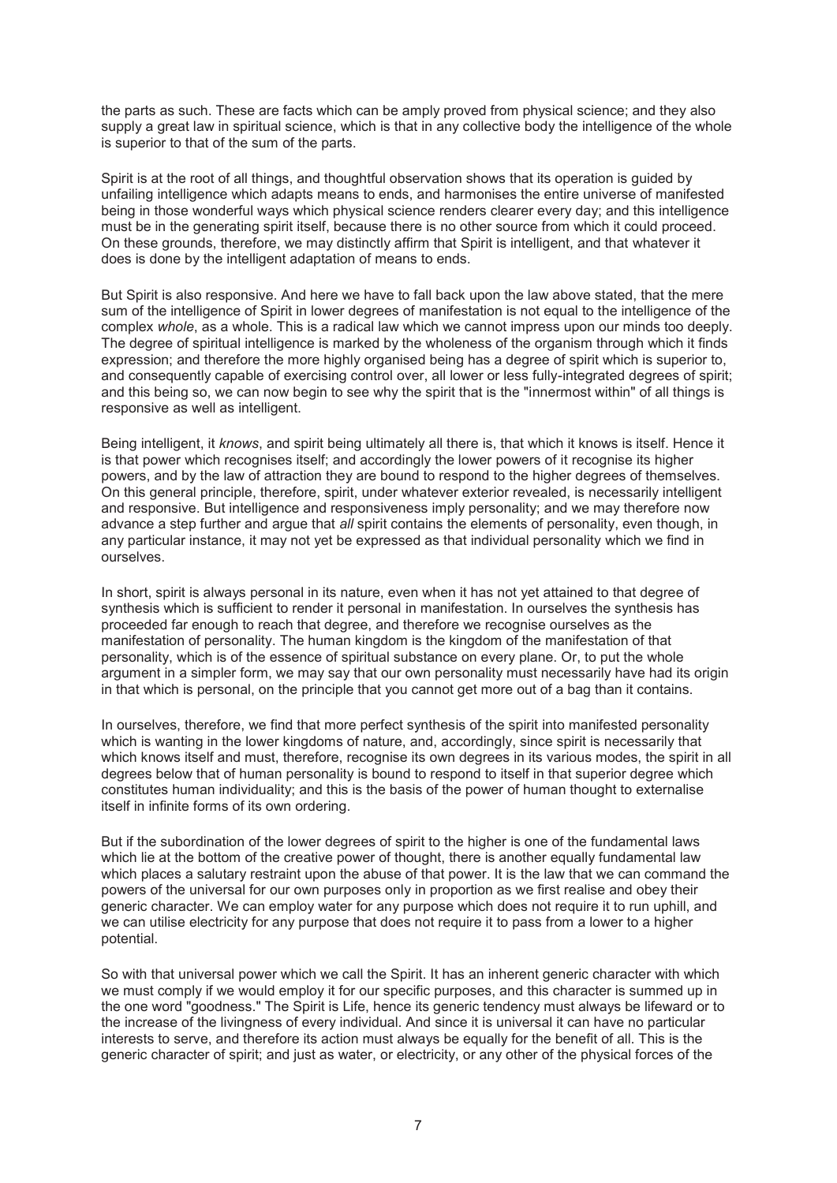the parts as such. These are facts which can be amply proved from physical science; and they also supply a great law in spiritual science, which is that in any collective body the intelligence of the whole is superior to that of the sum of the parts.

Spirit is at the root of all things, and thoughtful observation shows that its operation is guided by unfailing intelligence which adapts means to ends, and harmonises the entire universe of manifested being in those wonderful ways which physical science renders clearer every day; and this intelligence must be in the generating spirit itself, because there is no other source from which it could proceed. On these grounds, therefore, we may distinctly affirm that Spirit is intelligent, and that whatever it does is done by the intelligent adaptation of means to ends.

But Spirit is also responsive. And here we have to fall back upon the law above stated, that the mere sum of the intelligence of Spirit in lower degrees of manifestation is not equal to the intelligence of the complex *whole*, as a whole. This is a radical law which we cannot impress upon our minds too deeply. The degree of spiritual intelligence is marked by the wholeness of the organism through which it finds expression; and therefore the more highly organised being has a degree of spirit which is superior to, and consequently capable of exercising control over, all lower or less fully-integrated degrees of spirit; and this being so, we can now begin to see why the spirit that is the "innermost within" of all things is responsive as well as intelligent.

Being intelligent, it *knows*, and spirit being ultimately all there is, that which it knows is itself. Hence it is that power which recognises itself; and accordingly the lower powers of it recognise its higher powers, and by the law of attraction they are bound to respond to the higher degrees of themselves. On this general principle, therefore, spirit, under whatever exterior revealed, is necessarily intelligent and responsive. But intelligence and responsiveness imply personality; and we may therefore now advance a step further and argue that *all* spirit contains the elements of personality, even though, in any particular instance, it may not yet be expressed as that individual personality which we find in ourselves.

In short, spirit is always personal in its nature, even when it has not yet attained to that degree of synthesis which is sufficient to render it personal in manifestation. In ourselves the synthesis has proceeded far enough to reach that degree, and therefore we recognise ourselves as the manifestation of personality. The human kingdom is the kingdom of the manifestation of that personality, which is of the essence of spiritual substance on every plane. Or, to put the whole argument in a simpler form, we may say that our own personality must necessarily have had its origin in that which is personal, on the principle that you cannot get more out of a bag than it contains.

In ourselves, therefore, we find that more perfect synthesis of the spirit into manifested personality which is wanting in the lower kingdoms of nature, and, accordingly, since spirit is necessarily that which knows itself and must, therefore, recognise its own degrees in its various modes, the spirit in all degrees below that of human personality is bound to respond to itself in that superior degree which constitutes human individuality; and this is the basis of the power of human thought to externalise itself in infinite forms of its own ordering.

But if the subordination of the lower degrees of spirit to the higher is one of the fundamental laws which lie at the bottom of the creative power of thought, there is another equally fundamental law which places a salutary restraint upon the abuse of that power. It is the law that we can command the powers of the universal for our own purposes only in proportion as we first realise and obey their generic character. We can employ water for any purpose which does not require it to run uphill, and we can utilise electricity for any purpose that does not require it to pass from a lower to a higher potential.

So with that universal power which we call the Spirit. It has an inherent generic character with which we must comply if we would employ it for our specific purposes, and this character is summed up in the one word "goodness." The Spirit is Life, hence its generic tendency must always be lifeward or to the increase of the livingness of every individual. And since it is universal it can have no particular interests to serve, and therefore its action must always be equally for the benefit of all. This is the generic character of spirit; and just as water, or electricity, or any other of the physical forces of the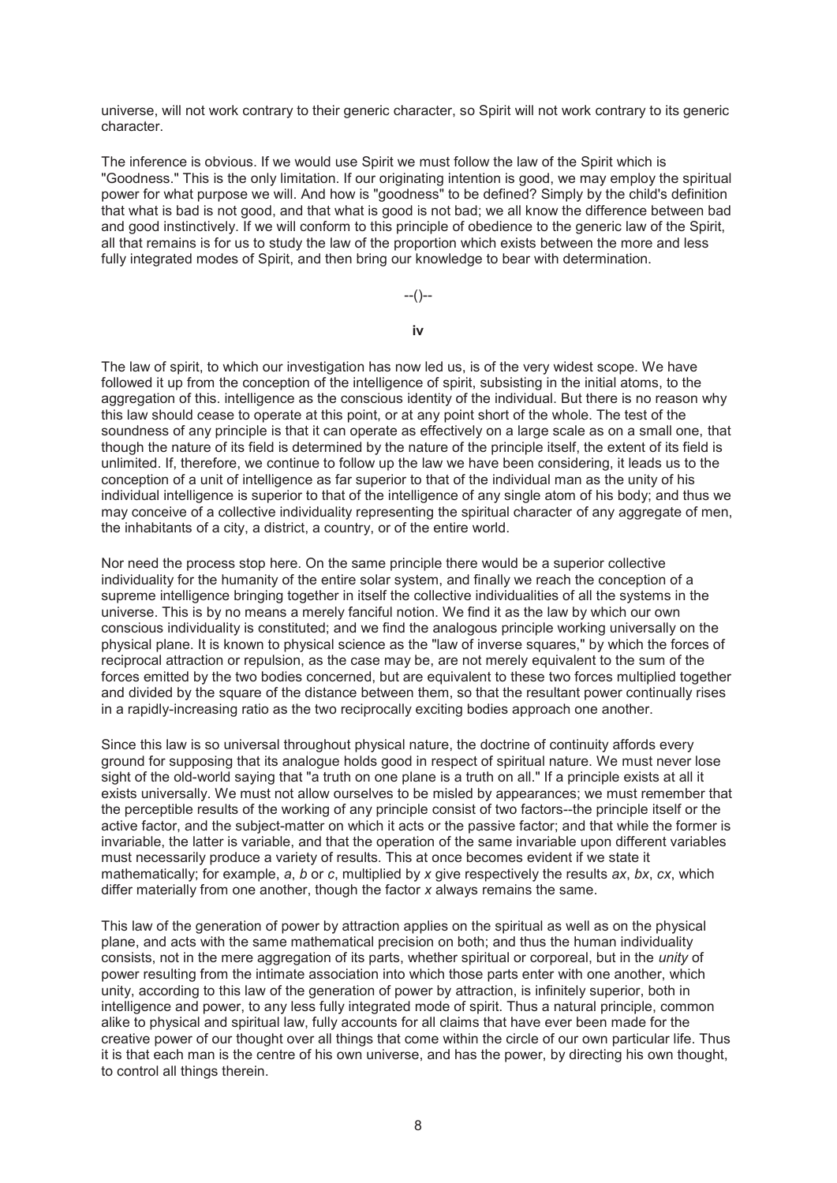universe, will not work contrary to their generic character, so Spirit will not work contrary to its generic character.

The inference is obvious. If we would use Spirit we must follow the law of the Spirit which is "Goodness." This is the only limitation. If our originating intention is good, we may employ the spiritual power for what purpose we will. And how is "goodness" to be defined? Simply by the child's definition that what is bad is not good, and that what is good is not bad; we all know the difference between bad and good instinctively. If we will conform to this principle of obedience to the generic law of the Spirit, all that remains is for us to study the law of the proportion which exists between the more and less fully integrated modes of Spirit, and then bring our knowledge to bear with determination.

--()--

**iv** 

The law of spirit, to which our investigation has now led us, is of the very widest scope. We have followed it up from the conception of the intelligence of spirit, subsisting in the initial atoms, to the aggregation of this. intelligence as the conscious identity of the individual. But there is no reason why this law should cease to operate at this point, or at any point short of the whole. The test of the soundness of any principle is that it can operate as effectively on a large scale as on a small one, that though the nature of its field is determined by the nature of the principle itself, the extent of its field is unlimited. If, therefore, we continue to follow up the law we have been considering, it leads us to the conception of a unit of intelligence as far superior to that of the individual man as the unity of his individual intelligence is superior to that of the intelligence of any single atom of his body; and thus we may conceive of a collective individuality representing the spiritual character of any aggregate of men, the inhabitants of a city, a district, a country, or of the entire world.

Nor need the process stop here. On the same principle there would be a superior collective individuality for the humanity of the entire solar system, and finally we reach the conception of a supreme intelligence bringing together in itself the collective individualities of all the systems in the universe. This is by no means a merely fanciful notion. We find it as the law by which our own conscious individuality is constituted; and we find the analogous principle working universally on the physical plane. It is known to physical science as the "law of inverse squares," by which the forces of reciprocal attraction or repulsion, as the case may be, are not merely equivalent to the sum of the forces emitted by the two bodies concerned, but are equivalent to these two forces multiplied together and divided by the square of the distance between them, so that the resultant power continually rises in a rapidly-increasing ratio as the two reciprocally exciting bodies approach one another.

Since this law is so universal throughout physical nature, the doctrine of continuity affords every ground for supposing that its analogue holds good in respect of spiritual nature. We must never lose sight of the old-world saying that "a truth on one plane is a truth on all." If a principle exists at all it exists universally. We must not allow ourselves to be misled by appearances; we must remember that the perceptible results of the working of any principle consist of two factors--the principle itself or the active factor, and the subject-matter on which it acts or the passive factor; and that while the former is invariable, the latter is variable, and that the operation of the same invariable upon different variables must necessarily produce a variety of results. This at once becomes evident if we state it mathematically; for example, *a*, *b* or *c*, multiplied by *x* give respectively the results *ax*, *bx*, *cx*, which differ materially from one another, though the factor *x* always remains the same.

This law of the generation of power by attraction applies on the spiritual as well as on the physical plane, and acts with the same mathematical precision on both; and thus the human individuality consists, not in the mere aggregation of its parts, whether spiritual or corporeal, but in the *unity* of power resulting from the intimate association into which those parts enter with one another, which unity, according to this law of the generation of power by attraction, is infinitely superior, both in intelligence and power, to any less fully integrated mode of spirit. Thus a natural principle, common alike to physical and spiritual law, fully accounts for all claims that have ever been made for the creative power of our thought over all things that come within the circle of our own particular life. Thus it is that each man is the centre of his own universe, and has the power, by directing his own thought, to control all things therein.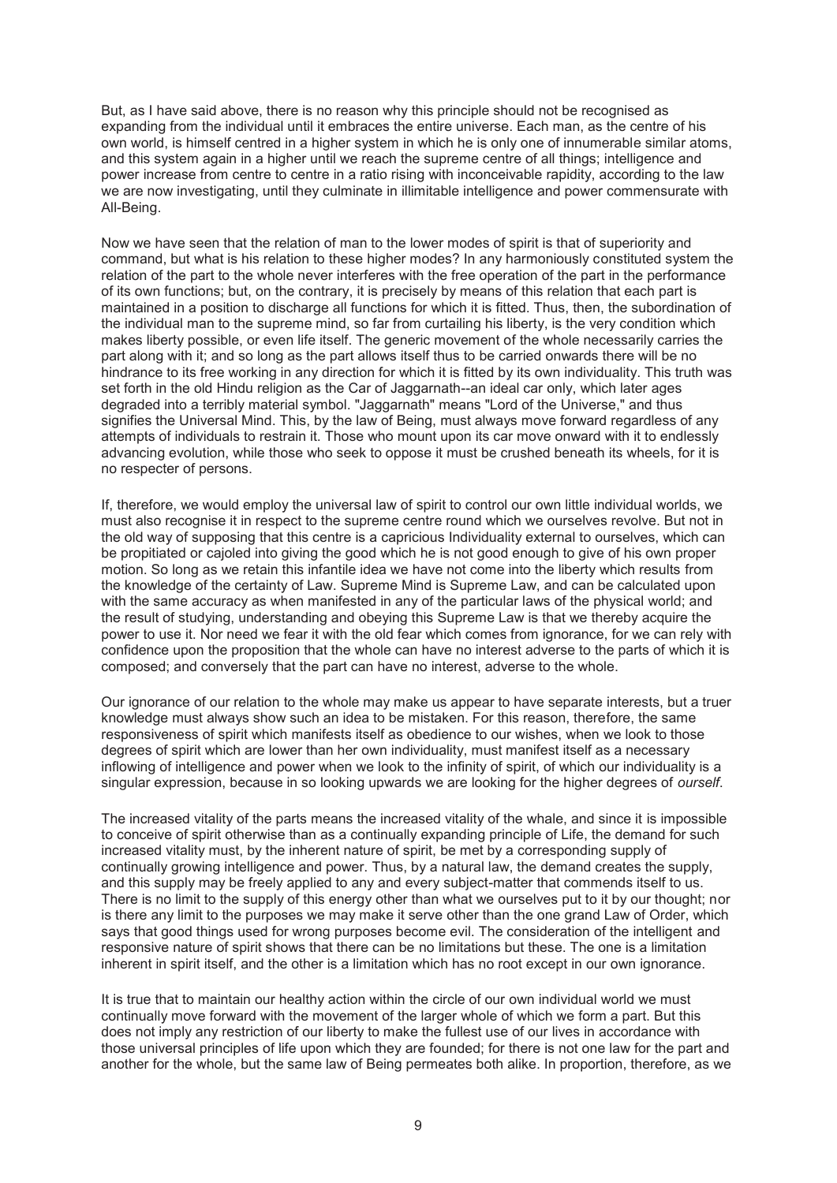But, as I have said above, there is no reason why this principle should not be recognised as expanding from the individual until it embraces the entire universe. Each man, as the centre of his own world, is himself centred in a higher system in which he is only one of innumerable similar atoms, and this system again in a higher until we reach the supreme centre of all things; intelligence and power increase from centre to centre in a ratio rising with inconceivable rapidity, according to the law we are now investigating, until they culminate in illimitable intelligence and power commensurate with All-Being.

Now we have seen that the relation of man to the lower modes of spirit is that of superiority and command, but what is his relation to these higher modes? In any harmoniously constituted system the relation of the part to the whole never interferes with the free operation of the part in the performance of its own functions; but, on the contrary, it is precisely by means of this relation that each part is maintained in a position to discharge all functions for which it is fitted. Thus, then, the subordination of the individual man to the supreme mind, so far from curtailing his liberty, is the very condition which makes liberty possible, or even life itself. The generic movement of the whole necessarily carries the part along with it; and so long as the part allows itself thus to be carried onwards there will be no hindrance to its free working in any direction for which it is fitted by its own individuality. This truth was set forth in the old Hindu religion as the Car of Jaggarnath--an ideal car only, which later ages degraded into a terribly material symbol. "Jaggarnath" means "Lord of the Universe," and thus signifies the Universal Mind. This, by the law of Being, must always move forward regardless of any attempts of individuals to restrain it. Those who mount upon its car move onward with it to endlessly advancing evolution, while those who seek to oppose it must be crushed beneath its wheels, for it is no respecter of persons.

If, therefore, we would employ the universal law of spirit to control our own little individual worlds, we must also recognise it in respect to the supreme centre round which we ourselves revolve. But not in the old way of supposing that this centre is a capricious Individuality external to ourselves, which can be propitiated or cajoled into giving the good which he is not good enough to give of his own proper motion. So long as we retain this infantile idea we have not come into the liberty which results from the knowledge of the certainty of Law. Supreme Mind is Supreme Law, and can be calculated upon with the same accuracy as when manifested in any of the particular laws of the physical world; and the result of studying, understanding and obeying this Supreme Law is that we thereby acquire the power to use it. Nor need we fear it with the old fear which comes from ignorance, for we can rely with confidence upon the proposition that the whole can have no interest adverse to the parts of which it is composed; and conversely that the part can have no interest, adverse to the whole.

Our ignorance of our relation to the whole may make us appear to have separate interests, but a truer knowledge must always show such an idea to be mistaken. For this reason, therefore, the same responsiveness of spirit which manifests itself as obedience to our wishes, when we look to those degrees of spirit which are lower than her own individuality, must manifest itself as a necessary inflowing of intelligence and power when we look to the infinity of spirit, of which our individuality is a singular expression, because in so looking upwards we are looking for the higher degrees of *ourself*.

The increased vitality of the parts means the increased vitality of the whale, and since it is impossible to conceive of spirit otherwise than as a continually expanding principle of Life, the demand for such increased vitality must, by the inherent nature of spirit, be met by a corresponding supply of continually growing intelligence and power. Thus, by a natural law, the demand creates the supply, and this supply may be freely applied to any and every subject-matter that commends itself to us. There is no limit to the supply of this energy other than what we ourselves put to it by our thought; nor is there any limit to the purposes we may make it serve other than the one grand Law of Order, which says that good things used for wrong purposes become evil. The consideration of the intelligent and responsive nature of spirit shows that there can be no limitations but these. The one is a limitation inherent in spirit itself, and the other is a limitation which has no root except in our own ignorance.

It is true that to maintain our healthy action within the circle of our own individual world we must continually move forward with the movement of the larger whole of which we form a part. But this does not imply any restriction of our liberty to make the fullest use of our lives in accordance with those universal principles of life upon which they are founded; for there is not one law for the part and another for the whole, but the same law of Being permeates both alike. In proportion, therefore, as we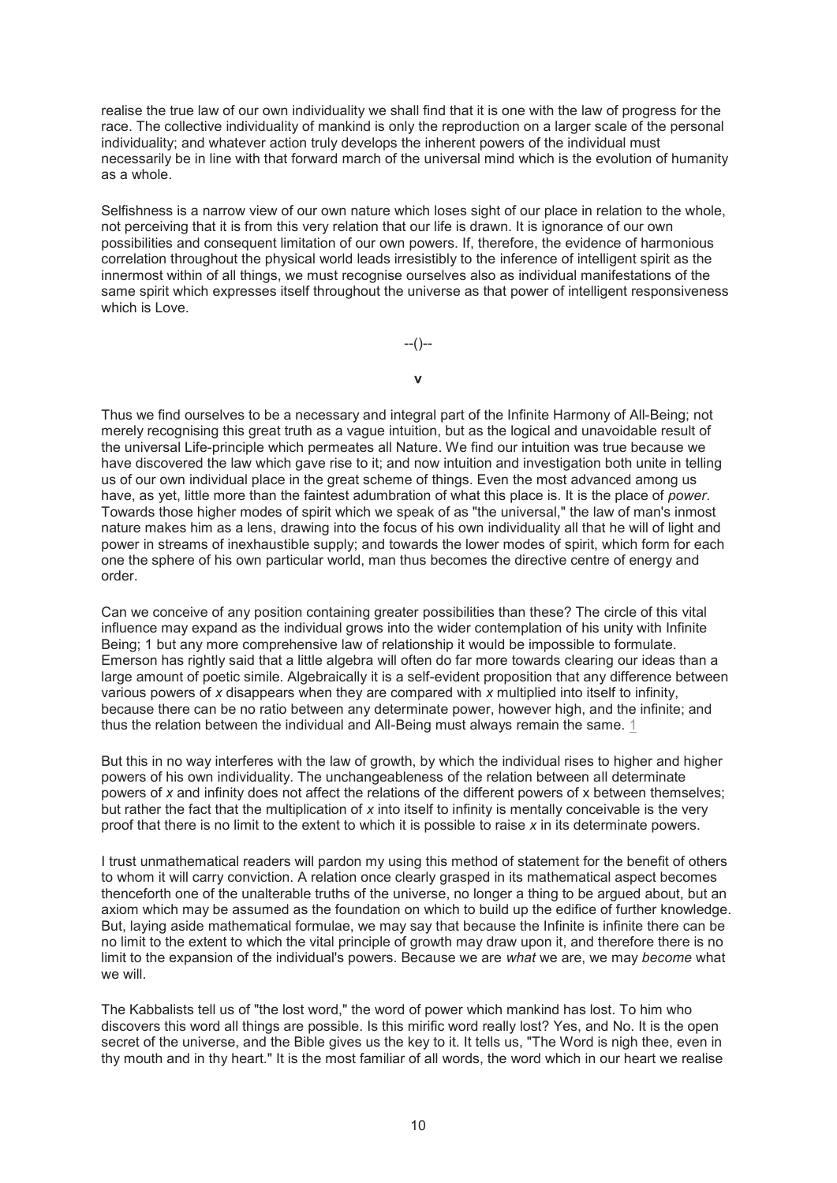realise the true law of our own individuality we shall find that it is one with the law of progress for the race. The collective individuality of mankind is only the reproduction on a larger scale of the personal individuality; and whatever action truly develops the inherent powers of the individual must necessarily be in line with that forward march of the universal mind which is the evolution of humanity as a whole.

Selfishness is a narrow view of our own nature which loses sight of our place in relation to the whole, not perceiving that it is from this very relation that our life is drawn. It is ignorance of our own possibilities and consequent limitation of our own powers. If, therefore, the evidence of harmonious correlation throughout the physical world leads irresistibly to the inference of intelligent spirit as the innermost within of all things, we must recognise ourselves also as individual manifestations of the same spirit which expresses itself throughout the universe as that power of intelligent responsiveness which is Love.

--()--

**v**

Thus we find ourselves to be a necessary and integral part of the Infinite Harmony of All-Being; not merely recognising this great truth as a vague intuition, but as the logical and unavoidable result of the universal Life-principle which permeates all Nature. We find our intuition was true because we have discovered the law which gave rise to it; and now intuition and investigation both unite in telling us of our own individual place in the great scheme of things. Even the most advanced among us have, as yet, little more than the faintest adumbration of what this place is. It is the place of *power*. Towards those higher modes of spirit which we speak of as "the universal," the law of man's inmost nature makes him as a lens, drawing into the focus of his own individuality all that he will of light and power in streams of inexhaustible supply; and towards the lower modes of spirit, which form for each one the sphere of his own particular world, man thus becomes the directive centre of energy and order.

Can we conceive of any position containing greater possibilities than these? The circle of this vital influence may expand as the individual grows into the wider contemplation of his unity with Infinite Being; 1 but any more comprehensive law of relationship it would be impossible to formulate. Emerson has rightly said that a little algebra will often do far more towards clearing our ideas than a large amount of poetic simile. Algebraically it is a self-evident proposition that any difference between various powers of *x* disappears when they are compared with *x* multiplied into itself to infinity, because there can be no ratio between any determinate power, however high, and the infinite; and thus the relation between the individual and All-Being must always remain the same. 1

But this in no way interferes with the law of growth, by which the individual rises to higher and higher powers of his own individuality. The unchangeableness of the relation between all determinate powers of *x* and infinity does not affect the relations of the different powers of x between themselves; but rather the fact that the multiplication of *x* into itself to infinity is mentally conceivable is the very proof that there is no limit to the extent to which it is possible to raise *x* in its determinate powers.

I trust unmathematical readers will pardon my using this method of statement for the benefit of others to whom it will carry conviction. A relation once clearly grasped in its mathematical aspect becomes thenceforth one of the unalterable truths of the universe, no longer a thing to be argued about, but an axiom which may be assumed as the foundation on which to build up the edifice of further knowledge. But, laying aside mathematical formulae, we may say that because the Infinite is infinite there can be no limit to the extent to which the vital principle of growth may draw upon it, and therefore there is no limit to the expansion of the individual's powers. Because we are *what* we are, we may *become* what we will.

The Kabbalists tell us of "the lost word," the word of power which mankind has lost. To him who discovers this word all things are possible. Is this mirific word really lost? Yes, and No. It is the open secret of the universe, and the Bible gives us the key to it. It tells us, "The Word is nigh thee, even in thy mouth and in thy heart." It is the most familiar of all words, the word which in our heart we realise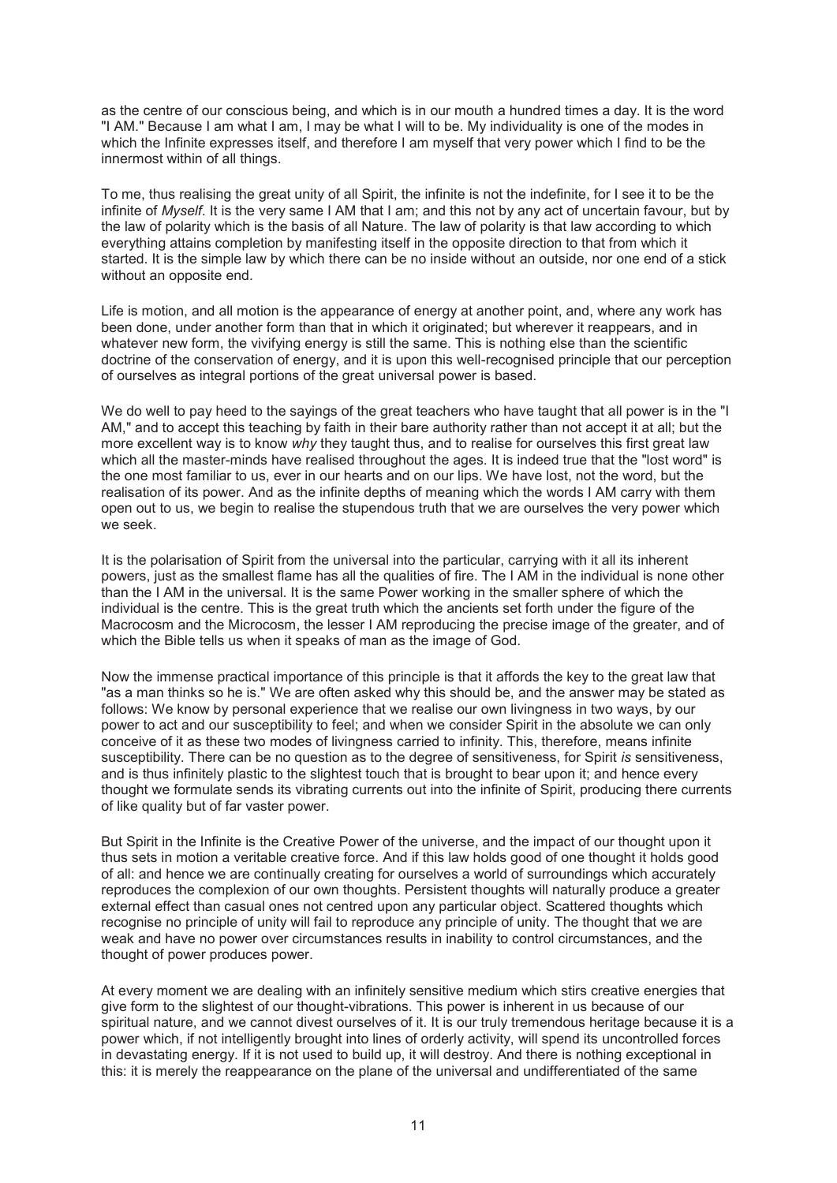as the centre of our conscious being, and which is in our mouth a hundred times a day. It is the word "I AM." Because I am what I am, I may be what I will to be. My individuality is one of the modes in which the Infinite expresses itself, and therefore I am myself that very power which I find to be the innermost within of all things.

To me, thus realising the great unity of all Spirit, the infinite is not the indefinite, for I see it to be the infinite of *Myself*. It is the very same I AM that I am; and this not by any act of uncertain favour, but by the law of polarity which is the basis of all Nature. The law of polarity is that law according to which everything attains completion by manifesting itself in the opposite direction to that from which it started. It is the simple law by which there can be no inside without an outside, nor one end of a stick without an opposite end.

Life is motion, and all motion is the appearance of energy at another point, and, where any work has been done, under another form than that in which it originated; but wherever it reappears, and in whatever new form, the vivifying energy is still the same. This is nothing else than the scientific doctrine of the conservation of energy, and it is upon this well-recognised principle that our perception of ourselves as integral portions of the great universal power is based.

We do well to pay heed to the sayings of the great teachers who have taught that all power is in the "I AM," and to accept this teaching by faith in their bare authority rather than not accept it at all; but the more excellent way is to know *why* they taught thus, and to realise for ourselves this first great law which all the master-minds have realised throughout the ages. It is indeed true that the "lost word" is the one most familiar to us, ever in our hearts and on our lips. We have lost, not the word, but the realisation of its power. And as the infinite depths of meaning which the words I AM carry with them open out to us, we begin to realise the stupendous truth that we are ourselves the very power which we seek.

It is the polarisation of Spirit from the universal into the particular, carrying with it all its inherent powers, just as the smallest flame has all the qualities of fire. The I AM in the individual is none other than the I AM in the universal. It is the same Power working in the smaller sphere of which the individual is the centre. This is the great truth which the ancients set forth under the figure of the Macrocosm and the Microcosm, the lesser I AM reproducing the precise image of the greater, and of which the Bible tells us when it speaks of man as the image of God.

Now the immense practical importance of this principle is that it affords the key to the great law that "as a man thinks so he is." We are often asked why this should be, and the answer may be stated as follows: We know by personal experience that we realise our own livingness in two ways, by our power to act and our susceptibility to feel; and when we consider Spirit in the absolute we can only conceive of it as these two modes of livingness carried to infinity. This, therefore, means infinite susceptibility. There can be no question as to the degree of sensitiveness, for Spirit *is* sensitiveness, and is thus infinitely plastic to the slightest touch that is brought to bear upon it; and hence every thought we formulate sends its vibrating currents out into the infinite of Spirit, producing there currents of like quality but of far vaster power.

But Spirit in the Infinite is the Creative Power of the universe, and the impact of our thought upon it thus sets in motion a veritable creative force. And if this law holds good of one thought it holds good of all: and hence we are continually creating for ourselves a world of surroundings which accurately reproduces the complexion of our own thoughts. Persistent thoughts will naturally produce a greater external effect than casual ones not centred upon any particular object. Scattered thoughts which recognise no principle of unity will fail to reproduce any principle of unity. The thought that we are weak and have no power over circumstances results in inability to control circumstances, and the thought of power produces power.

At every moment we are dealing with an infinitely sensitive medium which stirs creative energies that give form to the slightest of our thought-vibrations. This power is inherent in us because of our spiritual nature, and we cannot divest ourselves of it. It is our truly tremendous heritage because it is a power which, if not intelligently brought into lines of orderly activity, will spend its uncontrolled forces in devastating energy. If it is not used to build up, it will destroy. And there is nothing exceptional in this: it is merely the reappearance on the plane of the universal and undifferentiated of the same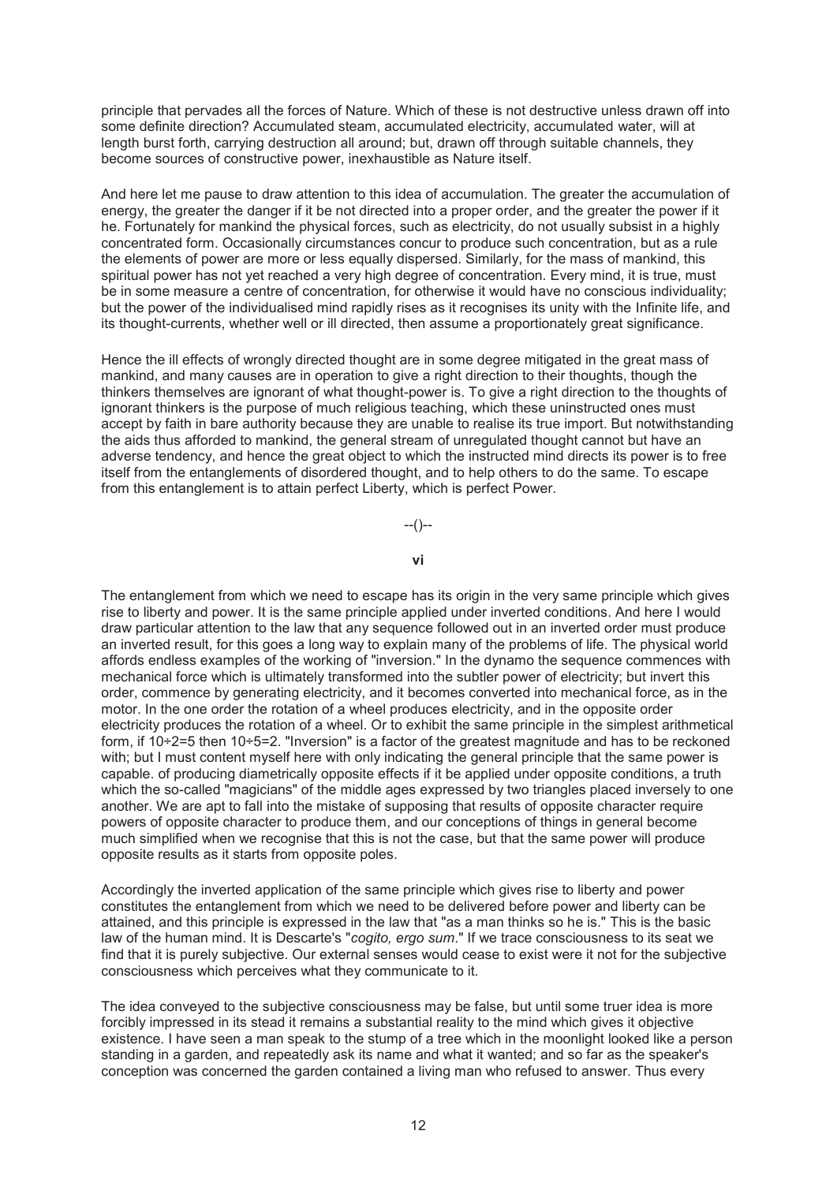principle that pervades all the forces of Nature. Which of these is not destructive unless drawn off into some definite direction? Accumulated steam, accumulated electricity, accumulated water, will at length burst forth, carrying destruction all around; but, drawn off through suitable channels, they become sources of constructive power, inexhaustible as Nature itself.

And here let me pause to draw attention to this idea of accumulation. The greater the accumulation of energy, the greater the danger if it be not directed into a proper order, and the greater the power if it he. Fortunately for mankind the physical forces, such as electricity, do not usually subsist in a highly concentrated form. Occasionally circumstances concur to produce such concentration, but as a rule the elements of power are more or less equally dispersed. Similarly, for the mass of mankind, this spiritual power has not yet reached a very high degree of concentration. Every mind, it is true, must be in some measure a centre of concentration, for otherwise it would have no conscious individuality; but the power of the individualised mind rapidly rises as it recognises its unity with the Infinite life, and its thought-currents, whether well or ill directed, then assume a proportionately great significance.

Hence the ill effects of wrongly directed thought are in some degree mitigated in the great mass of mankind, and many causes are in operation to give a right direction to their thoughts, though the thinkers themselves are ignorant of what thought-power is. To give a right direction to the thoughts of ignorant thinkers is the purpose of much religious teaching, which these uninstructed ones must accept by faith in bare authority because they are unable to realise its true import. But notwithstanding the aids thus afforded to mankind, the general stream of unregulated thought cannot but have an adverse tendency, and hence the great object to which the instructed mind directs its power is to free itself from the entanglements of disordered thought, and to help others to do the same. To escape from this entanglement is to attain perfect Liberty, which is perfect Power.

 $-(-)$ 

#### **vi**

The entanglement from which we need to escape has its origin in the very same principle which gives rise to liberty and power. It is the same principle applied under inverted conditions. And here I would draw particular attention to the law that any sequence followed out in an inverted order must produce an inverted result, for this goes a long way to explain many of the problems of life. The physical world affords endless examples of the working of "inversion." In the dynamo the sequence commences with mechanical force which is ultimately transformed into the subtler power of electricity; but invert this order, commence by generating electricity, and it becomes converted into mechanical force, as in the motor. In the one order the rotation of a wheel produces electricity, and in the opposite order electricity produces the rotation of a wheel. Or to exhibit the same principle in the simplest arithmetical form, if 10÷2=5 then 10÷5=2. "Inversion" is a factor of the greatest magnitude and has to be reckoned with; but I must content myself here with only indicating the general principle that the same power is capable. of producing diametrically opposite effects if it be applied under opposite conditions, a truth which the so-called "magicians" of the middle ages expressed by two triangles placed inversely to one another. We are apt to fall into the mistake of supposing that results of opposite character require powers of opposite character to produce them, and our conceptions of things in general become much simplified when we recognise that this is not the case, but that the same power will produce opposite results as it starts from opposite poles.

Accordingly the inverted application of the same principle which gives rise to liberty and power constitutes the entanglement from which we need to be delivered before power and liberty can be attained, and this principle is expressed in the law that "as a man thinks so he is." This is the basic law of the human mind. It is Descarte's "*cogito, ergo sum*." If we trace consciousness to its seat we find that it is purely subjective. Our external senses would cease to exist were it not for the subjective consciousness which perceives what they communicate to it.

The idea conveyed to the subjective consciousness may be false, but until some truer idea is more forcibly impressed in its stead it remains a substantial reality to the mind which gives it objective existence. I have seen a man speak to the stump of a tree which in the moonlight looked like a person standing in a garden, and repeatedly ask its name and what it wanted; and so far as the speaker's conception was concerned the garden contained a living man who refused to answer. Thus every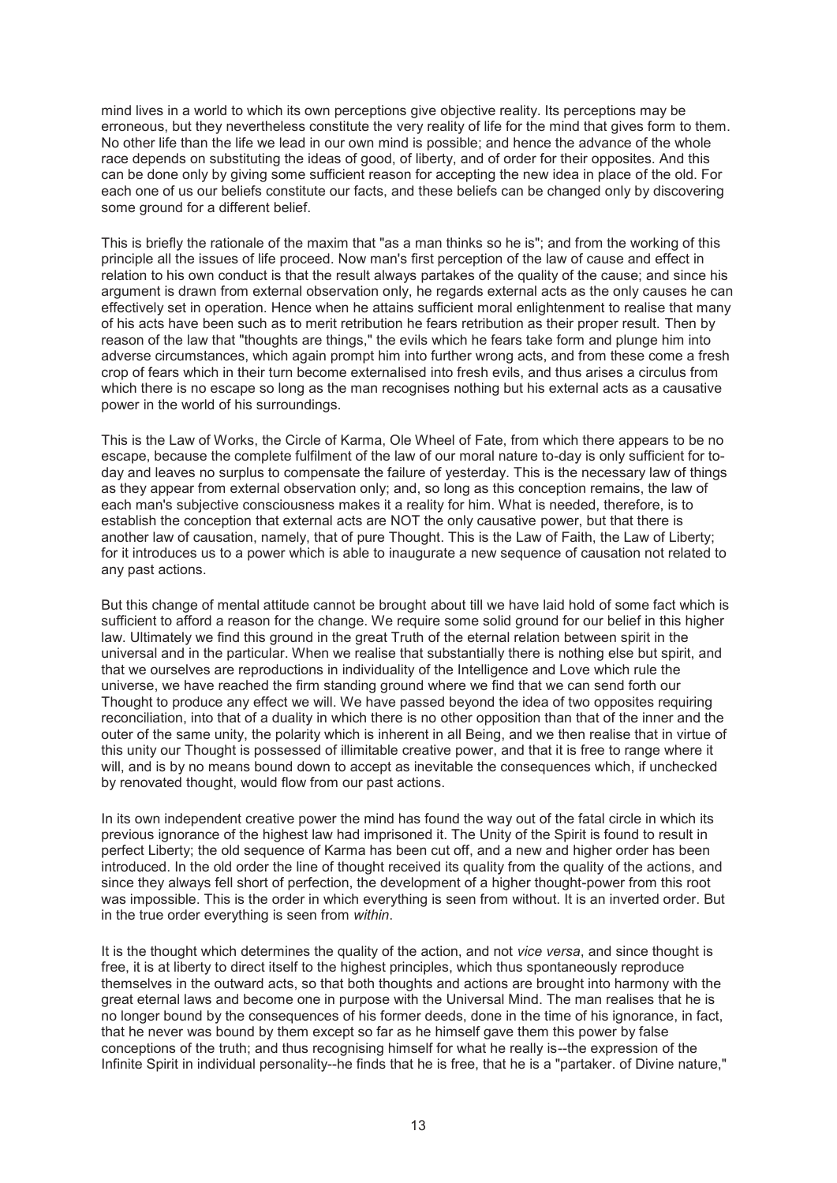mind lives in a world to which its own perceptions give objective reality. Its perceptions may be erroneous, but they nevertheless constitute the very reality of life for the mind that gives form to them. No other life than the life we lead in our own mind is possible; and hence the advance of the whole race depends on substituting the ideas of good, of liberty, and of order for their opposites. And this can be done only by giving some sufficient reason for accepting the new idea in place of the old. For each one of us our beliefs constitute our facts, and these beliefs can be changed only by discovering some ground for a different belief.

This is briefly the rationale of the maxim that "as a man thinks so he is"; and from the working of this principle all the issues of life proceed. Now man's first perception of the law of cause and effect in relation to his own conduct is that the result always partakes of the quality of the cause; and since his argument is drawn from external observation only, he regards external acts as the only causes he can effectively set in operation. Hence when he attains sufficient moral enlightenment to realise that many of his acts have been such as to merit retribution he fears retribution as their proper result. Then by reason of the law that "thoughts are things," the evils which he fears take form and plunge him into adverse circumstances, which again prompt him into further wrong acts, and from these come a fresh crop of fears which in their turn become externalised into fresh evils, and thus arises a circulus from which there is no escape so long as the man recognises nothing but his external acts as a causative power in the world of his surroundings.

This is the Law of Works, the Circle of Karma, Ole Wheel of Fate, from which there appears to be no escape, because the complete fulfilment of the law of our moral nature to-day is only sufficient for today and leaves no surplus to compensate the failure of yesterday. This is the necessary law of things as they appear from external observation only; and, so long as this conception remains, the law of each man's subjective consciousness makes it a reality for him. What is needed, therefore, is to establish the conception that external acts are NOT the only causative power, but that there is another law of causation, namely, that of pure Thought. This is the Law of Faith, the Law of Liberty; for it introduces us to a power which is able to inaugurate a new sequence of causation not related to any past actions.

But this change of mental attitude cannot be brought about till we have laid hold of some fact which is sufficient to afford a reason for the change. We require some solid ground for our belief in this higher law. Ultimately we find this ground in the great Truth of the eternal relation between spirit in the universal and in the particular. When we realise that substantially there is nothing else but spirit, and that we ourselves are reproductions in individuality of the Intelligence and Love which rule the universe, we have reached the firm standing ground where we find that we can send forth our Thought to produce any effect we will. We have passed beyond the idea of two opposites requiring reconciliation, into that of a duality in which there is no other opposition than that of the inner and the outer of the same unity, the polarity which is inherent in all Being, and we then realise that in virtue of this unity our Thought is possessed of illimitable creative power, and that it is free to range where it will, and is by no means bound down to accept as inevitable the consequences which, if unchecked by renovated thought, would flow from our past actions.

In its own independent creative power the mind has found the way out of the fatal circle in which its previous ignorance of the highest law had imprisoned it. The Unity of the Spirit is found to result in perfect Liberty; the old sequence of Karma has been cut off, and a new and higher order has been introduced. In the old order the line of thought received its quality from the quality of the actions, and since they always fell short of perfection, the development of a higher thought-power from this root was impossible. This is the order in which everything is seen from without. It is an inverted order. But in the true order everything is seen from *within*.

It is the thought which determines the quality of the action, and not *vice versa*, and since thought is free, it is at liberty to direct itself to the highest principles, which thus spontaneously reproduce themselves in the outward acts, so that both thoughts and actions are brought into harmony with the great eternal laws and become one in purpose with the Universal Mind. The man realises that he is no longer bound by the consequences of his former deeds, done in the time of his ignorance, in fact, that he never was bound by them except so far as he himself gave them this power by false conceptions of the truth; and thus recognising himself for what he really is--the expression of the Infinite Spirit in individual personality--he finds that he is free, that he is a "partaker. of Divine nature,"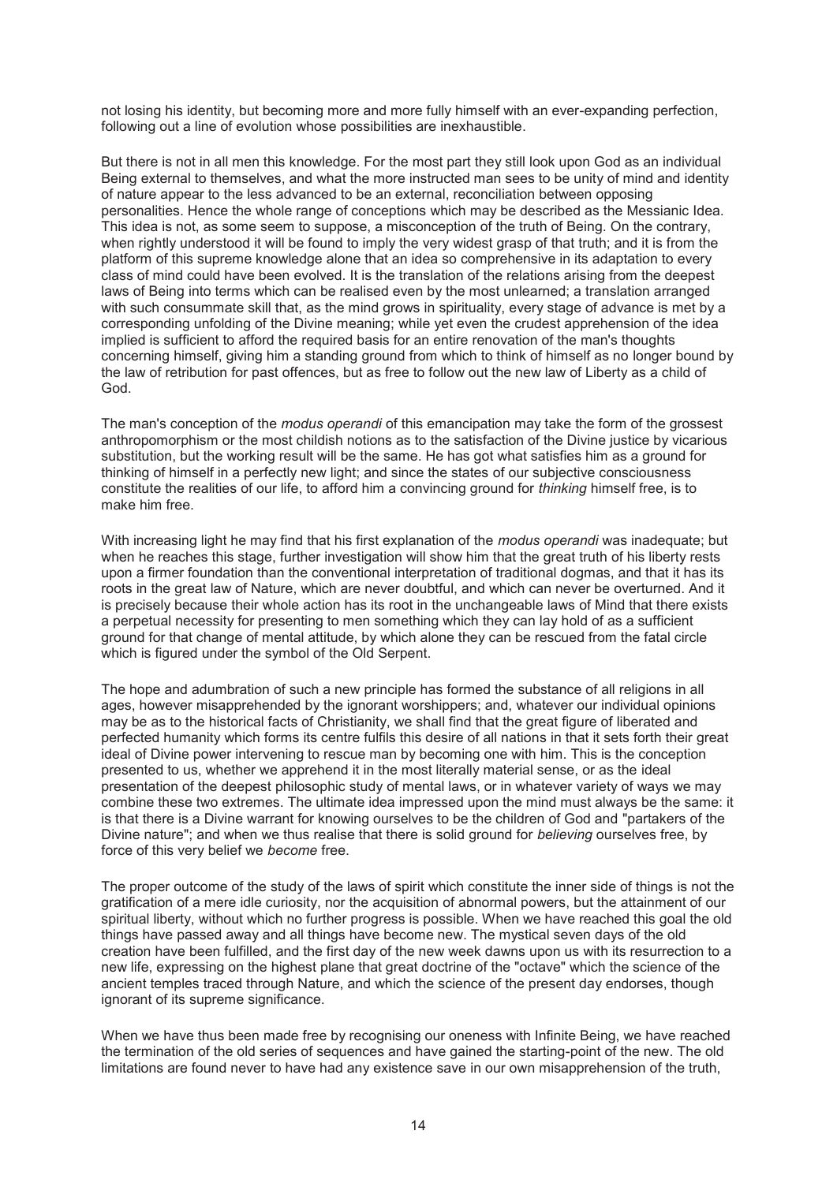not losing his identity, but becoming more and more fully himself with an ever-expanding perfection, following out a line of evolution whose possibilities are inexhaustible.

But there is not in all men this knowledge. For the most part they still look upon God as an individual Being external to themselves, and what the more instructed man sees to be unity of mind and identity of nature appear to the less advanced to be an external, reconciliation between opposing personalities. Hence the whole range of conceptions which may be described as the Messianic Idea. This idea is not, as some seem to suppose, a misconception of the truth of Being. On the contrary, when rightly understood it will be found to imply the very widest grasp of that truth; and it is from the platform of this supreme knowledge alone that an idea so comprehensive in its adaptation to every class of mind could have been evolved. It is the translation of the relations arising from the deepest laws of Being into terms which can be realised even by the most unlearned; a translation arranged with such consummate skill that, as the mind grows in spirituality, every stage of advance is met by a corresponding unfolding of the Divine meaning; while yet even the crudest apprehension of the idea implied is sufficient to afford the required basis for an entire renovation of the man's thoughts concerning himself, giving him a standing ground from which to think of himself as no longer bound by the law of retribution for past offences, but as free to follow out the new law of Liberty as a child of God.

The man's conception of the *modus operandi* of this emancipation may take the form of the grossest anthropomorphism or the most childish notions as to the satisfaction of the Divine justice by vicarious substitution, but the working result will be the same. He has got what satisfies him as a ground for thinking of himself in a perfectly new light; and since the states of our subjective consciousness constitute the realities of our life, to afford him a convincing ground for *thinking* himself free, is to make him free.

With increasing light he may find that his first explanation of the *modus operandi* was inadequate; but when he reaches this stage, further investigation will show him that the great truth of his liberty rests upon a firmer foundation than the conventional interpretation of traditional dogmas, and that it has its roots in the great law of Nature, which are never doubtful, and which can never be overturned. And it is precisely because their whole action has its root in the unchangeable laws of Mind that there exists a perpetual necessity for presenting to men something which they can lay hold of as a sufficient ground for that change of mental attitude, by which alone they can be rescued from the fatal circle which is figured under the symbol of the Old Serpent.

The hope and adumbration of such a new principle has formed the substance of all religions in all ages, however misapprehended by the ignorant worshippers; and, whatever our individual opinions may be as to the historical facts of Christianity, we shall find that the great figure of liberated and perfected humanity which forms its centre fulfils this desire of all nations in that it sets forth their great ideal of Divine power intervening to rescue man by becoming one with him. This is the conception presented to us, whether we apprehend it in the most literally material sense, or as the ideal presentation of the deepest philosophic study of mental laws, or in whatever variety of ways we may combine these two extremes. The ultimate idea impressed upon the mind must always be the same: it is that there is a Divine warrant for knowing ourselves to be the children of God and "partakers of the Divine nature"; and when we thus realise that there is solid ground for *believing* ourselves free, by force of this very belief we *become* free.

The proper outcome of the study of the laws of spirit which constitute the inner side of things is not the gratification of a mere idle curiosity, nor the acquisition of abnormal powers, but the attainment of our spiritual liberty, without which no further progress is possible. When we have reached this goal the old things have passed away and all things have become new. The mystical seven days of the old creation have been fulfilled, and the first day of the new week dawns upon us with its resurrection to a new life, expressing on the highest plane that great doctrine of the "octave" which the science of the ancient temples traced through Nature, and which the science of the present day endorses, though ignorant of its supreme significance.

When we have thus been made free by recognising our oneness with Infinite Being, we have reached the termination of the old series of sequences and have gained the starting-point of the new. The old limitations are found never to have had any existence save in our own misapprehension of the truth,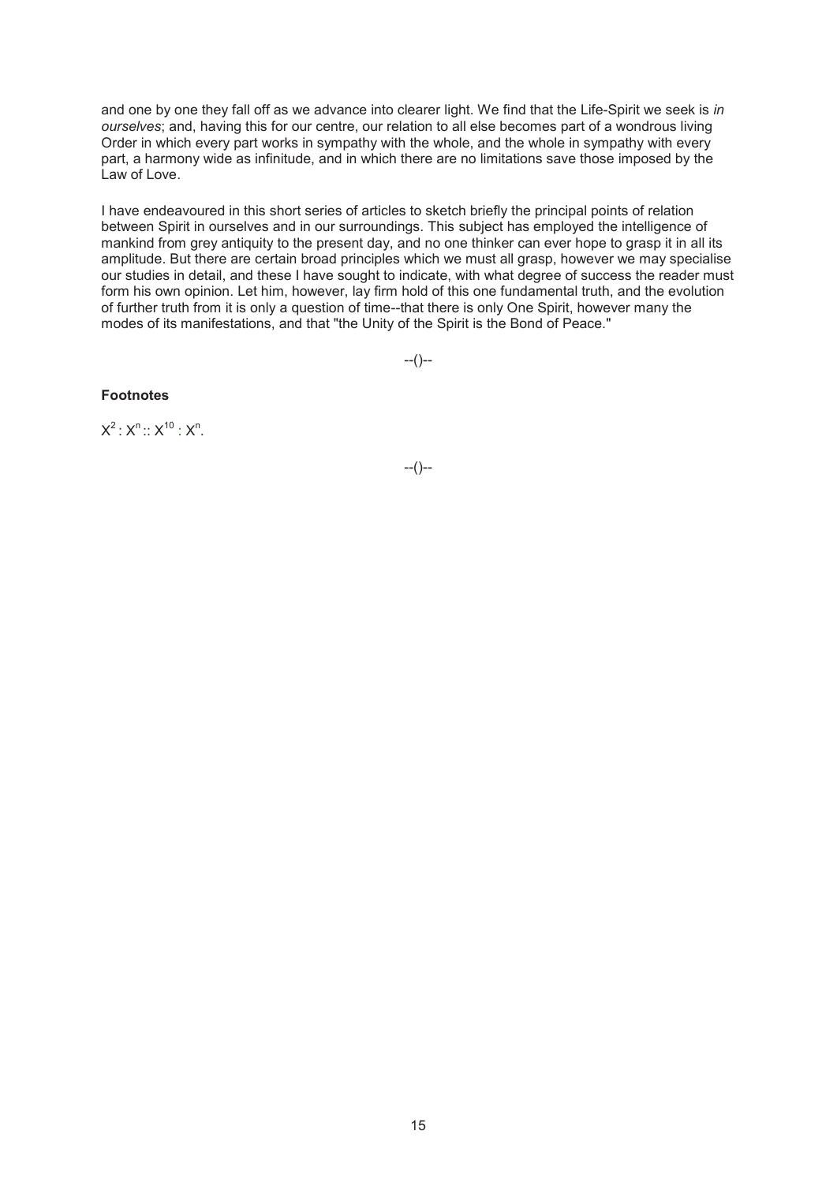and one by one they fall off as we advance into clearer light. We find that the Life-Spirit we seek is *in ourselves*; and, having this for our centre, our relation to all else becomes part of a wondrous living Order in which every part works in sympathy with the whole, and the whole in sympathy with every part, a harmony wide as infinitude, and in which there are no limitations save those imposed by the Law of Love.

I have endeavoured in this short series of articles to sketch briefly the principal points of relation between Spirit in ourselves and in our surroundings. This subject has employed the intelligence of mankind from grey antiquity to the present day, and no one thinker can ever hope to grasp it in all its amplitude. But there are certain broad principles which we must all grasp, however we may specialise our studies in detail, and these I have sought to indicate, with what degree of success the reader must form his own opinion. Let him, however, lay firm hold of this one fundamental truth, and the evolution of further truth from it is only a question of time--that there is only One Spirit, however many the modes of its manifestations, and that "the Unity of the Spirit is the Bond of Peace."

--()--

# **Footnotes**

 $X^2: X^n:: X^{10}: X^n$ .

 $-(-)$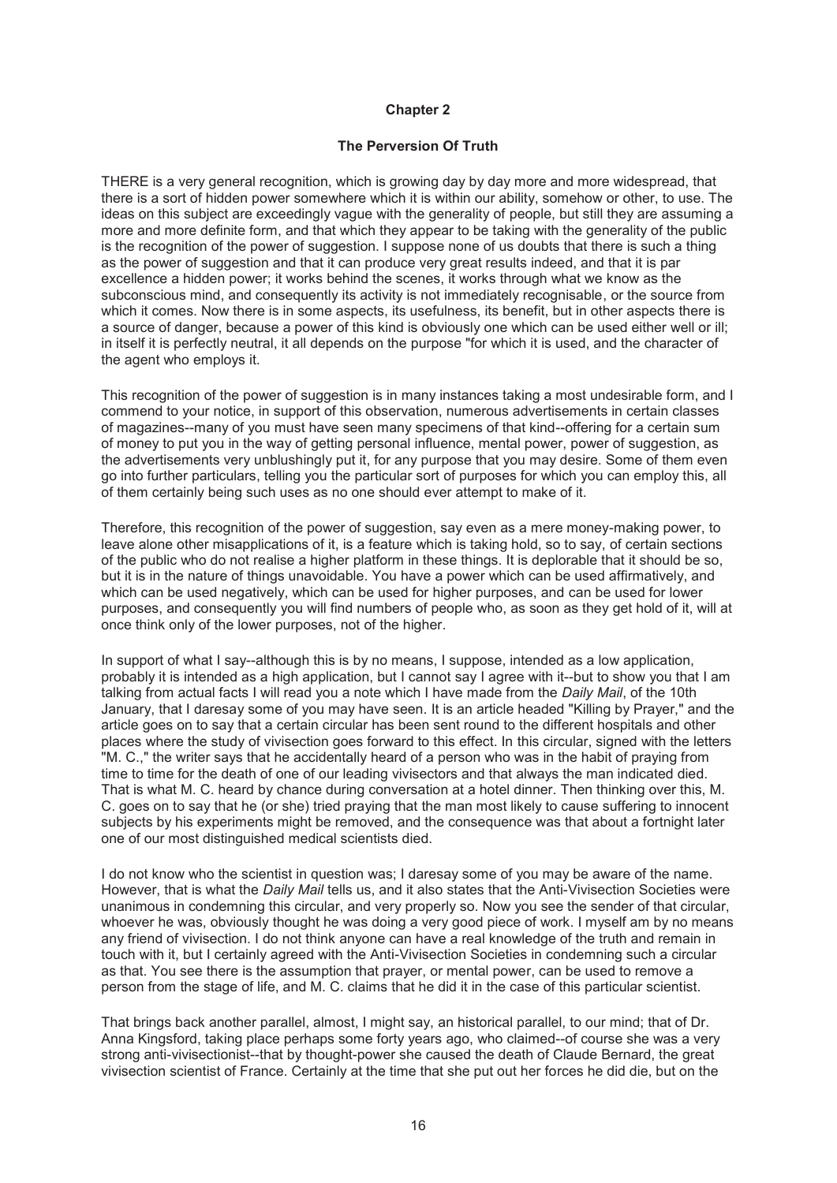# **The Perversion Of Truth**

THERE is a very general recognition, which is growing day by day more and more widespread, that there is a sort of hidden power somewhere which it is within our ability, somehow or other, to use. The ideas on this subject are exceedingly vague with the generality of people, but still they are assuming a more and more definite form, and that which they appear to be taking with the generality of the public is the recognition of the power of suggestion. I suppose none of us doubts that there is such a thing as the power of suggestion and that it can produce very great results indeed, and that it is par excellence a hidden power; it works behind the scenes, it works through what we know as the subconscious mind, and consequently its activity is not immediately recognisable, or the source from which it comes. Now there is in some aspects, its usefulness, its benefit, but in other aspects there is a source of danger, because a power of this kind is obviously one which can be used either well or ill; in itself it is perfectly neutral, it all depends on the purpose "for which it is used, and the character of the agent who employs it.

This recognition of the power of suggestion is in many instances taking a most undesirable form, and I commend to your notice, in support of this observation, numerous advertisements in certain classes of magazines--many of you must have seen many specimens of that kind--offering for a certain sum of money to put you in the way of getting personal influence, mental power, power of suggestion, as the advertisements very unblushingly put it, for any purpose that you may desire. Some of them even go into further particulars, telling you the particular sort of purposes for which you can employ this, all of them certainly being such uses as no one should ever attempt to make of it.

Therefore, this recognition of the power of suggestion, say even as a mere money-making power, to leave alone other misapplications of it, is a feature which is taking hold, so to say, of certain sections of the public who do not realise a higher platform in these things. It is deplorable that it should be so, but it is in the nature of things unavoidable. You have a power which can be used affirmatively, and which can be used negatively, which can be used for higher purposes, and can be used for lower purposes, and consequently you will find numbers of people who, as soon as they get hold of it, will at once think only of the lower purposes, not of the higher.

In support of what I say--although this is by no means, I suppose, intended as a low application, probably it is intended as a high application, but I cannot say I agree with it--but to show you that I am talking from actual facts I will read you a note which I have made from the *Daily Mail*, of the 10th January, that I daresay some of you may have seen. It is an article headed "Killing by Prayer," and the article goes on to say that a certain circular has been sent round to the different hospitals and other places where the study of vivisection goes forward to this effect. In this circular, signed with the letters "M. C.," the writer says that he accidentally heard of a person who was in the habit of praying from time to time for the death of one of our leading vivisectors and that always the man indicated died. That is what M. C. heard by chance during conversation at a hotel dinner. Then thinking over this, M. C. goes on to say that he (or she) tried praying that the man most likely to cause suffering to innocent subjects by his experiments might be removed, and the consequence was that about a fortnight later one of our most distinguished medical scientists died.

I do not know who the scientist in question was; I daresay some of you may be aware of the name. However, that is what the *Daily Mail* tells us, and it also states that the Anti-Vivisection Societies were unanimous in condemning this circular, and very properly so. Now you see the sender of that circular, whoever he was, obviously thought he was doing a very good piece of work. I myself am by no means any friend of vivisection. I do not think anyone can have a real knowledge of the truth and remain in touch with it, but I certainly agreed with the Anti-Vivisection Societies in condemning such a circular as that. You see there is the assumption that prayer, or mental power, can be used to remove a person from the stage of life, and M. C. claims that he did it in the case of this particular scientist.

That brings back another parallel, almost, I might say, an historical parallel, to our mind; that of Dr. Anna Kingsford, taking place perhaps some forty years ago, who claimed--of course she was a very strong anti-vivisectionist--that by thought-power she caused the death of Claude Bernard, the great vivisection scientist of France. Certainly at the time that she put out her forces he did die, but on the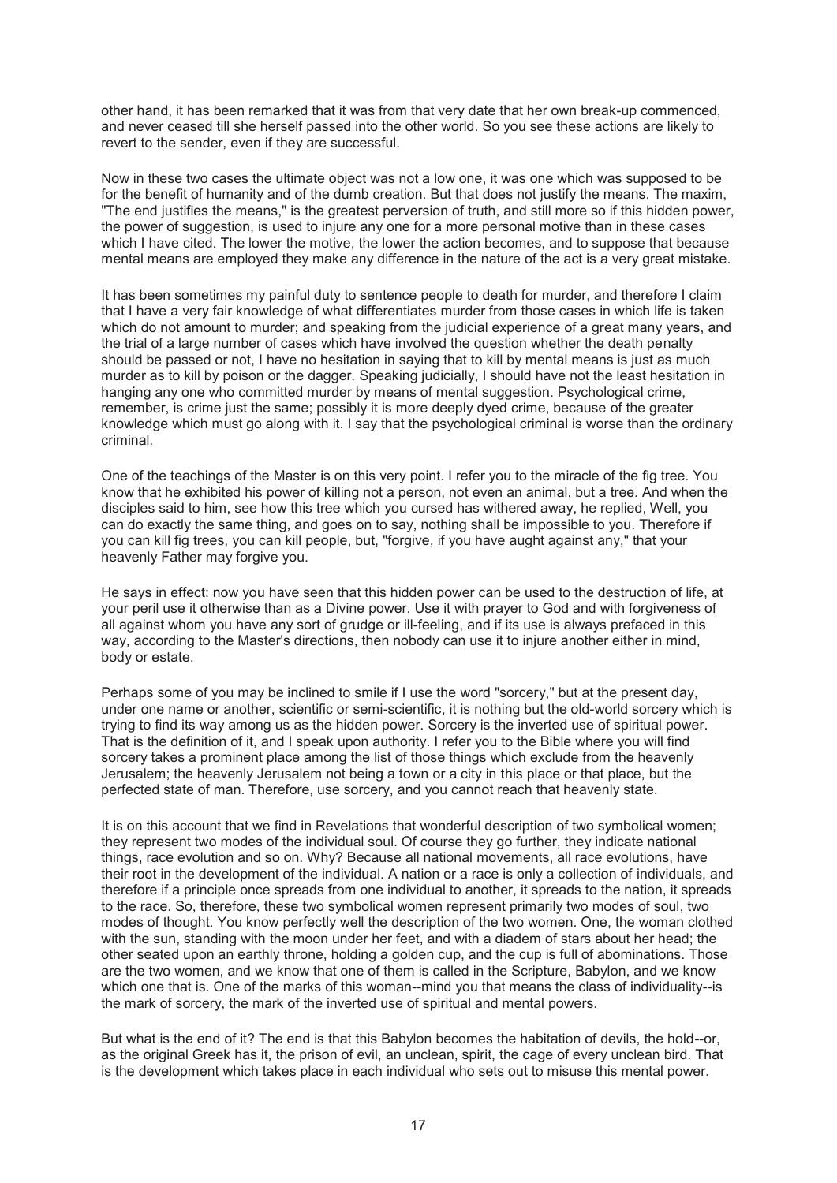other hand, it has been remarked that it was from that very date that her own break-up commenced, and never ceased till she herself passed into the other world. So you see these actions are likely to revert to the sender, even if they are successful.

Now in these two cases the ultimate object was not a low one, it was one which was supposed to be for the benefit of humanity and of the dumb creation. But that does not justify the means. The maxim, "The end justifies the means," is the greatest perversion of truth, and still more so if this hidden power, the power of suggestion, is used to injure any one for a more personal motive than in these cases which I have cited. The lower the motive, the lower the action becomes, and to suppose that because mental means are employed they make any difference in the nature of the act is a very great mistake.

It has been sometimes my painful duty to sentence people to death for murder, and therefore I claim that I have a very fair knowledge of what differentiates murder from those cases in which life is taken which do not amount to murder; and speaking from the judicial experience of a great many years, and the trial of a large number of cases which have involved the question whether the death penalty should be passed or not, I have no hesitation in saying that to kill by mental means is just as much murder as to kill by poison or the dagger. Speaking judicially, I should have not the least hesitation in hanging any one who committed murder by means of mental suggestion. Psychological crime, remember, is crime just the same; possibly it is more deeply dyed crime, because of the greater knowledge which must go along with it. I say that the psychological criminal is worse than the ordinary criminal.

One of the teachings of the Master is on this very point. I refer you to the miracle of the fig tree. You know that he exhibited his power of killing not a person, not even an animal, but a tree. And when the disciples said to him, see how this tree which you cursed has withered away, he replied, Well, you can do exactly the same thing, and goes on to say, nothing shall be impossible to you. Therefore if you can kill fig trees, you can kill people, but, "forgive, if you have aught against any," that your heavenly Father may forgive you.

He says in effect: now you have seen that this hidden power can be used to the destruction of life, at your peril use it otherwise than as a Divine power. Use it with prayer to God and with forgiveness of all against whom you have any sort of grudge or ill-feeling, and if its use is always prefaced in this way, according to the Master's directions, then nobody can use it to injure another either in mind, body or estate.

Perhaps some of you may be inclined to smile if I use the word "sorcery," but at the present day, under one name or another, scientific or semi-scientific, it is nothing but the old-world sorcery which is trying to find its way among us as the hidden power. Sorcery is the inverted use of spiritual power. That is the definition of it, and I speak upon authority. I refer you to the Bible where you will find sorcery takes a prominent place among the list of those things which exclude from the heavenly Jerusalem; the heavenly Jerusalem not being a town or a city in this place or that place, but the perfected state of man. Therefore, use sorcery, and you cannot reach that heavenly state.

It is on this account that we find in Revelations that wonderful description of two symbolical women; they represent two modes of the individual soul. Of course they go further, they indicate national things, race evolution and so on. Why? Because all national movements, all race evolutions, have their root in the development of the individual. A nation or a race is only a collection of individuals, and therefore if a principle once spreads from one individual to another, it spreads to the nation, it spreads to the race. So, therefore, these two symbolical women represent primarily two modes of soul, two modes of thought. You know perfectly well the description of the two women. One, the woman clothed with the sun, standing with the moon under her feet, and with a diadem of stars about her head; the other seated upon an earthly throne, holding a golden cup, and the cup is full of abominations. Those are the two women, and we know that one of them is called in the Scripture, Babylon, and we know which one that is. One of the marks of this woman--mind you that means the class of individuality--is the mark of sorcery, the mark of the inverted use of spiritual and mental powers.

But what is the end of it? The end is that this Babylon becomes the habitation of devils, the hold--or, as the original Greek has it, the prison of evil, an unclean, spirit, the cage of every unclean bird. That is the development which takes place in each individual who sets out to misuse this mental power.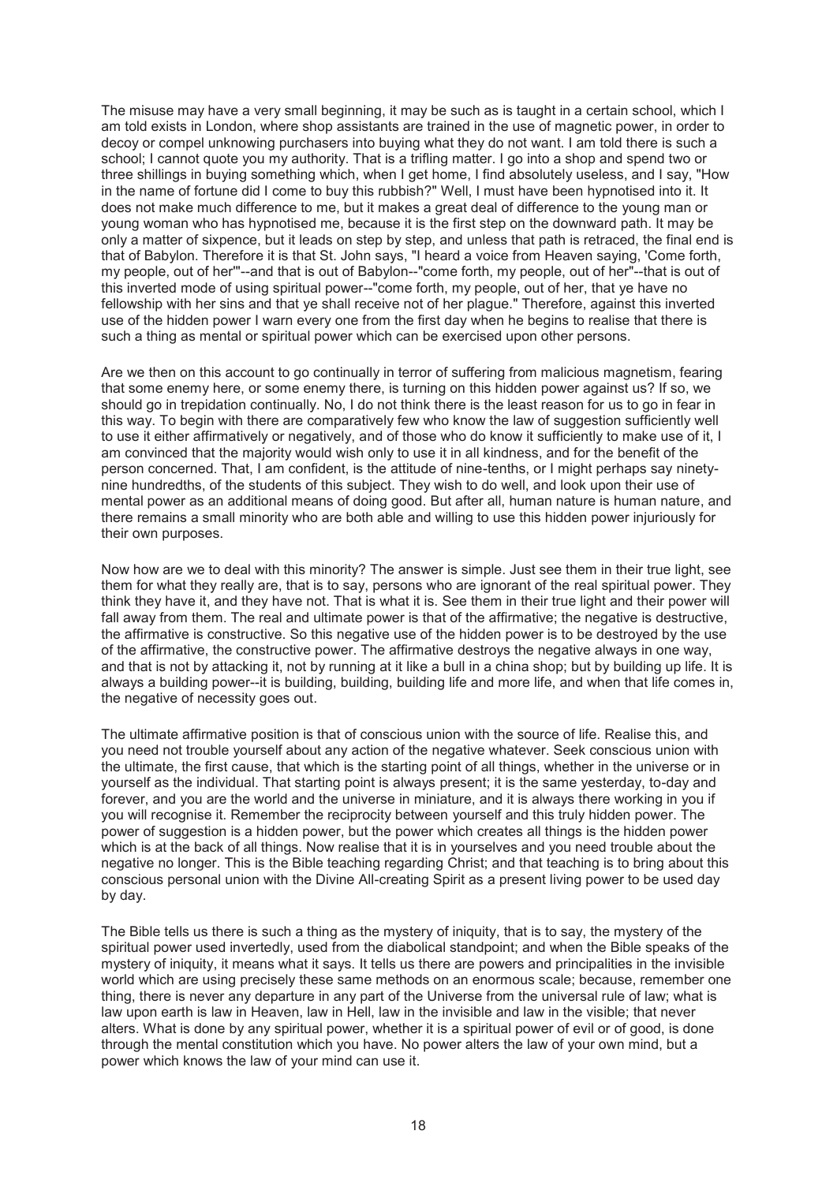The misuse may have a very small beginning, it may be such as is taught in a certain school, which I am told exists in London, where shop assistants are trained in the use of magnetic power, in order to decoy or compel unknowing purchasers into buying what they do not want. I am told there is such a school; I cannot quote you my authority. That is a trifling matter. I go into a shop and spend two or three shillings in buying something which, when I get home, I find absolutely useless, and I say, "How in the name of fortune did I come to buy this rubbish?" Well, I must have been hypnotised into it. It does not make much difference to me, but it makes a great deal of difference to the young man or young woman who has hypnotised me, because it is the first step on the downward path. It may be only a matter of sixpence, but it leads on step by step, and unless that path is retraced, the final end is that of Babylon. Therefore it is that St. John says, "I heard a voice from Heaven saying, 'Come forth, my people, out of her'"--and that is out of Babylon--"come forth, my people, out of her"--that is out of this inverted mode of using spiritual power--"come forth, my people, out of her, that ye have no fellowship with her sins and that ye shall receive not of her plague." Therefore, against this inverted use of the hidden power I warn every one from the first day when he begins to realise that there is such a thing as mental or spiritual power which can be exercised upon other persons.

Are we then on this account to go continually in terror of suffering from malicious magnetism, fearing that some enemy here, or some enemy there, is turning on this hidden power against us? If so, we should go in trepidation continually. No, I do not think there is the least reason for us to go in fear in this way. To begin with there are comparatively few who know the law of suggestion sufficiently well to use it either affirmatively or negatively, and of those who do know it sufficiently to make use of it, I am convinced that the majority would wish only to use it in all kindness, and for the benefit of the person concerned. That, I am confident, is the attitude of nine-tenths, or I might perhaps say ninetynine hundredths, of the students of this subject. They wish to do well, and look upon their use of mental power as an additional means of doing good. But after all, human nature is human nature, and there remains a small minority who are both able and willing to use this hidden power injuriously for their own purposes.

Now how are we to deal with this minority? The answer is simple. Just see them in their true light, see them for what they really are, that is to say, persons who are ignorant of the real spiritual power. They think they have it, and they have not. That is what it is. See them in their true light and their power will fall away from them. The real and ultimate power is that of the affirmative; the negative is destructive, the affirmative is constructive. So this negative use of the hidden power is to be destroyed by the use of the affirmative, the constructive power. The affirmative destroys the negative always in one way, and that is not by attacking it, not by running at it like a bull in a china shop; but by building up life. It is always a building power--it is building, building, building life and more life, and when that life comes in, the negative of necessity goes out.

The ultimate affirmative position is that of conscious union with the source of life. Realise this, and you need not trouble yourself about any action of the negative whatever. Seek conscious union with the ultimate, the first cause, that which is the starting point of all things, whether in the universe or in yourself as the individual. That starting point is always present; it is the same yesterday, to-day and forever, and you are the world and the universe in miniature, and it is always there working in you if you will recognise it. Remember the reciprocity between yourself and this truly hidden power. The power of suggestion is a hidden power, but the power which creates all things is the hidden power which is at the back of all things. Now realise that it is in yourselves and you need trouble about the negative no longer. This is the Bible teaching regarding Christ; and that teaching is to bring about this conscious personal union with the Divine All-creating Spirit as a present living power to be used day by day.

The Bible tells us there is such a thing as the mystery of iniquity, that is to say, the mystery of the spiritual power used invertedly, used from the diabolical standpoint; and when the Bible speaks of the mystery of iniquity, it means what it says. It tells us there are powers and principalities in the invisible world which are using precisely these same methods on an enormous scale; because, remember one thing, there is never any departure in any part of the Universe from the universal rule of law; what is law upon earth is law in Heaven, law in Hell, law in the invisible and law in the visible; that never alters. What is done by any spiritual power, whether it is a spiritual power of evil or of good, is done through the mental constitution which you have. No power alters the law of your own mind, but a power which knows the law of your mind can use it.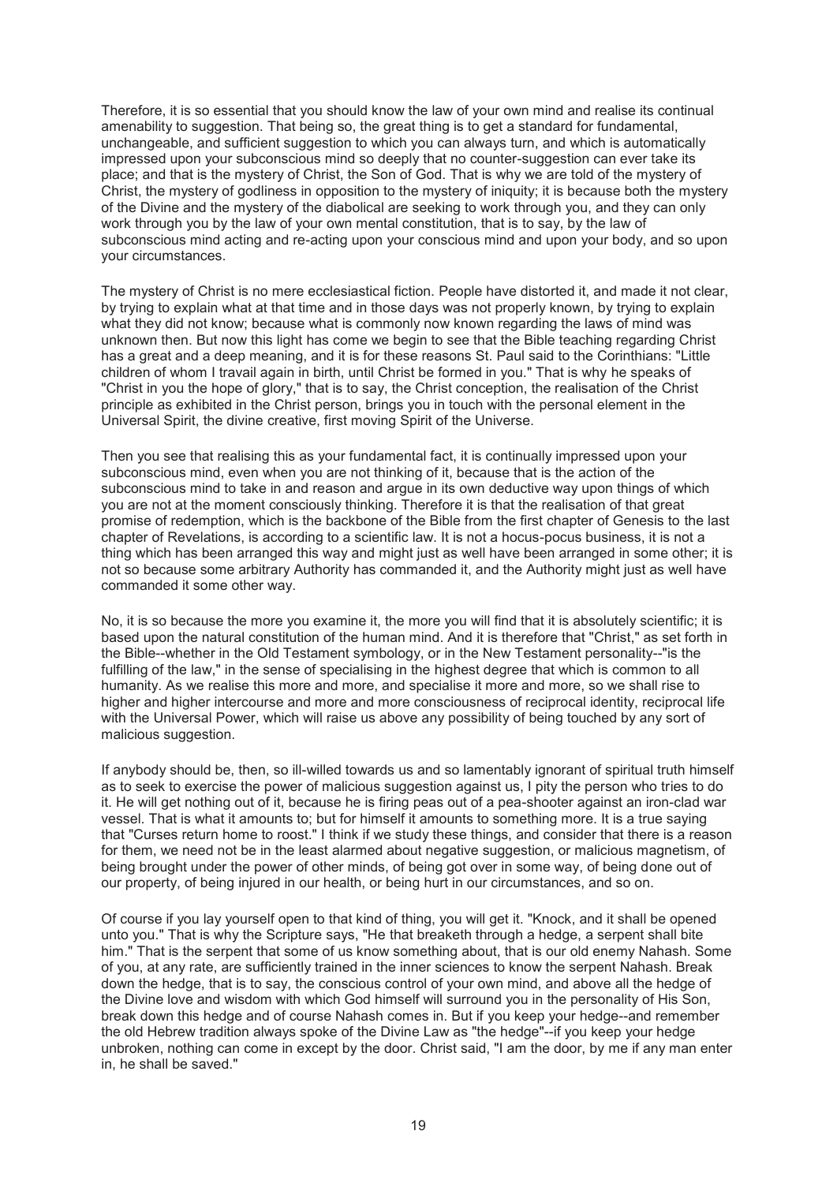Therefore, it is so essential that you should know the law of your own mind and realise its continual amenability to suggestion. That being so, the great thing is to get a standard for fundamental. unchangeable, and sufficient suggestion to which you can always turn, and which is automatically impressed upon your subconscious mind so deeply that no counter-suggestion can ever take its place; and that is the mystery of Christ, the Son of God. That is why we are told of the mystery of Christ, the mystery of godliness in opposition to the mystery of iniquity; it is because both the mystery of the Divine and the mystery of the diabolical are seeking to work through you, and they can only work through you by the law of your own mental constitution, that is to say, by the law of subconscious mind acting and re-acting upon your conscious mind and upon your body, and so upon your circumstances.

The mystery of Christ is no mere ecclesiastical fiction. People have distorted it, and made it not clear, by trying to explain what at that time and in those days was not properly known, by trying to explain what they did not know; because what is commonly now known regarding the laws of mind was unknown then. But now this light has come we begin to see that the Bible teaching regarding Christ has a great and a deep meaning, and it is for these reasons St. Paul said to the Corinthians: "Little children of whom I travail again in birth, until Christ be formed in you." That is why he speaks of "Christ in you the hope of glory," that is to say, the Christ conception, the realisation of the Christ principle as exhibited in the Christ person, brings you in touch with the personal element in the Universal Spirit, the divine creative, first moving Spirit of the Universe.

Then you see that realising this as your fundamental fact, it is continually impressed upon your subconscious mind, even when you are not thinking of it, because that is the action of the subconscious mind to take in and reason and argue in its own deductive way upon things of which you are not at the moment consciously thinking. Therefore it is that the realisation of that great promise of redemption, which is the backbone of the Bible from the first chapter of Genesis to the last chapter of Revelations, is according to a scientific law. It is not a hocus-pocus business, it is not a thing which has been arranged this way and might just as well have been arranged in some other; it is not so because some arbitrary Authority has commanded it, and the Authority might just as well have commanded it some other way.

No, it is so because the more you examine it, the more you will find that it is absolutely scientific; it is based upon the natural constitution of the human mind. And it is therefore that "Christ," as set forth in the Bible--whether in the Old Testament symbology, or in the New Testament personality--"is the fulfilling of the law." in the sense of specialising in the highest degree that which is common to all humanity. As we realise this more and more, and specialise it more and more, so we shall rise to higher and higher intercourse and more and more consciousness of reciprocal identity, reciprocal life with the Universal Power, which will raise us above any possibility of being touched by any sort of malicious suggestion.

If anybody should be, then, so ill-willed towards us and so lamentably ignorant of spiritual truth himself as to seek to exercise the power of malicious suggestion against us, I pity the person who tries to do it. He will get nothing out of it, because he is firing peas out of a pea-shooter against an iron-clad war vessel. That is what it amounts to; but for himself it amounts to something more. It is a true saying that "Curses return home to roost." I think if we study these things, and consider that there is a reason for them, we need not be in the least alarmed about negative suggestion, or malicious magnetism, of being brought under the power of other minds, of being got over in some way, of being done out of our property, of being injured in our health, or being hurt in our circumstances, and so on.

Of course if you lay yourself open to that kind of thing, you will get it. "Knock, and it shall be opened unto you." That is why the Scripture says, "He that breaketh through a hedge, a serpent shall bite him." That is the serpent that some of us know something about, that is our old enemy Nahash. Some of you, at any rate, are sufficiently trained in the inner sciences to know the serpent Nahash. Break down the hedge, that is to say, the conscious control of your own mind, and above all the hedge of the Divine love and wisdom with which God himself will surround you in the personality of His Son, break down this hedge and of course Nahash comes in. But if you keep your hedge--and remember the old Hebrew tradition always spoke of the Divine Law as "the hedge"--if you keep your hedge unbroken, nothing can come in except by the door. Christ said, "I am the door, by me if any man enter in, he shall be saved."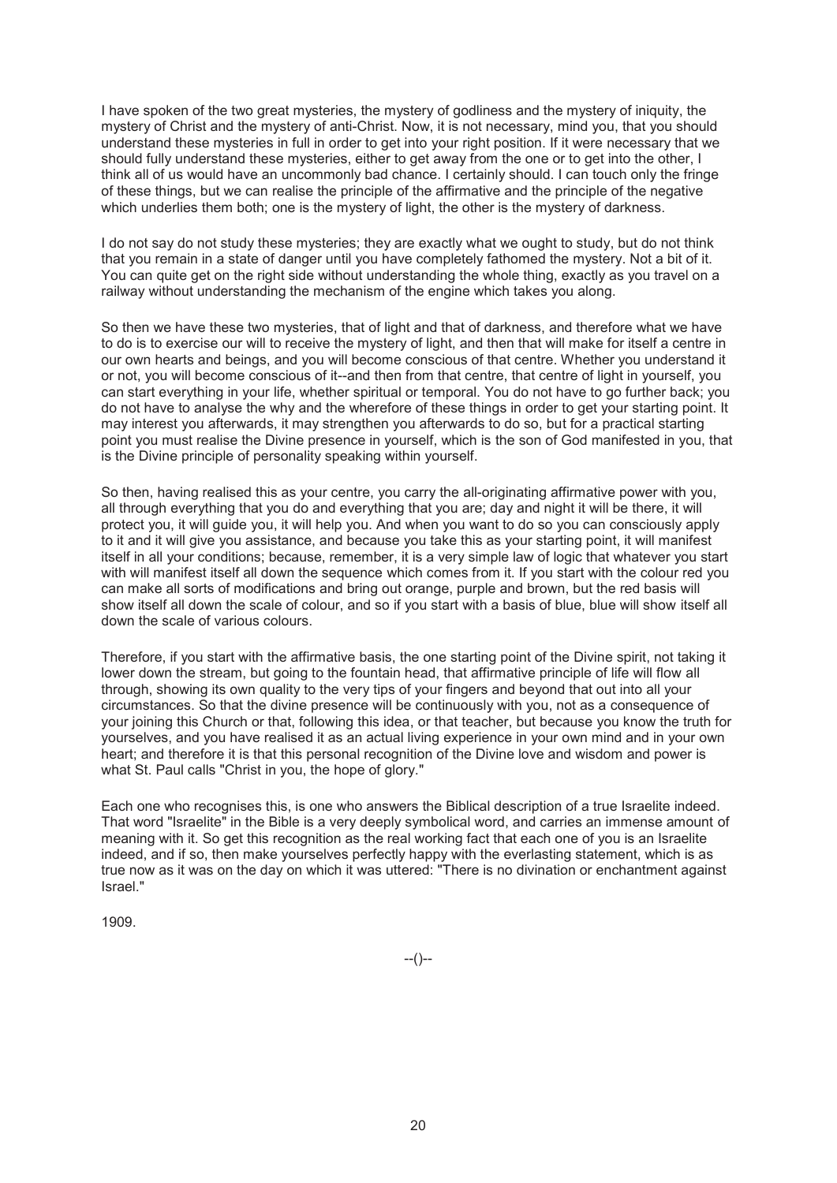I have spoken of the two great mysteries, the mystery of godliness and the mystery of iniquity, the mystery of Christ and the mystery of anti-Christ. Now, it is not necessary, mind you, that you should understand these mysteries in full in order to get into your right position. If it were necessary that we should fully understand these mysteries, either to get away from the one or to get into the other, I think all of us would have an uncommonly bad chance. I certainly should. I can touch only the fringe of these things, but we can realise the principle of the affirmative and the principle of the negative which underlies them both; one is the mystery of light, the other is the mystery of darkness.

I do not say do not study these mysteries; they are exactly what we ought to study, but do not think that you remain in a state of danger until you have completely fathomed the mystery. Not a bit of it. You can quite get on the right side without understanding the whole thing, exactly as you travel on a railway without understanding the mechanism of the engine which takes you along.

So then we have these two mysteries, that of light and that of darkness, and therefore what we have to do is to exercise our will to receive the mystery of light, and then that will make for itself a centre in our own hearts and beings, and you will become conscious of that centre. Whether you understand it or not, you will become conscious of it--and then from that centre, that centre of light in yourself, you can start everything in your life, whether spiritual or temporal. You do not have to go further back; you do not have to analyse the why and the wherefore of these things in order to get your starting point. It may interest you afterwards, it may strengthen you afterwards to do so, but for a practical starting point you must realise the Divine presence in yourself, which is the son of God manifested in you, that is the Divine principle of personality speaking within yourself.

So then, having realised this as your centre, you carry the all-originating affirmative power with you, all through everything that you do and everything that you are; day and night it will be there, it will protect you, it will guide you, it will help you. And when you want to do so you can consciously apply to it and it will give you assistance, and because you take this as your starting point, it will manifest itself in all your conditions; because, remember, it is a very simple law of logic that whatever you start with will manifest itself all down the sequence which comes from it. If you start with the colour red you can make all sorts of modifications and bring out orange, purple and brown, but the red basis will show itself all down the scale of colour, and so if you start with a basis of blue, blue will show itself all down the scale of various colours.

Therefore, if you start with the affirmative basis, the one starting point of the Divine spirit, not taking it lower down the stream, but going to the fountain head, that affirmative principle of life will flow all through, showing its own quality to the very tips of your fingers and beyond that out into all your circumstances. So that the divine presence will be continuously with you, not as a consequence of your joining this Church or that, following this idea, or that teacher, but because you know the truth for yourselves, and you have realised it as an actual living experience in your own mind and in your own heart; and therefore it is that this personal recognition of the Divine love and wisdom and power is what St. Paul calls "Christ in you, the hope of glory."

Each one who recognises this, is one who answers the Biblical description of a true Israelite indeed. That word "Israelite" in the Bible is a very deeply symbolical word, and carries an immense amount of meaning with it. So get this recognition as the real working fact that each one of you is an Israelite indeed, and if so, then make yourselves perfectly happy with the everlasting statement, which is as true now as it was on the day on which it was uttered: "There is no divination or enchantment against Israel."

1909.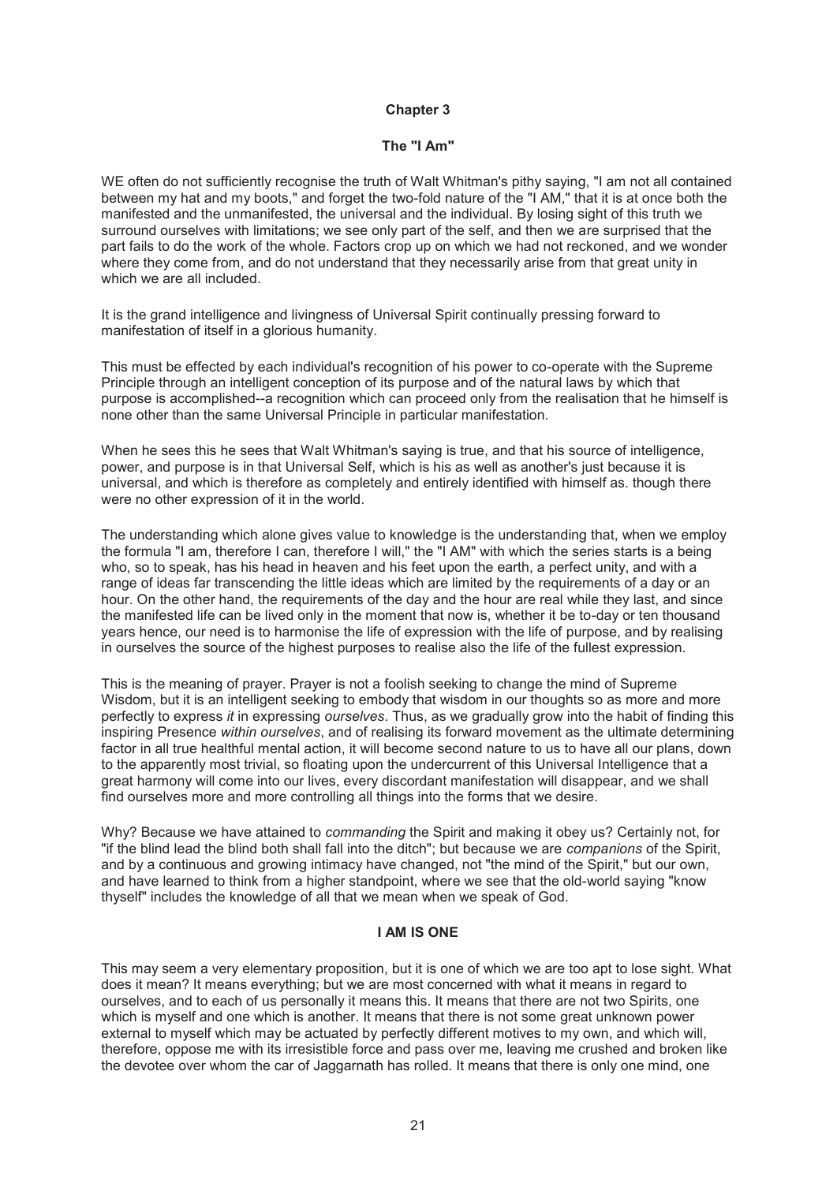### **The "I Am"**

WE often do not sufficiently recognise the truth of Walt Whitman's pithy saying. "I am not all contained between my hat and my boots," and forget the two-fold nature of the "I AM," that it is at once both the manifested and the unmanifested, the universal and the individual. By losing sight of this truth we surround ourselves with limitations; we see only part of the self, and then we are surprised that the part fails to do the work of the whole. Factors crop up on which we had not reckoned, and we wonder where they come from, and do not understand that they necessarily arise from that great unity in which we are all included.

It is the grand intelligence and livingness of Universal Spirit continually pressing forward to manifestation of itself in a glorious humanity.

This must be effected by each individual's recognition of his power to co-operate with the Supreme Principle through an intelligent conception of its purpose and of the natural laws by which that purpose is accomplished--a recognition which can proceed only from the realisation that he himself is none other than the same Universal Principle in particular manifestation.

When he sees this he sees that Walt Whitman's saying is true, and that his source of intelligence, power, and purpose is in that Universal Self, which is his as well as another's just because it is universal, and which is therefore as completely and entirely identified with himself as. though there were no other expression of it in the world.

The understanding which alone gives value to knowledge is the understanding that, when we employ the formula "I am, therefore I can, therefore I will," the "I AM" with which the series starts is a being who, so to speak, has his head in heaven and his feet upon the earth, a perfect unity, and with a range of ideas far transcending the little ideas which are limited by the requirements of a day or an hour. On the other hand, the requirements of the day and the hour are real while they last, and since the manifested life can be lived only in the moment that now is, whether it be to-day or ten thousand years hence, our need is to harmonise the life of expression with the life of purpose, and by realising in ourselves the source of the highest purposes to realise also the life of the fullest expression.

This is the meaning of prayer. Prayer is not a foolish seeking to change the mind of Supreme Wisdom, but it is an intelligent seeking to embody that wisdom in our thoughts so as more and more perfectly to express *it* in expressing *ourselves*. Thus, as we gradually grow into the habit of finding this inspiring Presence *within ourselves*, and of realising its forward movement as the ultimate determining factor in all true healthful mental action, it will become second nature to us to have all our plans, down to the apparently most trivial, so floating upon the undercurrent of this Universal Intelligence that a great harmony will come into our lives, every discordant manifestation will disappear, and we shall find ourselves more and more controlling all things into the forms that we desire.

Why? Because we have attained to *commanding* the Spirit and making it obey us? Certainly not, for "if the blind lead the blind both shall fall into the ditch"; but because we are *companions* of the Spirit, and by a continuous and growing intimacy have changed, not "the mind of the Spirit," but our own, and have learned to think from a higher standpoint, where we see that the old-world saying "know thyself" includes the knowledge of all that we mean when we speak of God.

# **I AM IS ONE**

This may seem a very elementary proposition, but it is one of which we are too apt to lose sight. What does it mean? It means everything; but we are most concerned with what it means in regard to ourselves, and to each of us personally it means this. It means that there are not two Spirits, one which is myself and one which is another. It means that there is not some great unknown power external to myself which may be actuated by perfectly different motives to my own, and which will, therefore, oppose me with its irresistible force and pass over me, leaving me crushed and broken like the devotee over whom the car of Jaggarnath has rolled. It means that there is only one mind, one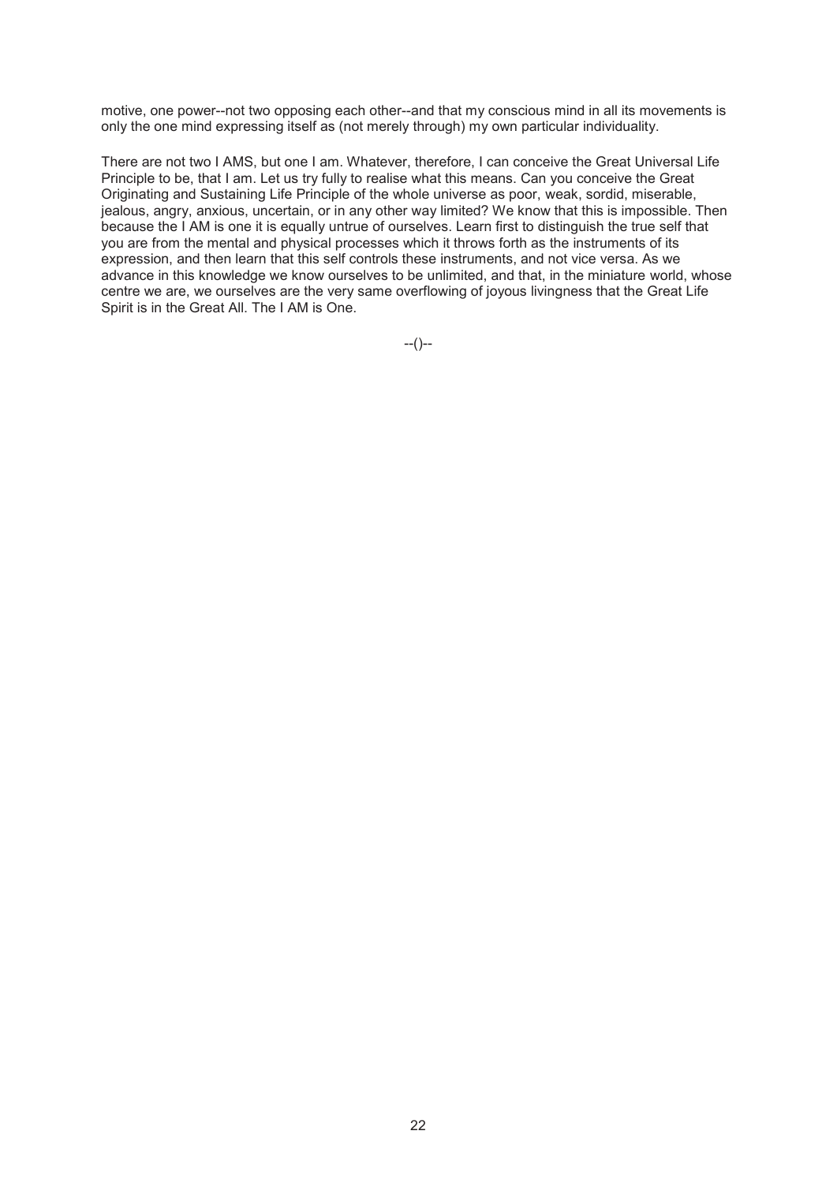motive, one power--not two opposing each other--and that my conscious mind in all its movements is only the one mind expressing itself as (not merely through) my own particular individuality.

There are not two I AMS, but one I am. Whatever, therefore, I can conceive the Great Universal Life Principle to be, that I am. Let us try fully to realise what this means. Can you conceive the Great Originating and Sustaining Life Principle of the whole universe as poor, weak, sordid, miserable, jealous, angry, anxious, uncertain, or in any other way limited? We know that this is impossible. Then because the I AM is one it is equally untrue of ourselves. Learn first to distinguish the true self that you are from the mental and physical processes which it throws forth as the instruments of its expression, and then learn that this self controls these instruments, and not vice versa. As we advance in this knowledge we know ourselves to be unlimited, and that, in the miniature world, whose centre we are, we ourselves are the very same overflowing of joyous livingness that the Great Life Spirit is in the Great All. The I AM is One.

--()--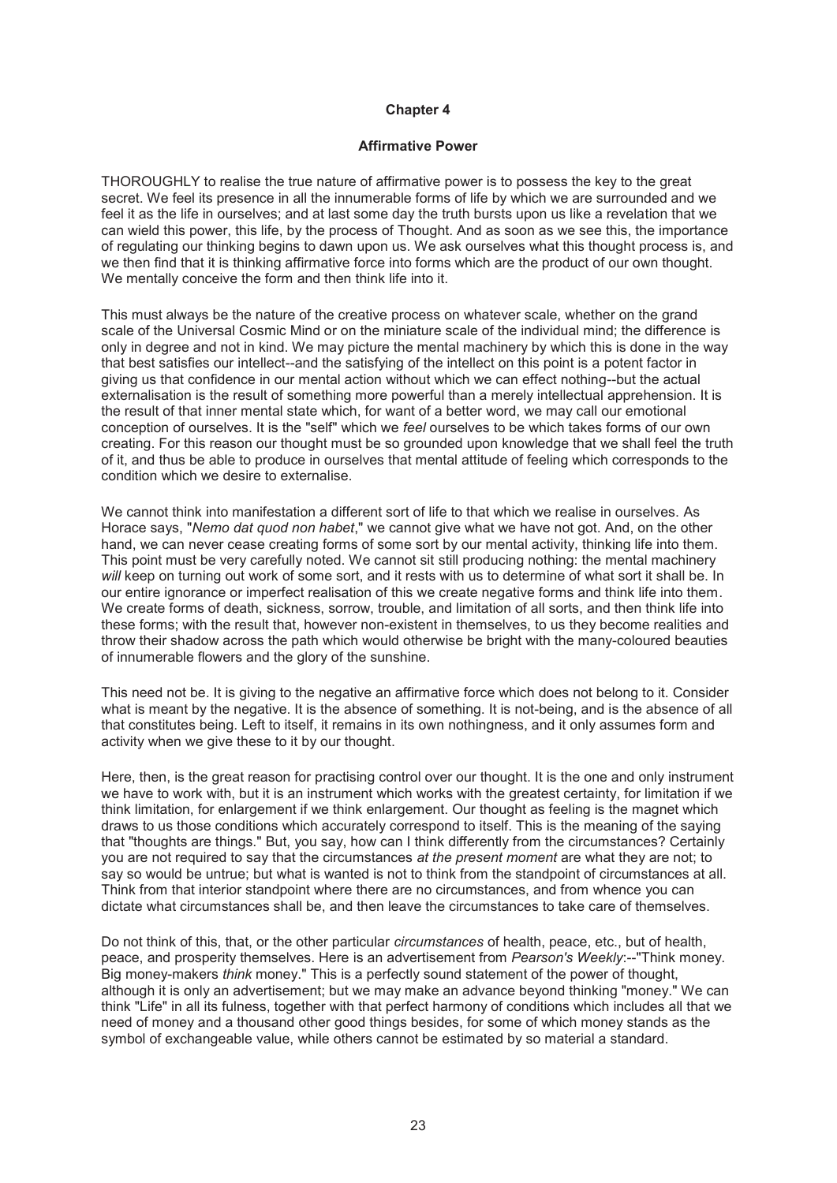### **Affirmative Power**

THOROUGHLY to realise the true nature of affirmative power is to possess the key to the great secret. We feel its presence in all the innumerable forms of life by which we are surrounded and we feel it as the life in ourselves; and at last some day the truth bursts upon us like a revelation that we can wield this power, this life, by the process of Thought. And as soon as we see this, the importance of regulating our thinking begins to dawn upon us. We ask ourselves what this thought process is, and we then find that it is thinking affirmative force into forms which are the product of our own thought. We mentally conceive the form and then think life into it.

This must always be the nature of the creative process on whatever scale, whether on the grand scale of the Universal Cosmic Mind or on the miniature scale of the individual mind; the difference is only in degree and not in kind. We may picture the mental machinery by which this is done in the way that best satisfies our intellect--and the satisfying of the intellect on this point is a potent factor in giving us that confidence in our mental action without which we can effect nothing--but the actual externalisation is the result of something more powerful than a merely intellectual apprehension. It is the result of that inner mental state which, for want of a better word, we may call our emotional conception of ourselves. It is the "self" which we *feel* ourselves to be which takes forms of our own creating. For this reason our thought must be so grounded upon knowledge that we shall feel the truth of it, and thus be able to produce in ourselves that mental attitude of feeling which corresponds to the condition which we desire to externalise.

We cannot think into manifestation a different sort of life to that which we realise in ourselves. As Horace says, "*Nemo dat quod non habet*," we cannot give what we have not got. And, on the other hand, we can never cease creating forms of some sort by our mental activity, thinking life into them. This point must be very carefully noted. We cannot sit still producing nothing: the mental machinery *will* keep on turning out work of some sort, and it rests with us to determine of what sort it shall be. In our entire ignorance or imperfect realisation of this we create negative forms and think life into them. We create forms of death, sickness, sorrow, trouble, and limitation of all sorts, and then think life into these forms; with the result that, however non-existent in themselves, to us they become realities and throw their shadow across the path which would otherwise be bright with the many-coloured beauties of innumerable flowers and the glory of the sunshine.

This need not be. It is giving to the negative an affirmative force which does not belong to it. Consider what is meant by the negative. It is the absence of something. It is not-being, and is the absence of all that constitutes being. Left to itself, it remains in its own nothingness, and it only assumes form and activity when we give these to it by our thought.

Here, then, is the great reason for practising control over our thought. It is the one and only instrument we have to work with, but it is an instrument which works with the greatest certainty, for limitation if we think limitation, for enlargement if we think enlargement. Our thought as feeling is the magnet which draws to us those conditions which accurately correspond to itself. This is the meaning of the saying that "thoughts are things." But, you say, how can I think differently from the circumstances? Certainly you are not required to say that the circumstances *at the present moment* are what they are not; to say so would be untrue; but what is wanted is not to think from the standpoint of circumstances at all. Think from that interior standpoint where there are no circumstances, and from whence you can dictate what circumstances shall be, and then leave the circumstances to take care of themselves.

Do not think of this, that, or the other particular *circumstances* of health, peace, etc., but of health, peace, and prosperity themselves. Here is an advertisement from *Pearson's Weekly*:--"Think money. Big money-makers *think* money." This is a perfectly sound statement of the power of thought, although it is only an advertisement; but we may make an advance beyond thinking "money." We can think "Life" in all its fulness, together with that perfect harmony of conditions which includes all that we need of money and a thousand other good things besides, for some of which money stands as the symbol of exchangeable value, while others cannot be estimated by so material a standard.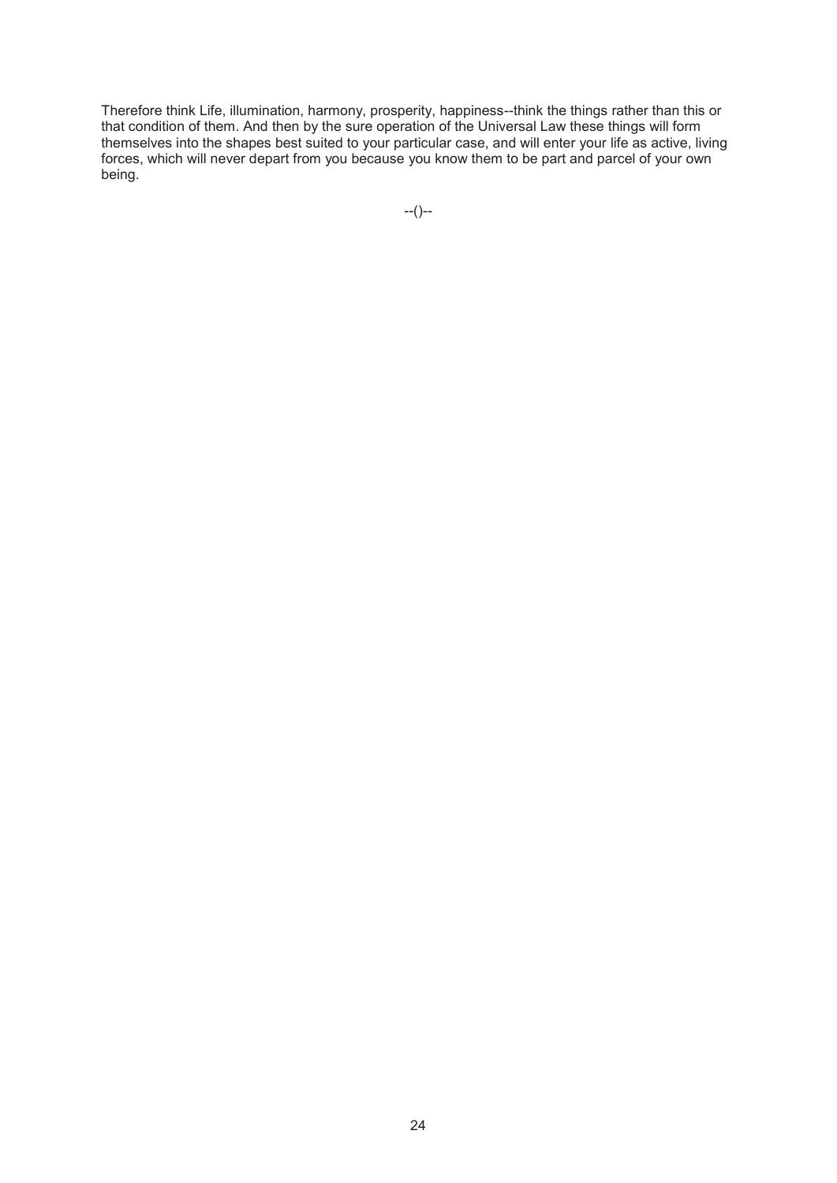Therefore think Life, illumination, harmony, prosperity, happiness--think the things rather than this or that condition of them. And then by the sure operation of the Universal Law these things will form themselves into the shapes best suited to your particular case, and will enter your life as active, living forces, which will never depart from you because you know them to be part and parcel of your own being.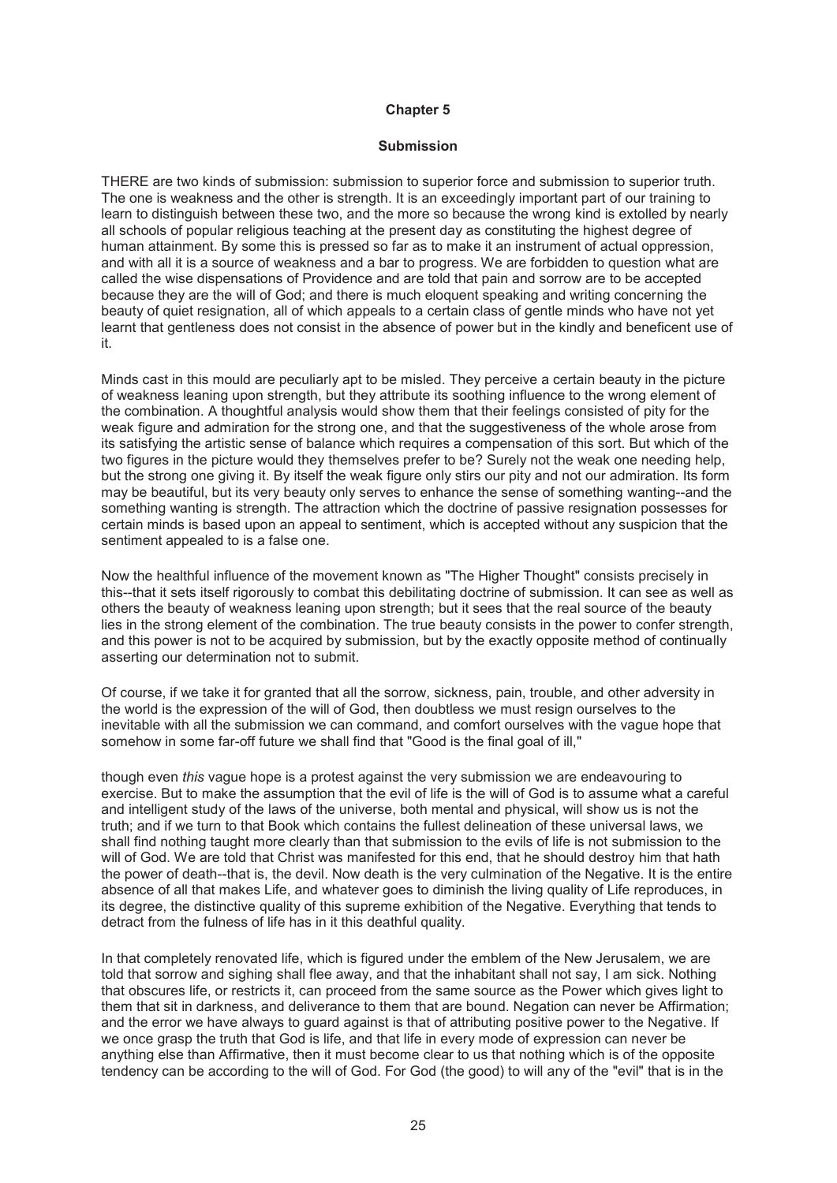### **Submission**

THERE are two kinds of submission: submission to superior force and submission to superior truth. The one is weakness and the other is strength. It is an exceedingly important part of our training to learn to distinguish between these two, and the more so because the wrong kind is extolled by nearly all schools of popular religious teaching at the present day as constituting the highest degree of human attainment. By some this is pressed so far as to make it an instrument of actual oppression, and with all it is a source of weakness and a bar to progress. We are forbidden to question what are called the wise dispensations of Providence and are told that pain and sorrow are to be accepted because they are the will of God; and there is much eloquent speaking and writing concerning the beauty of quiet resignation, all of which appeals to a certain class of gentle minds who have not yet learnt that gentleness does not consist in the absence of power but in the kindly and beneficent use of it.

Minds cast in this mould are peculiarly apt to be misled. They perceive a certain beauty in the picture of weakness leaning upon strength, but they attribute its soothing influence to the wrong element of the combination. A thoughtful analysis would show them that their feelings consisted of pity for the weak figure and admiration for the strong one, and that the suggestiveness of the whole arose from its satisfying the artistic sense of balance which requires a compensation of this sort. But which of the two figures in the picture would they themselves prefer to be? Surely not the weak one needing help, but the strong one giving it. By itself the weak figure only stirs our pity and not our admiration. Its form may be beautiful, but its very beauty only serves to enhance the sense of something wanting--and the something wanting is strength. The attraction which the doctrine of passive resignation possesses for certain minds is based upon an appeal to sentiment, which is accepted without any suspicion that the sentiment appealed to is a false one.

Now the healthful influence of the movement known as "The Higher Thought" consists precisely in this--that it sets itself rigorously to combat this debilitating doctrine of submission. It can see as well as others the beauty of weakness leaning upon strength; but it sees that the real source of the beauty lies in the strong element of the combination. The true beauty consists in the power to confer strength, and this power is not to be acquired by submission, but by the exactly opposite method of continually asserting our determination not to submit.

Of course, if we take it for granted that all the sorrow, sickness, pain, trouble, and other adversity in the world is the expression of the will of God, then doubtless we must resign ourselves to the inevitable with all the submission we can command, and comfort ourselves with the vague hope that somehow in some far-off future we shall find that "Good is the final goal of ill,"

though even *this* vague hope is a protest against the very submission we are endeavouring to exercise. But to make the assumption that the evil of life is the will of God is to assume what a careful and intelligent study of the laws of the universe, both mental and physical, will show us is not the truth; and if we turn to that Book which contains the fullest delineation of these universal laws, we shall find nothing taught more clearly than that submission to the evils of life is not submission to the will of God. We are told that Christ was manifested for this end, that he should destroy him that hath the power of death--that is, the devil. Now death is the very culmination of the Negative. It is the entire absence of all that makes Life, and whatever goes to diminish the living quality of Life reproduces, in its degree, the distinctive quality of this supreme exhibition of the Negative. Everything that tends to detract from the fulness of life has in it this deathful quality.

In that completely renovated life, which is figured under the emblem of the New Jerusalem, we are told that sorrow and sighing shall flee away, and that the inhabitant shall not say, I am sick. Nothing that obscures life, or restricts it, can proceed from the same source as the Power which gives light to them that sit in darkness, and deliverance to them that are bound. Negation can never be Affirmation; and the error we have always to guard against is that of attributing positive power to the Negative. If we once grasp the truth that God is life, and that life in every mode of expression can never be anything else than Affirmative, then it must become clear to us that nothing which is of the opposite tendency can be according to the will of God. For God (the good) to will any of the "evil" that is in the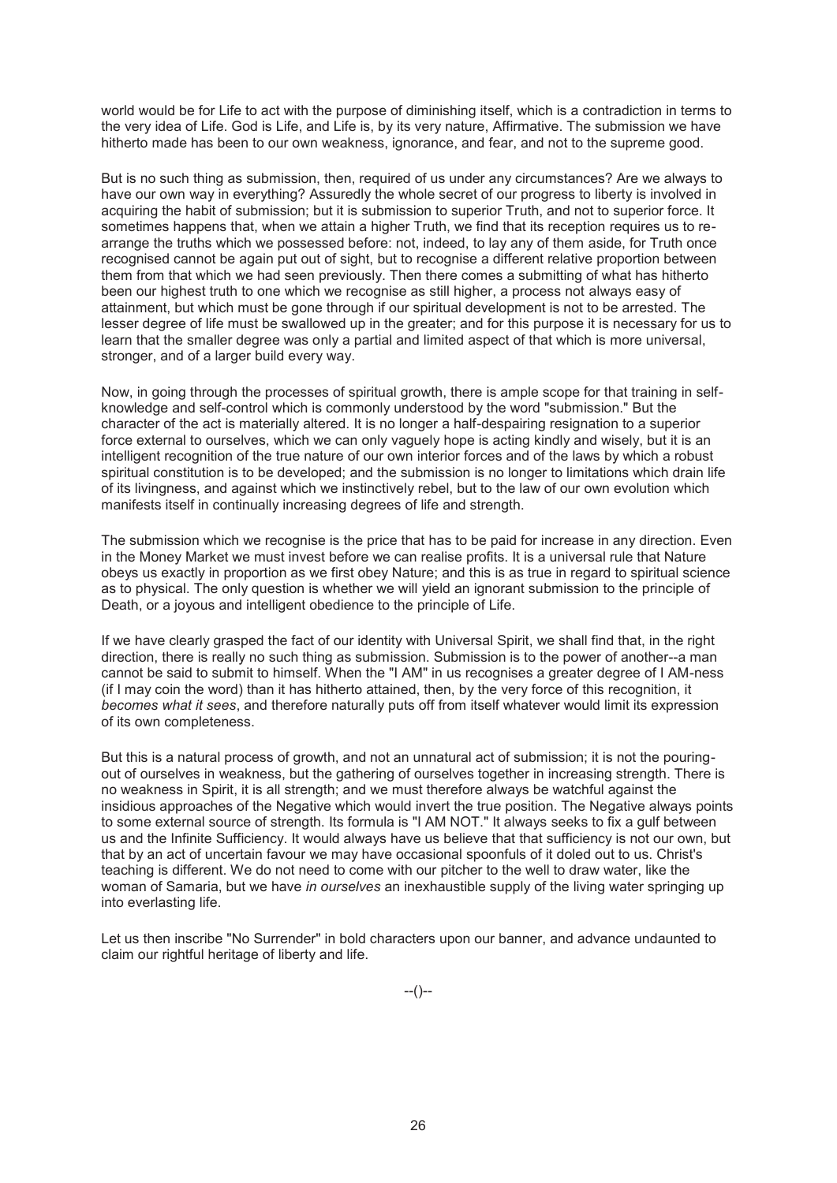world would be for Life to act with the purpose of diminishing itself, which is a contradiction in terms to the very idea of Life. God is Life, and Life is, by its very nature, Affirmative. The submission we have hitherto made has been to our own weakness, ignorance, and fear, and not to the supreme good.

But is no such thing as submission, then, required of us under any circumstances? Are we always to have our own way in everything? Assuredly the whole secret of our progress to liberty is involved in acquiring the habit of submission; but it is submission to superior Truth, and not to superior force. It sometimes happens that, when we attain a higher Truth, we find that its reception requires us to rearrange the truths which we possessed before: not, indeed, to lay any of them aside, for Truth once recognised cannot be again put out of sight, but to recognise a different relative proportion between them from that which we had seen previously. Then there comes a submitting of what has hitherto been our highest truth to one which we recognise as still higher, a process not always easy of attainment, but which must be gone through if our spiritual development is not to be arrested. The lesser degree of life must be swallowed up in the greater; and for this purpose it is necessary for us to learn that the smaller degree was only a partial and limited aspect of that which is more universal, stronger, and of a larger build every way.

Now, in going through the processes of spiritual growth, there is ample scope for that training in selfknowledge and self-control which is commonly understood by the word "submission." But the character of the act is materially altered. It is no longer a half-despairing resignation to a superior force external to ourselves, which we can only vaguely hope is acting kindly and wisely, but it is an intelligent recognition of the true nature of our own interior forces and of the laws by which a robust spiritual constitution is to be developed; and the submission is no longer to limitations which drain life of its livingness, and against which we instinctively rebel, but to the law of our own evolution which manifests itself in continually increasing degrees of life and strength.

The submission which we recognise is the price that has to be paid for increase in any direction. Even in the Money Market we must invest before we can realise profits. It is a universal rule that Nature obeys us exactly in proportion as we first obey Nature; and this is as true in regard to spiritual science as to physical. The only question is whether we will yield an ignorant submission to the principle of Death, or a joyous and intelligent obedience to the principle of Life.

If we have clearly grasped the fact of our identity with Universal Spirit, we shall find that, in the right direction, there is really no such thing as submission. Submission is to the power of another--a man cannot be said to submit to himself. When the "I AM" in us recognises a greater degree of I AM-ness (if I may coin the word) than it has hitherto attained, then, by the very force of this recognition, it *becomes what it sees*, and therefore naturally puts off from itself whatever would limit its expression of its own completeness.

But this is a natural process of growth, and not an unnatural act of submission; it is not the pouringout of ourselves in weakness, but the gathering of ourselves together in increasing strength. There is no weakness in Spirit, it is all strength; and we must therefore always be watchful against the insidious approaches of the Negative which would invert the true position. The Negative always points to some external source of strength. Its formula is "I AM NOT." It always seeks to fix a gulf between us and the Infinite Sufficiency. It would always have us believe that that sufficiency is not our own, but that by an act of uncertain favour we may have occasional spoonfuls of it doled out to us. Christ's teaching is different. We do not need to come with our pitcher to the well to draw water, like the woman of Samaria, but we have *in ourselves* an inexhaustible supply of the living water springing up into everlasting life.

Let us then inscribe "No Surrender" in bold characters upon our banner, and advance undaunted to claim our rightful heritage of liberty and life.

--()--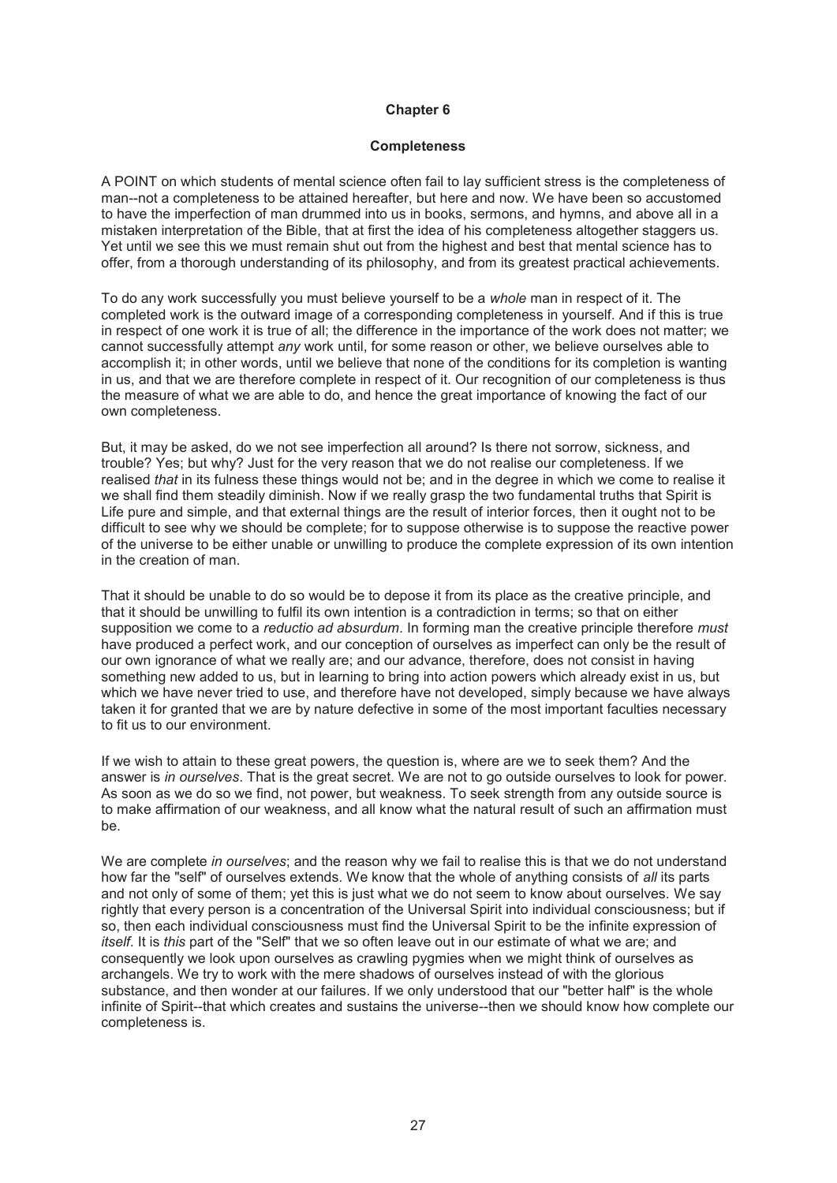### **Completeness**

A POINT on which students of mental science often fail to lay sufficient stress is the completeness of man--not a completeness to be attained hereafter, but here and now. We have been so accustomed to have the imperfection of man drummed into us in books, sermons, and hymns, and above all in a mistaken interpretation of the Bible, that at first the idea of his completeness altogether staggers us. Yet until we see this we must remain shut out from the highest and best that mental science has to offer, from a thorough understanding of its philosophy, and from its greatest practical achievements.

To do any work successfully you must believe yourself to be a *whole* man in respect of it. The completed work is the outward image of a corresponding completeness in yourself. And if this is true in respect of one work it is true of all; the difference in the importance of the work does not matter; we cannot successfully attempt *any* work until, for some reason or other, we believe ourselves able to accomplish it; in other words, until we believe that none of the conditions for its completion is wanting in us, and that we are therefore complete in respect of it. Our recognition of our completeness is thus the measure of what we are able to do, and hence the great importance of knowing the fact of our own completeness.

But, it may be asked, do we not see imperfection all around? Is there not sorrow, sickness, and trouble? Yes; but why? Just for the very reason that we do not realise our completeness. If we realised *that* in its fulness these things would not be; and in the degree in which we come to realise it we shall find them steadily diminish. Now if we really grasp the two fundamental truths that Spirit is Life pure and simple, and that external things are the result of interior forces, then it ought not to be difficult to see why we should be complete; for to suppose otherwise is to suppose the reactive power of the universe to be either unable or unwilling to produce the complete expression of its own intention in the creation of man.

That it should be unable to do so would be to depose it from its place as the creative principle, and that it should be unwilling to fulfil its own intention is a contradiction in terms; so that on either supposition we come to a *reductio ad absurdum*. In forming man the creative principle therefore *must* have produced a perfect work, and our conception of ourselves as imperfect can only be the result of our own ignorance of what we really are; and our advance, therefore, does not consist in having something new added to us, but in learning to bring into action powers which already exist in us, but which we have never tried to use, and therefore have not developed, simply because we have always taken it for granted that we are by nature defective in some of the most important faculties necessary to fit us to our environment.

If we wish to attain to these great powers, the question is, where are we to seek them? And the answer is *in ourselves*. That is the great secret. We are not to go outside ourselves to look for power. As soon as we do so we find, not power, but weakness. To seek strength from any outside source is to make affirmation of our weakness, and all know what the natural result of such an affirmation must be.

We are complete *in ourselves*; and the reason why we fail to realise this is that we do not understand how far the "self" of ourselves extends. We know that the whole of anything consists of *all* its parts and not only of some of them; yet this is just what we do not seem to know about ourselves. We say rightly that every person is a concentration of the Universal Spirit into individual consciousness; but if so, then each individual consciousness must find the Universal Spirit to be the infinite expression of *itself*. It is *this* part of the "Self" that we so often leave out in our estimate of what we are; and consequently we look upon ourselves as crawling pygmies when we might think of ourselves as archangels. We try to work with the mere shadows of ourselves instead of with the glorious substance, and then wonder at our failures. If we only understood that our "better half" is the whole infinite of Spirit--that which creates and sustains the universe--then we should know how complete our completeness is.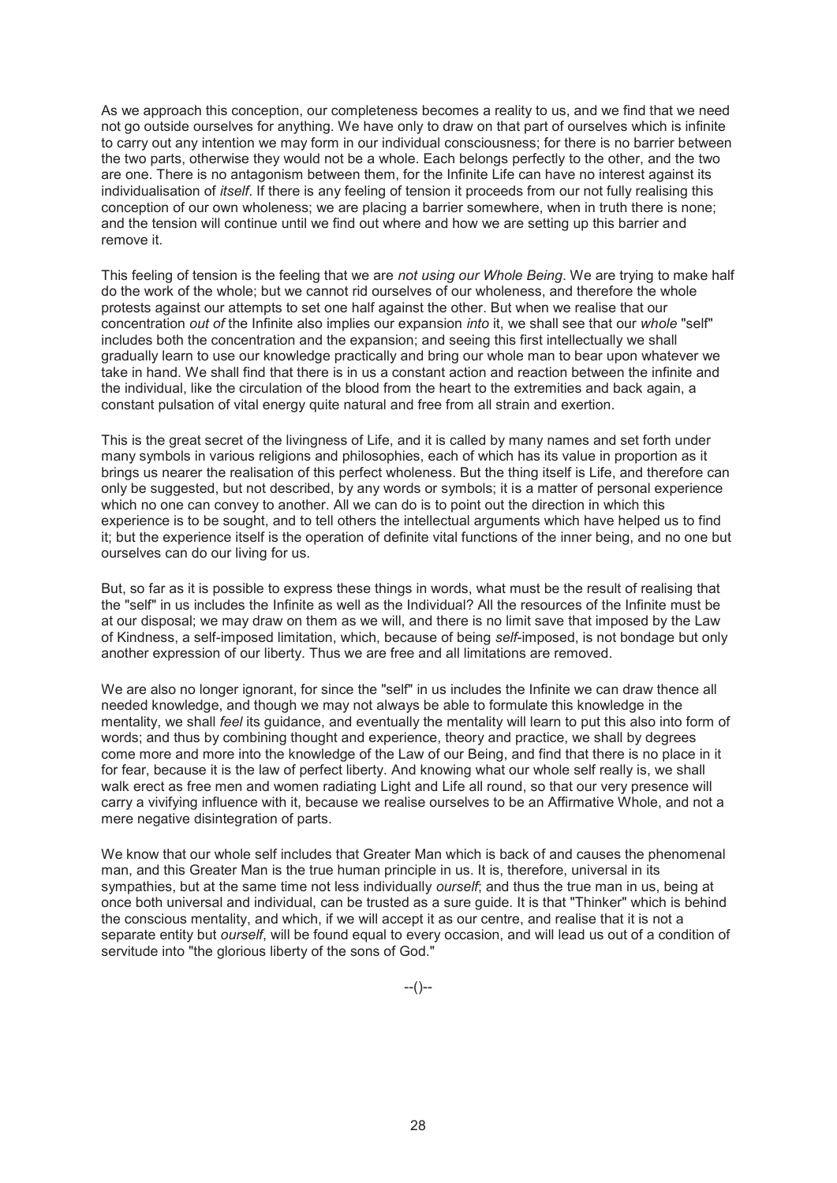As we approach this conception, our completeness becomes a reality to us, and we find that we need not go outside ourselves for anything. We have only to draw on that part of ourselves which is infinite to carry out any intention we may form in our individual consciousness; for there is no barrier between the two parts, otherwise they would not be a whole. Each belongs perfectly to the other, and the two are one. There is no antagonism between them, for the Infinite Life can have no interest against its individualisation of *itself*. If there is any feeling of tension it proceeds from our not fully realising this conception of our own wholeness; we are placing a barrier somewhere, when in truth there is none; and the tension will continue until we find out where and how we are setting up this barrier and remove it.

This feeling of tension is the feeling that we are *not using our Whole Being*. We are trying to make half do the work of the whole; but we cannot rid ourselves of our wholeness, and therefore the whole protests against our attempts to set one half against the other. But when we realise that our concentration *out of* the Infinite also implies our expansion *into* it, we shall see that our *whole* "self" includes both the concentration and the expansion; and seeing this first intellectually we shall gradually learn to use our knowledge practically and bring our whole man to bear upon whatever we take in hand. We shall find that there is in us a constant action and reaction between the infinite and the individual, like the circulation of the blood from the heart to the extremities and back again, a constant pulsation of vital energy quite natural and free from all strain and exertion.

This is the great secret of the livingness of Life, and it is called by many names and set forth under many symbols in various religions and philosophies, each of which has its value in proportion as it brings us nearer the realisation of this perfect wholeness. But the thing itself is Life, and therefore can only be suggested, but not described, by any words or symbols; it is a matter of personal experience which no one can convey to another. All we can do is to point out the direction in which this experience is to be sought, and to tell others the intellectual arguments which have helped us to find it; but the experience itself is the operation of definite vital functions of the inner being, and no one but ourselves can do our living for us.

But, so far as it is possible to express these things in words, what must be the result of realising that the "self" in us includes the Infinite as well as the Individual? All the resources of the Infinite must be at our disposal; we may draw on them as we will, and there is no limit save that imposed by the Law of Kindness, a self-imposed limitation, which, because of being *self*-imposed, is not bondage but only another expression of our liberty. Thus we are free and all limitations are removed.

We are also no longer ignorant, for since the "self" in us includes the Infinite we can draw thence all needed knowledge, and though we may not always be able to formulate this knowledge in the mentality, we shall *feel* its guidance, and eventually the mentality will learn to put this also into form of words; and thus by combining thought and experience, theory and practice, we shall by degrees come more and more into the knowledge of the Law of our Being, and find that there is no place in it for fear, because it is the law of perfect liberty. And knowing what our whole self really is, we shall walk erect as free men and women radiating Light and Life all round, so that our very presence will carry a vivifying influence with it, because we realise ourselves to be an Affirmative Whole, and not a mere negative disintegration of parts.

We know that our whole self includes that Greater Man which is back of and causes the phenomenal man, and this Greater Man is the true human principle in us. It is, therefore, universal in its sympathies, but at the same time not less individually *ourself*; and thus the true man in us, being at once both universal and individual, can be trusted as a sure guide. It is that "Thinker" which is behind the conscious mentality, and which, if we will accept it as our centre, and realise that it is not a separate entity but *ourself*, will be found equal to every occasion, and will lead us out of a condition of servitude into "the glorious liberty of the sons of God."

--()--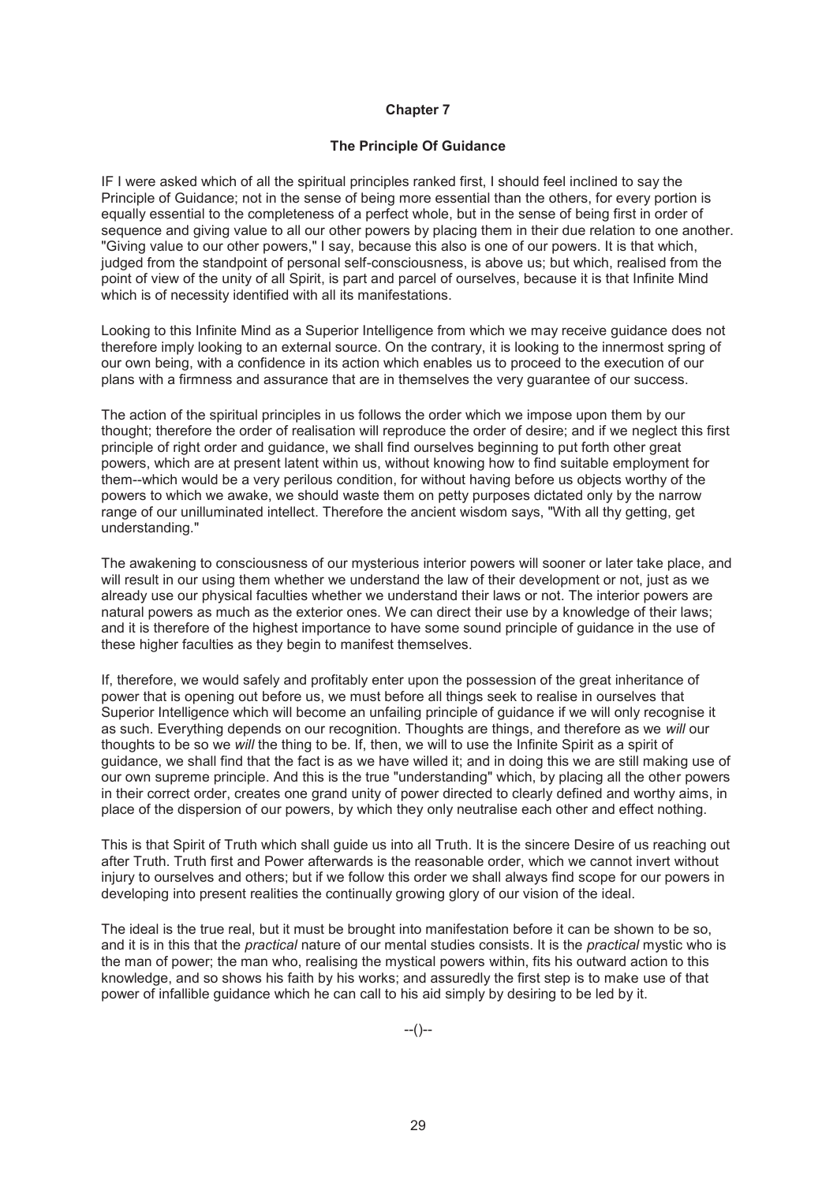# **The Principle Of Guidance**

IF I were asked which of all the spiritual principles ranked first, I should feel inclined to say the Principle of Guidance; not in the sense of being more essential than the others, for every portion is equally essential to the completeness of a perfect whole, but in the sense of being first in order of sequence and giving value to all our other powers by placing them in their due relation to one another. "Giving value to our other powers," I say, because this also is one of our powers. It is that which, judged from the standpoint of personal self-consciousness, is above us; but which, realised from the point of view of the unity of all Spirit, is part and parcel of ourselves, because it is that Infinite Mind which is of necessity identified with all its manifestations.

Looking to this Infinite Mind as a Superior Intelligence from which we may receive guidance does not therefore imply looking to an external source. On the contrary, it is looking to the innermost spring of our own being, with a confidence in its action which enables us to proceed to the execution of our plans with a firmness and assurance that are in themselves the very guarantee of our success.

The action of the spiritual principles in us follows the order which we impose upon them by our thought; therefore the order of realisation will reproduce the order of desire; and if we neglect this first principle of right order and guidance, we shall find ourselves beginning to put forth other great powers, which are at present latent within us, without knowing how to find suitable employment for them--which would be a very perilous condition, for without having before us objects worthy of the powers to which we awake, we should waste them on petty purposes dictated only by the narrow range of our unilluminated intellect. Therefore the ancient wisdom says, "With all thy getting, get understanding."

The awakening to consciousness of our mysterious interior powers will sooner or later take place, and will result in our using them whether we understand the law of their development or not, just as we already use our physical faculties whether we understand their laws or not. The interior powers are natural powers as much as the exterior ones. We can direct their use by a knowledge of their laws; and it is therefore of the highest importance to have some sound principle of guidance in the use of these higher faculties as they begin to manifest themselves.

If, therefore, we would safely and profitably enter upon the possession of the great inheritance of power that is opening out before us, we must before all things seek to realise in ourselves that Superior Intelligence which will become an unfailing principle of guidance if we will only recognise it as such. Everything depends on our recognition. Thoughts are things, and therefore as we *will* our thoughts to be so we *will* the thing to be. If, then, we will to use the Infinite Spirit as a spirit of guidance, we shall find that the fact is as we have willed it; and in doing this we are still making use of our own supreme principle. And this is the true "understanding" which, by placing all the other powers in their correct order, creates one grand unity of power directed to clearly defined and worthy aims, in place of the dispersion of our powers, by which they only neutralise each other and effect nothing.

This is that Spirit of Truth which shall guide us into all Truth. It is the sincere Desire of us reaching out after Truth. Truth first and Power afterwards is the reasonable order, which we cannot invert without injury to ourselves and others; but if we follow this order we shall always find scope for our powers in developing into present realities the continually growing glory of our vision of the ideal.

The ideal is the true real, but it must be brought into manifestation before it can be shown to be so, and it is in this that the *practical* nature of our mental studies consists. It is the *practical* mystic who is the man of power; the man who, realising the mystical powers within, fits his outward action to this knowledge, and so shows his faith by his works; and assuredly the first step is to make use of that power of infallible guidance which he can call to his aid simply by desiring to be led by it.

 $-(-)$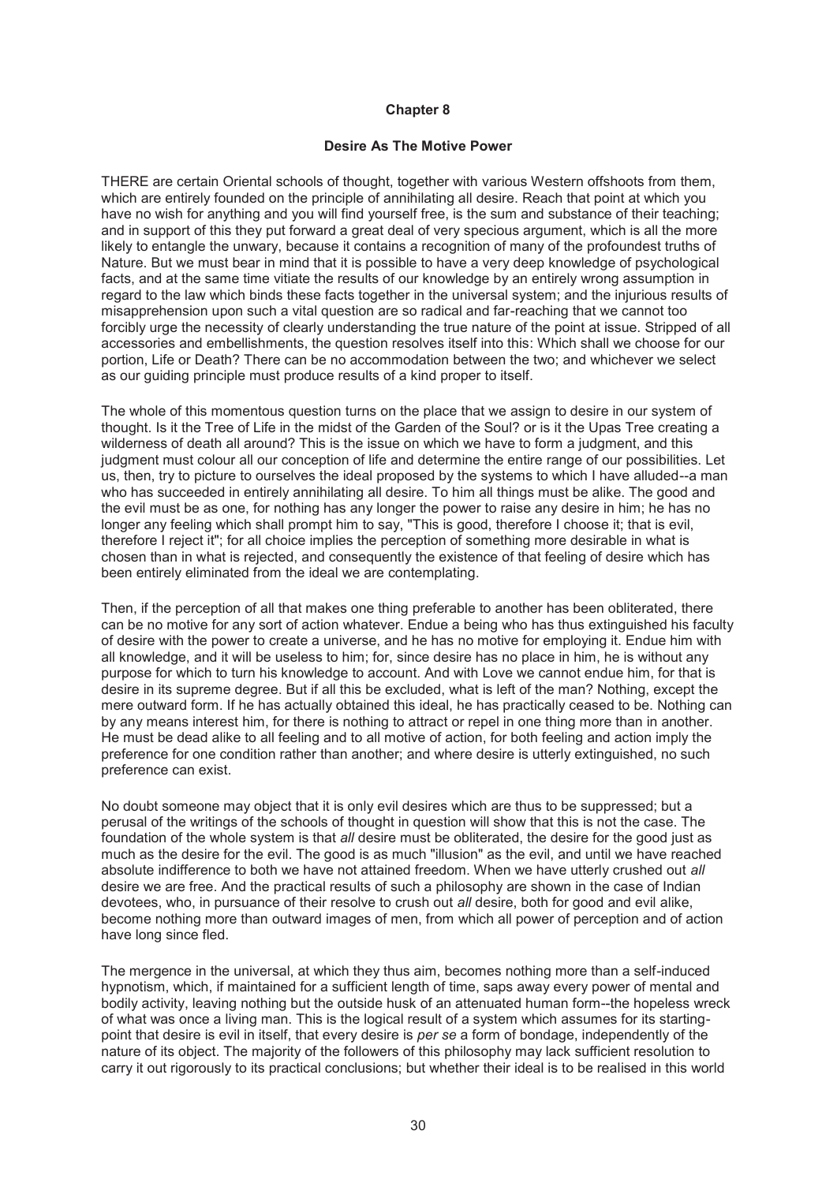# **Desire As The Motive Power**

THERE are certain Oriental schools of thought, together with various Western offshoots from them, which are entirely founded on the principle of annihilating all desire. Reach that point at which you have no wish for anything and you will find yourself free, is the sum and substance of their teaching; and in support of this they put forward a great deal of very specious argument, which is all the more likely to entangle the unwary, because it contains a recognition of many of the profoundest truths of Nature. But we must bear in mind that it is possible to have a very deep knowledge of psychological facts, and at the same time vitiate the results of our knowledge by an entirely wrong assumption in regard to the law which binds these facts together in the universal system; and the injurious results of misapprehension upon such a vital question are so radical and far-reaching that we cannot too forcibly urge the necessity of clearly understanding the true nature of the point at issue. Stripped of all accessories and embellishments, the question resolves itself into this: Which shall we choose for our portion, Life or Death? There can be no accommodation between the two; and whichever we select as our guiding principle must produce results of a kind proper to itself.

The whole of this momentous question turns on the place that we assign to desire in our system of thought. Is it the Tree of Life in the midst of the Garden of the Soul? or is it the Upas Tree creating a wilderness of death all around? This is the issue on which we have to form a judgment, and this judgment must colour all our conception of life and determine the entire range of our possibilities. Let us, then, try to picture to ourselves the ideal proposed by the systems to which I have alluded--a man who has succeeded in entirely annihilating all desire. To him all things must be alike. The good and the evil must be as one, for nothing has any longer the power to raise any desire in him; he has no longer any feeling which shall prompt him to say, "This is good, therefore I choose it; that is evil, therefore I reject it"; for all choice implies the perception of something more desirable in what is chosen than in what is rejected, and consequently the existence of that feeling of desire which has been entirely eliminated from the ideal we are contemplating.

Then, if the perception of all that makes one thing preferable to another has been obliterated, there can be no motive for any sort of action whatever. Endue a being who has thus extinguished his faculty of desire with the power to create a universe, and he has no motive for employing it. Endue him with all knowledge, and it will be useless to him; for, since desire has no place in him, he is without any purpose for which to turn his knowledge to account. And with Love we cannot endue him, for that is desire in its supreme degree. But if all this be excluded, what is left of the man? Nothing, except the mere outward form. If he has actually obtained this ideal, he has practically ceased to be. Nothing can by any means interest him, for there is nothing to attract or repel in one thing more than in another. He must be dead alike to all feeling and to all motive of action, for both feeling and action imply the preference for one condition rather than another; and where desire is utterly extinguished, no such preference can exist.

No doubt someone may object that it is only evil desires which are thus to be suppressed; but a perusal of the writings of the schools of thought in question will show that this is not the case. The foundation of the whole system is that *all* desire must be obliterated, the desire for the good just as much as the desire for the evil. The good is as much "illusion" as the evil, and until we have reached absolute indifference to both we have not attained freedom. When we have utterly crushed out *all* desire we are free. And the practical results of such a philosophy are shown in the case of Indian devotees, who, in pursuance of their resolve to crush out *all* desire, both for good and evil alike, become nothing more than outward images of men, from which all power of perception and of action have long since fled.

The mergence in the universal, at which they thus aim, becomes nothing more than a self-induced hypnotism, which, if maintained for a sufficient length of time, saps away every power of mental and bodily activity, leaving nothing but the outside husk of an attenuated human form--the hopeless wreck of what was once a living man. This is the logical result of a system which assumes for its startingpoint that desire is evil in itself, that every desire is *per se* a form of bondage, independently of the nature of its object. The majority of the followers of this philosophy may lack sufficient resolution to carry it out rigorously to its practical conclusions; but whether their ideal is to be realised in this world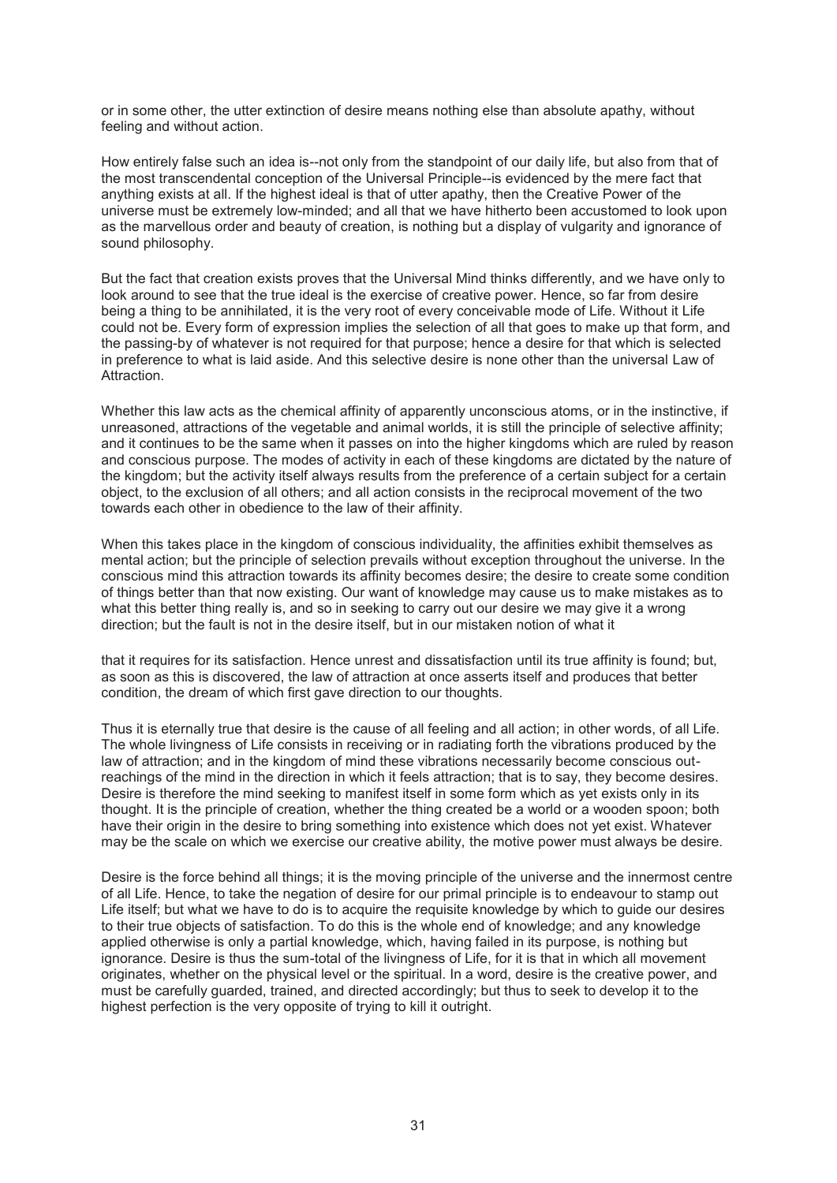or in some other, the utter extinction of desire means nothing else than absolute apathy, without feeling and without action.

How entirely false such an idea is--not only from the standpoint of our daily life, but also from that of the most transcendental conception of the Universal Principle--is evidenced by the mere fact that anything exists at all. If the highest ideal is that of utter apathy, then the Creative Power of the universe must be extremely low-minded; and all that we have hitherto been accustomed to look upon as the marvellous order and beauty of creation, is nothing but a display of vulgarity and ignorance of sound philosophy.

But the fact that creation exists proves that the Universal Mind thinks differently, and we have only to look around to see that the true ideal is the exercise of creative power. Hence, so far from desire being a thing to be annihilated, it is the very root of every conceivable mode of Life. Without it Life could not be. Every form of expression implies the selection of all that goes to make up that form, and the passing-by of whatever is not required for that purpose; hence a desire for that which is selected in preference to what is laid aside. And this selective desire is none other than the universal Law of Attraction.

Whether this law acts as the chemical affinity of apparently unconscious atoms, or in the instinctive, if unreasoned, attractions of the vegetable and animal worlds, it is still the principle of selective affinity; and it continues to be the same when it passes on into the higher kingdoms which are ruled by reason and conscious purpose. The modes of activity in each of these kingdoms are dictated by the nature of the kingdom; but the activity itself always results from the preference of a certain subject for a certain object, to the exclusion of all others; and all action consists in the reciprocal movement of the two towards each other in obedience to the law of their affinity.

When this takes place in the kingdom of conscious individuality, the affinities exhibit themselves as mental action; but the principle of selection prevails without exception throughout the universe. In the conscious mind this attraction towards its affinity becomes desire; the desire to create some condition of things better than that now existing. Our want of knowledge may cause us to make mistakes as to what this better thing really is, and so in seeking to carry out our desire we may give it a wrong direction; but the fault is not in the desire itself, but in our mistaken notion of what it

that it requires for its satisfaction. Hence unrest and dissatisfaction until its true affinity is found; but, as soon as this is discovered, the law of attraction at once asserts itself and produces that better condition, the dream of which first gave direction to our thoughts.

Thus it is eternally true that desire is the cause of all feeling and all action; in other words, of all Life. The whole livingness of Life consists in receiving or in radiating forth the vibrations produced by the law of attraction; and in the kingdom of mind these vibrations necessarily become conscious outreachings of the mind in the direction in which it feels attraction; that is to say, they become desires. Desire is therefore the mind seeking to manifest itself in some form which as yet exists only in its thought. It is the principle of creation, whether the thing created be a world or a wooden spoon; both have their origin in the desire to bring something into existence which does not yet exist. Whatever may be the scale on which we exercise our creative ability, the motive power must always be desire.

Desire is the force behind all things; it is the moving principle of the universe and the innermost centre of all Life. Hence, to take the negation of desire for our primal principle is to endeavour to stamp out Life itself; but what we have to do is to acquire the requisite knowledge by which to guide our desires to their true objects of satisfaction. To do this is the whole end of knowledge; and any knowledge applied otherwise is only a partial knowledge, which, having failed in its purpose, is nothing but ignorance. Desire is thus the sum-total of the livingness of Life, for it is that in which all movement originates, whether on the physical level or the spiritual. In a word, desire is the creative power, and must be carefully guarded, trained, and directed accordingly; but thus to seek to develop it to the highest perfection is the very opposite of trying to kill it outright.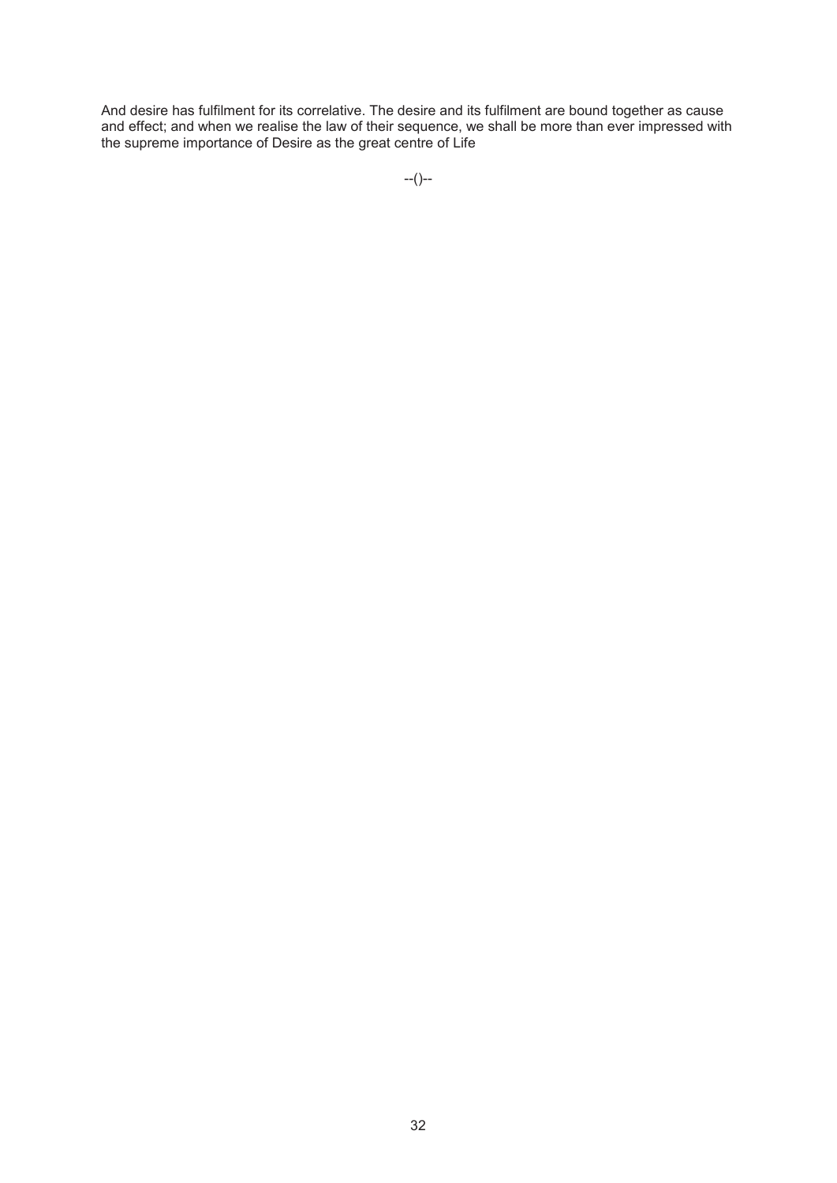And desire has fulfilment for its correlative. The desire and its fulfilment are bound together as cause and effect; and when we realise the law of their sequence, we shall be more than ever impressed with the supreme importance of Desire as the great centre of Life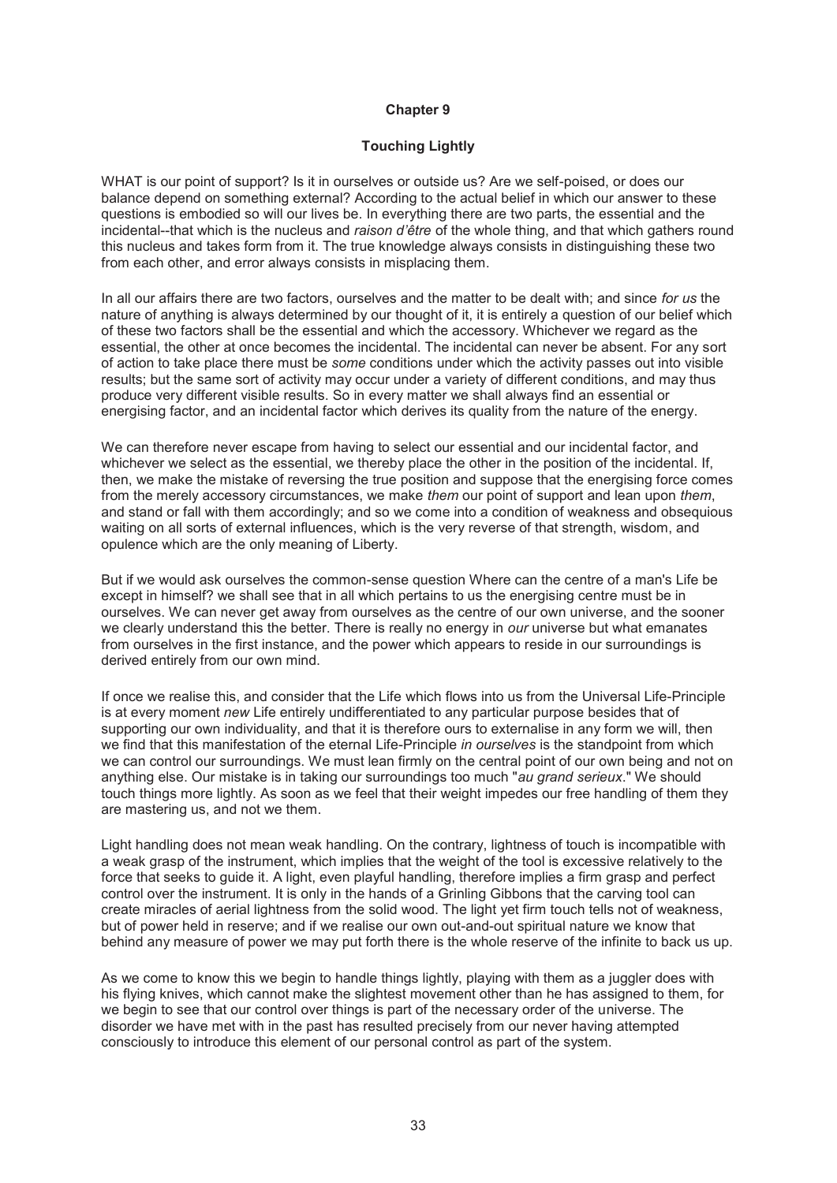# **Touching Lightly**

WHAT is our point of support? Is it in ourselves or outside us? Are we self-poised, or does our balance depend on something external? According to the actual belief in which our answer to these questions is embodied so will our lives be. In everything there are two parts, the essential and the incidental--that which is the nucleus and *raison d'être* of the whole thing, and that which gathers round this nucleus and takes form from it. The true knowledge always consists in distinguishing these two from each other, and error always consists in misplacing them.

In all our affairs there are two factors, ourselves and the matter to be dealt with; and since *for us* the nature of anything is always determined by our thought of it, it is entirely a question of our belief which of these two factors shall be the essential and which the accessory. Whichever we regard as the essential, the other at once becomes the incidental. The incidental can never be absent. For any sort of action to take place there must be *some* conditions under which the activity passes out into visible results; but the same sort of activity may occur under a variety of different conditions, and may thus produce very different visible results. So in every matter we shall always find an essential or energising factor, and an incidental factor which derives its quality from the nature of the energy.

We can therefore never escape from having to select our essential and our incidental factor, and whichever we select as the essential, we thereby place the other in the position of the incidental. If, then, we make the mistake of reversing the true position and suppose that the energising force comes from the merely accessory circumstances, we make *them* our point of support and lean upon *them*, and stand or fall with them accordingly; and so we come into a condition of weakness and obsequious waiting on all sorts of external influences, which is the very reverse of that strength, wisdom, and opulence which are the only meaning of Liberty.

But if we would ask ourselves the common-sense question Where can the centre of a man's Life be except in himself? we shall see that in all which pertains to us the energising centre must be in ourselves. We can never get away from ourselves as the centre of our own universe, and the sooner we clearly understand this the better. There is really no energy in *our* universe but what emanates from ourselves in the first instance, and the power which appears to reside in our surroundings is derived entirely from our own mind.

If once we realise this, and consider that the Life which flows into us from the Universal Life-Principle is at every moment *new* Life entirely undifferentiated to any particular purpose besides that of supporting our own individuality, and that it is therefore ours to externalise in any form we will, then we find that this manifestation of the eternal Life-Principle *in ourselves* is the standpoint from which we can control our surroundings. We must lean firmly on the central point of our own being and not on anything else. Our mistake is in taking our surroundings too much "*au grand serieux*." We should touch things more lightly. As soon as we feel that their weight impedes our free handling of them they are mastering us, and not we them.

Light handling does not mean weak handling. On the contrary, lightness of touch is incompatible with a weak grasp of the instrument, which implies that the weight of the tool is excessive relatively to the force that seeks to guide it. A light, even playful handling, therefore implies a firm grasp and perfect control over the instrument. It is only in the hands of a Grinling Gibbons that the carving tool can create miracles of aerial lightness from the solid wood. The light yet firm touch tells not of weakness, but of power held in reserve; and if we realise our own out-and-out spiritual nature we know that behind any measure of power we may put forth there is the whole reserve of the infinite to back us up.

As we come to know this we begin to handle things lightly, playing with them as a juggler does with his flying knives, which cannot make the slightest movement other than he has assigned to them, for we begin to see that our control over things is part of the necessary order of the universe. The disorder we have met with in the past has resulted precisely from our never having attempted consciously to introduce this element of our personal control as part of the system.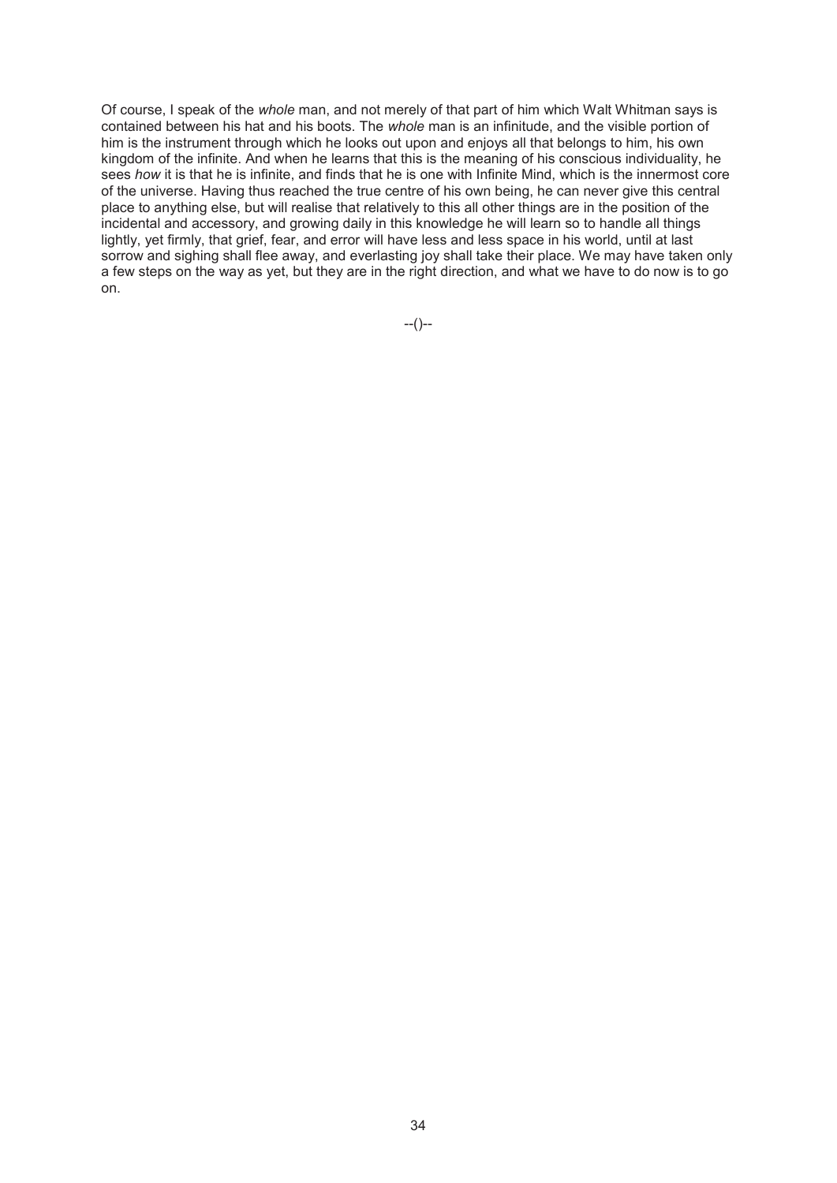Of course, I speak of the *whole* man, and not merely of that part of him which Walt Whitman says is contained between his hat and his boots. The *whole* man is an infinitude, and the visible portion of him is the instrument through which he looks out upon and enjoys all that belongs to him, his own kingdom of the infinite. And when he learns that this is the meaning of his conscious individuality, he sees *how* it is that he is infinite, and finds that he is one with Infinite Mind, which is the innermost core of the universe. Having thus reached the true centre of his own being, he can never give this central place to anything else, but will realise that relatively to this all other things are in the position of the incidental and accessory, and growing daily in this knowledge he will learn so to handle all things lightly, yet firmly, that grief, fear, and error will have less and less space in his world, until at last sorrow and sighing shall flee away, and everlasting joy shall take their place. We may have taken only a few steps on the way as yet, but they are in the right direction, and what we have to do now is to go on.

--()--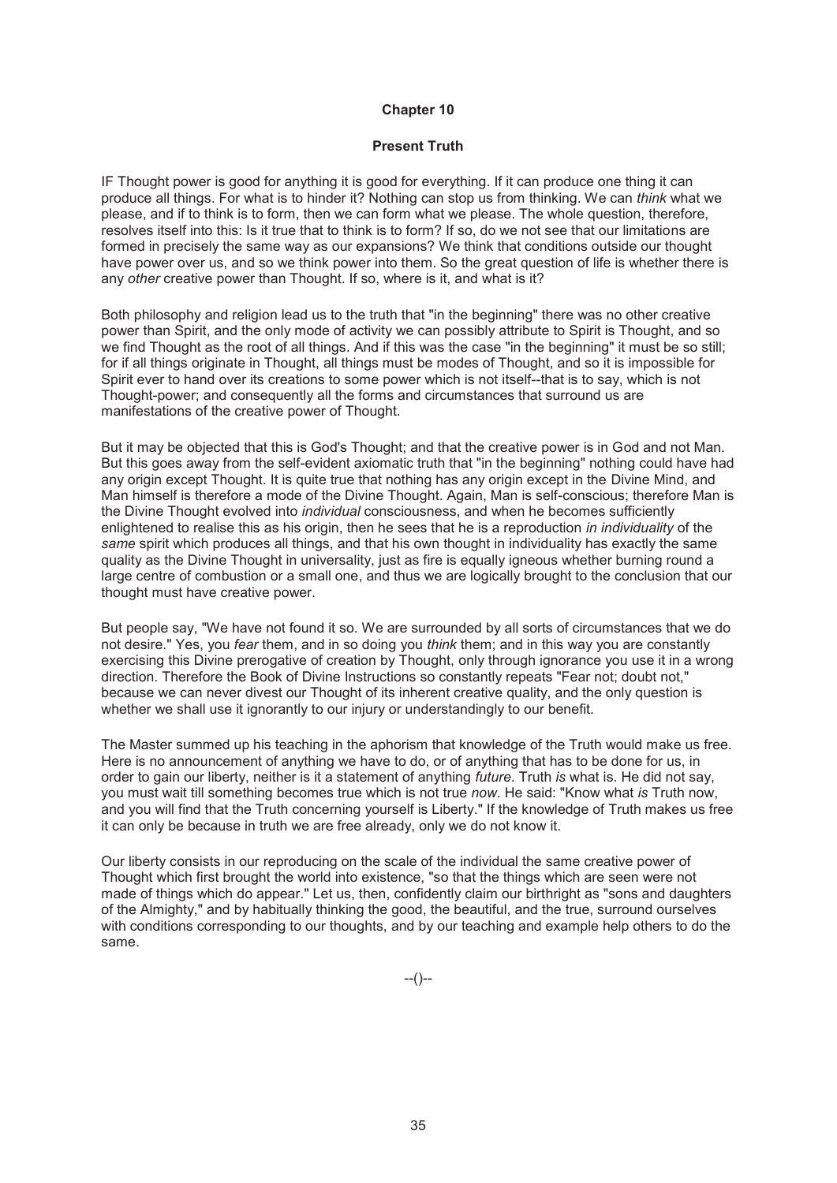### **Present Truth**

IF Thought power is good for anything it is good for everything. If it can produce one thing it can produce all things. For what is to hinder it? Nothing can stop us from thinking. We can *think* what we please, and if to think is to form, then we can form what we please. The whole question, therefore, resolves itself into this: Is it true that to think is to form? If so, do we not see that our limitations are formed in precisely the same way as our expansions? We think that conditions outside our thought have power over us, and so we think power into them. So the great question of life is whether there is any *other* creative power than Thought. If so, where is it, and what is it?

Both philosophy and religion lead us to the truth that "in the beginning" there was no other creative power than Spirit, and the only mode of activity we can possibly attribute to Spirit is Thought, and so we find Thought as the root of all things. And if this was the case "in the beginning" it must be so still; for if all things originate in Thought, all things must be modes of Thought, and so it is impossible for Spirit ever to hand over its creations to some power which is not itself--that is to say, which is not Thought-power; and consequently all the forms and circumstances that surround us are manifestations of the creative power of Thought.

But it may be objected that this is God's Thought; and that the creative power is in God and not Man. But this goes away from the self-evident axiomatic truth that "in the beginning" nothing could have had any origin except Thought. It is quite true that nothing has any origin except in the Divine Mind, and Man himself is therefore a mode of the Divine Thought. Again, Man is self-conscious; therefore Man is the Divine Thought evolved into *individual* consciousness, and when he becomes sufficiently enlightened to realise this as his origin, then he sees that he is a reproduction *in individuality* of the *same* spirit which produces all things, and that his own thought in individuality has exactly the same quality as the Divine Thought in universality, just as fire is equally igneous whether burning round a large centre of combustion or a small one, and thus we are logically brought to the conclusion that our thought must have creative power.

But people say, "We have not found it so. We are surrounded by all sorts of circumstances that we do not desire." Yes, you *fear* them, and in so doing you *think* them; and in this way you are constantly exercising this Divine prerogative of creation by Thought, only through ignorance you use it in a wrong direction. Therefore the Book of Divine Instructions so constantly repeats "Fear not; doubt not," because we can never divest our Thought of its inherent creative quality, and the only question is whether we shall use it ignorantly to our injury or understandingly to our benefit.

The Master summed up his teaching in the aphorism that knowledge of the Truth would make us free. Here is no announcement of anything we have to do, or of anything that has to be done for us, in order to gain our liberty, neither is it a statement of anything *future*. Truth *is* what is. He did not say, you must wait till something becomes true which is not true *now*. He said: "Know what *is* Truth now, and you will find that the Truth concerning yourself is Liberty." If the knowledge of Truth makes us free it can only be because in truth we are free already, only we do not know it.

Our liberty consists in our reproducing on the scale of the individual the same creative power of Thought which first brought the world into existence, "so that the things which are seen were not made of things which do appear." Let us, then, confidently claim our birthright as "sons and daughters of the Almighty," and by habitually thinking the good, the beautiful, and the true, surround ourselves with conditions corresponding to our thoughts, and by our teaching and example help others to do the same.

--()--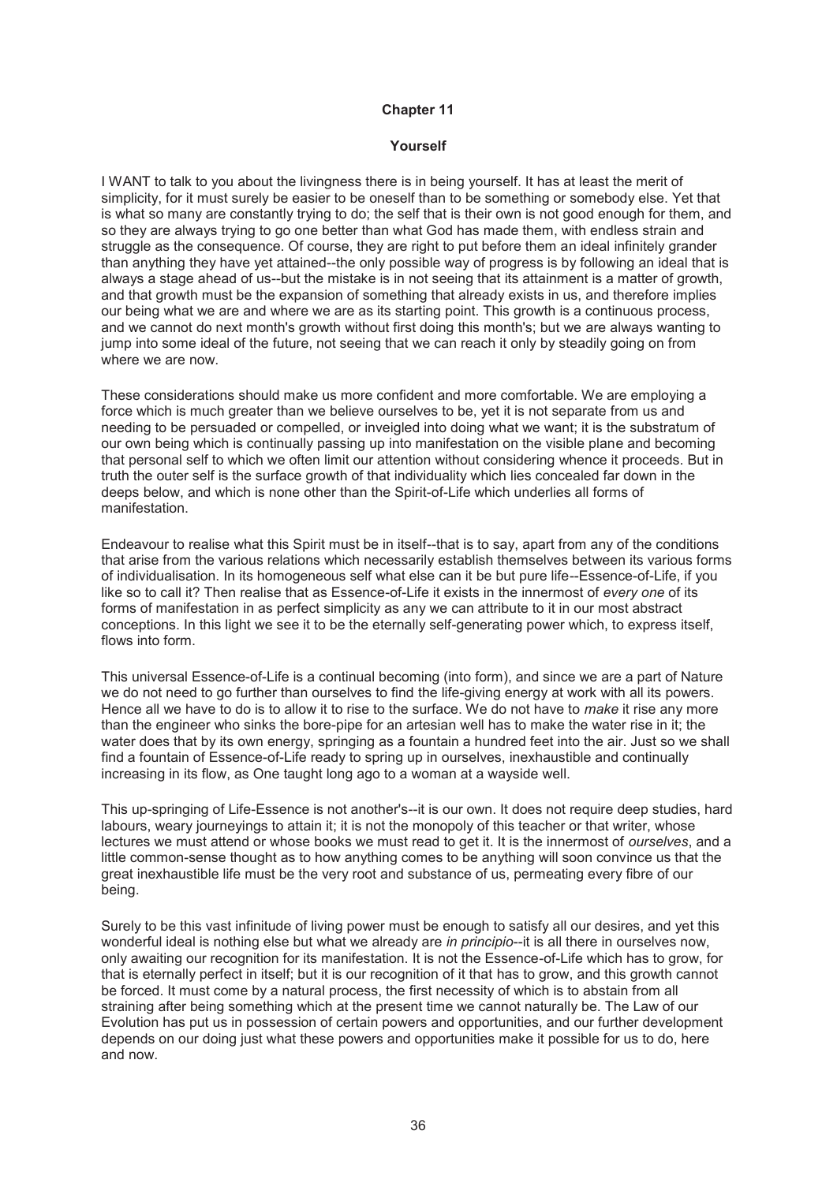### **Yourself**

I WANT to talk to you about the livingness there is in being yourself. It has at least the merit of simplicity, for it must surely be easier to be oneself than to be something or somebody else. Yet that is what so many are constantly trying to do; the self that is their own is not good enough for them, and so they are always trying to go one better than what God has made them, with endless strain and struggle as the consequence. Of course, they are right to put before them an ideal infinitely grander than anything they have yet attained--the only possible way of progress is by following an ideal that is always a stage ahead of us--but the mistake is in not seeing that its attainment is a matter of growth, and that growth must be the expansion of something that already exists in us, and therefore implies our being what we are and where we are as its starting point. This growth is a continuous process, and we cannot do next month's growth without first doing this month's; but we are always wanting to jump into some ideal of the future, not seeing that we can reach it only by steadily going on from where we are now.

These considerations should make us more confident and more comfortable. We are employing a force which is much greater than we believe ourselves to be, yet it is not separate from us and needing to be persuaded or compelled, or inveigled into doing what we want; it is the substratum of our own being which is continually passing up into manifestation on the visible plane and becoming that personal self to which we often limit our attention without considering whence it proceeds. But in truth the outer self is the surface growth of that individuality which lies concealed far down in the deeps below, and which is none other than the Spirit-of-Life which underlies all forms of manifestation.

Endeavour to realise what this Spirit must be in itself--that is to say, apart from any of the conditions that arise from the various relations which necessarily establish themselves between its various forms of individualisation. In its homogeneous self what else can it be but pure life--Essence-of-Life, if you like so to call it? Then realise that as Essence-of-Life it exists in the innermost of *every one* of its forms of manifestation in as perfect simplicity as any we can attribute to it in our most abstract conceptions. In this light we see it to be the eternally self-generating power which, to express itself, flows into form.

This universal Essence-of-Life is a continual becoming (into form), and since we are a part of Nature we do not need to go further than ourselves to find the life-giving energy at work with all its powers. Hence all we have to do is to allow it to rise to the surface. We do not have to *make* it rise any more than the engineer who sinks the bore-pipe for an artesian well has to make the water rise in it; the water does that by its own energy, springing as a fountain a hundred feet into the air. Just so we shall find a fountain of Essence-of-Life ready to spring up in ourselves, inexhaustible and continually increasing in its flow, as One taught long ago to a woman at a wayside well.

This up-springing of Life-Essence is not another's--it is our own. It does not require deep studies, hard labours, weary journeyings to attain it; it is not the monopoly of this teacher or that writer, whose lectures we must attend or whose books we must read to get it. It is the innermost of *ourselves*, and a little common-sense thought as to how anything comes to be anything will soon convince us that the great inexhaustible life must be the very root and substance of us, permeating every fibre of our being.

Surely to be this vast infinitude of living power must be enough to satisfy all our desires, and yet this wonderful ideal is nothing else but what we already are *in principio*--it is all there in ourselves now, only awaiting our recognition for its manifestation. It is not the Essence-of-Life which has to grow, for that is eternally perfect in itself; but it is our recognition of it that has to grow, and this growth cannot be forced. It must come by a natural process, the first necessity of which is to abstain from all straining after being something which at the present time we cannot naturally be. The Law of our Evolution has put us in possession of certain powers and opportunities, and our further development depends on our doing just what these powers and opportunities make it possible for us to do, here and now.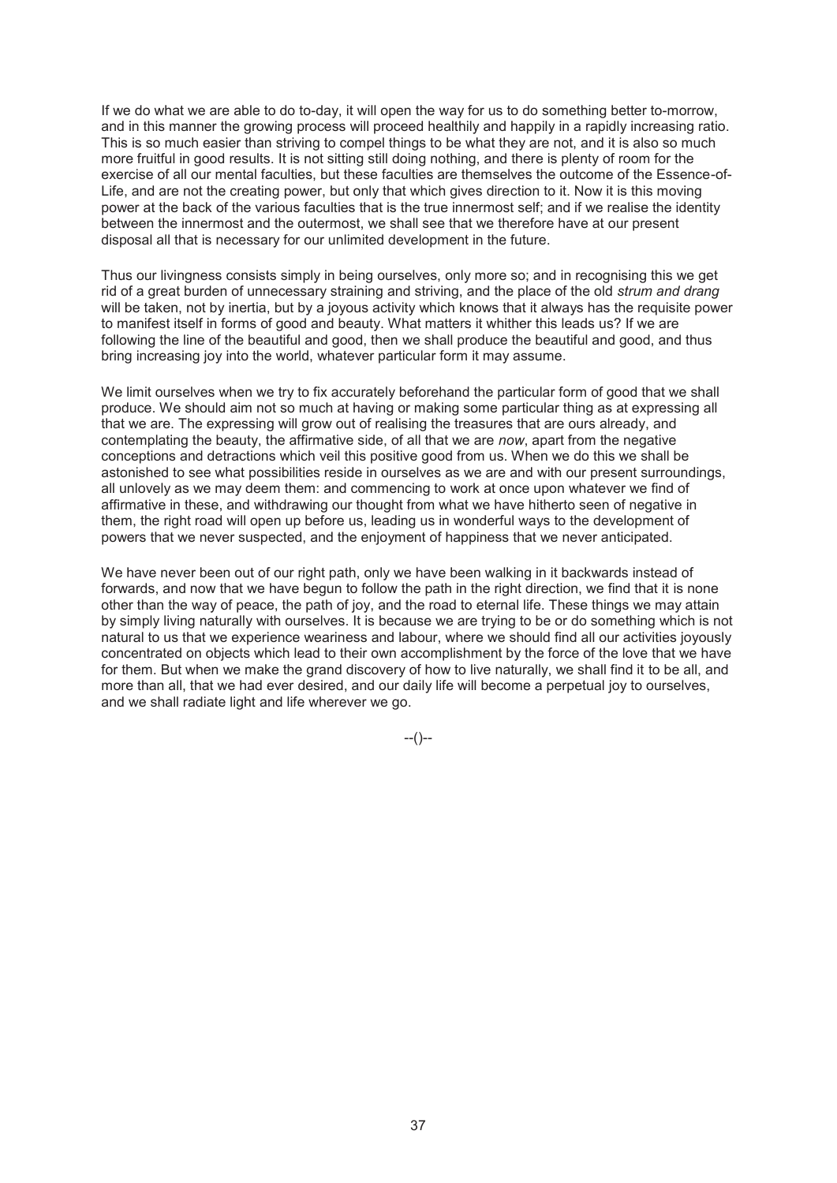If we do what we are able to do to-day, it will open the way for us to do something better to-morrow, and in this manner the growing process will proceed healthily and happily in a rapidly increasing ratio. This is so much easier than striving to compel things to be what they are not, and it is also so much more fruitful in good results. It is not sitting still doing nothing, and there is plenty of room for the exercise of all our mental faculties, but these faculties are themselves the outcome of the Essence-of-Life, and are not the creating power, but only that which gives direction to it. Now it is this moving power at the back of the various faculties that is the true innermost self; and if we realise the identity between the innermost and the outermost, we shall see that we therefore have at our present disposal all that is necessary for our unlimited development in the future.

Thus our livingness consists simply in being ourselves, only more so; and in recognising this we get rid of a great burden of unnecessary straining and striving, and the place of the old *strum and drang* will be taken, not by inertia, but by a joyous activity which knows that it always has the requisite power to manifest itself in forms of good and beauty. What matters it whither this leads us? If we are following the line of the beautiful and good, then we shall produce the beautiful and good, and thus bring increasing joy into the world, whatever particular form it may assume.

We limit ourselves when we try to fix accurately beforehand the particular form of good that we shall produce. We should aim not so much at having or making some particular thing as at expressing all that we are. The expressing will grow out of realising the treasures that are ours already, and contemplating the beauty, the affirmative side, of all that we are *now*, apart from the negative conceptions and detractions which veil this positive good from us. When we do this we shall be astonished to see what possibilities reside in ourselves as we are and with our present surroundings, all unlovely as we may deem them: and commencing to work at once upon whatever we find of affirmative in these, and withdrawing our thought from what we have hitherto seen of negative in them, the right road will open up before us, leading us in wonderful ways to the development of powers that we never suspected, and the enjoyment of happiness that we never anticipated.

We have never been out of our right path, only we have been walking in it backwards instead of forwards, and now that we have begun to follow the path in the right direction, we find that it is none other than the way of peace, the path of joy, and the road to eternal life. These things we may attain by simply living naturally with ourselves. It is because we are trying to be or do something which is not natural to us that we experience weariness and labour, where we should find all our activities joyously concentrated on objects which lead to their own accomplishment by the force of the love that we have for them. But when we make the grand discovery of how to live naturally, we shall find it to be all, and more than all, that we had ever desired, and our daily life will become a perpetual joy to ourselves, and we shall radiate light and life wherever we go.

 $-(-)$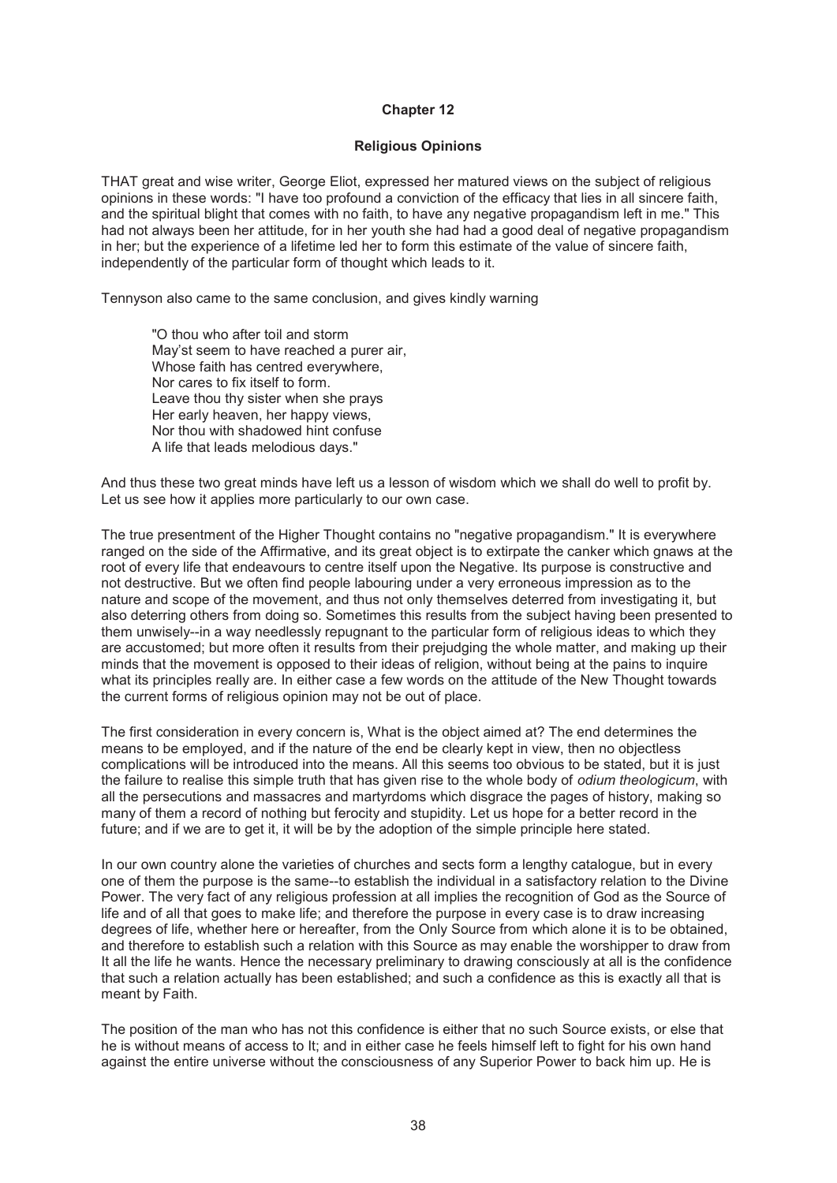## **Religious Opinions**

THAT great and wise writer, George Eliot, expressed her matured views on the subject of religious opinions in these words: "I have too profound a conviction of the efficacy that lies in all sincere faith, and the spiritual blight that comes with no faith, to have any negative propagandism left in me." This had not always been her attitude, for in her youth she had had a good deal of negative propagandism in her; but the experience of a lifetime led her to form this estimate of the value of sincere faith, independently of the particular form of thought which leads to it.

Tennyson also came to the same conclusion, and gives kindly warning

"O thou who after toil and storm May'st seem to have reached a purer air, Whose faith has centred everywhere, Nor cares to fix itself to form. Leave thou thy sister when she prays Her early heaven, her happy views, Nor thou with shadowed hint confuse A life that leads melodious days."

And thus these two great minds have left us a lesson of wisdom which we shall do well to profit by. Let us see how it applies more particularly to our own case.

The true presentment of the Higher Thought contains no "negative propagandism." It is everywhere ranged on the side of the Affirmative, and its great object is to extirpate the canker which gnaws at the root of every life that endeavours to centre itself upon the Negative. Its purpose is constructive and not destructive. But we often find people labouring under a very erroneous impression as to the nature and scope of the movement, and thus not only themselves deterred from investigating it, but also deterring others from doing so. Sometimes this results from the subject having been presented to them unwisely--in a way needlessly repugnant to the particular form of religious ideas to which they are accustomed; but more often it results from their prejudging the whole matter, and making up their minds that the movement is opposed to their ideas of religion, without being at the pains to inquire what its principles really are. In either case a few words on the attitude of the New Thought towards the current forms of religious opinion may not be out of place.

The first consideration in every concern is, What is the object aimed at? The end determines the means to be employed, and if the nature of the end be clearly kept in view, then no objectless complications will be introduced into the means. All this seems too obvious to be stated, but it is just the failure to realise this simple truth that has given rise to the whole body of *odium theologicum*, with all the persecutions and massacres and martyrdoms which disgrace the pages of history, making so many of them a record of nothing but ferocity and stupidity. Let us hope for a better record in the future; and if we are to get it, it will be by the adoption of the simple principle here stated.

In our own country alone the varieties of churches and sects form a lengthy catalogue, but in every one of them the purpose is the same--to establish the individual in a satisfactory relation to the Divine Power. The very fact of any religious profession at all implies the recognition of God as the Source of life and of all that goes to make life; and therefore the purpose in every case is to draw increasing degrees of life, whether here or hereafter, from the Only Source from which alone it is to be obtained, and therefore to establish such a relation with this Source as may enable the worshipper to draw from It all the life he wants. Hence the necessary preliminary to drawing consciously at all is the confidence that such a relation actually has been established; and such a confidence as this is exactly all that is meant by Faith.

The position of the man who has not this confidence is either that no such Source exists, or else that he is without means of access to It; and in either case he feels himself left to fight for his own hand against the entire universe without the consciousness of any Superior Power to back him up. He is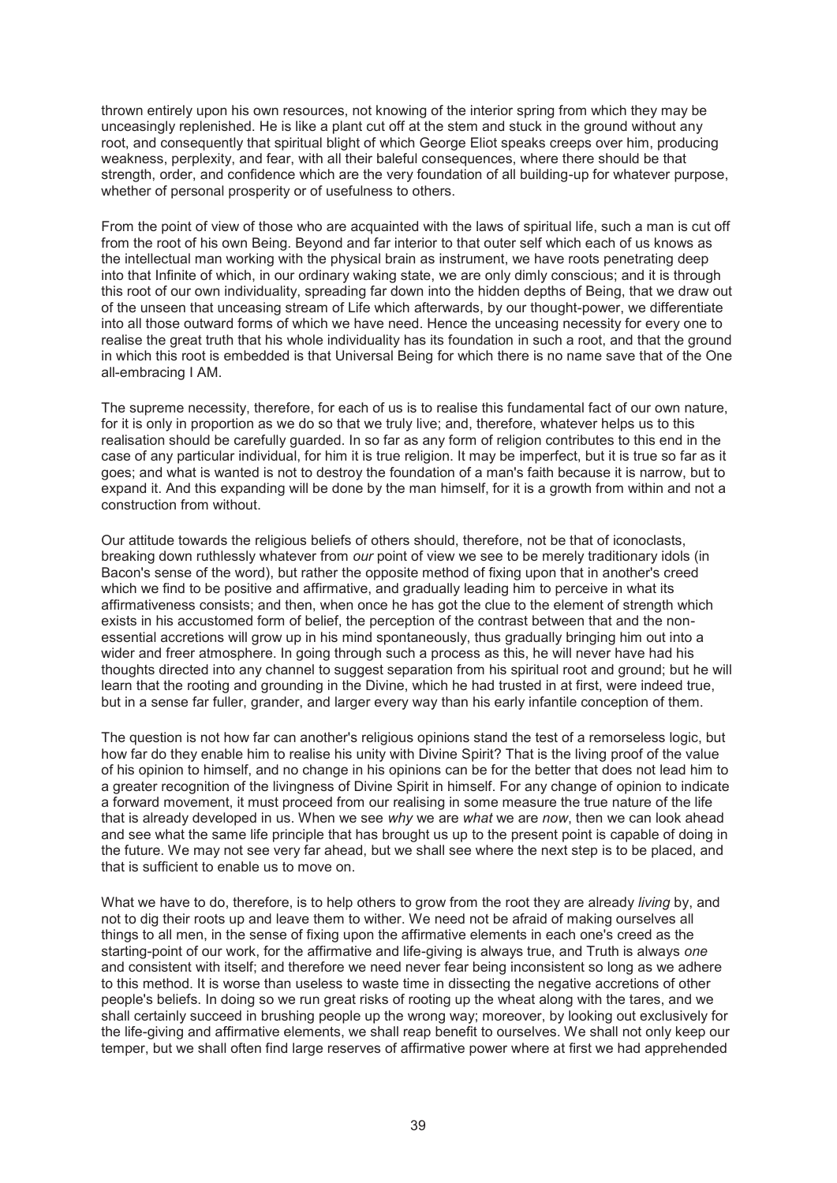thrown entirely upon his own resources, not knowing of the interior spring from which they may be unceasingly replenished. He is like a plant cut off at the stem and stuck in the ground without any root, and consequently that spiritual blight of which George Eliot speaks creeps over him, producing weakness, perplexity, and fear, with all their baleful consequences, where there should be that strength, order, and confidence which are the very foundation of all building-up for whatever purpose, whether of personal prosperity or of usefulness to others.

From the point of view of those who are acquainted with the laws of spiritual life, such a man is cut off from the root of his own Being. Beyond and far interior to that outer self which each of us knows as the intellectual man working with the physical brain as instrument, we have roots penetrating deep into that Infinite of which, in our ordinary waking state, we are only dimly conscious; and it is through this root of our own individuality, spreading far down into the hidden depths of Being, that we draw out of the unseen that unceasing stream of Life which afterwards, by our thought-power, we differentiate into all those outward forms of which we have need. Hence the unceasing necessity for every one to realise the great truth that his whole individuality has its foundation in such a root, and that the ground in which this root is embedded is that Universal Being for which there is no name save that of the One all-embracing I AM.

The supreme necessity, therefore, for each of us is to realise this fundamental fact of our own nature, for it is only in proportion as we do so that we truly live; and, therefore, whatever helps us to this realisation should be carefully guarded. In so far as any form of religion contributes to this end in the case of any particular individual, for him it is true religion. It may be imperfect, but it is true so far as it goes; and what is wanted is not to destroy the foundation of a man's faith because it is narrow, but to expand it. And this expanding will be done by the man himself, for it is a growth from within and not a construction from without.

Our attitude towards the religious beliefs of others should, therefore, not be that of iconoclasts, breaking down ruthlessly whatever from *our* point of view we see to be merely traditionary idols (in Bacon's sense of the word), but rather the opposite method of fixing upon that in another's creed which we find to be positive and affirmative, and gradually leading him to perceive in what its affirmativeness consists; and then, when once he has got the clue to the element of strength which exists in his accustomed form of belief, the perception of the contrast between that and the nonessential accretions will grow up in his mind spontaneously, thus gradually bringing him out into a wider and freer atmosphere. In going through such a process as this, he will never have had his thoughts directed into any channel to suggest separation from his spiritual root and ground; but he will learn that the rooting and grounding in the Divine, which he had trusted in at first, were indeed true, but in a sense far fuller, grander, and larger every way than his early infantile conception of them.

The question is not how far can another's religious opinions stand the test of a remorseless logic, but how far do they enable him to realise his unity with Divine Spirit? That is the living proof of the value of his opinion to himself, and no change in his opinions can be for the better that does not lead him to a greater recognition of the livingness of Divine Spirit in himself. For any change of opinion to indicate a forward movement, it must proceed from our realising in some measure the true nature of the life that is already developed in us. When we see *why* we are *what* we are *now*, then we can look ahead and see what the same life principle that has brought us up to the present point is capable of doing in the future. We may not see very far ahead, but we shall see where the next step is to be placed, and that is sufficient to enable us to move on.

What we have to do, therefore, is to help others to grow from the root they are already *living* by, and not to dig their roots up and leave them to wither. We need not be afraid of making ourselves all things to all men, in the sense of fixing upon the affirmative elements in each one's creed as the starting-point of our work, for the affirmative and life-giving is always true, and Truth is always *one* and consistent with itself; and therefore we need never fear being inconsistent so long as we adhere to this method. It is worse than useless to waste time in dissecting the negative accretions of other people's beliefs. In doing so we run great risks of rooting up the wheat along with the tares, and we shall certainly succeed in brushing people up the wrong way; moreover, by looking out exclusively for the life-giving and affirmative elements, we shall reap benefit to ourselves. We shall not only keep our temper, but we shall often find large reserves of affirmative power where at first we had apprehended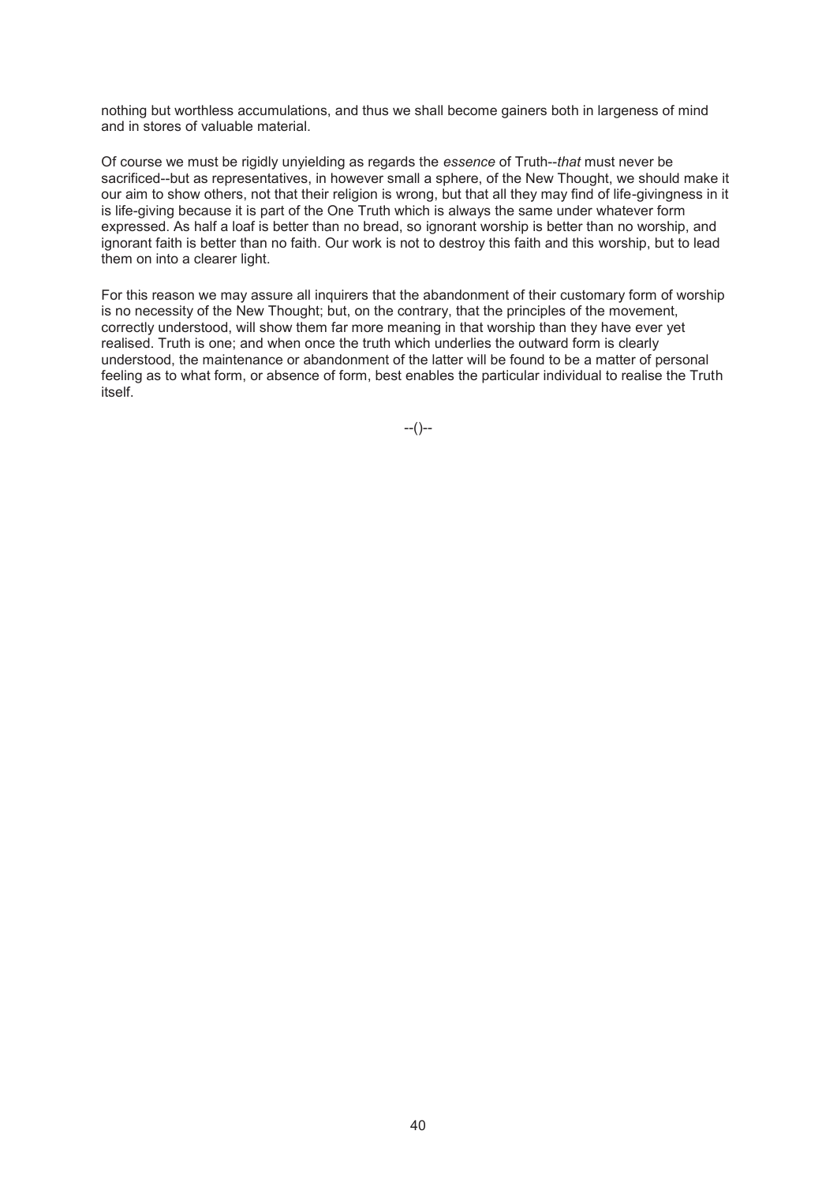nothing but worthless accumulations, and thus we shall become gainers both in largeness of mind and in stores of valuable material.

Of course we must be rigidly unyielding as regards the *essence* of Truth--*that* must never be sacrificed--but as representatives, in however small a sphere, of the New Thought, we should make it our aim to show others, not that their religion is wrong, but that all they may find of life-givingness in it is life-giving because it is part of the One Truth which is always the same under whatever form expressed. As half a loaf is better than no bread, so ignorant worship is better than no worship, and ignorant faith is better than no faith. Our work is not to destroy this faith and this worship, but to lead them on into a clearer light.

For this reason we may assure all inquirers that the abandonment of their customary form of worship is no necessity of the New Thought; but, on the contrary, that the principles of the movement, correctly understood, will show them far more meaning in that worship than they have ever yet realised. Truth is one; and when once the truth which underlies the outward form is clearly understood, the maintenance or abandonment of the latter will be found to be a matter of personal feeling as to what form, or absence of form, best enables the particular individual to realise the Truth itself.

--()--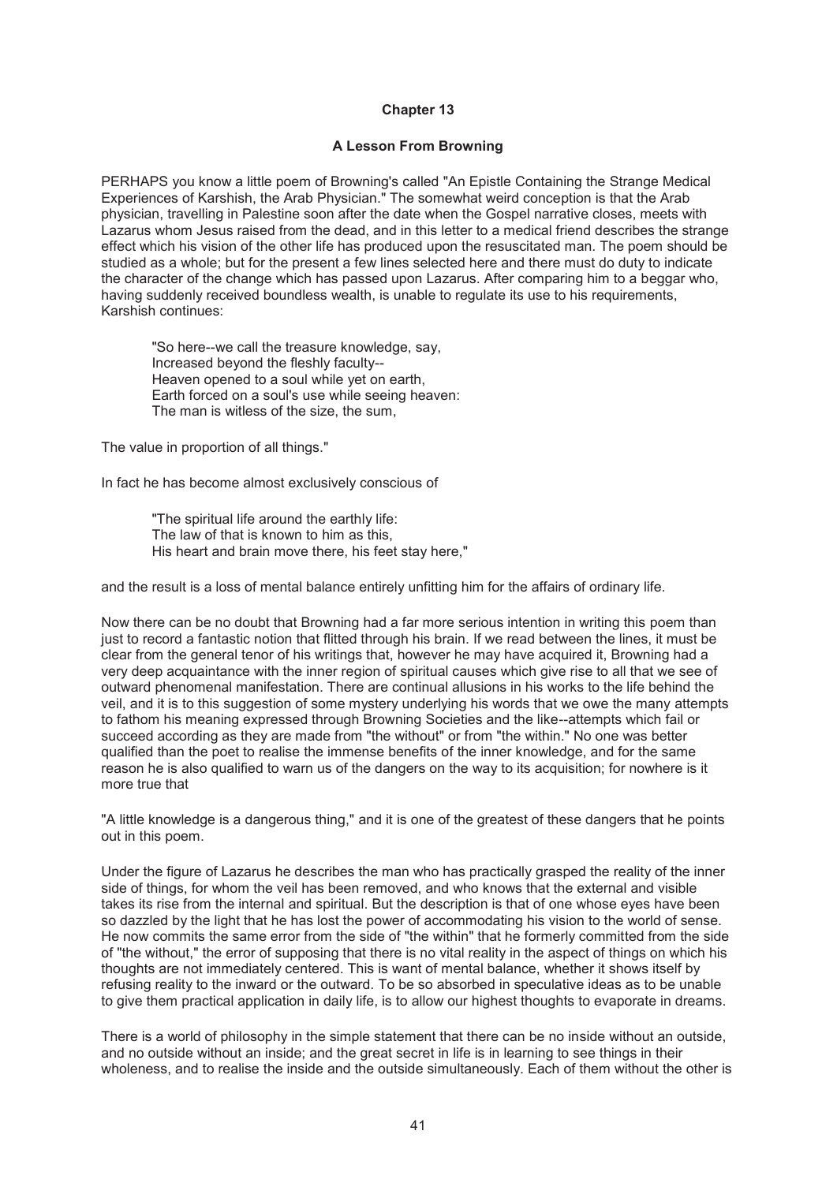## **A Lesson From Browning**

PERHAPS you know a little poem of Browning's called "An Epistle Containing the Strange Medical Experiences of Karshish, the Arab Physician." The somewhat weird conception is that the Arab physician, travelling in Palestine soon after the date when the Gospel narrative closes, meets with Lazarus whom Jesus raised from the dead, and in this letter to a medical friend describes the strange effect which his vision of the other life has produced upon the resuscitated man. The poem should be studied as a whole; but for the present a few lines selected here and there must do duty to indicate the character of the change which has passed upon Lazarus. After comparing him to a beggar who, having suddenly received boundless wealth, is unable to regulate its use to his requirements, Karshish continues:

"So here--we call the treasure knowledge, say, Increased beyond the fleshly faculty-- Heaven opened to a soul while yet on earth, Earth forced on a soul's use while seeing heaven: The man is witless of the size, the sum,

The value in proportion of all things."

In fact he has become almost exclusively conscious of

"The spiritual life around the earthly life: The law of that is known to him as this, His heart and brain move there, his feet stay here,"

and the result is a loss of mental balance entirely unfitting him for the affairs of ordinary life.

Now there can be no doubt that Browning had a far more serious intention in writing this poem than just to record a fantastic notion that flitted through his brain. If we read between the lines, it must be clear from the general tenor of his writings that, however he may have acquired it, Browning had a very deep acquaintance with the inner region of spiritual causes which give rise to all that we see of outward phenomenal manifestation. There are continual allusions in his works to the life behind the veil, and it is to this suggestion of some mystery underlying his words that we owe the many attempts to fathom his meaning expressed through Browning Societies and the like--attempts which fail or succeed according as they are made from "the without" or from "the within." No one was better qualified than the poet to realise the immense benefits of the inner knowledge, and for the same reason he is also qualified to warn us of the dangers on the way to its acquisition; for nowhere is it more true that

"A little knowledge is a dangerous thing," and it is one of the greatest of these dangers that he points out in this poem.

Under the figure of Lazarus he describes the man who has practically grasped the reality of the inner side of things, for whom the veil has been removed, and who knows that the external and visible takes its rise from the internal and spiritual. But the description is that of one whose eyes have been so dazzled by the light that he has lost the power of accommodating his vision to the world of sense. He now commits the same error from the side of "the within" that he formerly committed from the side of "the without," the error of supposing that there is no vital reality in the aspect of things on which his thoughts are not immediately centered. This is want of mental balance, whether it shows itself by refusing reality to the inward or the outward. To be so absorbed in speculative ideas as to be unable to give them practical application in daily life, is to allow our highest thoughts to evaporate in dreams.

There is a world of philosophy in the simple statement that there can be no inside without an outside, and no outside without an inside; and the great secret in life is in learning to see things in their wholeness, and to realise the inside and the outside simultaneously. Each of them without the other is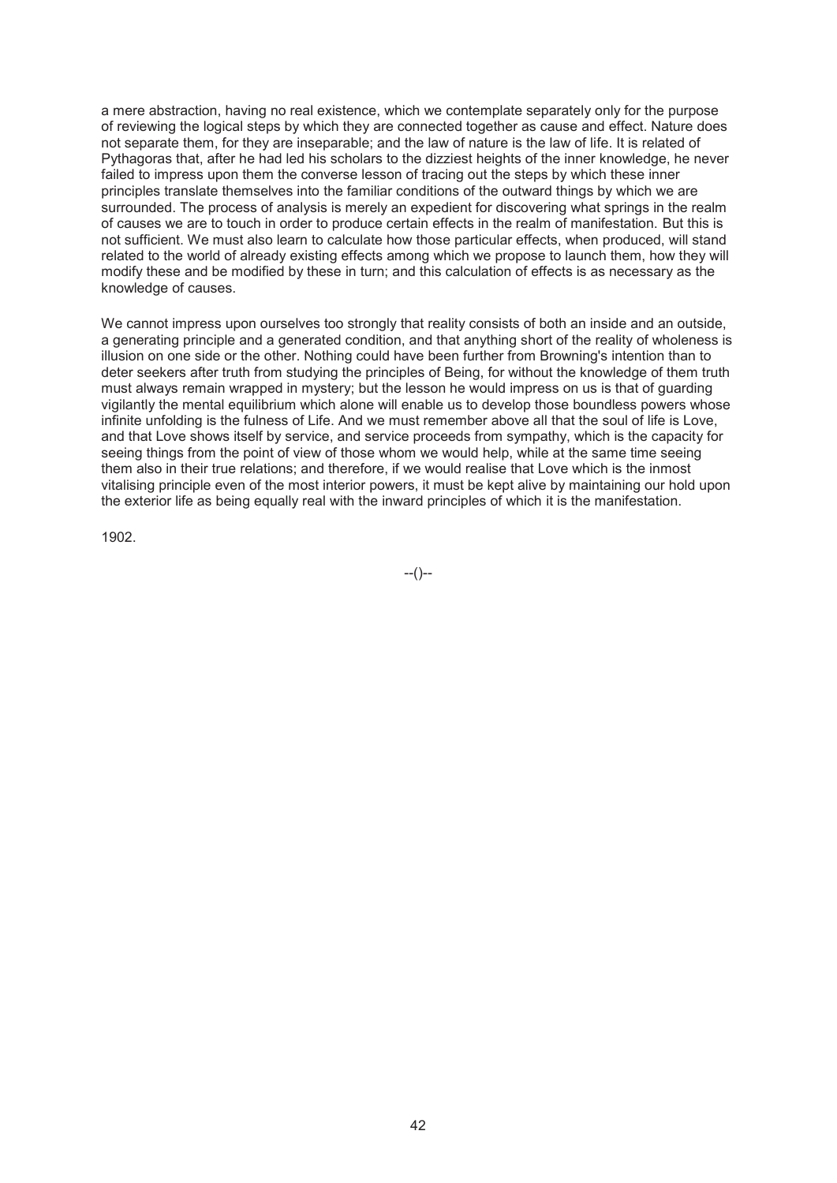a mere abstraction, having no real existence, which we contemplate separately only for the purpose of reviewing the logical steps by which they are connected together as cause and effect. Nature does not separate them, for they are inseparable; and the law of nature is the law of life. It is related of Pythagoras that, after he had led his scholars to the dizziest heights of the inner knowledge, he never failed to impress upon them the converse lesson of tracing out the steps by which these inner principles translate themselves into the familiar conditions of the outward things by which we are surrounded. The process of analysis is merely an expedient for discovering what springs in the realm of causes we are to touch in order to produce certain effects in the realm of manifestation. But this is not sufficient. We must also learn to calculate how those particular effects, when produced, will stand related to the world of already existing effects among which we propose to launch them, how they will modify these and be modified by these in turn; and this calculation of effects is as necessary as the knowledge of causes.

We cannot impress upon ourselves too strongly that reality consists of both an inside and an outside, a generating principle and a generated condition, and that anything short of the reality of wholeness is illusion on one side or the other. Nothing could have been further from Browning's intention than to deter seekers after truth from studying the principles of Being, for without the knowledge of them truth must always remain wrapped in mystery; but the lesson he would impress on us is that of guarding vigilantly the mental equilibrium which alone will enable us to develop those boundless powers whose infinite unfolding is the fulness of Life. And we must remember above all that the soul of life is Love, and that Love shows itself by service, and service proceeds from sympathy, which is the capacity for seeing things from the point of view of those whom we would help, while at the same time seeing them also in their true relations; and therefore, if we would realise that Love which is the inmost vitalising principle even of the most interior powers, it must be kept alive by maintaining our hold upon the exterior life as being equally real with the inward principles of which it is the manifestation.

1902.

--()--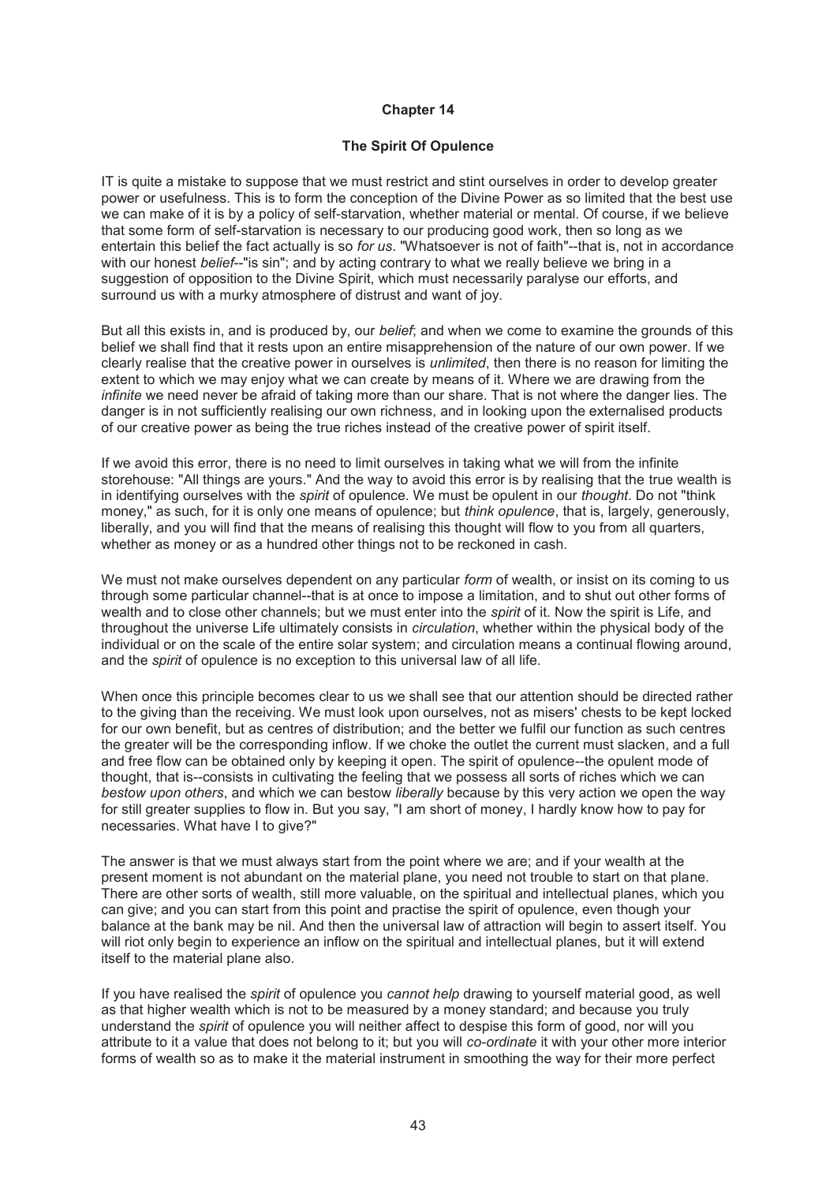## **The Spirit Of Opulence**

IT is quite a mistake to suppose that we must restrict and stint ourselves in order to develop greater power or usefulness. This is to form the conception of the Divine Power as so limited that the best use we can make of it is by a policy of self-starvation, whether material or mental. Of course, if we believe that some form of self-starvation is necessary to our producing good work, then so long as we entertain this belief the fact actually is so *for us*. "Whatsoever is not of faith"--that is, not in accordance with our honest *belief*--"is sin"; and by acting contrary to what we really believe we bring in a suggestion of opposition to the Divine Spirit, which must necessarily paralyse our efforts, and surround us with a murky atmosphere of distrust and want of joy.

But all this exists in, and is produced by, our *belief*; and when we come to examine the grounds of this belief we shall find that it rests upon an entire misapprehension of the nature of our own power. If we clearly realise that the creative power in ourselves is *unlimited*, then there is no reason for limiting the extent to which we may enjoy what we can create by means of it. Where we are drawing from the *infinite* we need never be afraid of taking more than our share. That is not where the danger lies. The danger is in not sufficiently realising our own richness, and in looking upon the externalised products of our creative power as being the true riches instead of the creative power of spirit itself.

If we avoid this error, there is no need to limit ourselves in taking what we will from the infinite storehouse: "All things are yours." And the way to avoid this error is by realising that the true wealth is in identifying ourselves with the *spirit* of opulence. We must be opulent in our *thought*. Do not "think money," as such, for it is only one means of opulence; but *think opulence*, that is, largely, generously, liberally, and you will find that the means of realising this thought will flow to you from all quarters, whether as money or as a hundred other things not to be reckoned in cash.

We must not make ourselves dependent on any particular *form* of wealth, or insist on its coming to us through some particular channel--that is at once to impose a limitation, and to shut out other forms of wealth and to close other channels; but we must enter into the *spirit* of it. Now the spirit is Life, and throughout the universe Life ultimately consists in *circulation*, whether within the physical body of the individual or on the scale of the entire solar system; and circulation means a continual flowing around, and the *spirit* of opulence is no exception to this universal law of all life.

When once this principle becomes clear to us we shall see that our attention should be directed rather to the giving than the receiving. We must look upon ourselves, not as misers' chests to be kept locked for our own benefit, but as centres of distribution; and the better we fulfil our function as such centres the greater will be the corresponding inflow. If we choke the outlet the current must slacken, and a full and free flow can be obtained only by keeping it open. The spirit of opulence--the opulent mode of thought, that is--consists in cultivating the feeling that we possess all sorts of riches which we can *bestow upon others*, and which we can bestow *liberally* because by this very action we open the way for still greater supplies to flow in. But you say, "I am short of money, I hardly know how to pay for necessaries. What have I to give?"

The answer is that we must always start from the point where we are; and if your wealth at the present moment is not abundant on the material plane, you need not trouble to start on that plane. There are other sorts of wealth, still more valuable, on the spiritual and intellectual planes, which you can give; and you can start from this point and practise the spirit of opulence, even though your balance at the bank may be nil. And then the universal law of attraction will begin to assert itself. You will riot only begin to experience an inflow on the spiritual and intellectual planes, but it will extend itself to the material plane also.

If you have realised the *spirit* of opulence you *cannot help* drawing to yourself material good, as well as that higher wealth which is not to be measured by a money standard; and because you truly understand the *spirit* of opulence you will neither affect to despise this form of good, nor will you attribute to it a value that does not belong to it; but you will *co-ordinate* it with your other more interior forms of wealth so as to make it the material instrument in smoothing the way for their more perfect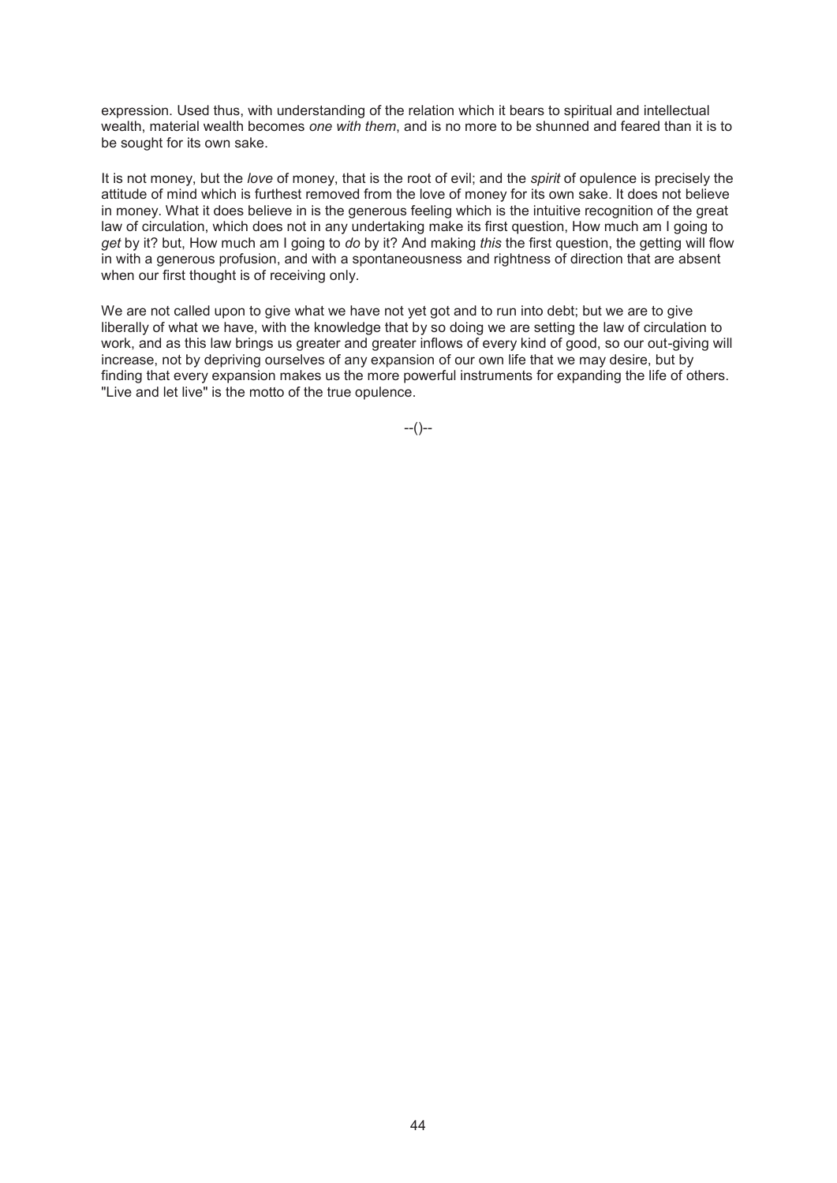expression. Used thus, with understanding of the relation which it bears to spiritual and intellectual wealth, material wealth becomes *one with them*, and is no more to be shunned and feared than it is to be sought for its own sake.

It is not money, but the *love* of money, that is the root of evil; and the *spirit* of opulence is precisely the attitude of mind which is furthest removed from the love of money for its own sake. It does not believe in money. What it does believe in is the generous feeling which is the intuitive recognition of the great law of circulation, which does not in any undertaking make its first question, How much am I going to *get* by it? but, How much am I going to *do* by it? And making *this* the first question, the getting will flow in with a generous profusion, and with a spontaneousness and rightness of direction that are absent when our first thought is of receiving only.

We are not called upon to give what we have not yet got and to run into debt; but we are to give liberally of what we have, with the knowledge that by so doing we are setting the law of circulation to work, and as this law brings us greater and greater inflows of every kind of good, so our out-giving will increase, not by depriving ourselves of any expansion of our own life that we may desire, but by finding that every expansion makes us the more powerful instruments for expanding the life of others. "Live and let live" is the motto of the true opulence.

 $-(-)$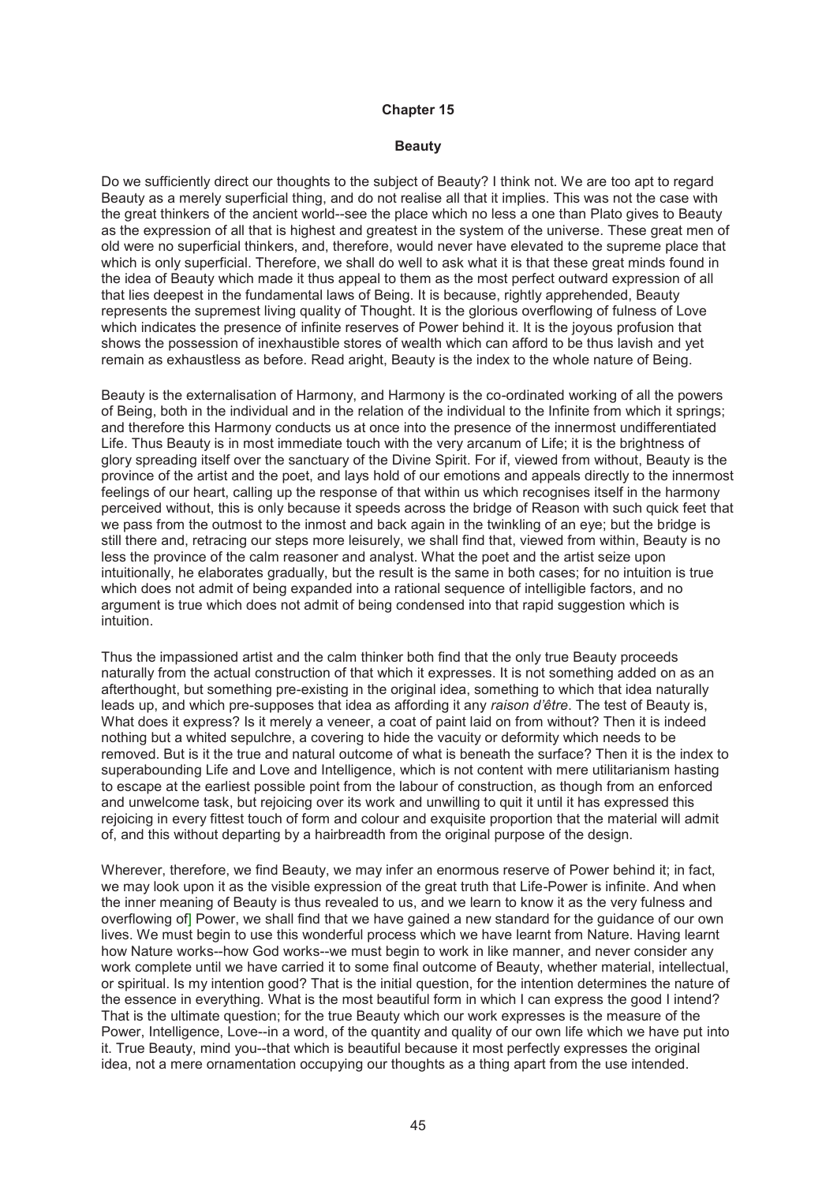#### **Beauty**

Do we sufficiently direct our thoughts to the subject of Beauty? I think not. We are too apt to regard Beauty as a merely superficial thing, and do not realise all that it implies. This was not the case with the great thinkers of the ancient world--see the place which no less a one than Plato gives to Beauty as the expression of all that is highest and greatest in the system of the universe. These great men of old were no superficial thinkers, and, therefore, would never have elevated to the supreme place that which is only superficial. Therefore, we shall do well to ask what it is that these great minds found in the idea of Beauty which made it thus appeal to them as the most perfect outward expression of all that lies deepest in the fundamental laws of Being. It is because, rightly apprehended, Beauty represents the supremest living quality of Thought. It is the glorious overflowing of fulness of Love which indicates the presence of infinite reserves of Power behind it. It is the joyous profusion that shows the possession of inexhaustible stores of wealth which can afford to be thus lavish and yet remain as exhaustless as before. Read aright, Beauty is the index to the whole nature of Being.

Beauty is the externalisation of Harmony, and Harmony is the co-ordinated working of all the powers of Being, both in the individual and in the relation of the individual to the Infinite from which it springs; and therefore this Harmony conducts us at once into the presence of the innermost undifferentiated Life. Thus Beauty is in most immediate touch with the very arcanum of Life; it is the brightness of glory spreading itself over the sanctuary of the Divine Spirit. For if, viewed from without, Beauty is the province of the artist and the poet, and lays hold of our emotions and appeals directly to the innermost feelings of our heart, calling up the response of that within us which recognises itself in the harmony perceived without, this is only because it speeds across the bridge of Reason with such quick feet that we pass from the outmost to the inmost and back again in the twinkling of an eye; but the bridge is still there and, retracing our steps more leisurely, we shall find that, viewed from within, Beauty is no less the province of the calm reasoner and analyst. What the poet and the artist seize upon intuitionally, he elaborates gradually, but the result is the same in both cases; for no intuition is true which does not admit of being expanded into a rational sequence of intelligible factors, and no argument is true which does not admit of being condensed into that rapid suggestion which is intuition.

Thus the impassioned artist and the calm thinker both find that the only true Beauty proceeds naturally from the actual construction of that which it expresses. It is not something added on as an afterthought, but something pre-existing in the original idea, something to which that idea naturally leads up, and which pre-supposes that idea as affording it any *raison d'être*. The test of Beauty is, What does it express? Is it merely a veneer, a coat of paint laid on from without? Then it is indeed nothing but a whited sepulchre, a covering to hide the vacuity or deformity which needs to be removed. But is it the true and natural outcome of what is beneath the surface? Then it is the index to superabounding Life and Love and Intelligence, which is not content with mere utilitarianism hasting to escape at the earliest possible point from the labour of construction, as though from an enforced and unwelcome task, but rejoicing over its work and unwilling to quit it until it has expressed this rejoicing in every fittest touch of form and colour and exquisite proportion that the material will admit of, and this without departing by a hairbreadth from the original purpose of the design.

Wherever, therefore, we find Beauty, we may infer an enormous reserve of Power behind it; in fact, we may look upon it as the visible expression of the great truth that Life-Power is infinite. And when the inner meaning of Beauty is thus revealed to us, and we learn to know it as the very fulness and overflowing of] Power, we shall find that we have gained a new standard for the guidance of our own lives. We must begin to use this wonderful process which we have learnt from Nature. Having learnt how Nature works--how God works--we must begin to work in like manner, and never consider any work complete until we have carried it to some final outcome of Beauty, whether material, intellectual, or spiritual. Is my intention good? That is the initial question, for the intention determines the nature of the essence in everything. What is the most beautiful form in which I can express the good I intend? That is the ultimate question; for the true Beauty which our work expresses is the measure of the Power, Intelligence, Love--in a word, of the quantity and quality of our own life which we have put into it. True Beauty, mind you--that which is beautiful because it most perfectly expresses the original idea, not a mere ornamentation occupying our thoughts as a thing apart from the use intended.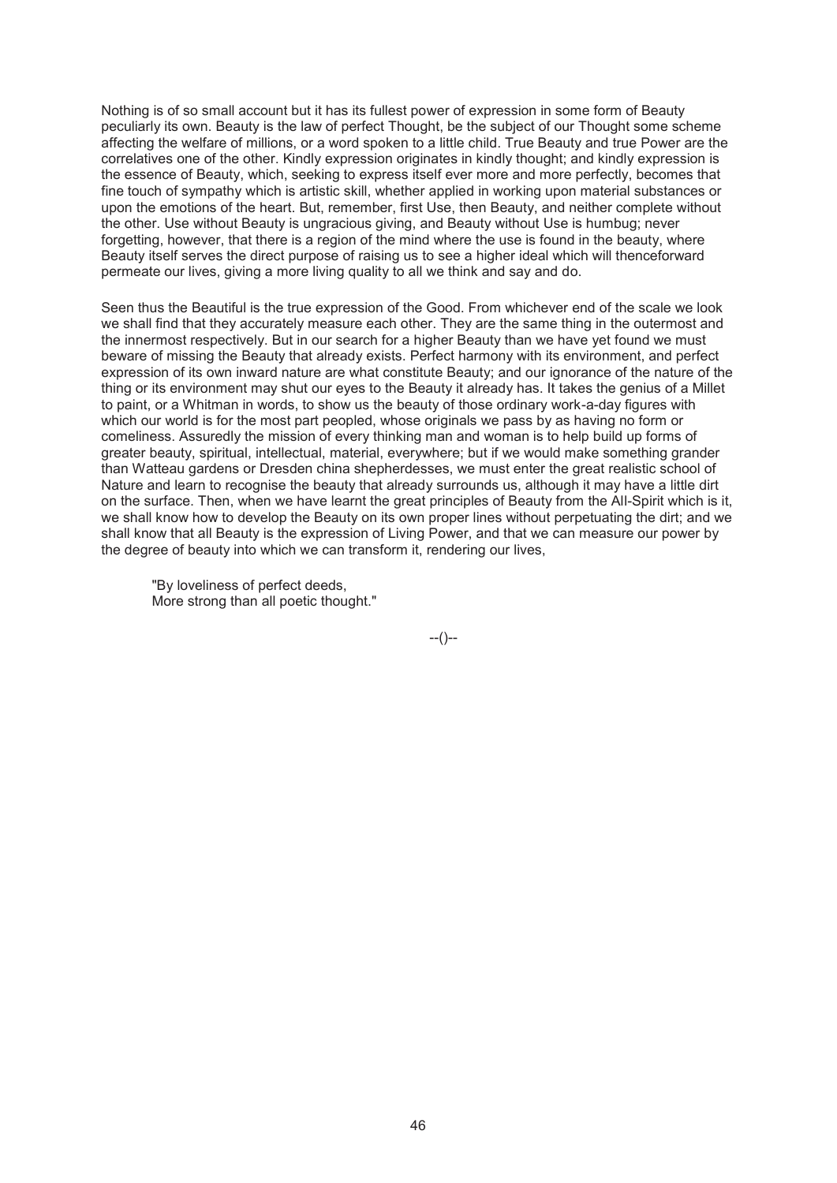Nothing is of so small account but it has its fullest power of expression in some form of Beauty peculiarly its own. Beauty is the law of perfect Thought, be the subject of our Thought some scheme affecting the welfare of millions, or a word spoken to a little child. True Beauty and true Power are the correlatives one of the other. Kindly expression originates in kindly thought; and kindly expression is the essence of Beauty, which, seeking to express itself ever more and more perfectly, becomes that fine touch of sympathy which is artistic skill, whether applied in working upon material substances or upon the emotions of the heart. But, remember, first Use, then Beauty, and neither complete without the other. Use without Beauty is ungracious giving, and Beauty without Use is humbug; never forgetting, however, that there is a region of the mind where the use is found in the beauty, where Beauty itself serves the direct purpose of raising us to see a higher ideal which will thenceforward permeate our lives, giving a more living quality to all we think and say and do.

Seen thus the Beautiful is the true expression of the Good. From whichever end of the scale we look we shall find that they accurately measure each other. They are the same thing in the outermost and the innermost respectively. But in our search for a higher Beauty than we have yet found we must beware of missing the Beauty that already exists. Perfect harmony with its environment, and perfect expression of its own inward nature are what constitute Beauty; and our ignorance of the nature of the thing or its environment may shut our eyes to the Beauty it already has. It takes the genius of a Millet to paint, or a Whitman in words, to show us the beauty of those ordinary work-a-day figures with which our world is for the most part peopled, whose originals we pass by as having no form or comeliness. Assuredly the mission of every thinking man and woman is to help build up forms of greater beauty, spiritual, intellectual, material, everywhere; but if we would make something grander than Watteau gardens or Dresden china shepherdesses, we must enter the great realistic school of Nature and learn to recognise the beauty that already surrounds us, although it may have a little dirt on the surface. Then, when we have learnt the great principles of Beauty from the All-Spirit which is it, we shall know how to develop the Beauty on its own proper lines without perpetuating the dirt; and we shall know that all Beauty is the expression of Living Power, and that we can measure our power by the degree of beauty into which we can transform it, rendering our lives,

"By loveliness of perfect deeds, More strong than all poetic thought."

--()--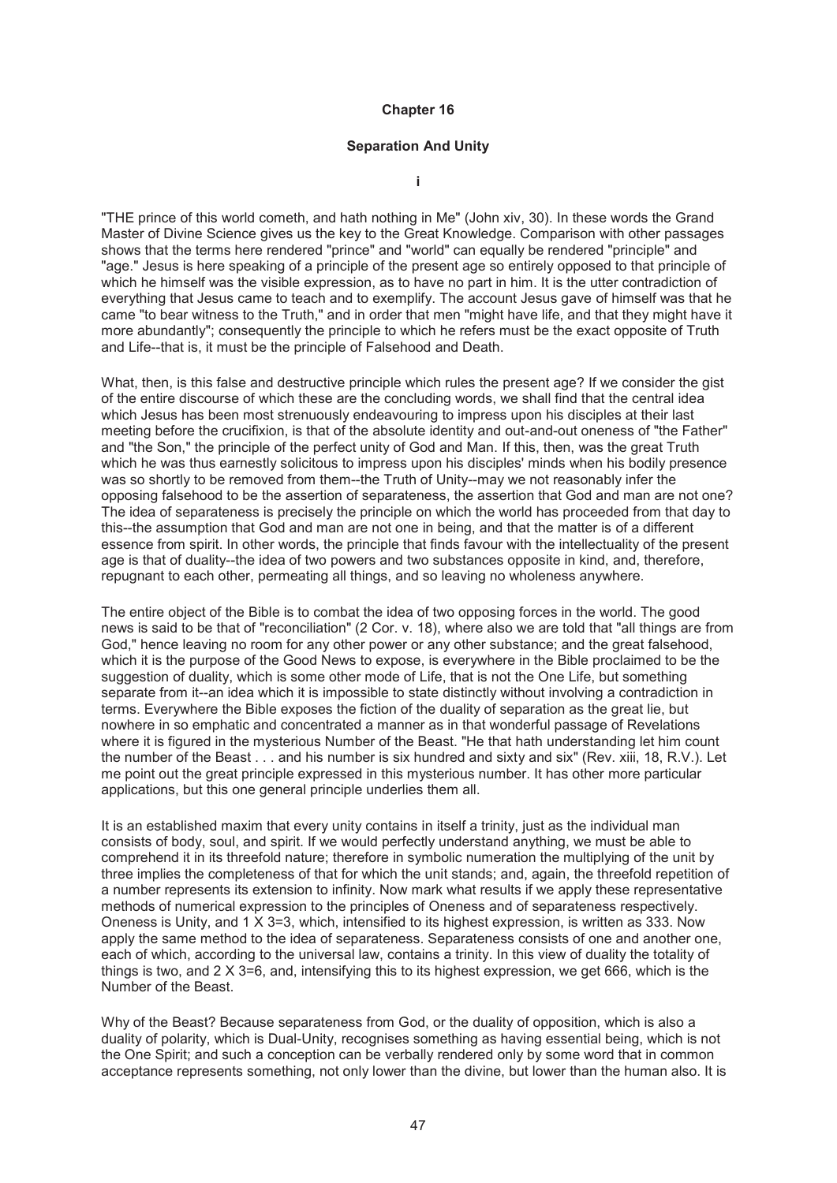#### **Separation And Unity**

**i** 

"THE prince of this world cometh, and hath nothing in Me" (John xiv, 30). In these words the Grand Master of Divine Science gives us the key to the Great Knowledge. Comparison with other passages shows that the terms here rendered "prince" and "world" can equally be rendered "principle" and "age." Jesus is here speaking of a principle of the present age so entirely opposed to that principle of which he himself was the visible expression, as to have no part in him. It is the utter contradiction of everything that Jesus came to teach and to exemplify. The account Jesus gave of himself was that he came "to bear witness to the Truth," and in order that men "might have life, and that they might have it more abundantly"; consequently the principle to which he refers must be the exact opposite of Truth and Life--that is, it must be the principle of Falsehood and Death.

What, then, is this false and destructive principle which rules the present age? If we consider the gist of the entire discourse of which these are the concluding words, we shall find that the central idea which Jesus has been most strenuously endeavouring to impress upon his disciples at their last meeting before the crucifixion, is that of the absolute identity and out-and-out oneness of "the Father" and "the Son," the principle of the perfect unity of God and Man. If this, then, was the great Truth which he was thus earnestly solicitous to impress upon his disciples' minds when his bodily presence was so shortly to be removed from them--the Truth of Unity--may we not reasonably infer the opposing falsehood to be the assertion of separateness, the assertion that God and man are not one? The idea of separateness is precisely the principle on which the world has proceeded from that day to this--the assumption that God and man are not one in being, and that the matter is of a different essence from spirit. In other words, the principle that finds favour with the intellectuality of the present age is that of duality--the idea of two powers and two substances opposite in kind, and, therefore, repugnant to each other, permeating all things, and so leaving no wholeness anywhere.

The entire object of the Bible is to combat the idea of two opposing forces in the world. The good news is said to be that of "reconciliation" (2 Cor. v. 18), where also we are told that "all things are from God," hence leaving no room for any other power or any other substance; and the great falsehood, which it is the purpose of the Good News to expose, is everywhere in the Bible proclaimed to be the suggestion of duality, which is some other mode of Life, that is not the One Life, but something separate from it--an idea which it is impossible to state distinctly without involving a contradiction in terms. Everywhere the Bible exposes the fiction of the duality of separation as the great lie, but nowhere in so emphatic and concentrated a manner as in that wonderful passage of Revelations where it is figured in the mysterious Number of the Beast. "He that hath understanding let him count the number of the Beast . . . and his number is six hundred and sixty and six" (Rev. xiii, 18, R.V.). Let me point out the great principle expressed in this mysterious number. It has other more particular applications, but this one general principle underlies them all.

It is an established maxim that every unity contains in itself a trinity, just as the individual man consists of body, soul, and spirit. If we would perfectly understand anything, we must be able to comprehend it in its threefold nature; therefore in symbolic numeration the multiplying of the unit by three implies the completeness of that for which the unit stands; and, again, the threefold repetition of a number represents its extension to infinity. Now mark what results if we apply these representative methods of numerical expression to the principles of Oneness and of separateness respectively. Oneness is Unity, and 1 X 3=3, which, intensified to its highest expression, is written as 333. Now apply the same method to the idea of separateness. Separateness consists of one and another one, each of which, according to the universal law, contains a trinity. In this view of duality the totality of things is two, and  $2 \times 3 = 6$ , and, intensifying this to its highest expression, we get 666, which is the Number of the Beast.

Why of the Beast? Because separateness from God, or the duality of opposition, which is also a duality of polarity, which is Dual-Unity, recognises something as having essential being, which is not the One Spirit; and such a conception can be verbally rendered only by some word that in common acceptance represents something, not only lower than the divine, but lower than the human also. It is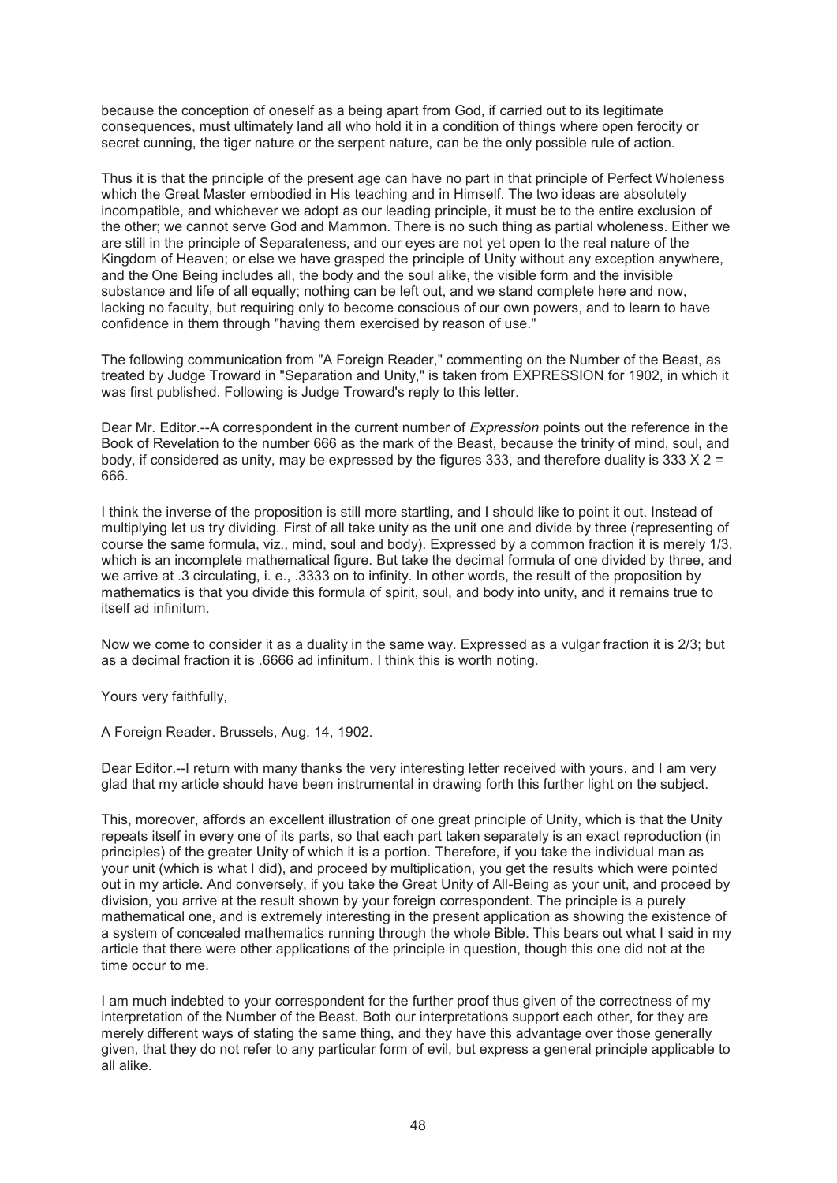because the conception of oneself as a being apart from God, if carried out to its legitimate consequences, must ultimately land all who hold it in a condition of things where open ferocity or secret cunning, the tiger nature or the serpent nature, can be the only possible rule of action.

Thus it is that the principle of the present age can have no part in that principle of Perfect Wholeness which the Great Master embodied in His teaching and in Himself. The two ideas are absolutely incompatible, and whichever we adopt as our leading principle, it must be to the entire exclusion of the other; we cannot serve God and Mammon. There is no such thing as partial wholeness. Either we are still in the principle of Separateness, and our eyes are not yet open to the real nature of the Kingdom of Heaven; or else we have grasped the principle of Unity without any exception anywhere, and the One Being includes all, the body and the soul alike, the visible form and the invisible substance and life of all equally; nothing can be left out, and we stand complete here and now. lacking no faculty, but requiring only to become conscious of our own powers, and to learn to have confidence in them through "having them exercised by reason of use."

The following communication from "A Foreign Reader," commenting on the Number of the Beast, as treated by Judge Troward in "Separation and Unity," is taken from EXPRESSION for 1902, in which it was first published. Following is Judge Troward's reply to this letter.

Dear Mr. Editor.--A correspondent in the current number of *Expression* points out the reference in the Book of Revelation to the number 666 as the mark of the Beast, because the trinity of mind, soul, and body, if considered as unity, may be expressed by the figures 333, and therefore duality is 333  $\times$  2 = 666.

I think the inverse of the proposition is still more startling, and I should like to point it out. Instead of multiplying let us try dividing. First of all take unity as the unit one and divide by three (representing of course the same formula, viz., mind, soul and body). Expressed by a common fraction it is merely 1/3, which is an incomplete mathematical figure. But take the decimal formula of one divided by three, and we arrive at .3 circulating, i. e., .3333 on to infinity. In other words, the result of the proposition by mathematics is that you divide this formula of spirit, soul, and body into unity, and it remains true to itself ad infinitum.

Now we come to consider it as a duality in the same way. Expressed as a vulgar fraction it is 2/3; but as a decimal fraction it is .6666 ad infinitum. I think this is worth noting.

Yours very faithfully,

A Foreign Reader. Brussels, Aug. 14, 1902.

Dear Editor.--I return with many thanks the very interesting letter received with yours, and I am very glad that my article should have been instrumental in drawing forth this further light on the subject.

This, moreover, affords an excellent illustration of one great principle of Unity, which is that the Unity repeats itself in every one of its parts, so that each part taken separately is an exact reproduction (in principles) of the greater Unity of which it is a portion. Therefore, if you take the individual man as your unit (which is what I did), and proceed by multiplication, you get the results which were pointed out in my article. And conversely, if you take the Great Unity of All-Being as your unit, and proceed by division, you arrive at the result shown by your foreign correspondent. The principle is a purely mathematical one, and is extremely interesting in the present application as showing the existence of a system of concealed mathematics running through the whole Bible. This bears out what I said in my article that there were other applications of the principle in question, though this one did not at the time occur to me.

I am much indebted to your correspondent for the further proof thus given of the correctness of my interpretation of the Number of the Beast. Both our interpretations support each other, for they are merely different ways of stating the same thing, and they have this advantage over those generally given, that they do not refer to any particular form of evil, but express a general principle applicable to all alike.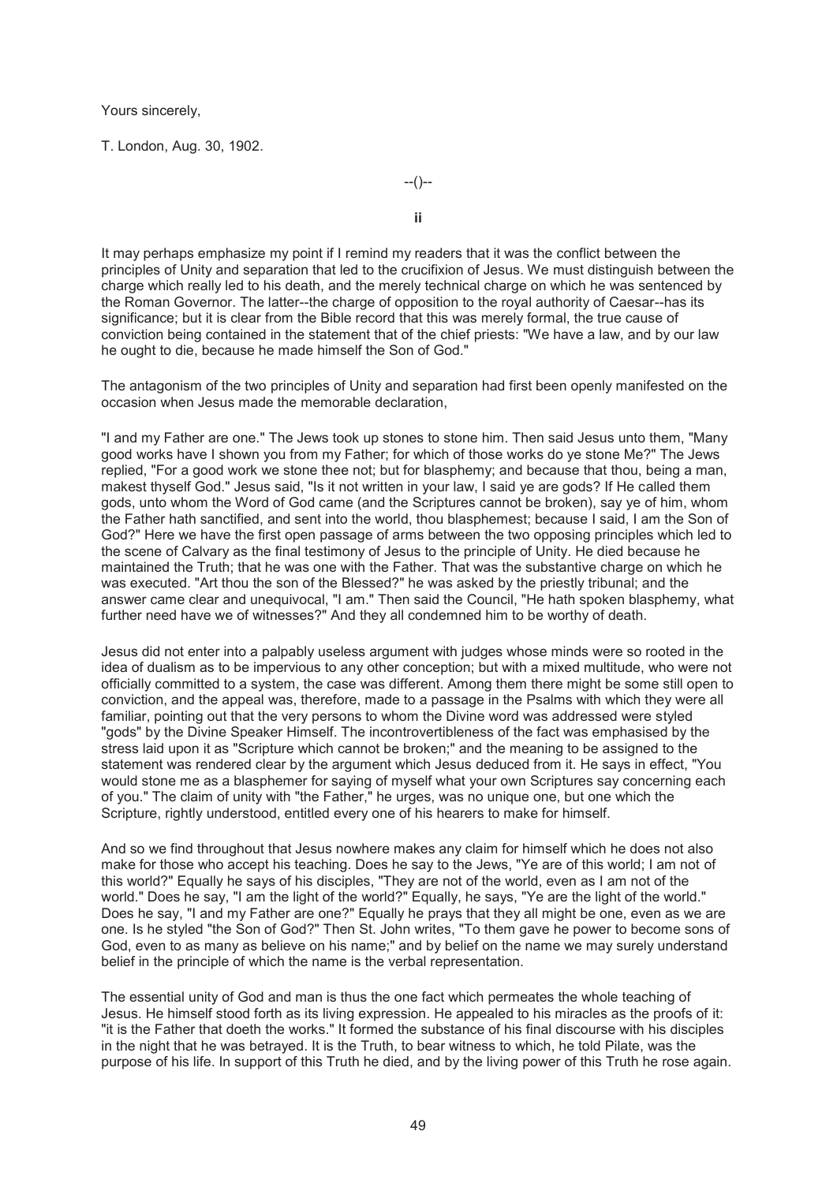Yours sincerely,

T. London, Aug. 30, 1902.

--()--

**ii** 

It may perhaps emphasize my point if I remind my readers that it was the conflict between the principles of Unity and separation that led to the crucifixion of Jesus. We must distinguish between the charge which really led to his death, and the merely technical charge on which he was sentenced by the Roman Governor. The latter--the charge of opposition to the royal authority of Caesar--has its significance; but it is clear from the Bible record that this was merely formal, the true cause of conviction being contained in the statement that of the chief priests: "We have a law, and by our law he ought to die, because he made himself the Son of God."

The antagonism of the two principles of Unity and separation had first been openly manifested on the occasion when Jesus made the memorable declaration,

"I and my Father are one." The Jews took up stones to stone him. Then said Jesus unto them, "Many good works have I shown you from my Father; for which of those works do ye stone Me?" The Jews replied, "For a good work we stone thee not; but for blasphemy; and because that thou, being a man, makest thyself God." Jesus said, "Is it not written in your law, I said ye are gods? If He called them gods, unto whom the Word of God came (and the Scriptures cannot be broken), say ye of him, whom the Father hath sanctified, and sent into the world, thou blasphemest; because I said, I am the Son of God?" Here we have the first open passage of arms between the two opposing principles which led to the scene of Calvary as the final testimony of Jesus to the principle of Unity. He died because he maintained the Truth; that he was one with the Father. That was the substantive charge on which he was executed. "Art thou the son of the Blessed?" he was asked by the priestly tribunal; and the answer came clear and unequivocal, "I am." Then said the Council, "He hath spoken blasphemy, what further need have we of witnesses?" And they all condemned him to be worthy of death.

Jesus did not enter into a palpably useless argument with judges whose minds were so rooted in the idea of dualism as to be impervious to any other conception; but with a mixed multitude, who were not officially committed to a system, the case was different. Among them there might be some still open to conviction, and the appeal was, therefore, made to a passage in the Psalms with which they were all familiar, pointing out that the very persons to whom the Divine word was addressed were styled "gods" by the Divine Speaker Himself. The incontrovertibleness of the fact was emphasised by the stress laid upon it as "Scripture which cannot be broken;" and the meaning to be assigned to the statement was rendered clear by the argument which Jesus deduced from it. He says in effect, "You would stone me as a blasphemer for saying of myself what your own Scriptures say concerning each of you." The claim of unity with "the Father," he urges, was no unique one, but one which the Scripture, rightly understood, entitled every one of his hearers to make for himself.

And so we find throughout that Jesus nowhere makes any claim for himself which he does not also make for those who accept his teaching. Does he say to the Jews, "Ye are of this world; I am not of this world?" Equally he says of his disciples, "They are not of the world, even as I am not of the world." Does he say, "I am the light of the world?" Equally, he says, "Ye are the light of the world." Does he say, "I and my Father are one?" Equally he prays that they all might be one, even as we are one. Is he styled "the Son of God?" Then St. John writes, "To them gave he power to become sons of God, even to as many as believe on his name;" and by belief on the name we may surely understand belief in the principle of which the name is the verbal representation.

The essential unity of God and man is thus the one fact which permeates the whole teaching of Jesus. He himself stood forth as its living expression. He appealed to his miracles as the proofs of it: "it is the Father that doeth the works." It formed the substance of his final discourse with his disciples in the night that he was betrayed. It is the Truth, to bear witness to which, he told Pilate, was the purpose of his life. In support of this Truth he died, and by the living power of this Truth he rose again.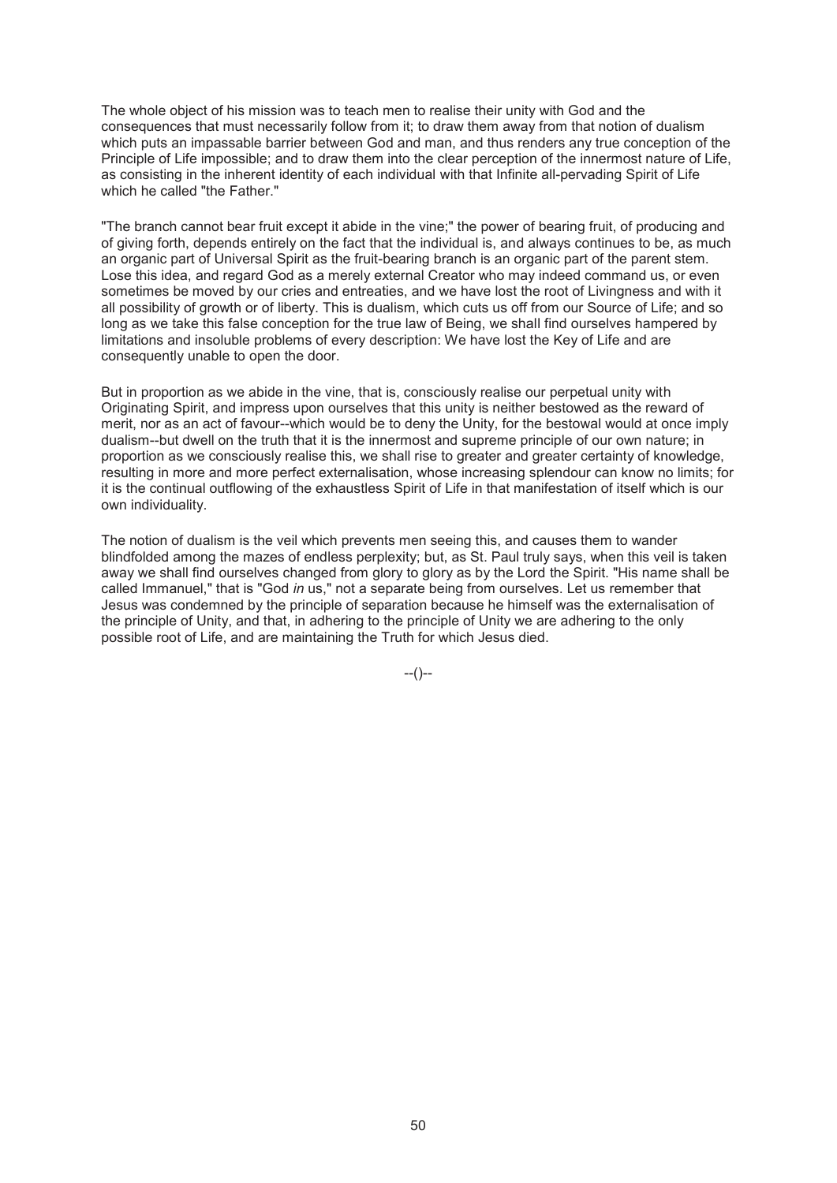The whole object of his mission was to teach men to realise their unity with God and the consequences that must necessarily follow from it; to draw them away from that notion of dualism which puts an impassable barrier between God and man, and thus renders any true conception of the Principle of Life impossible; and to draw them into the clear perception of the innermost nature of Life, as consisting in the inherent identity of each individual with that Infinite all-pervading Spirit of Life which he called "the Father."

"The branch cannot bear fruit except it abide in the vine;" the power of bearing fruit, of producing and of giving forth, depends entirely on the fact that the individual is, and always continues to be, as much an organic part of Universal Spirit as the fruit-bearing branch is an organic part of the parent stem. Lose this idea, and regard God as a merely external Creator who may indeed command us, or even sometimes be moved by our cries and entreaties, and we have lost the root of Livingness and with it all possibility of growth or of liberty. This is dualism, which cuts us off from our Source of Life; and so long as we take this false conception for the true law of Being, we shall find ourselves hampered by limitations and insoluble problems of every description: We have lost the Key of Life and are consequently unable to open the door.

But in proportion as we abide in the vine, that is, consciously realise our perpetual unity with Originating Spirit, and impress upon ourselves that this unity is neither bestowed as the reward of merit, nor as an act of favour--which would be to deny the Unity, for the bestowal would at once imply dualism--but dwell on the truth that it is the innermost and supreme principle of our own nature; in proportion as we consciously realise this, we shall rise to greater and greater certainty of knowledge, resulting in more and more perfect externalisation, whose increasing splendour can know no limits; for it is the continual outflowing of the exhaustless Spirit of Life in that manifestation of itself which is our own individuality.

The notion of dualism is the veil which prevents men seeing this, and causes them to wander blindfolded among the mazes of endless perplexity; but, as St. Paul truly says, when this veil is taken away we shall find ourselves changed from glory to glory as by the Lord the Spirit. "His name shall be called Immanuel," that is "God *in* us," not a separate being from ourselves. Let us remember that Jesus was condemned by the principle of separation because he himself was the externalisation of the principle of Unity, and that, in adhering to the principle of Unity we are adhering to the only possible root of Life, and are maintaining the Truth for which Jesus died.

 $-(-)$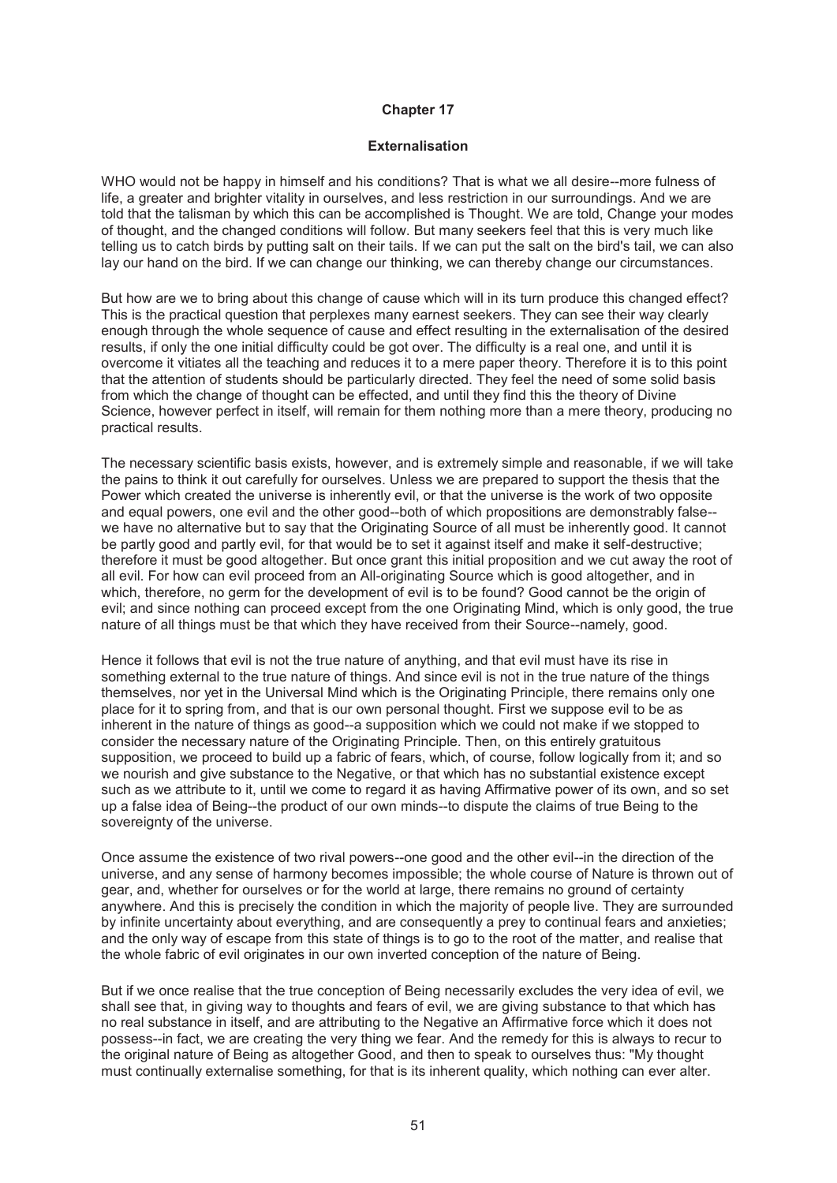### **Externalisation**

WHO would not be happy in himself and his conditions? That is what we all desire--more fulness of life, a greater and brighter vitality in ourselves, and less restriction in our surroundings. And we are told that the talisman by which this can be accomplished is Thought. We are told, Change your modes of thought, and the changed conditions will follow. But many seekers feel that this is very much like telling us to catch birds by putting salt on their tails. If we can put the salt on the bird's tail, we can also lay our hand on the bird. If we can change our thinking, we can thereby change our circumstances.

But how are we to bring about this change of cause which will in its turn produce this changed effect? This is the practical question that perplexes many earnest seekers. They can see their way clearly enough through the whole sequence of cause and effect resulting in the externalisation of the desired results, if only the one initial difficulty could be got over. The difficulty is a real one, and until it is overcome it vitiates all the teaching and reduces it to a mere paper theory. Therefore it is to this point that the attention of students should be particularly directed. They feel the need of some solid basis from which the change of thought can be effected, and until they find this the theory of Divine Science, however perfect in itself, will remain for them nothing more than a mere theory, producing no practical results.

The necessary scientific basis exists, however, and is extremely simple and reasonable, if we will take the pains to think it out carefully for ourselves. Unless we are prepared to support the thesis that the Power which created the universe is inherently evil, or that the universe is the work of two opposite and equal powers, one evil and the other good--both of which propositions are demonstrably false- we have no alternative but to say that the Originating Source of all must be inherently good. It cannot be partly good and partly evil, for that would be to set it against itself and make it self-destructive; therefore it must be good altogether. But once grant this initial proposition and we cut away the root of all evil. For how can evil proceed from an All-originating Source which is good altogether, and in which, therefore, no germ for the development of evil is to be found? Good cannot be the origin of evil; and since nothing can proceed except from the one Originating Mind, which is only good, the true nature of all things must be that which they have received from their Source--namely, good.

Hence it follows that evil is not the true nature of anything, and that evil must have its rise in something external to the true nature of things. And since evil is not in the true nature of the things themselves, nor yet in the Universal Mind which is the Originating Principle, there remains only one place for it to spring from, and that is our own personal thought. First we suppose evil to be as inherent in the nature of things as good--a supposition which we could not make if we stopped to consider the necessary nature of the Originating Principle. Then, on this entirely gratuitous supposition, we proceed to build up a fabric of fears, which, of course, follow logically from it; and so we nourish and give substance to the Negative, or that which has no substantial existence except such as we attribute to it, until we come to regard it as having Affirmative power of its own, and so set up a false idea of Being--the product of our own minds--to dispute the claims of true Being to the sovereignty of the universe.

Once assume the existence of two rival powers--one good and the other evil--in the direction of the universe, and any sense of harmony becomes impossible; the whole course of Nature is thrown out of gear, and, whether for ourselves or for the world at large, there remains no ground of certainty anywhere. And this is precisely the condition in which the majority of people live. They are surrounded by infinite uncertainty about everything, and are consequently a prey to continual fears and anxieties; and the only way of escape from this state of things is to go to the root of the matter, and realise that the whole fabric of evil originates in our own inverted conception of the nature of Being.

But if we once realise that the true conception of Being necessarily excludes the very idea of evil, we shall see that, in giving way to thoughts and fears of evil, we are giving substance to that which has no real substance in itself, and are attributing to the Negative an Affirmative force which it does not possess--in fact, we are creating the very thing we fear. And the remedy for this is always to recur to the original nature of Being as altogether Good, and then to speak to ourselves thus: "My thought must continually externalise something, for that is its inherent quality, which nothing can ever alter.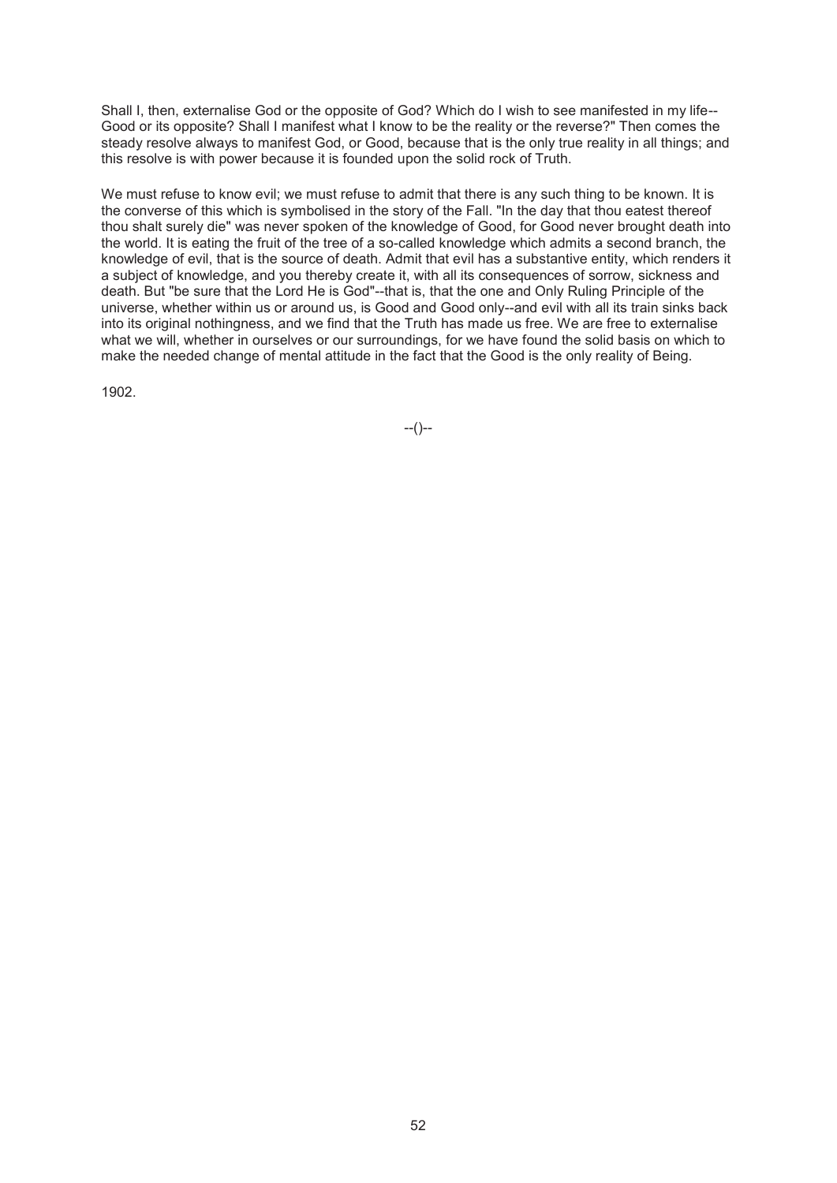Shall I, then, externalise God or the opposite of God? Which do I wish to see manifested in my life-- Good or its opposite? Shall I manifest what I know to be the reality or the reverse?" Then comes the steady resolve always to manifest God, or Good, because that is the only true reality in all things; and this resolve is with power because it is founded upon the solid rock of Truth.

We must refuse to know evil; we must refuse to admit that there is any such thing to be known. It is the converse of this which is symbolised in the story of the Fall. "In the day that thou eatest thereof thou shalt surely die" was never spoken of the knowledge of Good, for Good never brought death into the world. It is eating the fruit of the tree of a so-called knowledge which admits a second branch, the knowledge of evil, that is the source of death. Admit that evil has a substantive entity, which renders it a subject of knowledge, and you thereby create it, with all its consequences of sorrow, sickness and death. But "be sure that the Lord He is God"--that is, that the one and Only Ruling Principle of the universe, whether within us or around us, is Good and Good only--and evil with all its train sinks back into its original nothingness, and we find that the Truth has made us free. We are free to externalise what we will, whether in ourselves or our surroundings, for we have found the solid basis on which to make the needed change of mental attitude in the fact that the Good is the only reality of Being.

1902.

 $-(-)$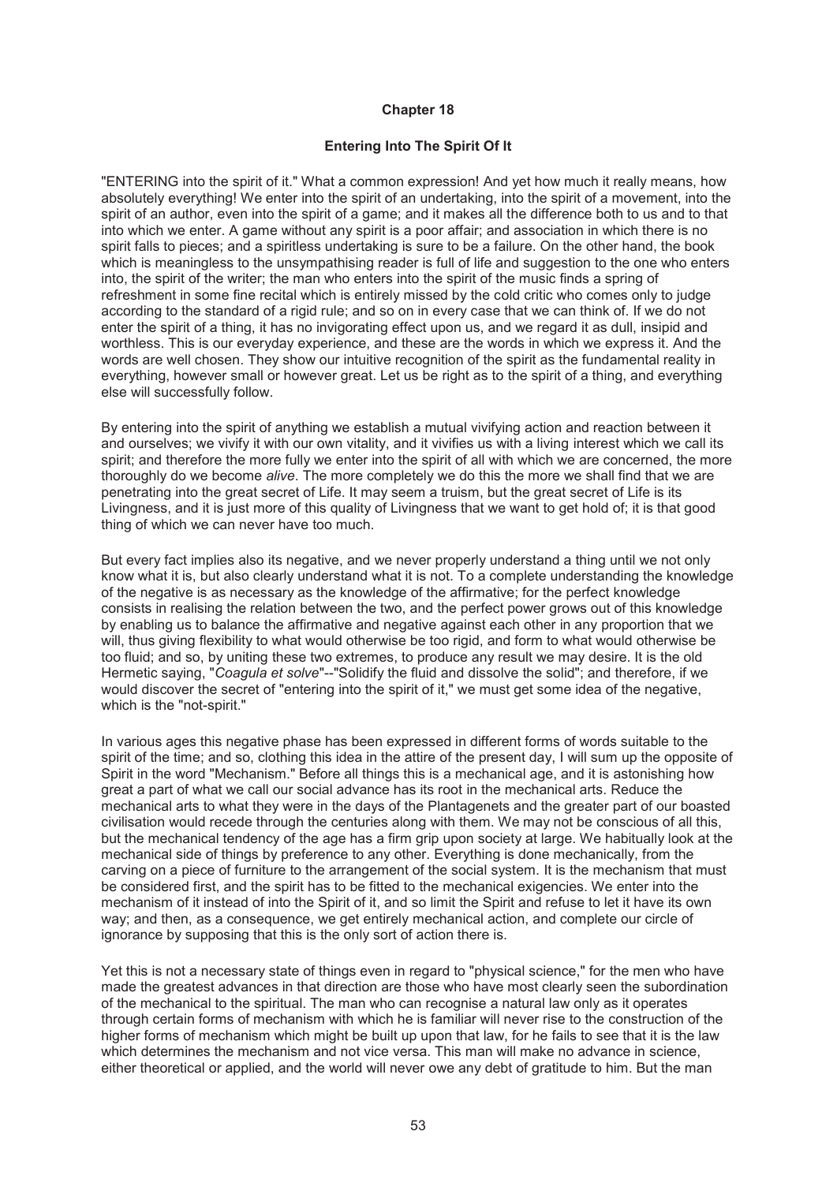## **Entering Into The Spirit Of It**

"ENTERING into the spirit of it." What a common expression! And yet how much it really means, how absolutely everything! We enter into the spirit of an undertaking, into the spirit of a movement, into the spirit of an author, even into the spirit of a game; and it makes all the difference both to us and to that into which we enter. A game without any spirit is a poor affair; and association in which there is no spirit falls to pieces; and a spiritless undertaking is sure to be a failure. On the other hand, the book which is meaningless to the unsympathising reader is full of life and suggestion to the one who enters into, the spirit of the writer; the man who enters into the spirit of the music finds a spring of refreshment in some fine recital which is entirely missed by the cold critic who comes only to judge according to the standard of a rigid rule; and so on in every case that we can think of. If we do not enter the spirit of a thing, it has no invigorating effect upon us, and we regard it as dull, insipid and worthless. This is our everyday experience, and these are the words in which we express it. And the words are well chosen. They show our intuitive recognition of the spirit as the fundamental reality in everything, however small or however great. Let us be right as to the spirit of a thing, and everything else will successfully follow.

By entering into the spirit of anything we establish a mutual vivifying action and reaction between it and ourselves; we vivify it with our own vitality, and it vivifies us with a living interest which we call its spirit; and therefore the more fully we enter into the spirit of all with which we are concerned, the more thoroughly do we become *alive*. The more completely we do this the more we shall find that we are penetrating into the great secret of Life. It may seem a truism, but the great secret of Life is its Livingness, and it is just more of this quality of Livingness that we want to get hold of; it is that good thing of which we can never have too much.

But every fact implies also its negative, and we never properly understand a thing until we not only know what it is, but also clearly understand what it is not. To a complete understanding the knowledge of the negative is as necessary as the knowledge of the affirmative; for the perfect knowledge consists in realising the relation between the two, and the perfect power grows out of this knowledge by enabling us to balance the affirmative and negative against each other in any proportion that we will, thus giving flexibility to what would otherwise be too rigid, and form to what would otherwise be too fluid; and so, by uniting these two extremes, to produce any result we may desire. It is the old Hermetic saying, "*Coagula et solve*"--"Solidify the fluid and dissolve the solid"; and therefore, if we would discover the secret of "entering into the spirit of it," we must get some idea of the negative, which is the "not-spirit."

In various ages this negative phase has been expressed in different forms of words suitable to the spirit of the time; and so, clothing this idea in the attire of the present day, I will sum up the opposite of Spirit in the word "Mechanism." Before all things this is a mechanical age, and it is astonishing how great a part of what we call our social advance has its root in the mechanical arts. Reduce the mechanical arts to what they were in the days of the Plantagenets and the greater part of our boasted civilisation would recede through the centuries along with them. We may not be conscious of all this, but the mechanical tendency of the age has a firm grip upon society at large. We habitually look at the mechanical side of things by preference to any other. Everything is done mechanically, from the carving on a piece of furniture to the arrangement of the social system. It is the mechanism that must be considered first, and the spirit has to be fitted to the mechanical exigencies. We enter into the mechanism of it instead of into the Spirit of it, and so limit the Spirit and refuse to let it have its own way; and then, as a consequence, we get entirely mechanical action, and complete our circle of ignorance by supposing that this is the only sort of action there is.

Yet this is not a necessary state of things even in regard to "physical science," for the men who have made the greatest advances in that direction are those who have most clearly seen the subordination of the mechanical to the spiritual. The man who can recognise a natural law only as it operates through certain forms of mechanism with which he is familiar will never rise to the construction of the higher forms of mechanism which might be built up upon that law, for he fails to see that it is the law which determines the mechanism and not vice versa. This man will make no advance in science, either theoretical or applied, and the world will never owe any debt of gratitude to him. But the man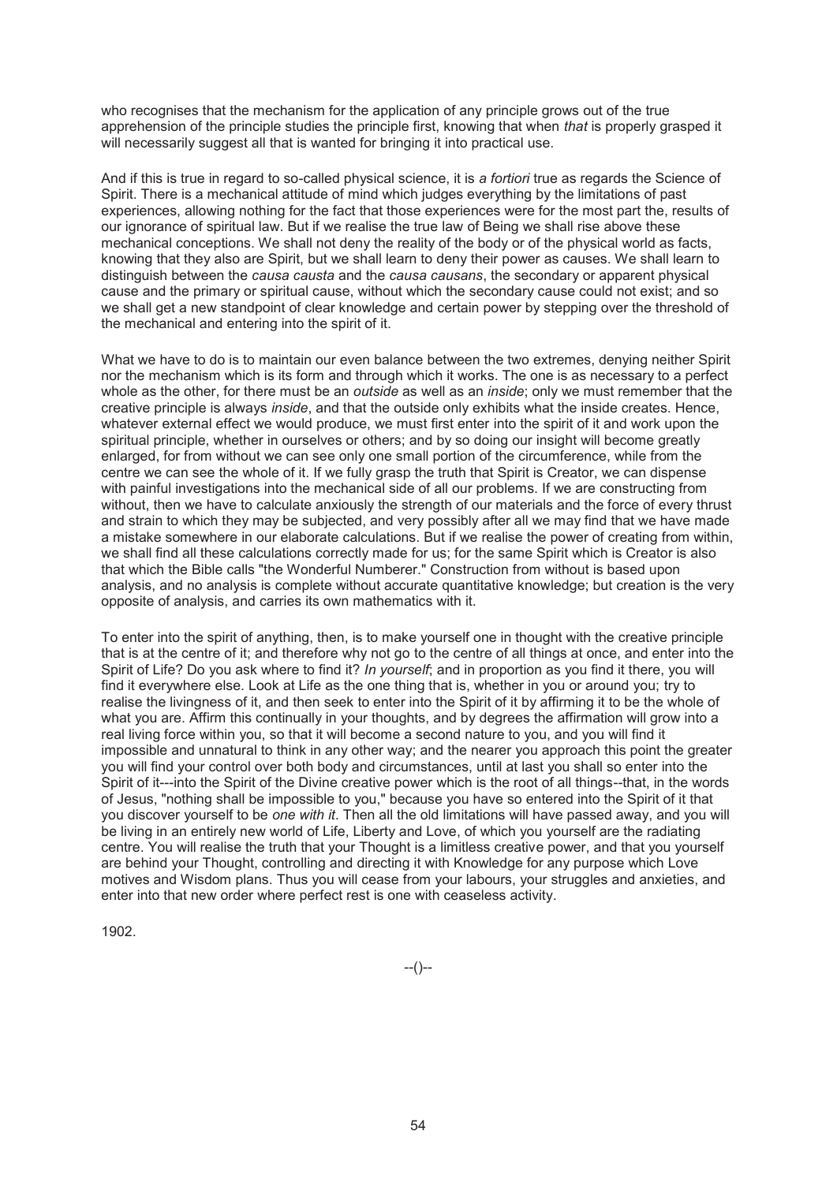who recognises that the mechanism for the application of any principle grows out of the true apprehension of the principle studies the principle first, knowing that when *that* is properly grasped it will necessarily suggest all that is wanted for bringing it into practical use.

And if this is true in regard to so-called physical science, it is *a fortiori* true as regards the Science of Spirit. There is a mechanical attitude of mind which judges everything by the limitations of past experiences, allowing nothing for the fact that those experiences were for the most part the, results of our ignorance of spiritual law. But if we realise the true law of Being we shall rise above these mechanical conceptions. We shall not deny the reality of the body or of the physical world as facts, knowing that they also are Spirit, but we shall learn to deny their power as causes. We shall learn to distinguish between the *causa causta* and the *causa causans*, the secondary or apparent physical cause and the primary or spiritual cause, without which the secondary cause could not exist; and so we shall get a new standpoint of clear knowledge and certain power by stepping over the threshold of the mechanical and entering into the spirit of it.

What we have to do is to maintain our even balance between the two extremes, denying neither Spirit nor the mechanism which is its form and through which it works. The one is as necessary to a perfect whole as the other, for there must be an *outside* as well as an *inside*; only we must remember that the creative principle is always *inside*, and that the outside only exhibits what the inside creates. Hence, whatever external effect we would produce, we must first enter into the spirit of it and work upon the spiritual principle, whether in ourselves or others; and by so doing our insight will become greatly enlarged, for from without we can see only one small portion of the circumference, while from the centre we can see the whole of it. If we fully grasp the truth that Spirit is Creator, we can dispense with painful investigations into the mechanical side of all our problems. If we are constructing from without, then we have to calculate anxiously the strength of our materials and the force of every thrust and strain to which they may be subjected, and very possibly after all we may find that we have made a mistake somewhere in our elaborate calculations. But if we realise the power of creating from within, we shall find all these calculations correctly made for us; for the same Spirit which is Creator is also that which the Bible calls "the Wonderful Numberer." Construction from without is based upon analysis, and no analysis is complete without accurate quantitative knowledge; but creation is the very opposite of analysis, and carries its own mathematics with it.

To enter into the spirit of anything, then, is to make yourself one in thought with the creative principle that is at the centre of it; and therefore why not go to the centre of all things at once, and enter into the Spirit of Life? Do you ask where to find it? *In yourself*; and in proportion as you find it there, you will find it everywhere else. Look at Life as the one thing that is, whether in you or around you; try to realise the livingness of it, and then seek to enter into the Spirit of it by affirming it to be the whole of what you are. Affirm this continually in your thoughts, and by degrees the affirmation will grow into a real living force within you, so that it will become a second nature to you, and you will find it impossible and unnatural to think in any other way; and the nearer you approach this point the greater you will find your control over both body and circumstances, until at last you shall so enter into the Spirit of it---into the Spirit of the Divine creative power which is the root of all things--that, in the words of Jesus, "nothing shall be impossible to you," because you have so entered into the Spirit of it that you discover yourself to be *one with it*. Then all the old limitations will have passed away, and you will be living in an entirely new world of Life, Liberty and Love, of which you yourself are the radiating centre. You will realise the truth that your Thought is a limitless creative power, and that you yourself are behind your Thought, controlling and directing it with Knowledge for any purpose which Love motives and Wisdom plans. Thus you will cease from your labours, your struggles and anxieties, and enter into that new order where perfect rest is one with ceaseless activity.

1902.

--()--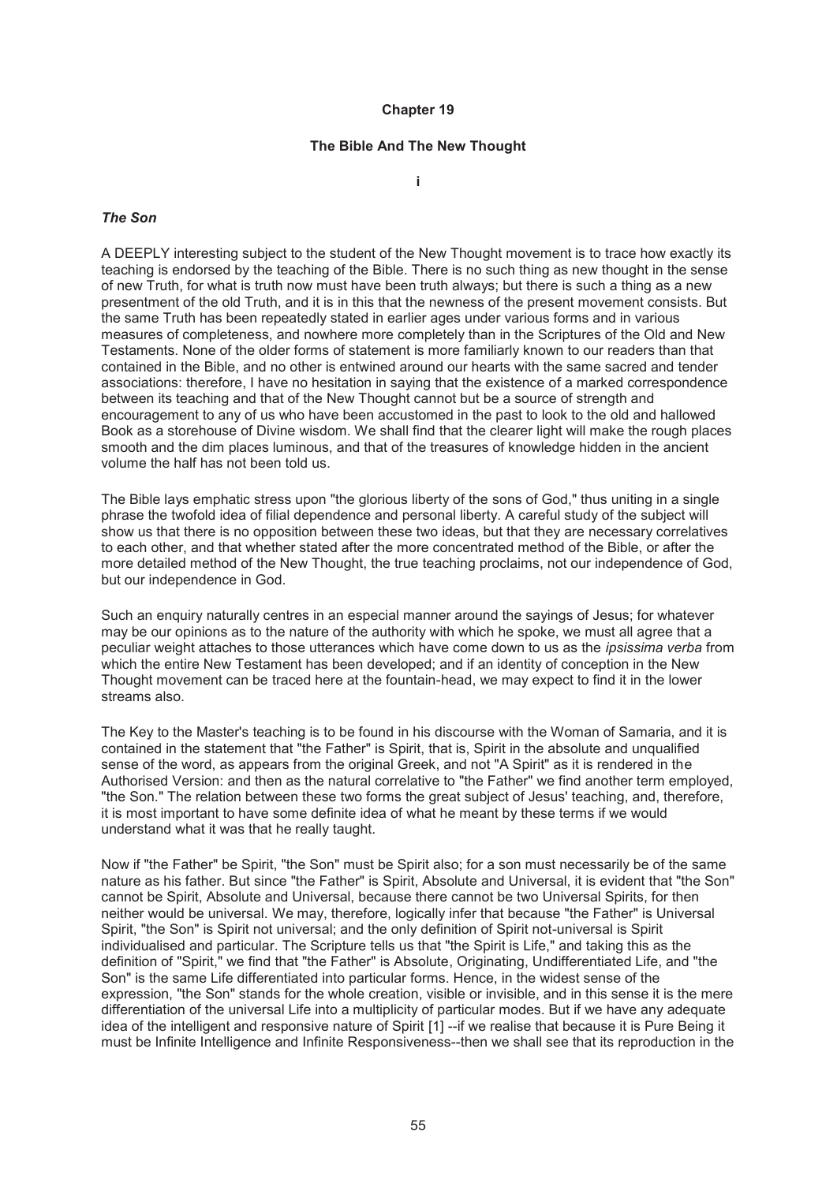#### **The Bible And The New Thought**

**i** 

#### *The Son*

A DEEPLY interesting subject to the student of the New Thought movement is to trace how exactly its teaching is endorsed by the teaching of the Bible. There is no such thing as new thought in the sense of new Truth, for what is truth now must have been truth always; but there is such a thing as a new presentment of the old Truth, and it is in this that the newness of the present movement consists. But the same Truth has been repeatedly stated in earlier ages under various forms and in various measures of completeness, and nowhere more completely than in the Scriptures of the Old and New Testaments. None of the older forms of statement is more familiarly known to our readers than that contained in the Bible, and no other is entwined around our hearts with the same sacred and tender associations: therefore, I have no hesitation in saying that the existence of a marked correspondence between its teaching and that of the New Thought cannot but be a source of strength and encouragement to any of us who have been accustomed in the past to look to the old and hallowed Book as a storehouse of Divine wisdom. We shall find that the clearer light will make the rough places smooth and the dim places luminous, and that of the treasures of knowledge hidden in the ancient volume the half has not been told us.

The Bible lays emphatic stress upon "the glorious liberty of the sons of God," thus uniting in a single phrase the twofold idea of filial dependence and personal liberty. A careful study of the subject will show us that there is no opposition between these two ideas, but that they are necessary correlatives to each other, and that whether stated after the more concentrated method of the Bible, or after the more detailed method of the New Thought, the true teaching proclaims, not our independence of God, but our independence in God.

Such an enquiry naturally centres in an especial manner around the sayings of Jesus; for whatever may be our opinions as to the nature of the authority with which he spoke, we must all agree that a peculiar weight attaches to those utterances which have come down to us as the *ipsissima verba* from which the entire New Testament has been developed; and if an identity of conception in the New Thought movement can be traced here at the fountain-head, we may expect to find it in the lower streams also.

The Key to the Master's teaching is to be found in his discourse with the Woman of Samaria, and it is contained in the statement that "the Father" is Spirit, that is, Spirit in the absolute and unqualified sense of the word, as appears from the original Greek, and not "A Spirit" as it is rendered in the Authorised Version: and then as the natural correlative to "the Father" we find another term employed, "the Son." The relation between these two forms the great subject of Jesus' teaching, and, therefore, it is most important to have some definite idea of what he meant by these terms if we would understand what it was that he really taught.

Now if "the Father" be Spirit, "the Son" must be Spirit also; for a son must necessarily be of the same nature as his father. But since "the Father" is Spirit, Absolute and Universal, it is evident that "the Son" cannot be Spirit, Absolute and Universal, because there cannot be two Universal Spirits, for then neither would be universal. We may, therefore, logically infer that because "the Father" is Universal Spirit, "the Son" is Spirit not universal; and the only definition of Spirit not-universal is Spirit individualised and particular. The Scripture tells us that "the Spirit is Life," and taking this as the definition of "Spirit," we find that "the Father" is Absolute, Originating, Undifferentiated Life, and "the Son" is the same Life differentiated into particular forms. Hence, in the widest sense of the expression, "the Son" stands for the whole creation, visible or invisible, and in this sense it is the mere differentiation of the universal Life into a multiplicity of particular modes. But if we have any adequate idea of the intelligent and responsive nature of Spirit [1] --if we realise that because it is Pure Being it must be Infinite Intelligence and Infinite Responsiveness--then we shall see that its reproduction in the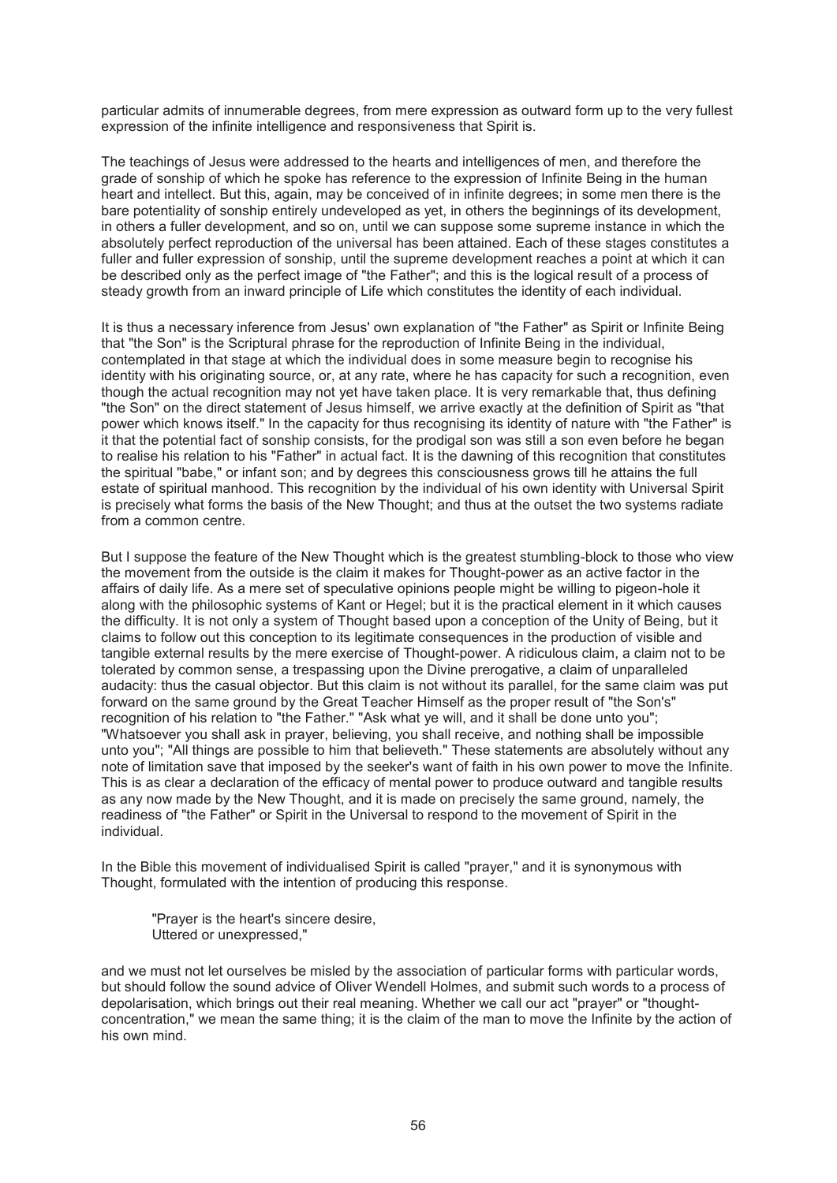particular admits of innumerable degrees, from mere expression as outward form up to the very fullest expression of the infinite intelligence and responsiveness that Spirit is.

The teachings of Jesus were addressed to the hearts and intelligences of men, and therefore the grade of sonship of which he spoke has reference to the expression of Infinite Being in the human heart and intellect. But this, again, may be conceived of in infinite degrees; in some men there is the bare potentiality of sonship entirely undeveloped as yet, in others the beginnings of its development, in others a fuller development, and so on, until we can suppose some supreme instance in which the absolutely perfect reproduction of the universal has been attained. Each of these stages constitutes a fuller and fuller expression of sonship, until the supreme development reaches a point at which it can be described only as the perfect image of "the Father"; and this is the logical result of a process of steady growth from an inward principle of Life which constitutes the identity of each individual.

It is thus a necessary inference from Jesus' own explanation of "the Father" as Spirit or Infinite Being that "the Son" is the Scriptural phrase for the reproduction of Infinite Being in the individual, contemplated in that stage at which the individual does in some measure begin to recognise his identity with his originating source, or, at any rate, where he has capacity for such a recognition, even though the actual recognition may not yet have taken place. It is very remarkable that, thus defining "the Son" on the direct statement of Jesus himself, we arrive exactly at the definition of Spirit as "that power which knows itself." In the capacity for thus recognising its identity of nature with "the Father" is it that the potential fact of sonship consists, for the prodigal son was still a son even before he began to realise his relation to his "Father" in actual fact. It is the dawning of this recognition that constitutes the spiritual "babe," or infant son; and by degrees this consciousness grows till he attains the full estate of spiritual manhood. This recognition by the individual of his own identity with Universal Spirit is precisely what forms the basis of the New Thought; and thus at the outset the two systems radiate from a common centre.

But I suppose the feature of the New Thought which is the greatest stumbling-block to those who view the movement from the outside is the claim it makes for Thought-power as an active factor in the affairs of daily life. As a mere set of speculative opinions people might be willing to pigeon-hole it along with the philosophic systems of Kant or Hegel; but it is the practical element in it which causes the difficulty. It is not only a system of Thought based upon a conception of the Unity of Being, but it claims to follow out this conception to its legitimate consequences in the production of visible and tangible external results by the mere exercise of Thought-power. A ridiculous claim, a claim not to be tolerated by common sense, a trespassing upon the Divine prerogative, a claim of unparalleled audacity: thus the casual objector. But this claim is not without its parallel, for the same claim was put forward on the same ground by the Great Teacher Himself as the proper result of "the Son's" recognition of his relation to "the Father." "Ask what ye will, and it shall be done unto you"; "Whatsoever you shall ask in prayer, believing, you shall receive, and nothing shall be impossible unto you"; "All things are possible to him that believeth." These statements are absolutely without any note of limitation save that imposed by the seeker's want of faith in his own power to move the Infinite. This is as clear a declaration of the efficacy of mental power to produce outward and tangible results as any now made by the New Thought, and it is made on precisely the same ground, namely, the readiness of "the Father" or Spirit in the Universal to respond to the movement of Spirit in the individual.

In the Bible this movement of individualised Spirit is called "prayer," and it is synonymous with Thought, formulated with the intention of producing this response.

"Prayer is the heart's sincere desire, Uttered or unexpressed,"

and we must not let ourselves be misled by the association of particular forms with particular words, but should follow the sound advice of Oliver Wendell Holmes, and submit such words to a process of depolarisation, which brings out their real meaning. Whether we call our act "prayer" or "thoughtconcentration," we mean the same thing; it is the claim of the man to move the Infinite by the action of his own mind.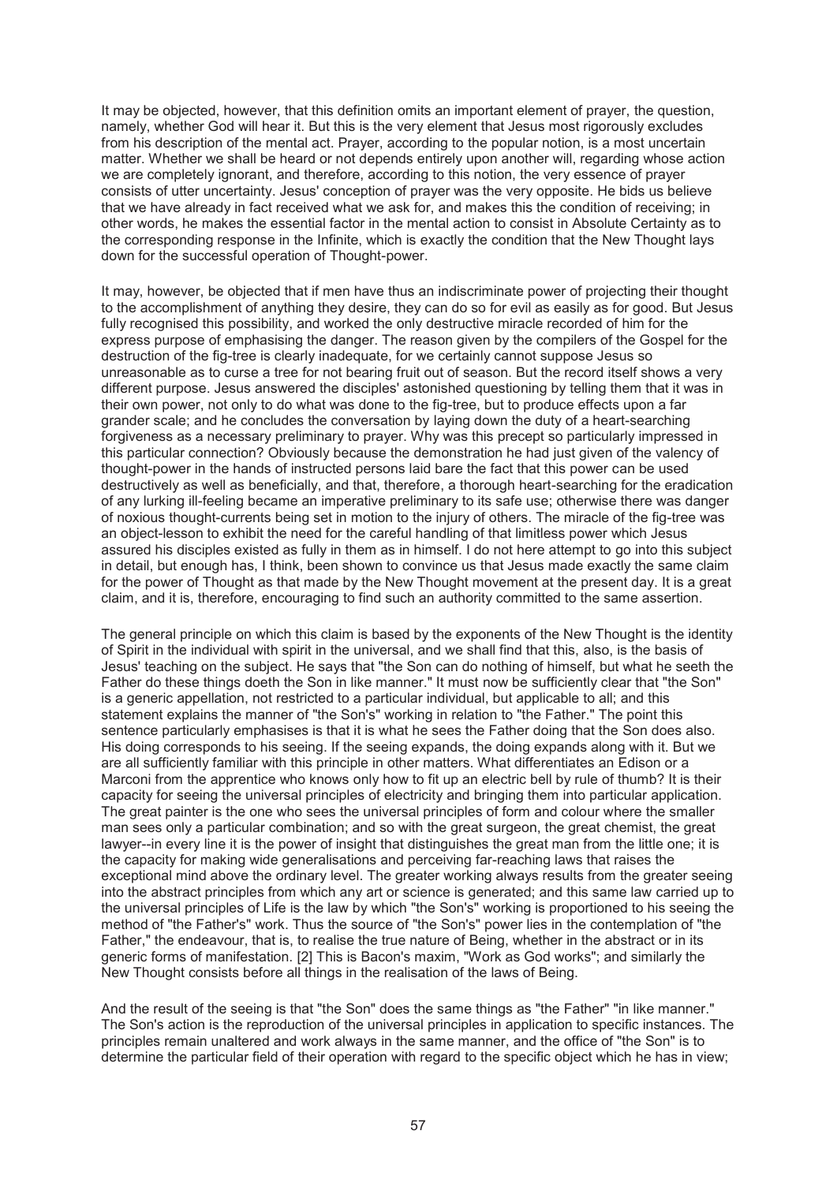It may be objected, however, that this definition omits an important element of prayer, the question, namely, whether God will hear it. But this is the very element that Jesus most rigorously excludes from his description of the mental act. Prayer, according to the popular notion, is a most uncertain matter. Whether we shall be heard or not depends entirely upon another will, regarding whose action we are completely ignorant, and therefore, according to this notion, the very essence of prayer consists of utter uncertainty. Jesus' conception of prayer was the very opposite. He bids us believe that we have already in fact received what we ask for, and makes this the condition of receiving; in other words, he makes the essential factor in the mental action to consist in Absolute Certainty as to the corresponding response in the Infinite, which is exactly the condition that the New Thought lays down for the successful operation of Thought-power.

It may, however, be objected that if men have thus an indiscriminate power of projecting their thought to the accomplishment of anything they desire, they can do so for evil as easily as for good. But Jesus fully recognised this possibility, and worked the only destructive miracle recorded of him for the express purpose of emphasising the danger. The reason given by the compilers of the Gospel for the destruction of the fig-tree is clearly inadequate, for we certainly cannot suppose Jesus so unreasonable as to curse a tree for not bearing fruit out of season. But the record itself shows a very different purpose. Jesus answered the disciples' astonished questioning by telling them that it was in their own power, not only to do what was done to the fig-tree, but to produce effects upon a far grander scale; and he concludes the conversation by laying down the duty of a heart-searching forgiveness as a necessary preliminary to prayer. Why was this precept so particularly impressed in this particular connection? Obviously because the demonstration he had just given of the valency of thought-power in the hands of instructed persons laid bare the fact that this power can be used destructively as well as beneficially, and that, therefore, a thorough heart-searching for the eradication of any lurking ill-feeling became an imperative preliminary to its safe use; otherwise there was danger of noxious thought-currents being set in motion to the injury of others. The miracle of the fig-tree was an object-lesson to exhibit the need for the careful handling of that limitless power which Jesus assured his disciples existed as fully in them as in himself. I do not here attempt to go into this subject in detail, but enough has, I think, been shown to convince us that Jesus made exactly the same claim for the power of Thought as that made by the New Thought movement at the present day. It is a great claim, and it is, therefore, encouraging to find such an authority committed to the same assertion.

The general principle on which this claim is based by the exponents of the New Thought is the identity of Spirit in the individual with spirit in the universal, and we shall find that this, also, is the basis of Jesus' teaching on the subject. He says that "the Son can do nothing of himself, but what he seeth the Father do these things doeth the Son in like manner." It must now be sufficiently clear that "the Son" is a generic appellation, not restricted to a particular individual, but applicable to all; and this statement explains the manner of "the Son's" working in relation to "the Father." The point this sentence particularly emphasises is that it is what he sees the Father doing that the Son does also. His doing corresponds to his seeing. If the seeing expands, the doing expands along with it. But we are all sufficiently familiar with this principle in other matters. What differentiates an Edison or a Marconi from the apprentice who knows only how to fit up an electric bell by rule of thumb? It is their capacity for seeing the universal principles of electricity and bringing them into particular application. The great painter is the one who sees the universal principles of form and colour where the smaller man sees only a particular combination; and so with the great surgeon, the great chemist, the great lawyer--in every line it is the power of insight that distinguishes the great man from the little one; it is the capacity for making wide generalisations and perceiving far-reaching laws that raises the exceptional mind above the ordinary level. The greater working always results from the greater seeing into the abstract principles from which any art or science is generated; and this same law carried up to the universal principles of Life is the law by which "the Son's" working is proportioned to his seeing the method of "the Father's" work. Thus the source of "the Son's" power lies in the contemplation of "the Father," the endeavour, that is, to realise the true nature of Being, whether in the abstract or in its generic forms of manifestation. [2] This is Bacon's maxim, "Work as God works"; and similarly the New Thought consists before all things in the realisation of the laws of Being.

And the result of the seeing is that "the Son" does the same things as "the Father" "in like manner." The Son's action is the reproduction of the universal principles in application to specific instances. The principles remain unaltered and work always in the same manner, and the office of "the Son" is to determine the particular field of their operation with regard to the specific object which he has in view;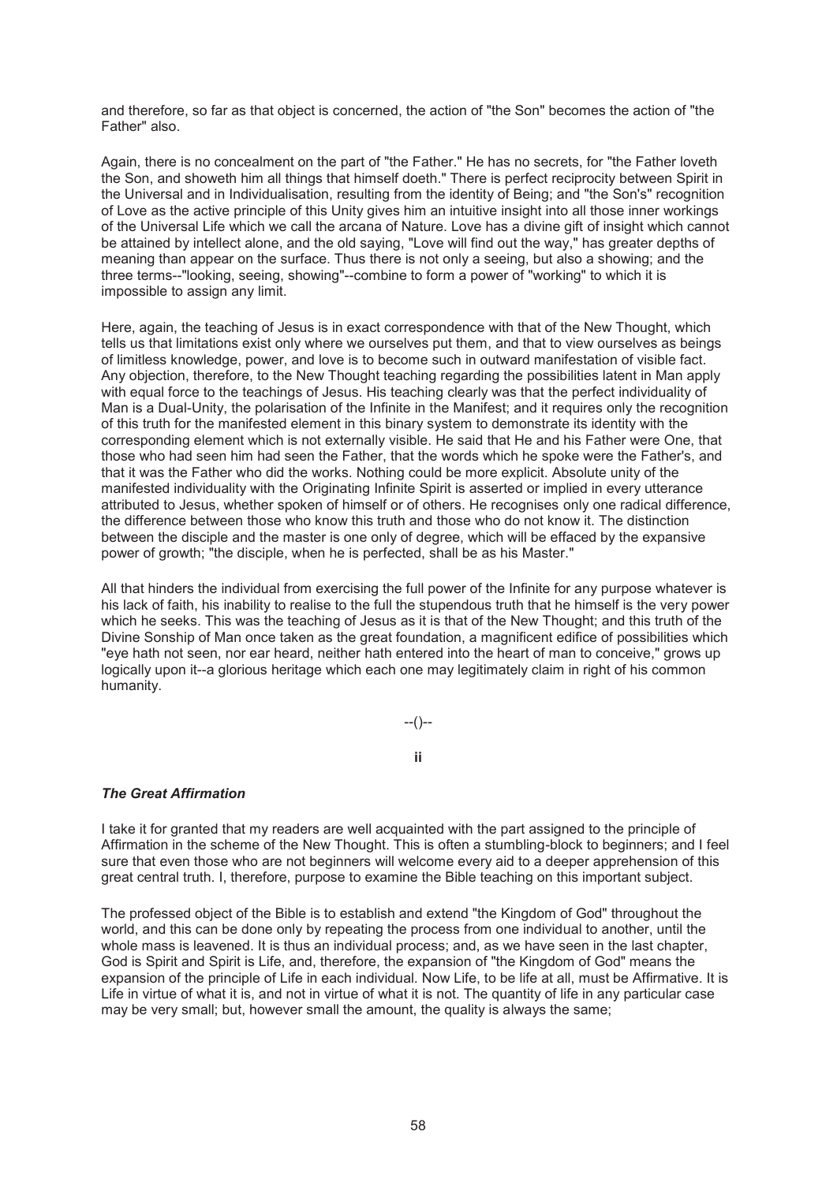and therefore, so far as that object is concerned, the action of "the Son" becomes the action of "the Father" also.

Again, there is no concealment on the part of "the Father." He has no secrets, for "the Father loveth the Son, and showeth him all things that himself doeth." There is perfect reciprocity between Spirit in the Universal and in Individualisation, resulting from the identity of Being; and "the Son's" recognition of Love as the active principle of this Unity gives him an intuitive insight into all those inner workings of the Universal Life which we call the arcana of Nature. Love has a divine gift of insight which cannot be attained by intellect alone, and the old saying, "Love will find out the way," has greater depths of meaning than appear on the surface. Thus there is not only a seeing, but also a showing; and the three terms--"looking, seeing, showing"--combine to form a power of "working" to which it is impossible to assign any limit.

Here, again, the teaching of Jesus is in exact correspondence with that of the New Thought, which tells us that limitations exist only where we ourselves put them, and that to view ourselves as beings of limitless knowledge, power, and love is to become such in outward manifestation of visible fact. Any objection, therefore, to the New Thought teaching regarding the possibilities latent in Man apply with equal force to the teachings of Jesus. His teaching clearly was that the perfect individuality of Man is a Dual-Unity, the polarisation of the Infinite in the Manifest; and it requires only the recognition of this truth for the manifested element in this binary system to demonstrate its identity with the corresponding element which is not externally visible. He said that He and his Father were One, that those who had seen him had seen the Father, that the words which he spoke were the Father's, and that it was the Father who did the works. Nothing could be more explicit. Absolute unity of the manifested individuality with the Originating Infinite Spirit is asserted or implied in every utterance attributed to Jesus, whether spoken of himself or of others. He recognises only one radical difference, the difference between those who know this truth and those who do not know it. The distinction between the disciple and the master is one only of degree, which will be effaced by the expansive power of growth; "the disciple, when he is perfected, shall be as his Master."

All that hinders the individual from exercising the full power of the Infinite for any purpose whatever is his lack of faith, his inability to realise to the full the stupendous truth that he himself is the very power which he seeks. This was the teaching of Jesus as it is that of the New Thought; and this truth of the Divine Sonship of Man once taken as the great foundation, a magnificent edifice of possibilities which "eye hath not seen, nor ear heard, neither hath entered into the heart of man to conceive," grows up logically upon it--a glorious heritage which each one may legitimately claim in right of his common humanity.

--()--

# **ii**

# *The Great Affirmation*

I take it for granted that my readers are well acquainted with the part assigned to the principle of Affirmation in the scheme of the New Thought. This is often a stumbling-block to beginners; and I feel sure that even those who are not beginners will welcome every aid to a deeper apprehension of this great central truth. I, therefore, purpose to examine the Bible teaching on this important subject.

The professed object of the Bible is to establish and extend "the Kingdom of God" throughout the world, and this can be done only by repeating the process from one individual to another, until the whole mass is leavened. It is thus an individual process; and, as we have seen in the last chapter, God is Spirit and Spirit is Life, and, therefore, the expansion of "the Kingdom of God" means the expansion of the principle of Life in each individual. Now Life, to be life at all, must be Affirmative. It is Life in virtue of what it is, and not in virtue of what it is not. The quantity of life in any particular case may be very small; but, however small the amount, the quality is always the same;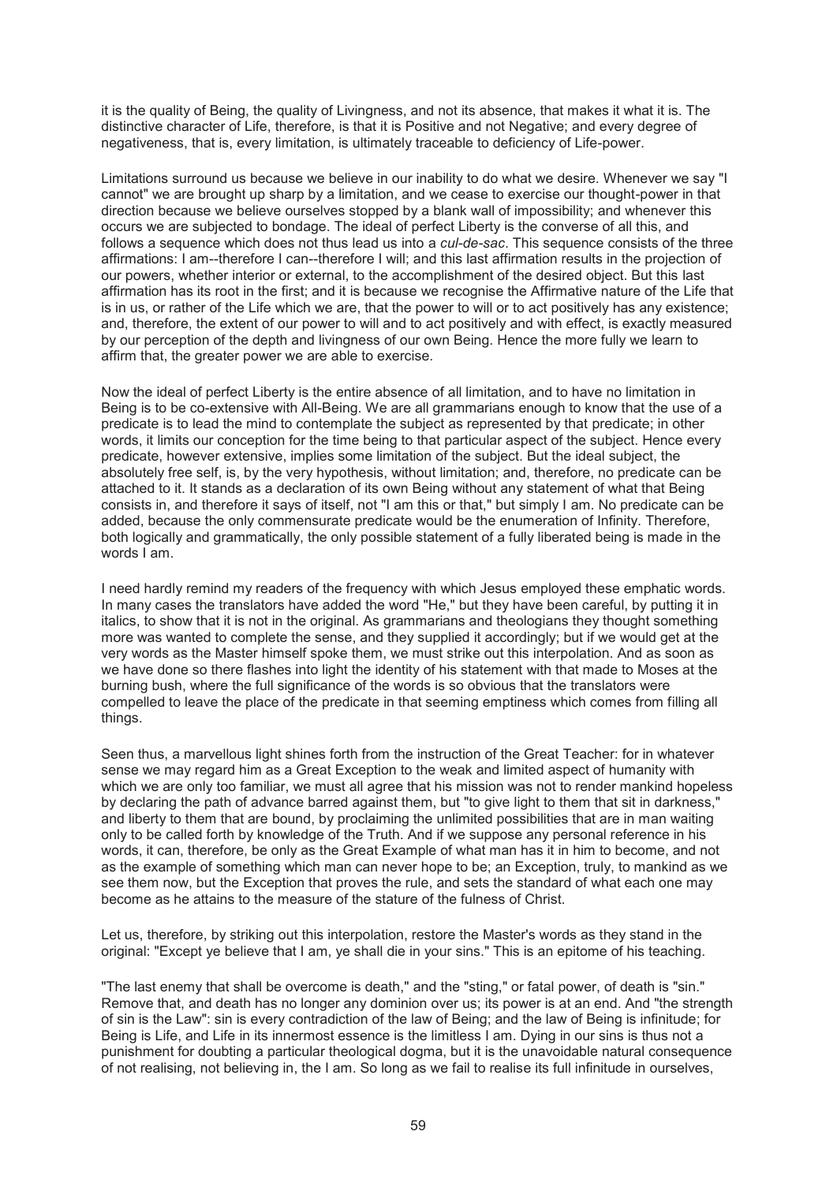it is the quality of Being, the quality of Livingness, and not its absence, that makes it what it is. The distinctive character of Life, therefore, is that it is Positive and not Negative; and every degree of negativeness, that is, every limitation, is ultimately traceable to deficiency of Life-power.

Limitations surround us because we believe in our inability to do what we desire. Whenever we say "I cannot" we are brought up sharp by a limitation, and we cease to exercise our thought-power in that direction because we believe ourselves stopped by a blank wall of impossibility; and whenever this occurs we are subjected to bondage. The ideal of perfect Liberty is the converse of all this, and follows a sequence which does not thus lead us into a *cul-de-sac*. This sequence consists of the three affirmations: I am--therefore I can--therefore I will; and this last affirmation results in the projection of our powers, whether interior or external, to the accomplishment of the desired object. But this last affirmation has its root in the first; and it is because we recognise the Affirmative nature of the Life that is in us, or rather of the Life which we are, that the power to will or to act positively has any existence; and, therefore, the extent of our power to will and to act positively and with effect, is exactly measured by our perception of the depth and livingness of our own Being. Hence the more fully we learn to affirm that, the greater power we are able to exercise.

Now the ideal of perfect Liberty is the entire absence of all limitation, and to have no limitation in Being is to be co-extensive with All-Being. We are all grammarians enough to know that the use of a predicate is to lead the mind to contemplate the subject as represented by that predicate; in other words, it limits our conception for the time being to that particular aspect of the subject. Hence every predicate, however extensive, implies some limitation of the subject. But the ideal subject, the absolutely free self, is, by the very hypothesis, without limitation; and, therefore, no predicate can be attached to it. It stands as a declaration of its own Being without any statement of what that Being consists in, and therefore it says of itself, not "I am this or that," but simply I am. No predicate can be added, because the only commensurate predicate would be the enumeration of Infinity. Therefore, both logically and grammatically, the only possible statement of a fully liberated being is made in the words I am.

I need hardly remind my readers of the frequency with which Jesus employed these emphatic words. In many cases the translators have added the word "He," but they have been careful, by putting it in italics, to show that it is not in the original. As grammarians and theologians they thought something more was wanted to complete the sense, and they supplied it accordingly; but if we would get at the very words as the Master himself spoke them, we must strike out this interpolation. And as soon as we have done so there flashes into light the identity of his statement with that made to Moses at the burning bush, where the full significance of the words is so obvious that the translators were compelled to leave the place of the predicate in that seeming emptiness which comes from filling all things.

Seen thus, a marvellous light shines forth from the instruction of the Great Teacher: for in whatever sense we may regard him as a Great Exception to the weak and limited aspect of humanity with which we are only too familiar, we must all agree that his mission was not to render mankind hopeless by declaring the path of advance barred against them, but "to give light to them that sit in darkness," and liberty to them that are bound, by proclaiming the unlimited possibilities that are in man waiting only to be called forth by knowledge of the Truth. And if we suppose any personal reference in his words, it can, therefore, be only as the Great Example of what man has it in him to become, and not as the example of something which man can never hope to be; an Exception, truly, to mankind as we see them now, but the Exception that proves the rule, and sets the standard of what each one may become as he attains to the measure of the stature of the fulness of Christ.

Let us, therefore, by striking out this interpolation, restore the Master's words as they stand in the original: "Except ye believe that I am, ye shall die in your sins." This is an epitome of his teaching.

"The last enemy that shall be overcome is death," and the "sting," or fatal power, of death is "sin." Remove that, and death has no longer any dominion over us; its power is at an end. And "the strength of sin is the Law": sin is every contradiction of the law of Being; and the law of Being is infinitude; for Being is Life, and Life in its innermost essence is the limitless I am. Dying in our sins is thus not a punishment for doubting a particular theological dogma, but it is the unavoidable natural consequence of not realising, not believing in, the I am. So long as we fail to realise its full infinitude in ourselves,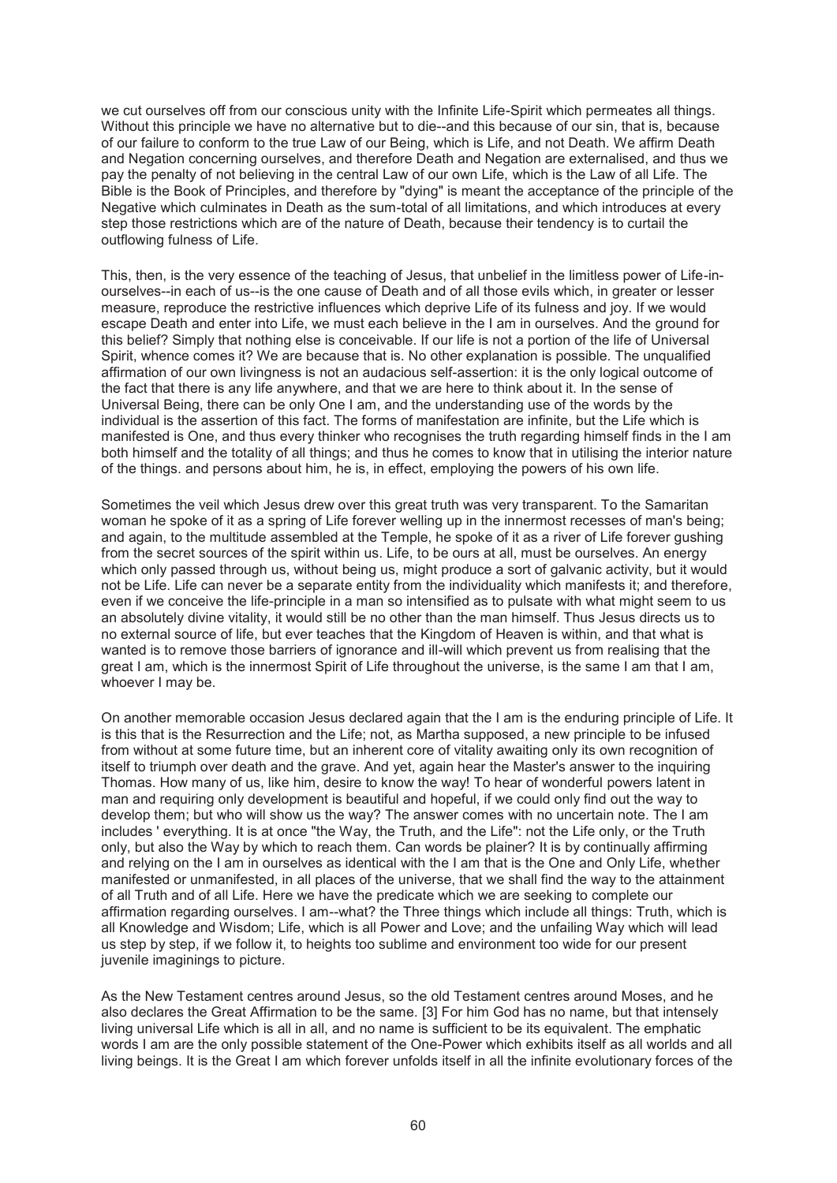we cut ourselves off from our conscious unity with the Infinite Life-Spirit which permeates all things. Without this principle we have no alternative but to die--and this because of our sin, that is, because of our failure to conform to the true Law of our Being, which is Life, and not Death. We affirm Death and Negation concerning ourselves, and therefore Death and Negation are externalised, and thus we pay the penalty of not believing in the central Law of our own Life, which is the Law of all Life. The Bible is the Book of Principles, and therefore by "dying" is meant the acceptance of the principle of the Negative which culminates in Death as the sum-total of all limitations, and which introduces at every step those restrictions which are of the nature of Death, because their tendency is to curtail the outflowing fulness of Life.

This, then, is the very essence of the teaching of Jesus, that unbelief in the limitless power of Life-inourselves--in each of us--is the one cause of Death and of all those evils which, in greater or lesser measure, reproduce the restrictive influences which deprive Life of its fulness and joy. If we would escape Death and enter into Life, we must each believe in the I am in ourselves. And the ground for this belief? Simply that nothing else is conceivable. If our life is not a portion of the life of Universal Spirit, whence comes it? We are because that is. No other explanation is possible. The unqualified affirmation of our own livingness is not an audacious self-assertion: it is the only logical outcome of the fact that there is any life anywhere, and that we are here to think about it. In the sense of Universal Being, there can be only One I am, and the understanding use of the words by the individual is the assertion of this fact. The forms of manifestation are infinite, but the Life which is manifested is One, and thus every thinker who recognises the truth regarding himself finds in the I am both himself and the totality of all things; and thus he comes to know that in utilising the interior nature of the things. and persons about him, he is, in effect, employing the powers of his own life.

Sometimes the veil which Jesus drew over this great truth was very transparent. To the Samaritan woman he spoke of it as a spring of Life forever welling up in the innermost recesses of man's being; and again, to the multitude assembled at the Temple, he spoke of it as a river of Life forever gushing from the secret sources of the spirit within us. Life, to be ours at all, must be ourselves. An energy which only passed through us, without being us, might produce a sort of galvanic activity, but it would not be Life. Life can never be a separate entity from the individuality which manifests it; and therefore, even if we conceive the life-principle in a man so intensified as to pulsate with what might seem to us an absolutely divine vitality, it would still be no other than the man himself. Thus Jesus directs us to no external source of life, but ever teaches that the Kingdom of Heaven is within, and that what is wanted is to remove those barriers of ignorance and ill-will which prevent us from realising that the great I am, which is the innermost Spirit of Life throughout the universe, is the same I am that I am, whoever I may be.

On another memorable occasion Jesus declared again that the I am is the enduring principle of Life. It is this that is the Resurrection and the Life; not, as Martha supposed, a new principle to be infused from without at some future time, but an inherent core of vitality awaiting only its own recognition of itself to triumph over death and the grave. And yet, again hear the Master's answer to the inquiring Thomas. How many of us, like him, desire to know the way! To hear of wonderful powers latent in man and requiring only development is beautiful and hopeful, if we could only find out the way to develop them; but who will show us the way? The answer comes with no uncertain note. The I am includes ' everything. It is at once "the Way, the Truth, and the Life": not the Life only, or the Truth only, but also the Way by which to reach them. Can words be plainer? It is by continually affirming and relying on the I am in ourselves as identical with the I am that is the One and Only Life, whether manifested or unmanifested, in all places of the universe, that we shall find the way to the attainment of all Truth and of all Life. Here we have the predicate which we are seeking to complete our affirmation regarding ourselves. I am--what? the Three things which include all things: Truth, which is all Knowledge and Wisdom; Life, which is all Power and Love; and the unfailing Way which will lead us step by step, if we follow it, to heights too sublime and environment too wide for our present juvenile imaginings to picture.

As the New Testament centres around Jesus, so the old Testament centres around Moses, and he also declares the Great Affirmation to be the same. [3] For him God has no name, but that intensely living universal Life which is all in all, and no name is sufficient to be its equivalent. The emphatic words I am are the only possible statement of the One-Power which exhibits itself as all worlds and all living beings. It is the Great I am which forever unfolds itself in all the infinite evolutionary forces of the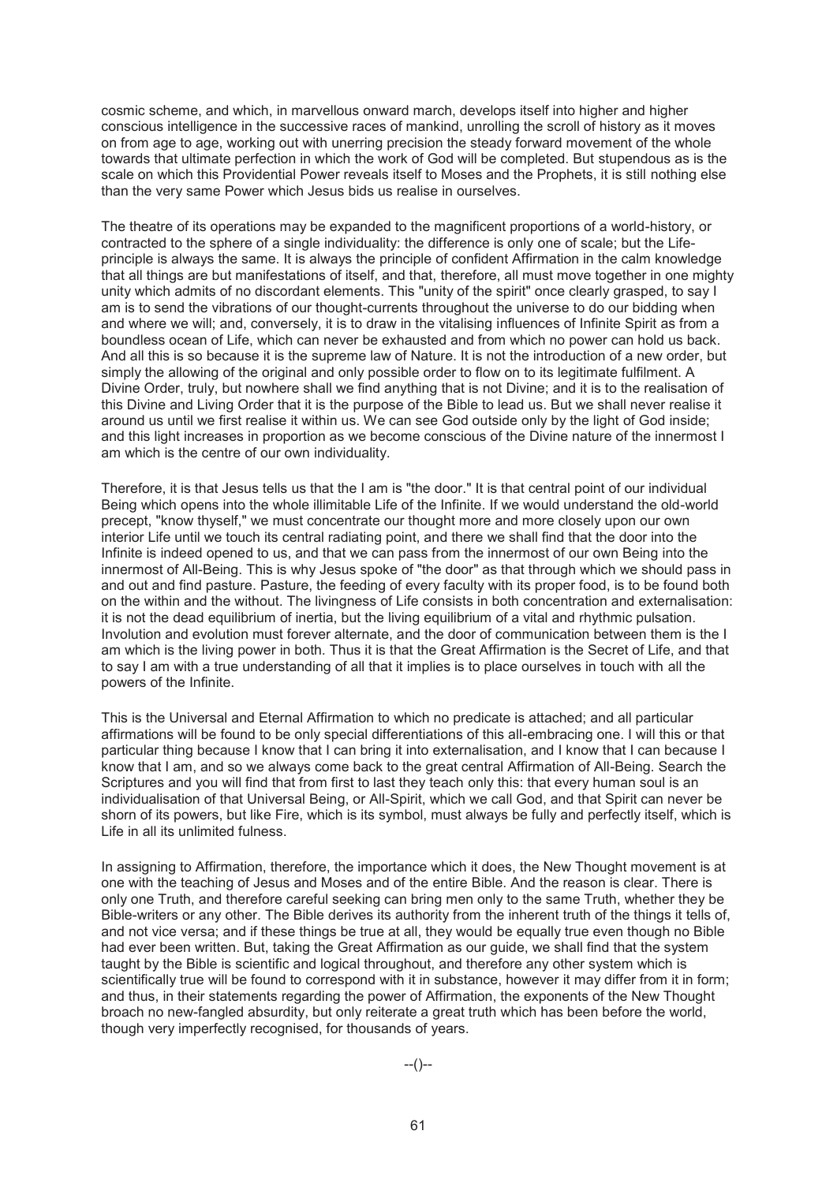cosmic scheme, and which, in marvellous onward march, develops itself into higher and higher conscious intelligence in the successive races of mankind, unrolling the scroll of history as it moves on from age to age, working out with unerring precision the steady forward movement of the whole towards that ultimate perfection in which the work of God will be completed. But stupendous as is the scale on which this Providential Power reveals itself to Moses and the Prophets, it is still nothing else than the very same Power which Jesus bids us realise in ourselves.

The theatre of its operations may be expanded to the magnificent proportions of a world-history, or contracted to the sphere of a single individuality: the difference is only one of scale; but the Lifeprinciple is always the same. It is always the principle of confident Affirmation in the calm knowledge that all things are but manifestations of itself, and that, therefore, all must move together in one mighty unity which admits of no discordant elements. This "unity of the spirit" once clearly grasped, to say I am is to send the vibrations of our thought-currents throughout the universe to do our bidding when and where we will; and, conversely, it is to draw in the vitalising influences of Infinite Spirit as from a boundless ocean of Life, which can never be exhausted and from which no power can hold us back. And all this is so because it is the supreme law of Nature. It is not the introduction of a new order, but simply the allowing of the original and only possible order to flow on to its legitimate fulfilment. A Divine Order, truly, but nowhere shall we find anything that is not Divine; and it is to the realisation of this Divine and Living Order that it is the purpose of the Bible to lead us. But we shall never realise it around us until we first realise it within us. We can see God outside only by the light of God inside; and this light increases in proportion as we become conscious of the Divine nature of the innermost I am which is the centre of our own individuality.

Therefore, it is that Jesus tells us that the I am is "the door." It is that central point of our individual Being which opens into the whole illimitable Life of the Infinite. If we would understand the old-world precept, "know thyself," we must concentrate our thought more and more closely upon our own interior Life until we touch its central radiating point, and there we shall find that the door into the Infinite is indeed opened to us, and that we can pass from the innermost of our own Being into the innermost of All-Being. This is why Jesus spoke of "the door" as that through which we should pass in and out and find pasture. Pasture, the feeding of every faculty with its proper food, is to be found both on the within and the without. The livingness of Life consists in both concentration and externalisation: it is not the dead equilibrium of inertia, but the living equilibrium of a vital and rhythmic pulsation. Involution and evolution must forever alternate, and the door of communication between them is the I am which is the living power in both. Thus it is that the Great Affirmation is the Secret of Life, and that to say I am with a true understanding of all that it implies is to place ourselves in touch with all the powers of the Infinite.

This is the Universal and Eternal Affirmation to which no predicate is attached; and all particular affirmations will be found to be only special differentiations of this all-embracing one. I will this or that particular thing because I know that I can bring it into externalisation, and I know that I can because I know that I am, and so we always come back to the great central Affirmation of All-Being. Search the Scriptures and you will find that from first to last they teach only this: that every human soul is an individualisation of that Universal Being, or All-Spirit, which we call God, and that Spirit can never be shorn of its powers, but like Fire, which is its symbol, must always be fully and perfectly itself, which is Life in all its unlimited fulness.

In assigning to Affirmation, therefore, the importance which it does, the New Thought movement is at one with the teaching of Jesus and Moses and of the entire Bible. And the reason is clear. There is only one Truth, and therefore careful seeking can bring men only to the same Truth, whether they be Bible-writers or any other. The Bible derives its authority from the inherent truth of the things it tells of, and not vice versa; and if these things be true at all, they would be equally true even though no Bible had ever been written. But, taking the Great Affirmation as our guide, we shall find that the system taught by the Bible is scientific and logical throughout, and therefore any other system which is scientifically true will be found to correspond with it in substance, however it may differ from it in form; and thus, in their statements regarding the power of Affirmation, the exponents of the New Thought broach no new-fangled absurdity, but only reiterate a great truth which has been before the world, though very imperfectly recognised, for thousands of years.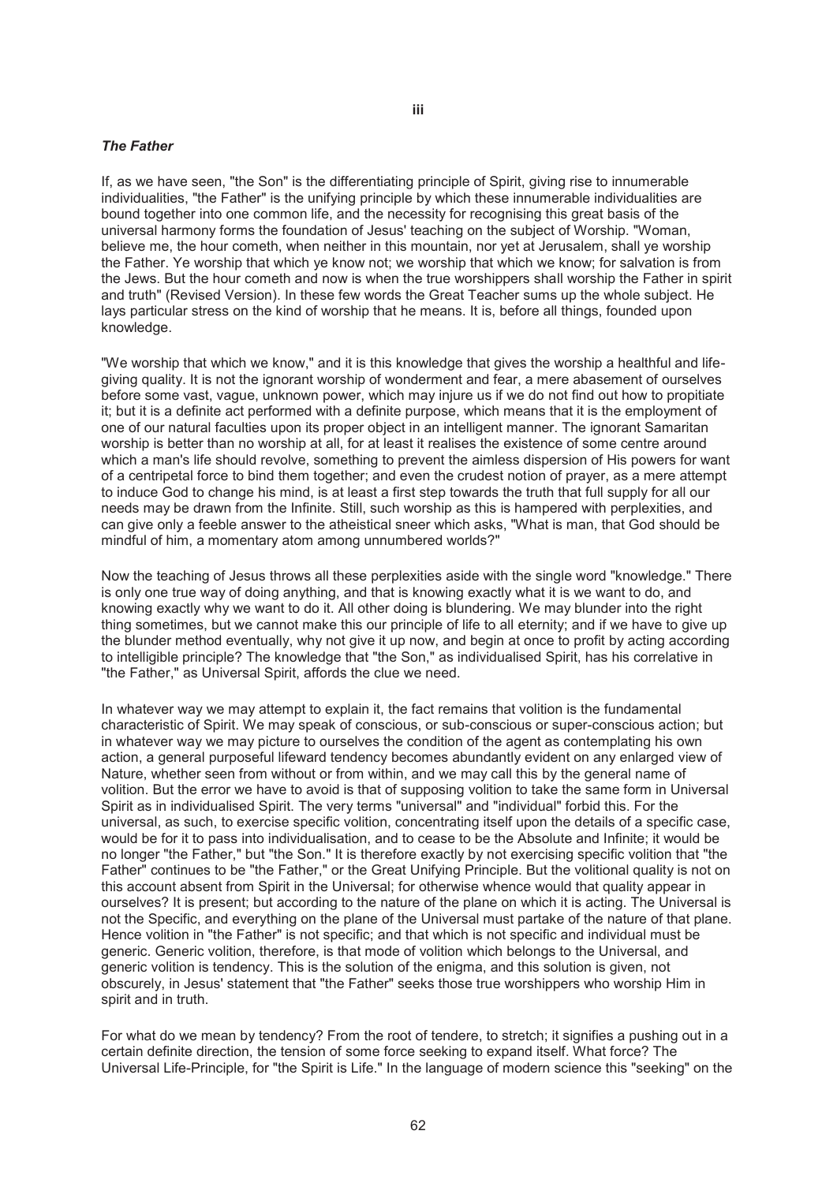#### *The Father*

If, as we have seen, "the Son" is the differentiating principle of Spirit, giving rise to innumerable individualities, "the Father" is the unifying principle by which these innumerable individualities are bound together into one common life, and the necessity for recognising this great basis of the universal harmony forms the foundation of Jesus' teaching on the subject of Worship. "Woman, believe me, the hour cometh, when neither in this mountain, nor yet at Jerusalem, shall ye worship the Father. Ye worship that which ye know not; we worship that which we know; for salvation is from the Jews. But the hour cometh and now is when the true worshippers shall worship the Father in spirit and truth" (Revised Version). In these few words the Great Teacher sums up the whole subject. He lays particular stress on the kind of worship that he means. It is, before all things, founded upon knowledge.

"We worship that which we know," and it is this knowledge that gives the worship a healthful and lifegiving quality. It is not the ignorant worship of wonderment and fear, a mere abasement of ourselves before some vast, vague, unknown power, which may injure us if we do not find out how to propitiate it; but it is a definite act performed with a definite purpose, which means that it is the employment of one of our natural faculties upon its proper object in an intelligent manner. The ignorant Samaritan worship is better than no worship at all, for at least it realises the existence of some centre around which a man's life should revolve, something to prevent the aimless dispersion of His powers for want of a centripetal force to bind them together; and even the crudest notion of prayer, as a mere attempt to induce God to change his mind, is at least a first step towards the truth that full supply for all our needs may be drawn from the Infinite. Still, such worship as this is hampered with perplexities, and can give only a feeble answer to the atheistical sneer which asks, "What is man, that God should be mindful of him, a momentary atom among unnumbered worlds?"

Now the teaching of Jesus throws all these perplexities aside with the single word "knowledge." There is only one true way of doing anything, and that is knowing exactly what it is we want to do, and knowing exactly why we want to do it. All other doing is blundering. We may blunder into the right thing sometimes, but we cannot make this our principle of life to all eternity; and if we have to give up the blunder method eventually, why not give it up now, and begin at once to profit by acting according to intelligible principle? The knowledge that "the Son," as individualised Spirit, has his correlative in "the Father," as Universal Spirit, affords the clue we need.

In whatever way we may attempt to explain it, the fact remains that volition is the fundamental characteristic of Spirit. We may speak of conscious, or sub-conscious or super-conscious action; but in whatever way we may picture to ourselves the condition of the agent as contemplating his own action, a general purposeful lifeward tendency becomes abundantly evident on any enlarged view of Nature, whether seen from without or from within, and we may call this by the general name of volition. But the error we have to avoid is that of supposing volition to take the same form in Universal Spirit as in individualised Spirit. The very terms "universal" and "individual" forbid this. For the universal, as such, to exercise specific volition, concentrating itself upon the details of a specific case, would be for it to pass into individualisation, and to cease to be the Absolute and Infinite; it would be no longer "the Father," but "the Son." It is therefore exactly by not exercising specific volition that "the Father" continues to be "the Father," or the Great Unifying Principle. But the volitional quality is not on this account absent from Spirit in the Universal; for otherwise whence would that quality appear in ourselves? It is present; but according to the nature of the plane on which it is acting. The Universal is not the Specific, and everything on the plane of the Universal must partake of the nature of that plane. Hence volition in "the Father" is not specific; and that which is not specific and individual must be generic. Generic volition, therefore, is that mode of volition which belongs to the Universal, and generic volition is tendency. This is the solution of the enigma, and this solution is given, not obscurely, in Jesus' statement that "the Father" seeks those true worshippers who worship Him in spirit and in truth.

For what do we mean by tendency? From the root of tendere, to stretch; it signifies a pushing out in a certain definite direction, the tension of some force seeking to expand itself. What force? The Universal Life-Principle, for "the Spirit is Life." In the language of modern science this "seeking" on the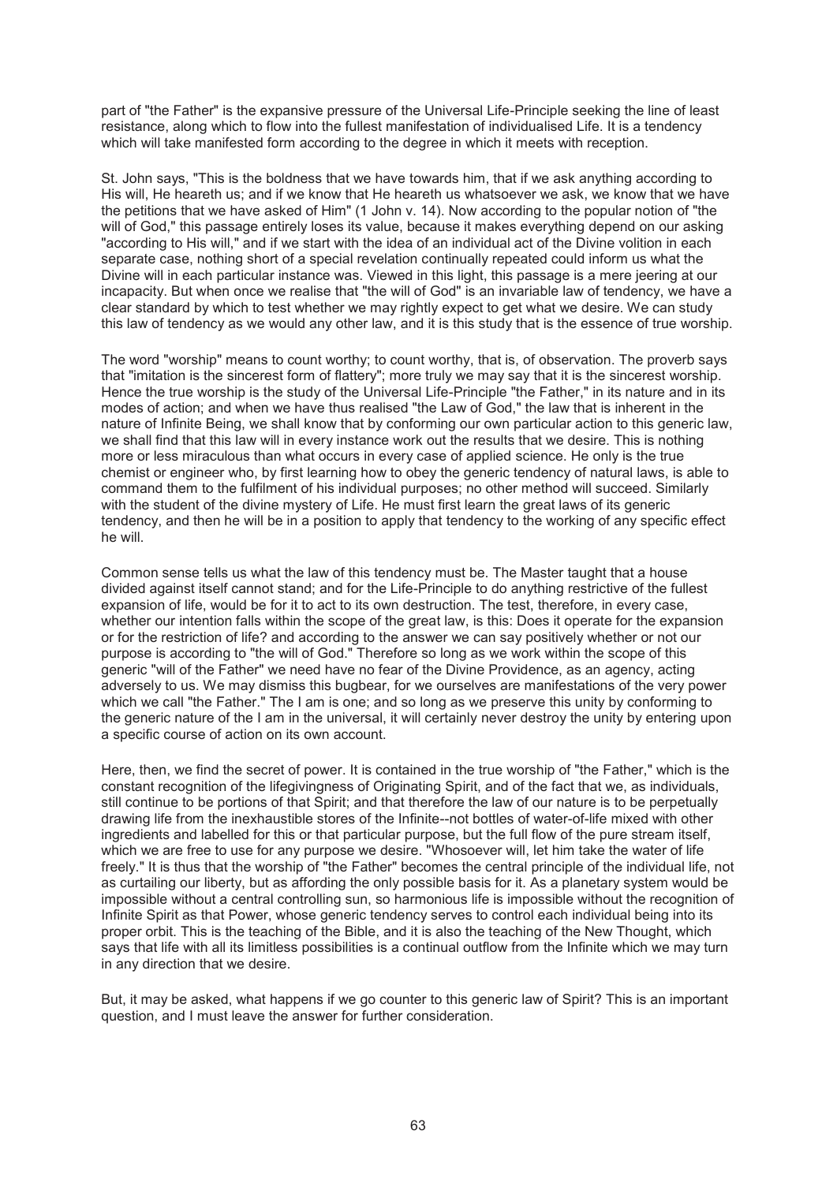part of "the Father" is the expansive pressure of the Universal Life-Principle seeking the line of least resistance, along which to flow into the fullest manifestation of individualised Life. It is a tendency which will take manifested form according to the degree in which it meets with reception.

St. John says, "This is the boldness that we have towards him, that if we ask anything according to His will, He heareth us; and if we know that He heareth us whatsoever we ask, we know that we have the petitions that we have asked of Him" (1 John v. 14). Now according to the popular notion of "the will of God," this passage entirely loses its value, because it makes everything depend on our asking "according to His will," and if we start with the idea of an individual act of the Divine volition in each separate case, nothing short of a special revelation continually repeated could inform us what the Divine will in each particular instance was. Viewed in this light, this passage is a mere jeering at our incapacity. But when once we realise that "the will of God" is an invariable law of tendency, we have a clear standard by which to test whether we may rightly expect to get what we desire. We can study this law of tendency as we would any other law, and it is this study that is the essence of true worship.

The word "worship" means to count worthy; to count worthy, that is, of observation. The proverb says that "imitation is the sincerest form of flattery"; more truly we may say that it is the sincerest worship. Hence the true worship is the study of the Universal Life-Principle "the Father," in its nature and in its modes of action; and when we have thus realised "the Law of God," the law that is inherent in the nature of Infinite Being, we shall know that by conforming our own particular action to this generic law, we shall find that this law will in every instance work out the results that we desire. This is nothing more or less miraculous than what occurs in every case of applied science. He only is the true chemist or engineer who, by first learning how to obey the generic tendency of natural laws, is able to command them to the fulfilment of his individual purposes; no other method will succeed. Similarly with the student of the divine mystery of Life. He must first learn the great laws of its generic tendency, and then he will be in a position to apply that tendency to the working of any specific effect he will.

Common sense tells us what the law of this tendency must be. The Master taught that a house divided against itself cannot stand; and for the Life-Principle to do anything restrictive of the fullest expansion of life, would be for it to act to its own destruction. The test, therefore, in every case, whether our intention falls within the scope of the great law, is this: Does it operate for the expansion or for the restriction of life? and according to the answer we can say positively whether or not our purpose is according to "the will of God." Therefore so long as we work within the scope of this generic "will of the Father" we need have no fear of the Divine Providence, as an agency, acting adversely to us. We may dismiss this bugbear, for we ourselves are manifestations of the very power which we call "the Father." The I am is one; and so long as we preserve this unity by conforming to the generic nature of the I am in the universal, it will certainly never destroy the unity by entering upon a specific course of action on its own account.

Here, then, we find the secret of power. It is contained in the true worship of "the Father," which is the constant recognition of the lifegivingness of Originating Spirit, and of the fact that we, as individuals, still continue to be portions of that Spirit; and that therefore the law of our nature is to be perpetually drawing life from the inexhaustible stores of the Infinite--not bottles of water-of-life mixed with other ingredients and labelled for this or that particular purpose, but the full flow of the pure stream itself, which we are free to use for any purpose we desire. "Whosoever will, let him take the water of life freely." It is thus that the worship of "the Father" becomes the central principle of the individual life, not as curtailing our liberty, but as affording the only possible basis for it. As a planetary system would be impossible without a central controlling sun, so harmonious life is impossible without the recognition of Infinite Spirit as that Power, whose generic tendency serves to control each individual being into its proper orbit. This is the teaching of the Bible, and it is also the teaching of the New Thought, which says that life with all its limitless possibilities is a continual outflow from the Infinite which we may turn in any direction that we desire.

But, it may be asked, what happens if we go counter to this generic law of Spirit? This is an important question, and I must leave the answer for further consideration.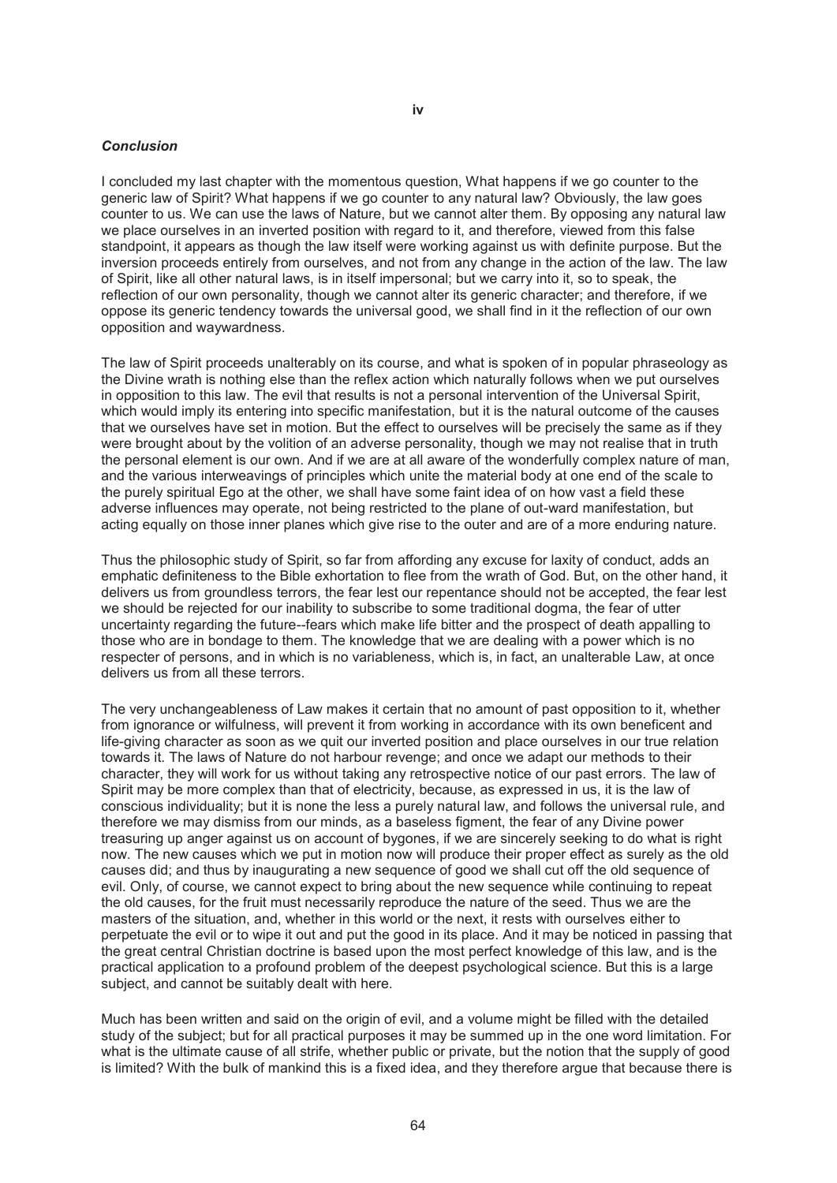### *Conclusion*

I concluded my last chapter with the momentous question, What happens if we go counter to the generic law of Spirit? What happens if we go counter to any natural law? Obviously, the law goes counter to us. We can use the laws of Nature, but we cannot alter them. By opposing any natural law we place ourselves in an inverted position with regard to it, and therefore, viewed from this false standpoint, it appears as though the law itself were working against us with definite purpose. But the inversion proceeds entirely from ourselves, and not from any change in the action of the law. The law of Spirit, like all other natural laws, is in itself impersonal; but we carry into it, so to speak, the reflection of our own personality, though we cannot alter its generic character; and therefore, if we oppose its generic tendency towards the universal good, we shall find in it the reflection of our own opposition and waywardness.

The law of Spirit proceeds unalterably on its course, and what is spoken of in popular phraseology as the Divine wrath is nothing else than the reflex action which naturally follows when we put ourselves in opposition to this law. The evil that results is not a personal intervention of the Universal Spirit, which would imply its entering into specific manifestation, but it is the natural outcome of the causes that we ourselves have set in motion. But the effect to ourselves will be precisely the same as if they were brought about by the volition of an adverse personality, though we may not realise that in truth the personal element is our own. And if we are at all aware of the wonderfully complex nature of man, and the various interweavings of principles which unite the material body at one end of the scale to the purely spiritual Ego at the other, we shall have some faint idea of on how vast a field these adverse influences may operate, not being restricted to the plane of out-ward manifestation, but acting equally on those inner planes which give rise to the outer and are of a more enduring nature.

Thus the philosophic study of Spirit, so far from affording any excuse for laxity of conduct, adds an emphatic definiteness to the Bible exhortation to flee from the wrath of God. But, on the other hand, it delivers us from groundless terrors, the fear lest our repentance should not be accepted, the fear lest we should be rejected for our inability to subscribe to some traditional dogma, the fear of utter uncertainty regarding the future--fears which make life bitter and the prospect of death appalling to those who are in bondage to them. The knowledge that we are dealing with a power which is no respecter of persons, and in which is no variableness, which is, in fact, an unalterable Law, at once delivers us from all these terrors.

The very unchangeableness of Law makes it certain that no amount of past opposition to it, whether from ignorance or wilfulness, will prevent it from working in accordance with its own beneficent and life-giving character as soon as we quit our inverted position and place ourselves in our true relation towards it. The laws of Nature do not harbour revenge; and once we adapt our methods to their character, they will work for us without taking any retrospective notice of our past errors. The law of Spirit may be more complex than that of electricity, because, as expressed in us, it is the law of conscious individuality; but it is none the less a purely natural law, and follows the universal rule, and therefore we may dismiss from our minds, as a baseless figment, the fear of any Divine power treasuring up anger against us on account of bygones, if we are sincerely seeking to do what is right now. The new causes which we put in motion now will produce their proper effect as surely as the old causes did; and thus by inaugurating a new sequence of good we shall cut off the old sequence of evil. Only, of course, we cannot expect to bring about the new sequence while continuing to repeat the old causes, for the fruit must necessarily reproduce the nature of the seed. Thus we are the masters of the situation, and, whether in this world or the next, it rests with ourselves either to perpetuate the evil or to wipe it out and put the good in its place. And it may be noticed in passing that the great central Christian doctrine is based upon the most perfect knowledge of this law, and is the practical application to a profound problem of the deepest psychological science. But this is a large subject, and cannot be suitably dealt with here.

Much has been written and said on the origin of evil, and a volume might be filled with the detailed study of the subject; but for all practical purposes it may be summed up in the one word limitation. For what is the ultimate cause of all strife, whether public or private, but the notion that the supply of good is limited? With the bulk of mankind this is a fixed idea, and they therefore argue that because there is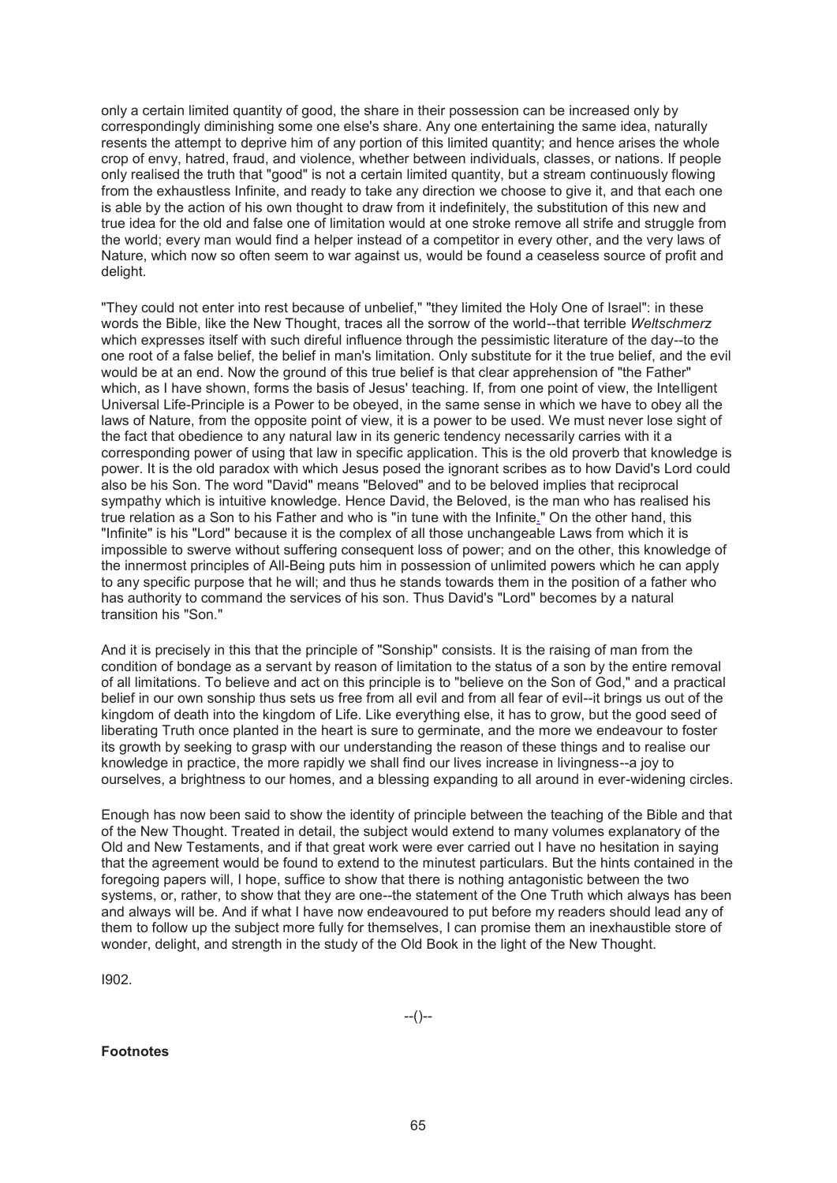only a certain limited quantity of good, the share in their possession can be increased only by correspondingly diminishing some one else's share. Any one entertaining the same idea, naturally resents the attempt to deprive him of any portion of this limited quantity; and hence arises the whole crop of envy, hatred, fraud, and violence, whether between individuals, classes, or nations. If people only realised the truth that "good" is not a certain limited quantity, but a stream continuously flowing from the exhaustless Infinite, and ready to take any direction we choose to give it, and that each one is able by the action of his own thought to draw from it indefinitely, the substitution of this new and true idea for the old and false one of limitation would at one stroke remove all strife and struggle from the world; every man would find a helper instead of a competitor in every other, and the very laws of Nature, which now so often seem to war against us, would be found a ceaseless source of profit and delight.

"They could not enter into rest because of unbelief," "they limited the Holy One of Israel": in these words the Bible, like the New Thought, traces all the sorrow of the world--that terrible *Weltschmerz* which expresses itself with such direful influence through the pessimistic literature of the day--to the one root of a false belief, the belief in man's limitation. Only substitute for it the true belief, and the evil would be at an end. Now the ground of this true belief is that clear apprehension of "the Father" which, as I have shown, forms the basis of Jesus' teaching. If, from one point of view, the Intelligent Universal Life-Principle is a Power to be obeyed, in the same sense in which we have to obey all the laws of Nature, from the opposite point of view, it is a power to be used. We must never lose sight of the fact that obedience to any natural law in its generic tendency necessarily carries with it a corresponding power of using that law in specific application. This is the old proverb that knowledge is power. It is the old paradox with which Jesus posed the ignorant scribes as to how David's Lord could also be his Son. The word "David" means "Beloved" and to be beloved implies that reciprocal sympathy which is intuitive knowledge. Hence David, the Beloved, is the man who has realised his true relation as a Son to his Father and who is "in tune with the Infinite." On the other hand, this "Infinite" is his "Lord" because it is the complex of all those unchangeable Laws from which it is impossible to swerve without suffering consequent loss of power; and on the other, this knowledge of the innermost principles of All-Being puts him in possession of unlimited powers which he can apply to any specific purpose that he will; and thus he stands towards them in the position of a father who has authority to command the services of his son. Thus David's "Lord" becomes by a natural transition his "Son."

And it is precisely in this that the principle of "Sonship" consists. It is the raising of man from the condition of bondage as a servant by reason of limitation to the status of a son by the entire removal of all limitations. To believe and act on this principle is to "believe on the Son of God," and a practical belief in our own sonship thus sets us free from all evil and from all fear of evil--it brings us out of the kingdom of death into the kingdom of Life. Like everything else, it has to grow, but the good seed of liberating Truth once planted in the heart is sure to germinate, and the more we endeavour to foster its growth by seeking to grasp with our understanding the reason of these things and to realise our knowledge in practice, the more rapidly we shall find our lives increase in livingness--a joy to ourselves, a brightness to our homes, and a blessing expanding to all around in ever-widening circles.

Enough has now been said to show the identity of principle between the teaching of the Bible and that of the New Thought. Treated in detail, the subject would extend to many volumes explanatory of the Old and New Testaments, and if that great work were ever carried out I have no hesitation in saying that the agreement would be found to extend to the minutest particulars. But the hints contained in the foregoing papers will, I hope, suffice to show that there is nothing antagonistic between the two systems, or, rather, to show that they are one--the statement of the One Truth which always has been and always will be. And if what I have now endeavoured to put before my readers should lead any of them to follow up the subject more fully for themselves, I can promise them an inexhaustible store of wonder, delight, and strength in the study of the Old Book in the light of the New Thought.

I902.

**Footnotes**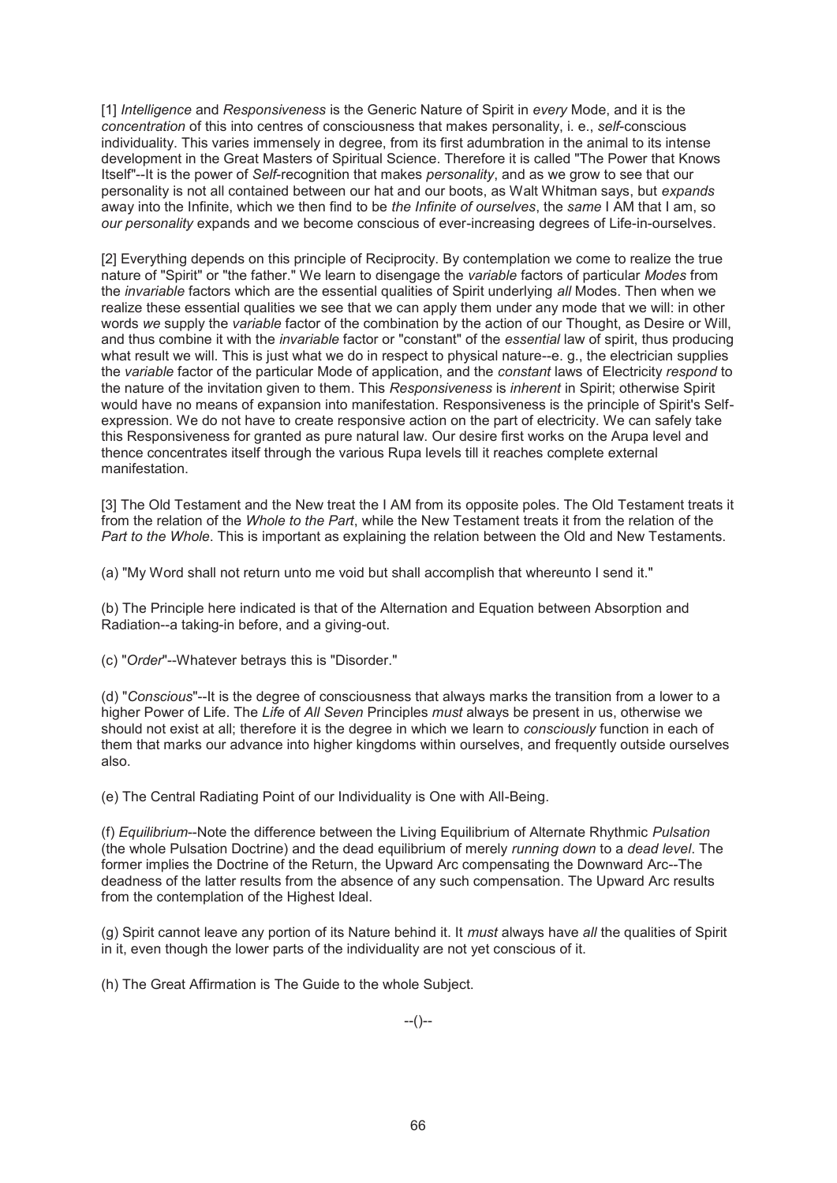[1] *Intelligence* and *Responsiveness* is the Generic Nature of Spirit in *every* Mode, and it is the *concentration* of this into centres of consciousness that makes personality, i. e., *self*-conscious individuality. This varies immensely in degree, from its first adumbration in the animal to its intense development in the Great Masters of Spiritual Science. Therefore it is called "The Power that Knows Itself"--It is the power of *Self*-recognition that makes *personality*, and as we grow to see that our personality is not all contained between our hat and our boots, as Walt Whitman says, but *expands* away into the Infinite, which we then find to be *the Infinite of ourselves*, the *same* I AM that I am, so *our personality* expands and we become conscious of ever-increasing degrees of Life-in-ourselves.

[2] Everything depends on this principle of Reciprocity. By contemplation we come to realize the true nature of "Spirit" or "the father." We learn to disengage the *variable* factors of particular *Modes* from the *invariable* factors which are the essential qualities of Spirit underlying *all* Modes. Then when we realize these essential qualities we see that we can apply them under any mode that we will: in other words *we* supply the *variable* factor of the combination by the action of our Thought, as Desire or Will, and thus combine it with the *invariable* factor or "constant" of the *essential* law of spirit, thus producing what result we will. This is just what we do in respect to physical nature--e. g., the electrician supplies the *variable* factor of the particular Mode of application, and the *constant* laws of Electricity *respond* to the nature of the invitation given to them. This *Responsiveness* is *inherent* in Spirit; otherwise Spirit would have no means of expansion into manifestation. Responsiveness is the principle of Spirit's Selfexpression. We do not have to create responsive action on the part of electricity. We can safely take this Responsiveness for granted as pure natural law. Our desire first works on the Arupa level and thence concentrates itself through the various Rupa levels till it reaches complete external manifestation.

[3] The Old Testament and the New treat the I AM from its opposite poles. The Old Testament treats it from the relation of the *Whole to the Part*, while the New Testament treats it from the relation of the *Part to the Whole*. This is important as explaining the relation between the Old and New Testaments.

(a) "My Word shall not return unto me void but shall accomplish that whereunto I send it."

(b) The Principle here indicated is that of the Alternation and Equation between Absorption and Radiation--a taking-in before, and a giving-out.

(c) "*Order*"--Whatever betrays this is "Disorder."

(d) "*Conscious*"--It is the degree of consciousness that always marks the transition from a lower to a higher Power of Life. The *Life* of *All Seven* Principles *must* always be present in us, otherwise we should not exist at all; therefore it is the degree in which we learn to *consciously* function in each of them that marks our advance into higher kingdoms within ourselves, and frequently outside ourselves also.

(e) The Central Radiating Point of our Individuality is One with All-Being.

(f) *Equilibrium*--Note the difference between the Living Equilibrium of Alternate Rhythmic *Pulsation* (the whole Pulsation Doctrine) and the dead equilibrium of merely *running down* to a *dead level*. The former implies the Doctrine of the Return, the Upward Arc compensating the Downward Arc--The deadness of the latter results from the absence of any such compensation. The Upward Arc results from the contemplation of the Highest Ideal.

(g) Spirit cannot leave any portion of its Nature behind it. It *must* always have *all* the qualities of Spirit in it, even though the lower parts of the individuality are not yet conscious of it.

(h) The Great Affirmation is The Guide to the whole Subject.

--()--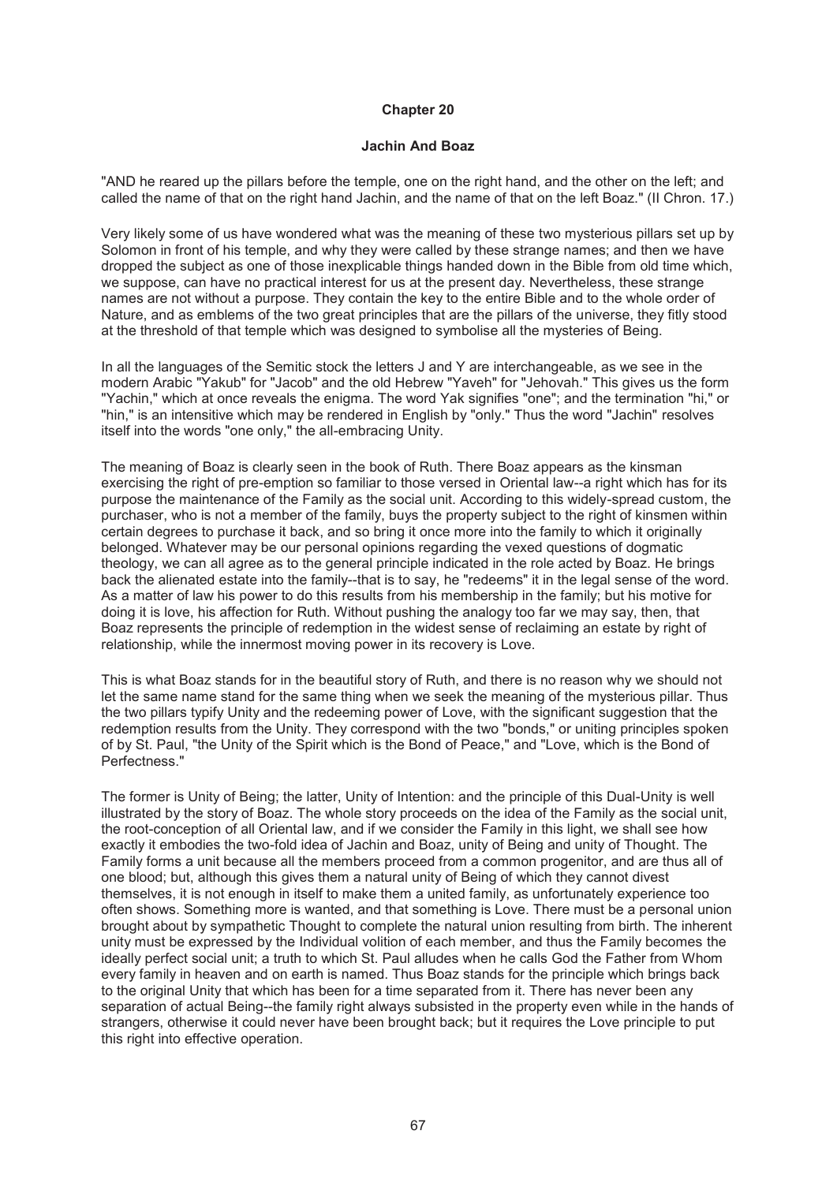## **Jachin And Boaz**

"AND he reared up the pillars before the temple, one on the right hand, and the other on the left; and called the name of that on the right hand Jachin, and the name of that on the left Boaz." (II Chron. 17.)

Very likely some of us have wondered what was the meaning of these two mysterious pillars set up by Solomon in front of his temple, and why they were called by these strange names; and then we have dropped the subject as one of those inexplicable things handed down in the Bible from old time which, we suppose, can have no practical interest for us at the present day. Nevertheless, these strange names are not without a purpose. They contain the key to the entire Bible and to the whole order of Nature, and as emblems of the two great principles that are the pillars of the universe, they fitly stood at the threshold of that temple which was designed to symbolise all the mysteries of Being.

In all the languages of the Semitic stock the letters J and Y are interchangeable, as we see in the modern Arabic "Yakub" for "Jacob" and the old Hebrew "Yaveh" for "Jehovah." This gives us the form "Yachin," which at once reveals the enigma. The word Yak signifies "one"; and the termination "hi," or "hin," is an intensitive which may be rendered in English by "only." Thus the word "Jachin" resolves itself into the words "one only," the all-embracing Unity.

The meaning of Boaz is clearly seen in the book of Ruth. There Boaz appears as the kinsman exercising the right of pre-emption so familiar to those versed in Oriental law--a right which has for its purpose the maintenance of the Family as the social unit. According to this widely-spread custom, the purchaser, who is not a member of the family, buys the property subject to the right of kinsmen within certain degrees to purchase it back, and so bring it once more into the family to which it originally belonged. Whatever may be our personal opinions regarding the vexed questions of dogmatic theology, we can all agree as to the general principle indicated in the role acted by Boaz. He brings back the alienated estate into the family--that is to say, he "redeems" it in the legal sense of the word. As a matter of law his power to do this results from his membership in the family; but his motive for doing it is love, his affection for Ruth. Without pushing the analogy too far we may say, then, that Boaz represents the principle of redemption in the widest sense of reclaiming an estate by right of relationship, while the innermost moving power in its recovery is Love.

This is what Boaz stands for in the beautiful story of Ruth, and there is no reason why we should not let the same name stand for the same thing when we seek the meaning of the mysterious pillar. Thus the two pillars typify Unity and the redeeming power of Love, with the significant suggestion that the redemption results from the Unity. They correspond with the two "bonds," or uniting principles spoken of by St. Paul, "the Unity of the Spirit which is the Bond of Peace," and "Love, which is the Bond of Perfectness."

The former is Unity of Being; the latter, Unity of Intention: and the principle of this Dual-Unity is well illustrated by the story of Boaz. The whole story proceeds on the idea of the Family as the social unit, the root-conception of all Oriental law, and if we consider the Family in this light, we shall see how exactly it embodies the two-fold idea of Jachin and Boaz, unity of Being and unity of Thought. The Family forms a unit because all the members proceed from a common progenitor, and are thus all of one blood; but, although this gives them a natural unity of Being of which they cannot divest themselves, it is not enough in itself to make them a united family, as unfortunately experience too often shows. Something more is wanted, and that something is Love. There must be a personal union brought about by sympathetic Thought to complete the natural union resulting from birth. The inherent unity must be expressed by the Individual volition of each member, and thus the Family becomes the ideally perfect social unit; a truth to which St. Paul alludes when he calls God the Father from Whom every family in heaven and on earth is named. Thus Boaz stands for the principle which brings back to the original Unity that which has been for a time separated from it. There has never been any separation of actual Being--the family right always subsisted in the property even while in the hands of strangers, otherwise it could never have been brought back; but it requires the Love principle to put this right into effective operation.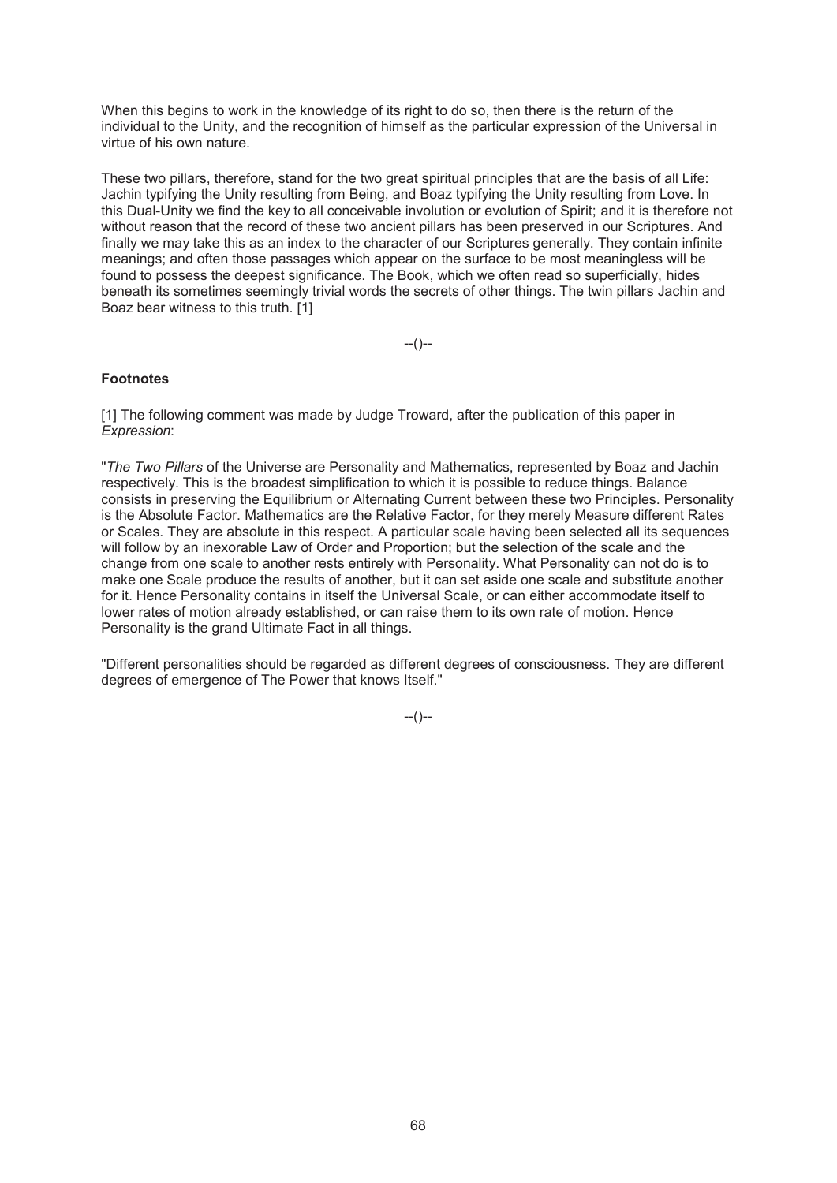When this begins to work in the knowledge of its right to do so, then there is the return of the individual to the Unity, and the recognition of himself as the particular expression of the Universal in virtue of his own nature.

These two pillars, therefore, stand for the two great spiritual principles that are the basis of all Life: Jachin typifying the Unity resulting from Being, and Boaz typifying the Unity resulting from Love. In this Dual-Unity we find the key to all conceivable involution or evolution of Spirit; and it is therefore not without reason that the record of these two ancient pillars has been preserved in our Scriptures. And finally we may take this as an index to the character of our Scriptures generally. They contain infinite meanings; and often those passages which appear on the surface to be most meaningless will be found to possess the deepest significance. The Book, which we often read so superficially, hides beneath its sometimes seemingly trivial words the secrets of other things. The twin pillars Jachin and Boaz bear witness to this truth. [1]

 $-(-)$ 

# **Footnotes**

[1] The following comment was made by Judge Troward, after the publication of this paper in *Expression*:

"*The Two Pillars* of the Universe are Personality and Mathematics, represented by Boaz and Jachin respectively. This is the broadest simplification to which it is possible to reduce things. Balance consists in preserving the Equilibrium or Alternating Current between these two Principles. Personality is the Absolute Factor. Mathematics are the Relative Factor, for they merely Measure different Rates or Scales. They are absolute in this respect. A particular scale having been selected all its sequences will follow by an inexorable Law of Order and Proportion; but the selection of the scale and the change from one scale to another rests entirely with Personality. What Personality can not do is to make one Scale produce the results of another, but it can set aside one scale and substitute another for it. Hence Personality contains in itself the Universal Scale, or can either accommodate itself to lower rates of motion already established, or can raise them to its own rate of motion. Hence Personality is the grand Ultimate Fact in all things.

"Different personalities should be regarded as different degrees of consciousness. They are different degrees of emergence of The Power that knows Itself."

 $-(-)$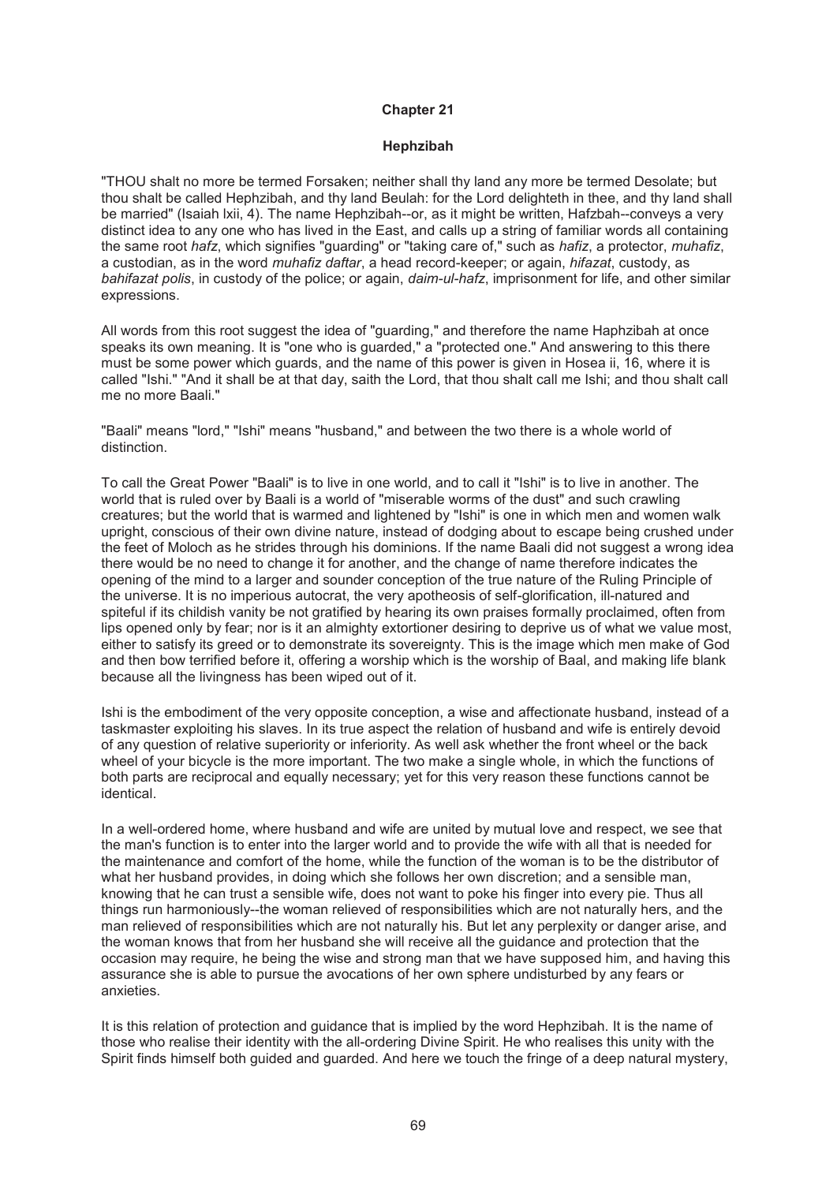#### **Hephzibah**

"THOU shalt no more be termed Forsaken; neither shall thy land any more be termed Desolate; but thou shalt be called Hephzibah, and thy land Beulah: for the Lord delighteth in thee, and thy land shall be married" (Isaiah lxii, 4). The name Hephzibah--or, as it might be written, Hafzbah--conveys a very distinct idea to any one who has lived in the East, and calls up a string of familiar words all containing the same root *hafz*, which signifies "guarding" or "taking care of," such as *hafiz*, a protector, *muhafiz*, a custodian, as in the word *muhafiz daftar*, a head record-keeper; or again, *hifazat*, custody, as *bahifazat polis*, in custody of the police; or again, *daim-ul-hafz*, imprisonment for life, and other similar expressions.

All words from this root suggest the idea of "guarding," and therefore the name Haphzibah at once speaks its own meaning. It is "one who is guarded," a "protected one." And answering to this there must be some power which guards, and the name of this power is given in Hosea ii, 16, where it is called "Ishi." "And it shall be at that day, saith the Lord, that thou shalt call me Ishi; and thou shalt call me no more Baali."

"Baali" means "lord," "Ishi" means "husband," and between the two there is a whole world of distinction.

To call the Great Power "Baali" is to live in one world, and to call it "Ishi" is to live in another. The world that is ruled over by Baali is a world of "miserable worms of the dust" and such crawling creatures; but the world that is warmed and lightened by "Ishi" is one in which men and women walk upright, conscious of their own divine nature, instead of dodging about to escape being crushed under the feet of Moloch as he strides through his dominions. If the name Baali did not suggest a wrong idea there would be no need to change it for another, and the change of name therefore indicates the opening of the mind to a larger and sounder conception of the true nature of the Ruling Principle of the universe. It is no imperious autocrat, the very apotheosis of self-glorification, ill-natured and spiteful if its childish vanity be not gratified by hearing its own praises formally proclaimed, often from lips opened only by fear; nor is it an almighty extortioner desiring to deprive us of what we value most, either to satisfy its greed or to demonstrate its sovereignty. This is the image which men make of God and then bow terrified before it, offering a worship which is the worship of Baal, and making life blank because all the livingness has been wiped out of it.

Ishi is the embodiment of the very opposite conception, a wise and affectionate husband, instead of a taskmaster exploiting his slaves. In its true aspect the relation of husband and wife is entirely devoid of any question of relative superiority or inferiority. As well ask whether the front wheel or the back wheel of your bicycle is the more important. The two make a single whole, in which the functions of both parts are reciprocal and equally necessary; yet for this very reason these functions cannot be identical.

In a well-ordered home, where husband and wife are united by mutual love and respect, we see that the man's function is to enter into the larger world and to provide the wife with all that is needed for the maintenance and comfort of the home, while the function of the woman is to be the distributor of what her husband provides, in doing which she follows her own discretion; and a sensible man, knowing that he can trust a sensible wife, does not want to poke his finger into every pie. Thus all things run harmoniously--the woman relieved of responsibilities which are not naturally hers, and the man relieved of responsibilities which are not naturally his. But let any perplexity or danger arise, and the woman knows that from her husband she will receive all the guidance and protection that the occasion may require, he being the wise and strong man that we have supposed him, and having this assurance she is able to pursue the avocations of her own sphere undisturbed by any fears or anxieties.

It is this relation of protection and guidance that is implied by the word Hephzibah. It is the name of those who realise their identity with the all-ordering Divine Spirit. He who realises this unity with the Spirit finds himself both guided and guarded. And here we touch the fringe of a deep natural mystery,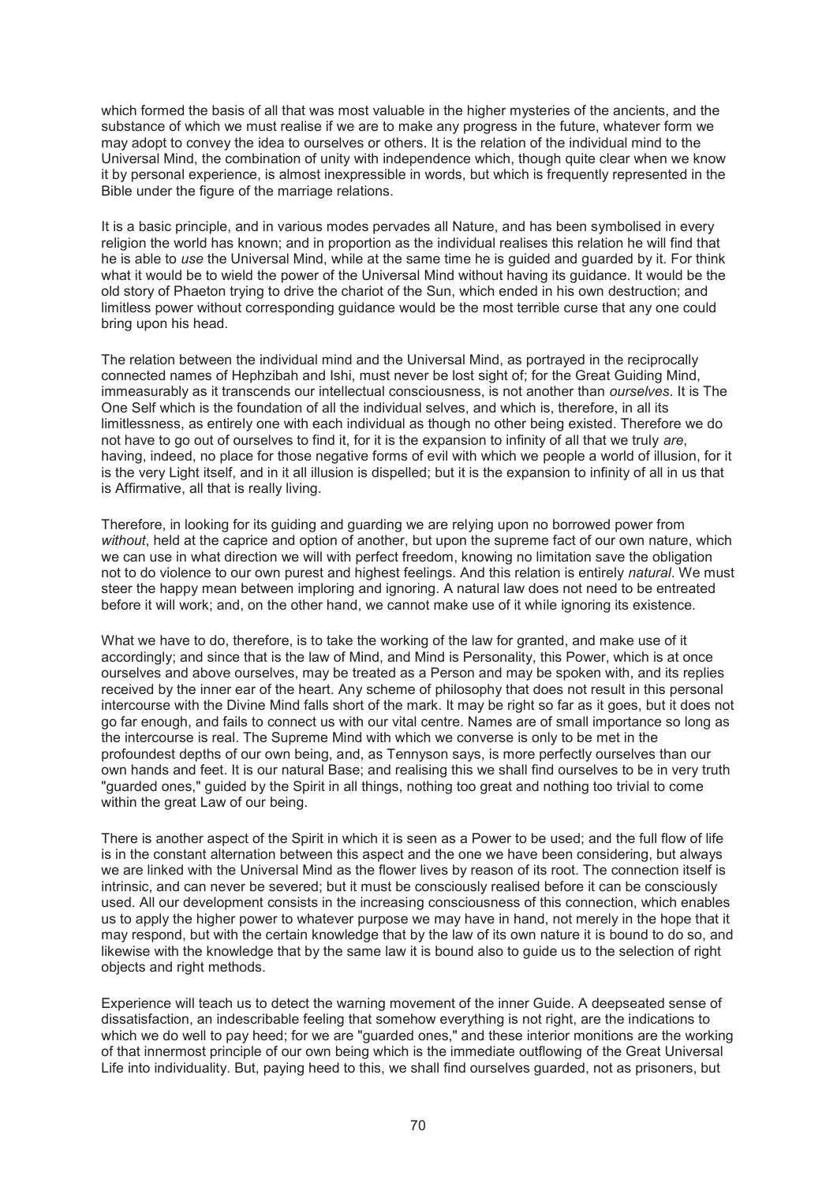which formed the basis of all that was most valuable in the higher mysteries of the ancients, and the substance of which we must realise if we are to make any progress in the future, whatever form we may adopt to convey the idea to ourselves or others. It is the relation of the individual mind to the Universal Mind, the combination of unity with independence which, though quite clear when we know it by personal experience, is almost inexpressible in words, but which is frequently represented in the Bible under the figure of the marriage relations.

It is a basic principle, and in various modes pervades all Nature, and has been symbolised in every religion the world has known; and in proportion as the individual realises this relation he will find that he is able to *use* the Universal Mind, while at the same time he is guided and guarded by it. For think what it would be to wield the power of the Universal Mind without having its guidance. It would be the old story of Phaeton trying to drive the chariot of the Sun, which ended in his own destruction; and limitless power without corresponding guidance would be the most terrible curse that any one could bring upon his head.

The relation between the individual mind and the Universal Mind, as portrayed in the reciprocally connected names of Hephzibah and Ishi, must never be lost sight of; for the Great Guiding Mind, immeasurably as it transcends our intellectual consciousness, is not another than *ourselves*. It is The One Self which is the foundation of all the individual selves, and which is, therefore, in all its limitlessness, as entirely one with each individual as though no other being existed. Therefore we do not have to go out of ourselves to find it, for it is the expansion to infinity of all that we truly *are*, having, indeed, no place for those negative forms of evil with which we people a world of illusion, for it is the very Light itself, and in it all illusion is dispelled; but it is the expansion to infinity of all in us that is Affirmative, all that is really living.

Therefore, in looking for its guiding and guarding we are relying upon no borrowed power from *without*, held at the caprice and option of another, but upon the supreme fact of our own nature, which we can use in what direction we will with perfect freedom, knowing no limitation save the obligation not to do violence to our own purest and highest feelings. And this relation is entirely *natural*. We must steer the happy mean between imploring and ignoring. A natural law does not need to be entreated before it will work; and, on the other hand, we cannot make use of it while ignoring its existence.

What we have to do, therefore, is to take the working of the law for granted, and make use of it accordingly; and since that is the law of Mind, and Mind is Personality, this Power, which is at once ourselves and above ourselves, may be treated as a Person and may be spoken with, and its replies received by the inner ear of the heart. Any scheme of philosophy that does not result in this personal intercourse with the Divine Mind falls short of the mark. It may be right so far as it goes, but it does not go far enough, and fails to connect us with our vital centre. Names are of small importance so long as the intercourse is real. The Supreme Mind with which we converse is only to be met in the profoundest depths of our own being, and, as Tennyson says, is more perfectly ourselves than our own hands and feet. It is our natural Base; and realising this we shall find ourselves to be in very truth "guarded ones," guided by the Spirit in all things, nothing too great and nothing too trivial to come within the great Law of our being.

There is another aspect of the Spirit in which it is seen as a Power to be used; and the full flow of life is in the constant alternation between this aspect and the one we have been considering, but always we are linked with the Universal Mind as the flower lives by reason of its root. The connection itself is intrinsic, and can never be severed; but it must be consciously realised before it can be consciously used. All our development consists in the increasing consciousness of this connection, which enables us to apply the higher power to whatever purpose we may have in hand, not merely in the hope that it may respond, but with the certain knowledge that by the law of its own nature it is bound to do so, and likewise with the knowledge that by the same law it is bound also to guide us to the selection of right objects and right methods.

Experience will teach us to detect the warning movement of the inner Guide. A deepseated sense of dissatisfaction, an indescribable feeling that somehow everything is not right, are the indications to which we do well to pay heed; for we are "guarded ones," and these interior monitions are the working of that innermost principle of our own being which is the immediate outflowing of the Great Universal Life into individuality. But, paying heed to this, we shall find ourselves guarded, not as prisoners, but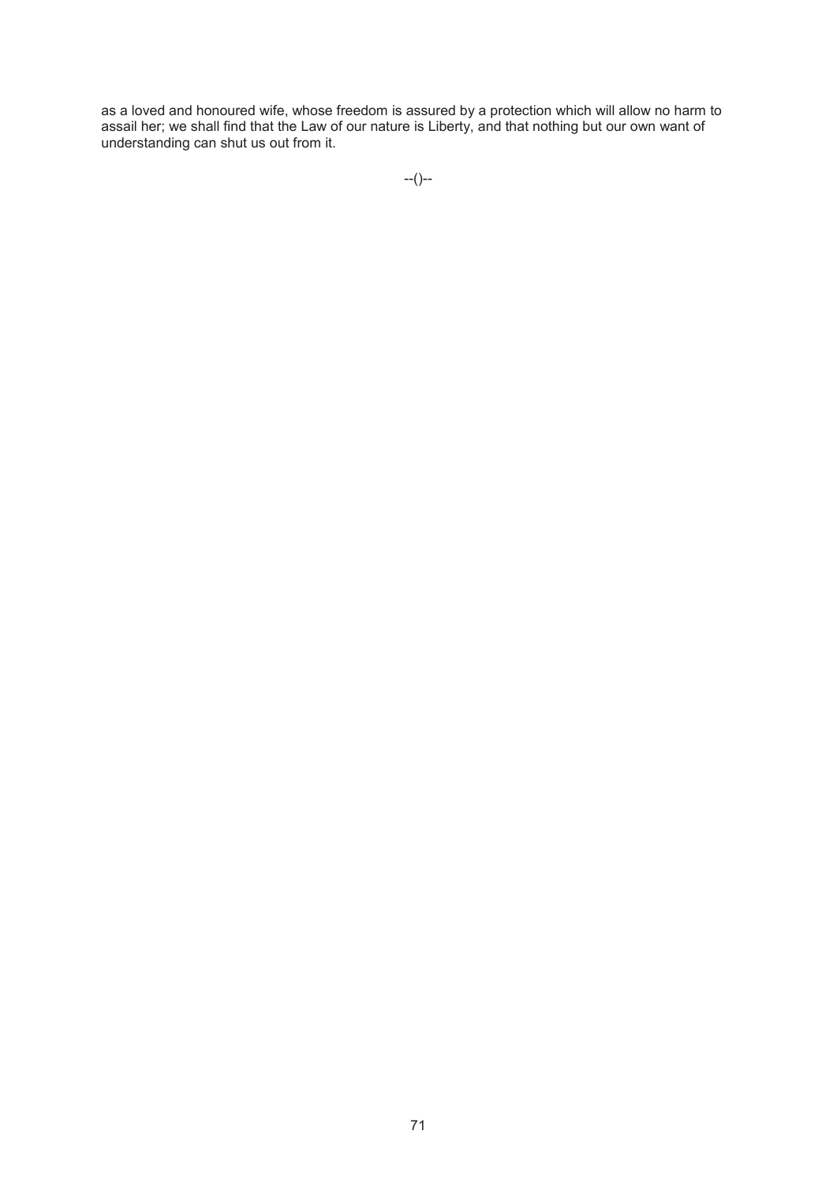as a loved and honoured wife, whose freedom is assured by a protection which will allow no harm to assail her; we shall find that the Law of our nature is Liberty, and that nothing but our own want of understanding can shut us out from it.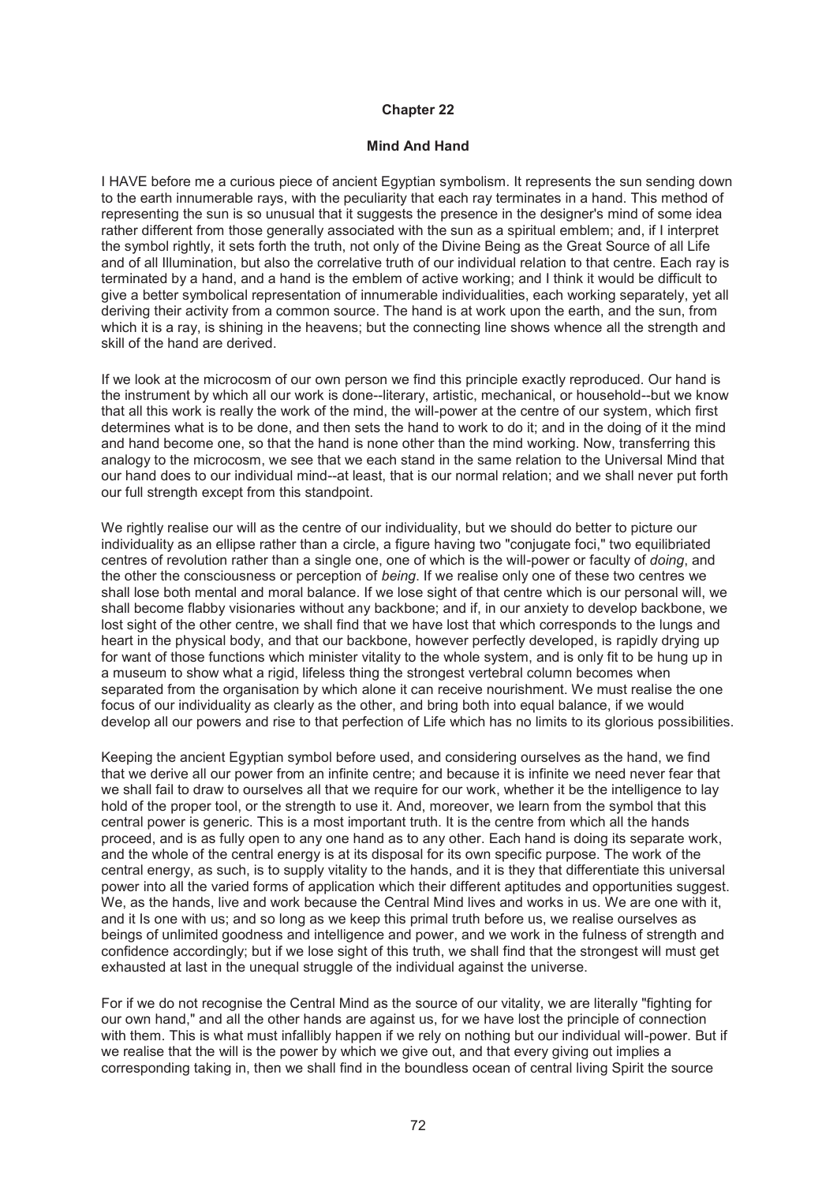### **Mind And Hand**

I HAVE before me a curious piece of ancient Egyptian symbolism. It represents the sun sending down to the earth innumerable rays, with the peculiarity that each ray terminates in a hand. This method of representing the sun is so unusual that it suggests the presence in the designer's mind of some idea rather different from those generally associated with the sun as a spiritual emblem; and, if I interpret the symbol rightly, it sets forth the truth, not only of the Divine Being as the Great Source of all Life and of all Illumination, but also the correlative truth of our individual relation to that centre. Each ray is terminated by a hand, and a hand is the emblem of active working; and I think it would be difficult to give a better symbolical representation of innumerable individualities, each working separately, yet all deriving their activity from a common source. The hand is at work upon the earth, and the sun, from which it is a ray, is shining in the heavens; but the connecting line shows whence all the strength and skill of the hand are derived.

If we look at the microcosm of our own person we find this principle exactly reproduced. Our hand is the instrument by which all our work is done--literary, artistic, mechanical, or household--but we know that all this work is really the work of the mind, the will-power at the centre of our system, which first determines what is to be done, and then sets the hand to work to do it; and in the doing of it the mind and hand become one, so that the hand is none other than the mind working. Now, transferring this analogy to the microcosm, we see that we each stand in the same relation to the Universal Mind that our hand does to our individual mind--at least, that is our normal relation; and we shall never put forth our full strength except from this standpoint.

We rightly realise our will as the centre of our individuality, but we should do better to picture our individuality as an ellipse rather than a circle, a figure having two "conjugate foci," two equilibriated centres of revolution rather than a single one, one of which is the will-power or faculty of *doing*, and the other the consciousness or perception of *being*. If we realise only one of these two centres we shall lose both mental and moral balance. If we lose sight of that centre which is our personal will, we shall become flabby visionaries without any backbone; and if, in our anxiety to develop backbone, we lost sight of the other centre, we shall find that we have lost that which corresponds to the lungs and heart in the physical body, and that our backbone, however perfectly developed, is rapidly drying up for want of those functions which minister vitality to the whole system, and is only fit to be hung up in a museum to show what a rigid, lifeless thing the strongest vertebral column becomes when separated from the organisation by which alone it can receive nourishment. We must realise the one focus of our individuality as clearly as the other, and bring both into equal balance, if we would develop all our powers and rise to that perfection of Life which has no limits to its glorious possibilities.

Keeping the ancient Egyptian symbol before used, and considering ourselves as the hand, we find that we derive all our power from an infinite centre; and because it is infinite we need never fear that we shall fail to draw to ourselves all that we require for our work, whether it be the intelligence to lay hold of the proper tool, or the strength to use it. And, moreover, we learn from the symbol that this central power is generic. This is a most important truth. It is the centre from which all the hands proceed, and is as fully open to any one hand as to any other. Each hand is doing its separate work, and the whole of the central energy is at its disposal for its own specific purpose. The work of the central energy, as such, is to supply vitality to the hands, and it is they that differentiate this universal power into all the varied forms of application which their different aptitudes and opportunities suggest. We, as the hands, live and work because the Central Mind lives and works in us. We are one with it, and it Is one with us; and so long as we keep this primal truth before us, we realise ourselves as beings of unlimited goodness and intelligence and power, and we work in the fulness of strength and confidence accordingly; but if we lose sight of this truth, we shall find that the strongest will must get exhausted at last in the unequal struggle of the individual against the universe.

For if we do not recognise the Central Mind as the source of our vitality, we are literally "fighting for our own hand," and all the other hands are against us, for we have lost the principle of connection with them. This is what must infallibly happen if we rely on nothing but our individual will-power. But if we realise that the will is the power by which we give out, and that every giving out implies a corresponding taking in, then we shall find in the boundless ocean of central living Spirit the source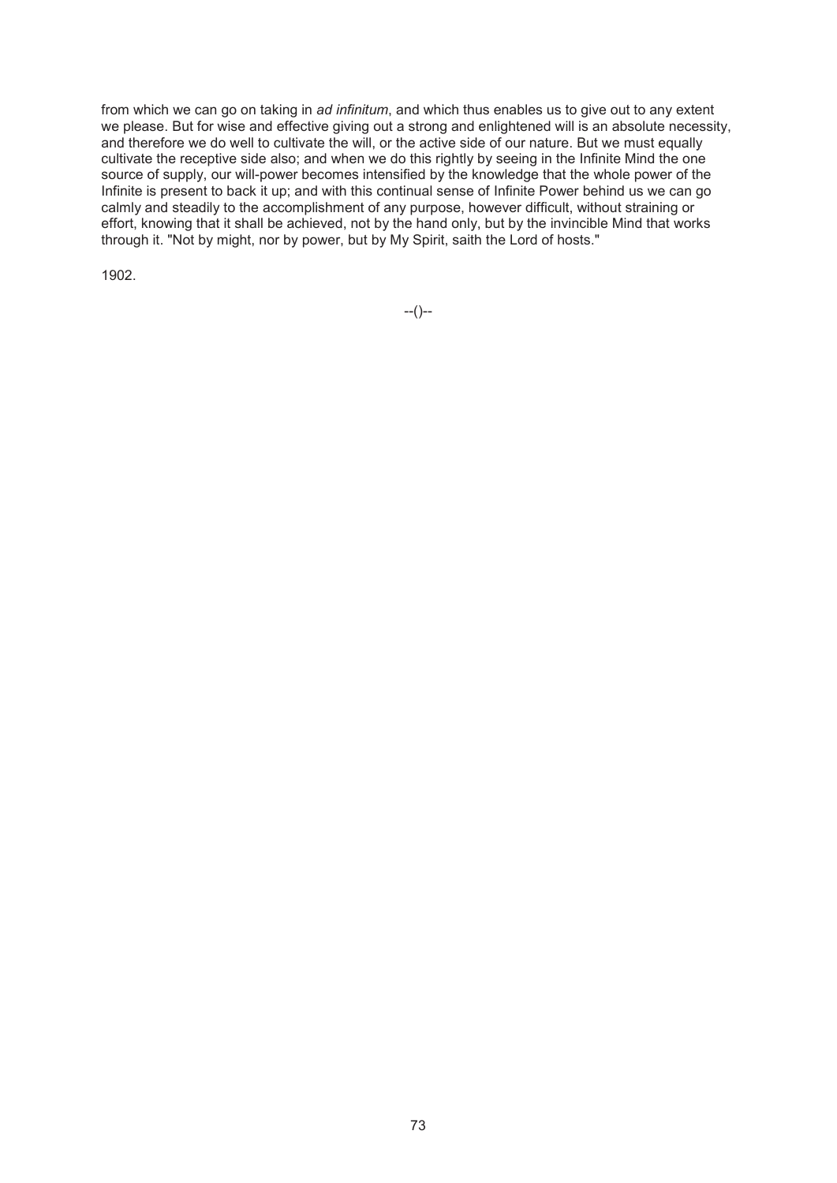from which we can go on taking in *ad infinitum*, and which thus enables us to give out to any extent we please. But for wise and effective giving out a strong and enlightened will is an absolute necessity, and therefore we do well to cultivate the will, or the active side of our nature. But we must equally cultivate the receptive side also; and when we do this rightly by seeing in the Infinite Mind the one source of supply, our will-power becomes intensified by the knowledge that the whole power of the Infinite is present to back it up; and with this continual sense of Infinite Power behind us we can go calmly and steadily to the accomplishment of any purpose, however difficult, without straining or effort, knowing that it shall be achieved, not by the hand only, but by the invincible Mind that works through it. "Not by might, nor by power, but by My Spirit, saith the Lord of hosts."

1902.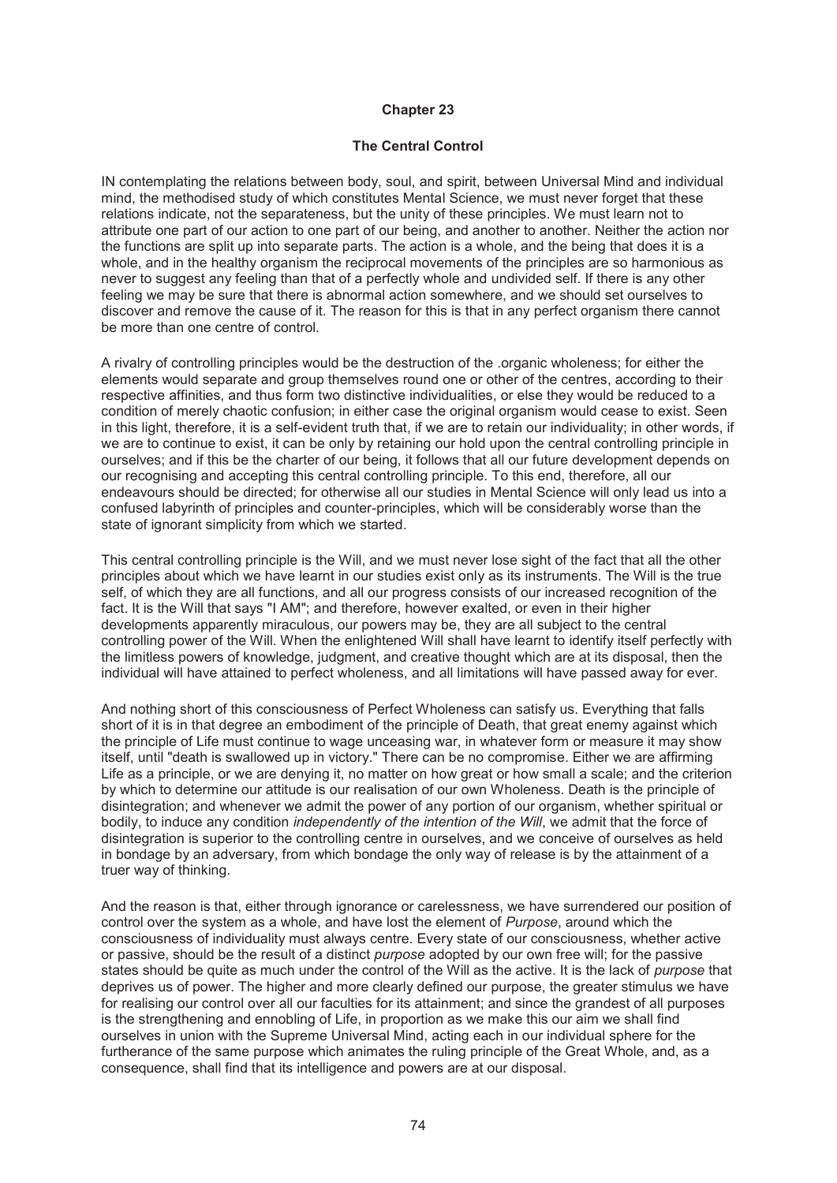### **Chapter 23**

### **The Central Control**

IN contemplating the relations between body, soul, and spirit, between Universal Mind and individual mind, the methodised study of which constitutes Mental Science, we must never forget that these relations indicate, not the separateness, but the unity of these principles. We must learn not to attribute one part of our action to one part of our being, and another to another. Neither the action nor the functions are split up into separate parts. The action is a whole, and the being that does it is a whole, and in the healthy organism the reciprocal movements of the principles are so harmonious as never to suggest any feeling than that of a perfectly whole and undivided self. If there is any other feeling we may be sure that there is abnormal action somewhere, and we should set ourselves to discover and remove the cause of it. The reason for this is that in any perfect organism there cannot be more than one centre of control.

A rivalry of controlling principles would be the destruction of the .organic wholeness; for either the elements would separate and group themselves round one or other of the centres, according to their respective affinities, and thus form two distinctive individualities, or else they would be reduced to a condition of merely chaotic confusion; in either case the original organism would cease to exist. Seen in this light, therefore, it is a self-evident truth that, if we are to retain our individuality; in other words, if we are to continue to exist, it can be only by retaining our hold upon the central controlling principle in ourselves; and if this be the charter of our being, it follows that all our future development depends on our recognising and accepting this central controlling principle. To this end, therefore, all our endeavours should be directed; for otherwise all our studies in Mental Science will only lead us into a confused labyrinth of principles and counter-principles, which will be considerably worse than the state of ignorant simplicity from which we started.

This central controlling principle is the Will, and we must never lose sight of the fact that all the other principles about which we have learnt in our studies exist only as its instruments. The Will is the true self, of which they are all functions, and all our progress consists of our increased recognition of the fact. It is the Will that says "I AM"; and therefore, however exalted, or even in their higher developments apparently miraculous, our powers may be, they are all subject to the central controlling power of the Will. When the enlightened Will shall have learnt to identify itself perfectly with the limitless powers of knowledge, judgment, and creative thought which are at its disposal, then the individual will have attained to perfect wholeness, and all limitations will have passed away for ever.

And nothing short of this consciousness of Perfect Wholeness can satisfy us. Everything that falls short of it is in that degree an embodiment of the principle of Death, that great enemy against which the principle of Life must continue to wage unceasing war, in whatever form or measure it may show itself, until "death is swallowed up in victory." There can be no compromise. Either we are affirming Life as a principle, or we are denying it, no matter on how great or how small a scale; and the criterion by which to determine our attitude is our realisation of our own Wholeness. Death is the principle of disintegration; and whenever we admit the power of any portion of our organism, whether spiritual or bodily, to induce any condition *independently of the intention of the Will*, we admit that the force of disintegration is superior to the controlling centre in ourselves, and we conceive of ourselves as held in bondage by an adversary, from which bondage the only way of release is by the attainment of a truer way of thinking.

And the reason is that, either through ignorance or carelessness, we have surrendered our position of control over the system as a whole, and have lost the element of *Purpose*, around which the consciousness of individuality must always centre. Every state of our consciousness, whether active or passive, should be the result of a distinct *purpose* adopted by our own free will; for the passive states should be quite as much under the control of the Will as the active. It is the lack of *purpose* that deprives us of power. The higher and more clearly defined our purpose, the greater stimulus we have for realising our control over all our faculties for its attainment; and since the grandest of all purposes is the strengthening and ennobling of Life, in proportion as we make this our aim we shall find ourselves in union with the Supreme Universal Mind, acting each in our individual sphere for the furtherance of the same purpose which animates the ruling principle of the Great Whole, and, as a consequence, shall find that its intelligence and powers are at our disposal.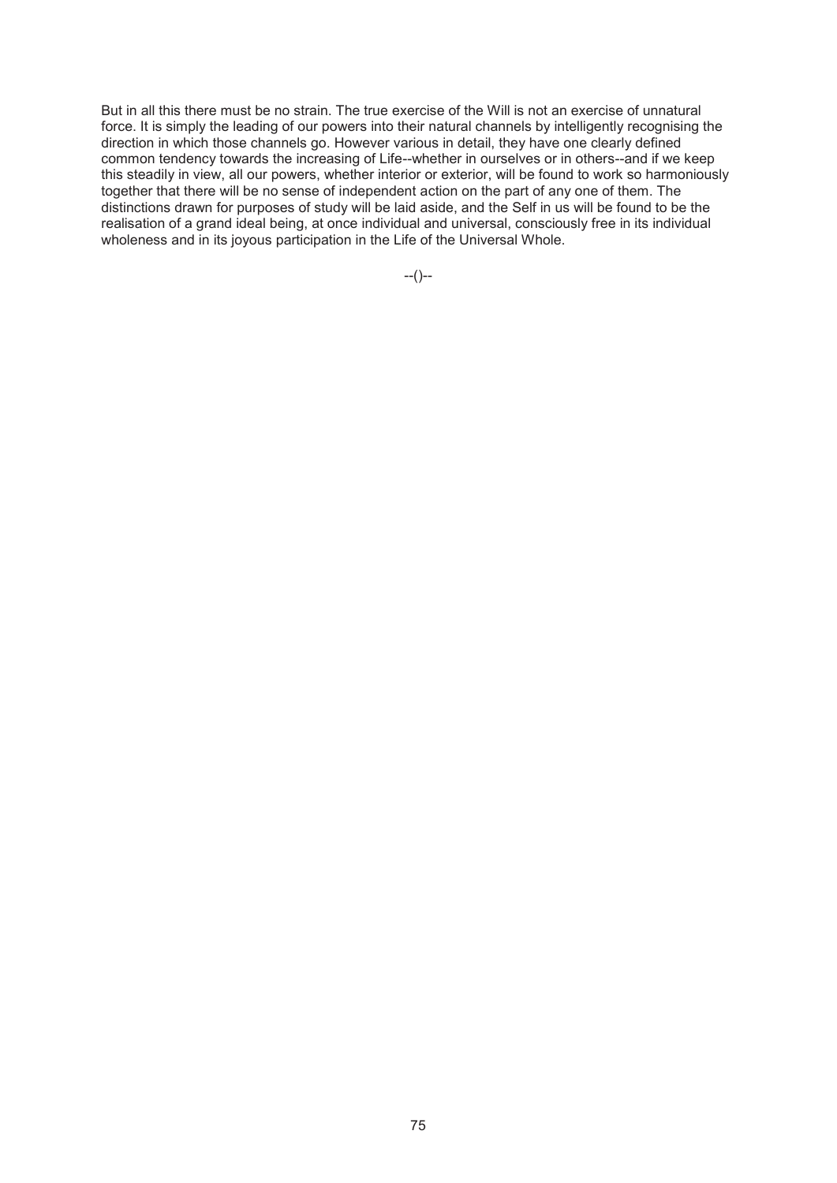But in all this there must be no strain. The true exercise of the Will is not an exercise of unnatural force. It is simply the leading of our powers into their natural channels by intelligently recognising the direction in which those channels go. However various in detail, they have one clearly defined common tendency towards the increasing of Life--whether in ourselves or in others--and if we keep this steadily in view, all our powers, whether interior or exterior, will be found to work so harmoniously together that there will be no sense of independent action on the part of any one of them. The distinctions drawn for purposes of study will be laid aside, and the Self in us will be found to be the realisation of a grand ideal being, at once individual and universal, consciously free in its individual wholeness and in its joyous participation in the Life of the Universal Whole.

--()--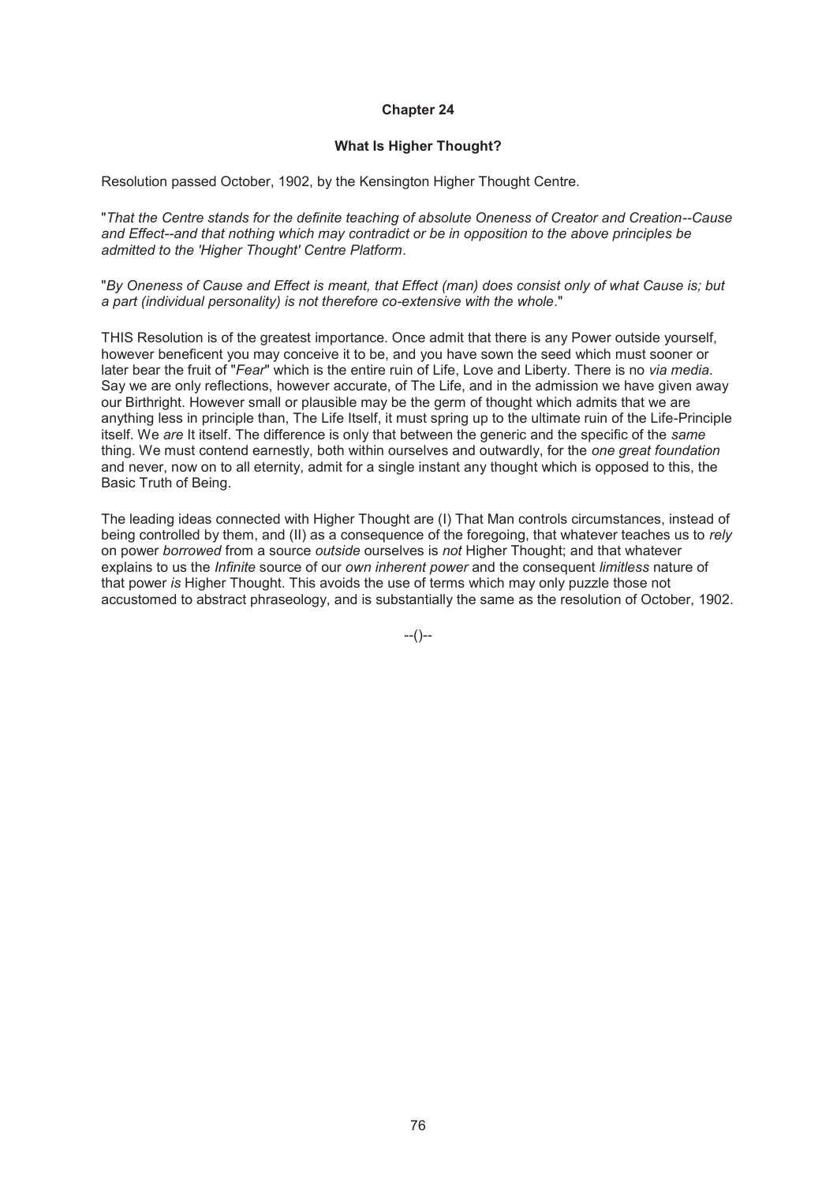### **Chapter 24**

#### **What Is Higher Thought?**

Resolution passed October, 1902, by the Kensington Higher Thought Centre.

"*That the Centre stands for the definite teaching of absolute Oneness of Creator and Creation--Cause and Effect--and that nothing which may contradict or be in opposition to the above principles be admitted to the 'Higher Thought' Centre Platform*.

"*By Oneness of Cause and Effect is meant, that Effect (man) does consist only of what Cause is; but a part (individual personality) is not therefore co-extensive with the whole*."

THIS Resolution is of the greatest importance. Once admit that there is any Power outside yourself, however beneficent you may conceive it to be, and you have sown the seed which must sooner or later bear the fruit of "*Fear*" which is the entire ruin of Life, Love and Liberty. There is no *via media*. Say we are only reflections, however accurate, of The Life, and in the admission we have given away our Birthright. However small or plausible may be the germ of thought which admits that we are anything less in principle than, The Life Itself, it must spring up to the ultimate ruin of the Life-Principle itself. We *are* It itself. The difference is only that between the generic and the specific of the *same* thing. We must contend earnestly, both within ourselves and outwardly, for the *one great foundation* and never, now on to all eternity, admit for a single instant any thought which is opposed to this, the Basic Truth of Being.

The leading ideas connected with Higher Thought are (I) That Man controls circumstances, instead of being controlled by them, and (II) as a consequence of the foregoing, that whatever teaches us to *rely* on power *borrowed* from a source *outside* ourselves is *not* Higher Thought; and that whatever explains to us the *Infinite* source of our *own inherent power* and the consequent *limitless* nature of that power *is* Higher Thought. This avoids the use of terms which may only puzzle those not accustomed to abstract phraseology, and is substantially the same as the resolution of October, 1902.

--()--